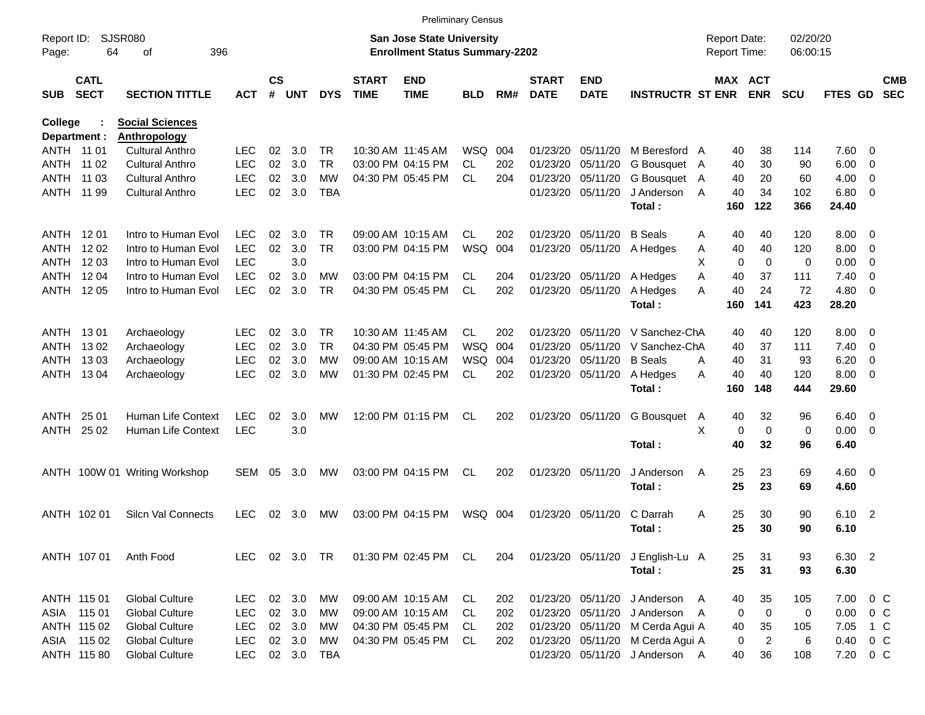|                |                            |                                               |               |                    |            |            |                             | <b>Preliminary Census</b>             |            |     |                             |                           |                                  |   |                     |                       |            |                |                          |                          |
|----------------|----------------------------|-----------------------------------------------|---------------|--------------------|------------|------------|-----------------------------|---------------------------------------|------------|-----|-----------------------------|---------------------------|----------------------------------|---|---------------------|-----------------------|------------|----------------|--------------------------|--------------------------|
| Report ID:     |                            | <b>SJSR080</b>                                |               |                    |            |            |                             | San Jose State University             |            |     |                             |                           |                                  |   | <b>Report Date:</b> |                       | 02/20/20   |                |                          |                          |
| Page:          | 64                         | 396<br>οf                                     |               |                    |            |            |                             | <b>Enrollment Status Summary-2202</b> |            |     |                             |                           |                                  |   | Report Time:        |                       | 06:00:15   |                |                          |                          |
| <b>SUB</b>     | <b>CATL</b><br><b>SECT</b> | <b>SECTION TITTLE</b>                         | <b>ACT</b>    | $\mathsf{cs}$<br># | <b>UNT</b> | <b>DYS</b> | <b>START</b><br><b>TIME</b> | <b>END</b><br><b>TIME</b>             | <b>BLD</b> | RM# | <b>START</b><br><b>DATE</b> | <b>END</b><br><b>DATE</b> | <b>INSTRUCTR ST ENR</b>          |   |                     | MAX ACT<br><b>ENR</b> | <b>SCU</b> | <b>FTES GD</b> |                          | <b>CMB</b><br><b>SEC</b> |
| <b>College</b> | Department :               | <b>Social Sciences</b><br><b>Anthropology</b> |               |                    |            |            |                             |                                       |            |     |                             |                           |                                  |   |                     |                       |            |                |                          |                          |
|                | ANTH 11 01                 | <b>Cultural Anthro</b>                        | LEC           | 02                 | 3.0        | TR.        |                             | 10:30 AM 11:45 AM                     | <b>WSQ</b> | 004 | 01/23/20                    | 05/11/20                  | M Beresford A                    |   | 40                  | 38                    | 114        | 7.60 0         |                          |                          |
| ANTH           | 11 02                      | <b>Cultural Anthro</b>                        | <b>LEC</b>    | 02                 | 3.0        | <b>TR</b>  |                             | 03:00 PM 04:15 PM                     | <b>CL</b>  | 202 | 01/23/20                    | 05/11/20                  | <b>G</b> Bousquet                | A | 40                  | 30                    | 90         | 6.00           | - 0                      |                          |
| ANTH           | 11 03                      | <b>Cultural Anthro</b>                        | <b>LEC</b>    | 02                 | 3.0        | <b>MW</b>  |                             | 04:30 PM 05:45 PM                     | <b>CL</b>  | 204 | 01/23/20                    | 05/11/20                  | G Bousquet                       | A | 40                  | 20                    | 60         | 4.00           | $\overline{0}$           |                          |
|                | ANTH 11 99                 | <b>Cultural Anthro</b>                        | <b>LEC</b>    | 02                 | 3.0        | <b>TBA</b> |                             |                                       |            |     |                             | 01/23/20 05/11/20         | J Anderson                       | A | 40                  | 34                    | 102        | 6.80           | $\overline{\phantom{0}}$ |                          |
|                |                            |                                               |               |                    |            |            |                             |                                       |            |     |                             |                           | Total:                           |   | 160                 | 122                   | 366        | 24.40          |                          |                          |
| ANTH           | 12 01                      | Intro to Human Evol                           | <b>LEC</b>    | 02                 | 3.0        | TR         |                             | 09:00 AM 10:15 AM                     | CL.        | 202 | 01/23/20                    | 05/11/20                  | <b>B</b> Seals                   | Α | 40                  | 40                    | 120        | 8.00           | - 0                      |                          |
| ANTH           | 12 02                      | Intro to Human Evol                           | <b>LEC</b>    | 02                 | 3.0        | <b>TR</b>  |                             | 03:00 PM 04:15 PM                     | <b>WSQ</b> | 004 |                             | 01/23/20 05/11/20         | A Hedges                         | Α | 40                  | 40                    | 120        | 8.00           | $\overline{\mathbf{0}}$  |                          |
| ANTH           | 12 03                      | Intro to Human Evol                           | <b>LEC</b>    |                    | 3.0        |            |                             |                                       |            |     |                             |                           |                                  | х | 0                   | 0                     | 0          | 0.00           | $\overline{0}$           |                          |
| ANTH           | 12 04                      | Intro to Human Evol                           | <b>LEC</b>    | 02                 | 3.0        | MW         |                             | 03:00 PM 04:15 PM                     | CL         | 204 |                             | 01/23/20 05/11/20         | A Hedges                         | A | 40                  | 37                    | 111        | 7.40           | $\overline{0}$           |                          |
| ANTH           | 12 05                      | Intro to Human Evol                           | <b>LEC</b>    | 02                 | 3.0        | <b>TR</b>  |                             | 04:30 PM 05:45 PM                     | <b>CL</b>  | 202 |                             | 01/23/20 05/11/20         | A Hedges                         | Α | 40                  | 24                    | 72         | 4.80           | $\overline{\mathbf{0}}$  |                          |
|                |                            |                                               |               |                    |            |            |                             |                                       |            |     |                             |                           | Total:                           |   | 160                 | 141                   | 423        | 28.20          |                          |                          |
| ANTH           | 1301                       | Archaeology                                   | LEC           | 02                 | 3.0        | TR.        |                             | 10:30 AM 11:45 AM                     | CL         | 202 | 01/23/20                    | 05/11/20                  | V Sanchez-ChA                    |   | 40                  | 40                    | 120        | 8.00           | - 0                      |                          |
| ANTH           | 1302                       | Archaeology                                   | <b>LEC</b>    | 02                 | 3.0        | <b>TR</b>  |                             | 04:30 PM 05:45 PM                     | <b>WSQ</b> | 004 | 01/23/20                    | 05/11/20                  | V Sanchez-ChA                    |   | 40                  | 37                    | 111        | 7.40           | $\overline{\phantom{0}}$ |                          |
| ANTH           | 1303                       | Archaeology                                   | <b>LEC</b>    | 02                 | 3.0        | МW         |                             | 09:00 AM 10:15 AM                     | <b>WSQ</b> | 004 | 01/23/20                    | 05/11/20                  | <b>B</b> Seals                   | Α | 40                  | 31                    | 93         | 6.20           | $\overline{0}$           |                          |
| ANTH           | 1304                       | Archaeology                                   | <b>LEC</b>    | 02                 | 3.0        | MW         |                             | 01:30 PM 02:45 PM                     | CL         | 202 |                             | 01/23/20 05/11/20         | A Hedges                         | Α | 40                  | 40                    | 120        | 8.00           | $\overline{\phantom{0}}$ |                          |
|                |                            |                                               |               |                    |            |            |                             |                                       |            |     |                             |                           | Total:                           |   | 160                 | 148                   | 444        | 29.60          |                          |                          |
| ANTH           | 25 01                      | Human Life Context                            | <b>LEC</b>    | 02                 | 3.0        | MW         |                             | 12:00 PM 01:15 PM                     | CL         | 202 |                             | 01/23/20 05/11/20         | <b>G</b> Bousquet                | A | 40                  | 32                    | 96         | $6.40 \quad 0$ |                          |                          |
| ANTH           | 25 02                      | Human Life Context                            | <b>LEC</b>    |                    | 3.0        |            |                             |                                       |            |     |                             |                           |                                  | X | 0                   | $\mathbf 0$           | 0          | 0.00           | $\overline{\phantom{0}}$ |                          |
|                |                            |                                               |               |                    |            |            |                             |                                       |            |     |                             |                           | Total:                           |   | 40                  | 32                    | 96         | 6.40           |                          |                          |
|                |                            | ANTH 100W 01 Writing Workshop                 | SEM           | 05                 | 3.0        | МW         |                             | 03:00 PM 04:15 PM                     | CL         | 202 |                             | 01/23/20 05/11/20         | J Anderson                       | Α | 25                  | 23                    | 69         | $4.60 \ 0$     |                          |                          |
|                |                            |                                               |               |                    |            |            |                             |                                       |            |     |                             |                           | Total:                           |   | 25                  | 23                    | 69         | 4.60           |                          |                          |
|                | ANTH 102 01                | <b>Silcn Val Connects</b>                     | LEC           | 02                 | 3.0        | <b>MW</b>  |                             | 03:00 PM 04:15 PM                     | WSQ        | 004 |                             | 01/23/20 05/11/20         | C Darrah                         | A | 25                  | 30                    | 90         | $6.10$ 2       |                          |                          |
|                |                            |                                               |               |                    |            |            |                             |                                       |            |     |                             |                           | Total:                           |   | 25                  | 30                    | 90         | 6.10           |                          |                          |
|                | ANTH 107 01                | Anth Food                                     | LEC 02 3.0 TR |                    |            |            |                             | 01:30 PM 02:45 PM CL                  |            | 204 |                             |                           | 01/23/20 05/11/20 J English-Lu A |   | 25                  | 31                    | 93         | 6.30 2         |                          |                          |
|                |                            |                                               |               |                    |            |            |                             |                                       |            |     |                             |                           | Total:                           |   | 25                  | 31                    | 93         | 6.30           |                          |                          |
|                | ANTH 115 01                | <b>Global Culture</b>                         | <b>LEC</b>    |                    | 02 3.0     | МW         |                             | 09:00 AM 10:15 AM                     | CL         | 202 |                             | 01/23/20 05/11/20         | J Anderson                       | A | 40                  | 35                    | 105        | 7.00 0 C       |                          |                          |
|                | ASIA 115 01                | <b>Global Culture</b>                         | <b>LEC</b>    |                    | 02 3.0     | МW         |                             | 09:00 AM 10:15 AM                     | CL         | 202 |                             | 01/23/20 05/11/20         | J Anderson                       | A | 0                   | $\mathbf 0$           | 0          | $0.00 \t 0 C$  |                          |                          |
|                | ANTH 115 02                | <b>Global Culture</b>                         | <b>LEC</b>    |                    | 02 3.0     | МW         |                             | 04:30 PM 05:45 PM                     | CL         | 202 |                             | 01/23/20 05/11/20         | M Cerda Agui A                   |   | 40                  | 35                    | 105        | 7.05           | 1 C                      |                          |
|                | ASIA 115 02                | <b>Global Culture</b>                         | <b>LEC</b>    |                    | 02 3.0     | МW         |                             | 04:30 PM 05:45 PM                     | CL         | 202 |                             | 01/23/20 05/11/20         | M Cerda Agui A                   |   | 0                   | $\overline{c}$        | 6          | 0.40           | $0\,$ C                  |                          |
|                | ANTH 115 80                | <b>Global Culture</b>                         | <b>LEC</b>    |                    |            | 02 3.0 TBA |                             |                                       |            |     |                             | 01/23/20 05/11/20         | J Anderson A                     |   | 40                  | 36                    | 108        | 7.20 0 C       |                          |                          |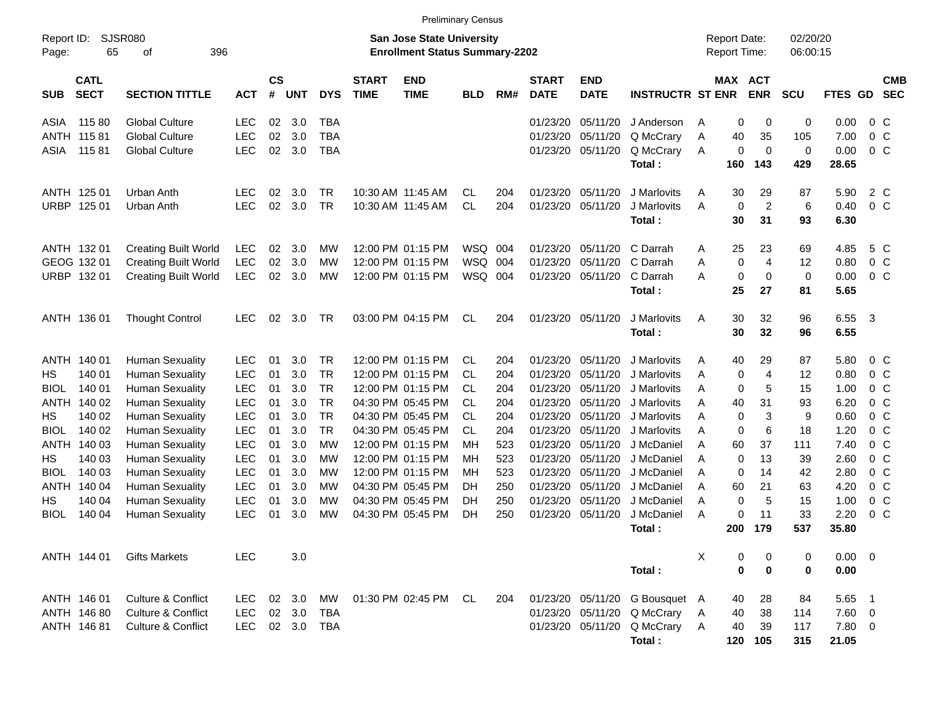|                                          |                             |            |                    |            |            |                             | <b>Preliminary Census</b>                                                 |            |     |                             |                           |                         |   |                                     |                |                      |             |                         |                          |
|------------------------------------------|-----------------------------|------------|--------------------|------------|------------|-----------------------------|---------------------------------------------------------------------------|------------|-----|-----------------------------|---------------------------|-------------------------|---|-------------------------------------|----------------|----------------------|-------------|-------------------------|--------------------------|
| Report ID:<br>65<br>Page:                | <b>SJSR080</b><br>396<br>оf |            |                    |            |            |                             | <b>San Jose State University</b><br><b>Enrollment Status Summary-2202</b> |            |     |                             |                           |                         |   | <b>Report Date:</b><br>Report Time: |                | 02/20/20<br>06:00:15 |             |                         |                          |
| <b>CATL</b><br><b>SECT</b><br><b>SUB</b> | <b>SECTION TITTLE</b>       | <b>ACT</b> | $\mathsf{cs}$<br># | <b>UNT</b> | <b>DYS</b> | <b>START</b><br><b>TIME</b> | <b>END</b><br><b>TIME</b>                                                 | <b>BLD</b> | RM# | <b>START</b><br><b>DATE</b> | <b>END</b><br><b>DATE</b> | <b>INSTRUCTR ST ENR</b> |   | MAX ACT                             | <b>ENR</b>     | <b>SCU</b>           | FTES GD     |                         | <b>CMB</b><br><b>SEC</b> |
| 11580<br>ASIA                            | <b>Global Culture</b>       | LEC        | 02                 | 3.0        | TBA        |                             |                                                                           |            |     | 01/23/20                    | 05/11/20                  | J Anderson              | Α | 0                                   | 0              | 0                    | 0.00        | $0\,C$                  |                          |
| ANTH 11581                               | <b>Global Culture</b>       | <b>LEC</b> | 02                 | 3.0        | <b>TBA</b> |                             |                                                                           |            |     | 01/23/20                    | 05/11/20                  | Q McCrary               | Α | 40                                  | 35             | 105                  | 7.00        | 0 <sup>o</sup>          |                          |
| ASIA<br>11581                            | <b>Global Culture</b>       | <b>LEC</b> | 02                 | 3.0        | <b>TBA</b> |                             |                                                                           |            |     |                             | 01/23/20 05/11/20         | Q McCrary               | Α | 0                                   | $\mathbf 0$    | $\mathbf 0$          | 0.00        | 0 <sup>o</sup>          |                          |
|                                          |                             |            |                    |            |            |                             |                                                                           |            |     |                             |                           | Total:                  |   | 160                                 | 143            | 429                  | 28.65       |                         |                          |
| ANTH 125 01                              | <b>Urban Anth</b>           | LEC        | 02                 | 3.0        | TR         |                             | 10:30 AM 11:45 AM                                                         | CL.        | 204 | 01/23/20                    | 05/11/20                  | J Marlovits             | Α | 30                                  | 29             | 87                   | 5.90        | 2 C                     |                          |
| URBP 125 01                              | Urban Anth                  | <b>LEC</b> | 02                 | 3.0        | <b>TR</b>  |                             | 10:30 AM 11:45 AM                                                         | <b>CL</b>  | 204 |                             | 01/23/20 05/11/20         | J Marlovits             | Α | 0                                   | $\overline{2}$ | 6                    | 0.40        | 0 <sup>o</sup>          |                          |
|                                          |                             |            |                    |            |            |                             |                                                                           |            |     |                             |                           | Total:                  |   | 30                                  | 31             | 93                   | 6.30        |                         |                          |
| ANTH 132 01                              | <b>Creating Built World</b> | <b>LEC</b> | 02                 | 3.0        | МW         |                             | 12:00 PM 01:15 PM                                                         | WSQ 004    |     | 01/23/20                    | 05/11/20                  | C Darrah                | Α | 25                                  | 23             | 69                   | 4.85        | 5 C                     |                          |
| GEOG 132 01                              | <b>Creating Built World</b> | <b>LEC</b> | 02                 | 3.0        | МW         |                             | 12:00 PM 01:15 PM                                                         | WSQ        | 004 | 01/23/20                    | 05/11/20                  | C Darrah                | Α | 0                                   | 4              | 12                   | 0.80        | 0 <sup>o</sup>          |                          |
| URBP 132 01                              | <b>Creating Built World</b> | <b>LEC</b> | 02                 | 3.0        | <b>MW</b>  |                             | 12:00 PM 01:15 PM                                                         | WSQ 004    |     |                             | 01/23/20 05/11/20         | C Darrah                | А | 0                                   | 0              | 0                    | 0.00        | 0 <sup>o</sup>          |                          |
|                                          |                             |            |                    |            |            |                             |                                                                           |            |     |                             |                           | Total:                  |   | 25                                  | 27             | 81                   | 5.65        |                         |                          |
| ANTH 136 01                              | <b>Thought Control</b>      | LEC        | 02                 | 3.0        | TR         |                             | 03:00 PM 04:15 PM                                                         | <b>CL</b>  | 204 | 01/23/20 05/11/20           |                           | J Marlovits             | Α | 30                                  | 32             | 96                   | 6.55        | $\overline{\mathbf{3}}$ |                          |
|                                          |                             |            |                    |            |            |                             |                                                                           |            |     |                             |                           | Total:                  |   | 30                                  | 32             | 96                   | 6.55        |                         |                          |
| ANTH 140 01                              | <b>Human Sexuality</b>      | <b>LEC</b> | 01                 | 3.0        | <b>TR</b>  |                             | 12:00 PM 01:15 PM                                                         | <b>CL</b>  | 204 | 01/23/20                    | 05/11/20                  | J Marlovits             | Α | 40                                  | 29             | 87                   | 5.80        | $0\,$ C                 |                          |
| 140 01<br>HS                             | <b>Human Sexuality</b>      | <b>LEC</b> | 01                 | 3.0        | <b>TR</b>  |                             | 12:00 PM 01:15 PM                                                         | <b>CL</b>  | 204 | 01/23/20                    | 05/11/20                  | J Marlovits             | Α | 0                                   | 4              | 12                   | 0.80        | 0 <sup>o</sup>          |                          |
| <b>BIOL</b><br>140 01                    | <b>Human Sexuality</b>      | <b>LEC</b> | 01                 | 3.0        | <b>TR</b>  |                             | 12:00 PM 01:15 PM                                                         | <b>CL</b>  | 204 | 01/23/20                    | 05/11/20                  | J Marlovits             | Α | 0                                   | 5              | 15                   | 1.00        | 0 <sup>o</sup>          |                          |
| ANTH<br>140 02                           | <b>Human Sexuality</b>      | <b>LEC</b> | 01                 | 3.0        | <b>TR</b>  |                             | 04:30 PM 05:45 PM                                                         | <b>CL</b>  | 204 | 01/23/20                    | 05/11/20                  | J Marlovits             | Α | 40                                  | 31             | 93                   | 6.20        | $0\,C$                  |                          |
| 140 02<br>HS                             | <b>Human Sexuality</b>      | <b>LEC</b> | 01                 | 3.0        | <b>TR</b>  |                             | 04:30 PM 05:45 PM                                                         | <b>CL</b>  | 204 | 01/23/20                    | 05/11/20                  | J Marlovits             | A | 0                                   | 3              | 9                    | 0.60        | $0\,C$                  |                          |
| 140 02<br><b>BIOL</b>                    | <b>Human Sexuality</b>      | <b>LEC</b> | 01                 | 3.0        | <b>TR</b>  |                             | 04:30 PM 05:45 PM                                                         | <b>CL</b>  | 204 | 01/23/20                    | 05/11/20                  | J Marlovits             | A | 0                                   | 6              | 18                   | 1.20        | 0 <sup>o</sup>          |                          |
| ANTH 140 03                              | <b>Human Sexuality</b>      | <b>LEC</b> | 01                 | 3.0        | МW         |                             | 12:00 PM 01:15 PM                                                         | MH         | 523 | 01/23/20                    | 05/11/20                  | J McDaniel              | Α | 60                                  | 37             | 111                  | 7.40        | $0\,C$                  |                          |
| 140 03<br>HS                             | <b>Human Sexuality</b>      | <b>LEC</b> | 01                 | 3.0        | МW         |                             | 12:00 PM 01:15 PM                                                         | ΜН         | 523 | 01/23/20                    | 05/11/20                  | J McDaniel              | A | 0                                   | 13             | 39                   | 2.60        | 0 <sup>o</sup>          |                          |
| 140 03<br><b>BIOL</b>                    | <b>Human Sexuality</b>      | <b>LEC</b> | 01                 | 3.0        | МW         |                             | 12:00 PM 01:15 PM                                                         | ΜН         | 523 | 01/23/20                    | 05/11/20                  | J McDaniel              | A | 0                                   | 14             | 42                   | 2.80        | 0 <sup>o</sup>          |                          |
| ANTH 140 04                              | <b>Human Sexuality</b>      | <b>LEC</b> | 01                 | 3.0        | МW         |                             | 04:30 PM 05:45 PM                                                         | DН         | 250 | 01/23/20                    | 05/11/20                  | J McDaniel              | Α | 60                                  | 21             | 63                   | 4.20        | 0 <sup>o</sup>          |                          |
| HS<br>140 04                             | <b>Human Sexuality</b>      | <b>LEC</b> | 01                 | 3.0        | МW         |                             | 04:30 PM 05:45 PM                                                         | DH         | 250 | 01/23/20                    | 05/11/20                  | J McDaniel              | A | 0                                   | 5              | 15                   | 1.00        | 0 <sup>o</sup>          |                          |
| <b>BIOL</b><br>140 04                    | <b>Human Sexuality</b>      | <b>LEC</b> | 01                 | 3.0        | МW         |                             | 04:30 PM 05:45 PM                                                         | DH         | 250 | 01/23/20                    | 05/11/20                  | J McDaniel              | Α | 0                                   | 11             | 33                   | 2.20        | $0\,C$                  |                          |
|                                          |                             |            |                    |            |            |                             |                                                                           |            |     |                             |                           | Total :                 |   | 200                                 | 179            | 537                  | 35.80       |                         |                          |
| ANTH 144 01                              | <b>Gifts Markets</b>        | <b>LEC</b> |                    | 3.0        |            |                             |                                                                           |            |     |                             |                           |                         | X | 0                                   | 0              | 0                    | $0.00 \t 0$ |                         |                          |
|                                          |                             |            |                    |            |            |                             |                                                                           |            |     |                             |                           | Total:                  |   | 0                                   | 0              | 0                    | 0.00        |                         |                          |
| ANTH 146 01                              | Culture & Conflict          | LEC        |                    | 02 3.0     | МW         |                             | 01:30 PM 02:45 PM CL                                                      |            | 204 |                             | 01/23/20 05/11/20         | G Bousquet A            |   | 40                                  | 28             | 84                   | $5.65$ 1    |                         |                          |
| ANTH 146 80                              | Culture & Conflict          | <b>LEC</b> |                    | 02 3.0     | TBA        |                             |                                                                           |            |     |                             | 01/23/20 05/11/20         | Q McCrary               | A | 40                                  | 38             | 114                  | $7.60 \t 0$ |                         |                          |
| ANTH 146 81                              | Culture & Conflict          | <b>LEC</b> |                    |            | 02 3.0 TBA |                             |                                                                           |            |     |                             | 01/23/20 05/11/20         | Q McCrary               | Α | 40                                  | 39             | 117                  | 7.80 0      |                         |                          |
|                                          |                             |            |                    |            |            |                             |                                                                           |            |     |                             |                           | Total:                  |   | 120                                 | 105            | 315                  | 21.05       |                         |                          |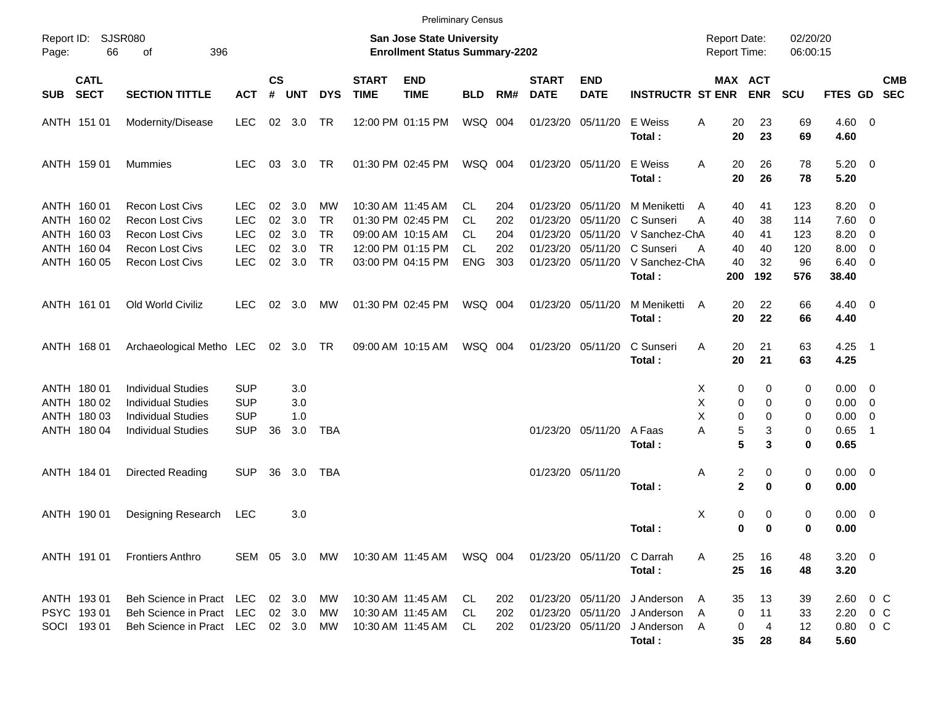|                     |                                                                         |                                                                                                                         |                                                              |                            |                                 |                                          |                             | <b>Preliminary Census</b>                                                                             |                                                    |                                 |                                              |                                                                   |                                                                                   |                                                  |                                   |                                       |                                                            |                                                                                        |            |
|---------------------|-------------------------------------------------------------------------|-------------------------------------------------------------------------------------------------------------------------|--------------------------------------------------------------|----------------------------|---------------------------------|------------------------------------------|-----------------------------|-------------------------------------------------------------------------------------------------------|----------------------------------------------------|---------------------------------|----------------------------------------------|-------------------------------------------------------------------|-----------------------------------------------------------------------------------|--------------------------------------------------|-----------------------------------|---------------------------------------|------------------------------------------------------------|----------------------------------------------------------------------------------------|------------|
| Report ID:<br>Page: | 66                                                                      | SJSR080<br>396<br>οf                                                                                                    |                                                              |                            |                                 |                                          |                             | <b>San Jose State University</b><br><b>Enrollment Status Summary-2202</b>                             |                                                    |                                 |                                              |                                                                   |                                                                                   | <b>Report Date:</b><br><b>Report Time:</b>       |                                   | 02/20/20<br>06:00:15                  |                                                            |                                                                                        |            |
| <b>SUB</b>          | <b>CATL</b><br><b>SECT</b>                                              | <b>SECTION TITTLE</b>                                                                                                   | <b>ACT</b>                                                   | <b>CS</b><br>#             | <b>UNT</b>                      | <b>DYS</b>                               | <b>START</b><br><b>TIME</b> | <b>END</b><br><b>TIME</b>                                                                             | <b>BLD</b>                                         | RM#                             | <b>START</b><br><b>DATE</b>                  | <b>END</b><br><b>DATE</b>                                         | <b>INSTRUCTR ST ENR</b>                                                           | MAX ACT                                          | <b>ENR</b>                        | <b>SCU</b>                            | FTES GD SEC                                                |                                                                                        | <b>CMB</b> |
|                     | ANTH 151 01                                                             | Modernity/Disease                                                                                                       | <b>LEC</b>                                                   | 02                         | 3.0                             | TR                                       |                             | 12:00 PM 01:15 PM                                                                                     | WSQ 004                                            |                                 |                                              | 01/23/20 05/11/20                                                 | E Weiss<br>Total:                                                                 | 20<br>Α<br>20                                    | 23<br>23                          | 69<br>69                              | $4.60$ 0<br>4.60                                           |                                                                                        |            |
|                     | ANTH 159 01                                                             | Mummies                                                                                                                 | <b>LEC</b>                                                   | 03                         | 3.0                             | TR                                       |                             | 01:30 PM 02:45 PM                                                                                     | WSQ 004                                            |                                 |                                              | 01/23/20 05/11/20                                                 | E Weiss<br>Total:                                                                 | 20<br>A<br>20                                    | 26<br>26                          | 78<br>78                              | $5.20 \ 0$<br>5.20                                         |                                                                                        |            |
|                     | ANTH 160 01<br>ANTH 160 02<br>ANTH 160 03<br>ANTH 160 04<br>ANTH 160 05 | <b>Recon Lost Civs</b><br>Recon Lost Civs<br><b>Recon Lost Civs</b><br><b>Recon Lost Civs</b><br><b>Recon Lost Civs</b> | LEC.<br><b>LEC</b><br><b>LEC</b><br><b>LEC</b><br><b>LEC</b> | 02<br>02<br>02<br>02<br>02 | 3.0<br>3.0<br>3.0<br>3.0<br>3.0 | МW<br>TR<br><b>TR</b><br><b>TR</b><br>TR |                             | 10:30 AM 11:45 AM<br>01:30 PM 02:45 PM<br>09:00 AM 10:15 AM<br>12:00 PM 01:15 PM<br>03:00 PM 04:15 PM | CL.<br>CL.<br><b>CL</b><br><b>CL</b><br><b>ENG</b> | 204<br>202<br>204<br>202<br>303 | 01/23/20<br>01/23/20<br>01/23/20<br>01/23/20 | 05/11/20<br>05/11/20<br>05/11/20<br>05/11/20<br>01/23/20 05/11/20 | M Meniketti<br>C Sunseri<br>V Sanchez-ChA<br>C Sunseri<br>V Sanchez-ChA<br>Total: | 40<br>A<br>40<br>A<br>40<br>40<br>A<br>40<br>200 | 41<br>38<br>41<br>40<br>32<br>192 | 123<br>114<br>123<br>120<br>96<br>576 | 8.20<br>7.60 0<br>8.20<br>8.00<br>6.40<br>38.40            | $\overline{\phantom{0}}$<br>$\overline{\mathbf{0}}$<br>- 0<br>$\overline{\phantom{0}}$ |            |
|                     | ANTH 161 01                                                             | Old World Civiliz                                                                                                       | <b>LEC</b>                                                   | 02                         | 3.0                             | MW                                       |                             | 01:30 PM 02:45 PM                                                                                     | WSQ 004                                            |                                 | 01/23/20 05/11/20                            |                                                                   | M Meniketti<br>Total:                                                             | 20<br>A<br>20                                    | 22<br>22                          | 66<br>66                              | $4.40 \ 0$<br>4.40                                         |                                                                                        |            |
|                     | ANTH 168 01                                                             | Archaeological Metho LEC                                                                                                |                                                              |                            | 02 3.0 TR                       |                                          |                             | 09:00 AM 10:15 AM                                                                                     | WSQ 004                                            |                                 | 01/23/20 05/11/20                            |                                                                   | C Sunseri<br>Total:                                                               | 20<br>Α<br>20                                    | 21<br>21                          | 63<br>63                              | $4.25$ 1<br>4.25                                           |                                                                                        |            |
|                     | ANTH 180 01<br>ANTH 180 02<br>ANTH 180 03<br>ANTH 180 04                | <b>Individual Studies</b><br><b>Individual Studies</b><br><b>Individual Studies</b><br><b>Individual Studies</b>        | SUP<br><b>SUP</b><br><b>SUP</b><br><b>SUP</b>                | 36                         | 3.0<br>3.0<br>1.0<br>3.0        | TBA                                      |                             |                                                                                                       |                                                    |                                 |                                              | 01/23/20 05/11/20                                                 | A Faas<br>Total:                                                                  | 0<br>X<br>X<br>0<br>Χ<br>0<br>5<br>Α<br>5        | 0<br>0<br>$\Omega$<br>3<br>3      | 0<br>0<br>0<br>0<br>0                 | $0.00 \t 0$<br>$0.00 \t 0$<br>$0.00 \t 0$<br>0.65<br>0.65  | $\overline{1}$                                                                         |            |
|                     | ANTH 184 01                                                             | Directed Reading                                                                                                        | <b>SUP</b>                                                   | 36                         | 3.0                             | TBA                                      |                             |                                                                                                       |                                                    |                                 | 01/23/20 05/11/20                            |                                                                   | Total:                                                                            | 2<br>Α<br>$\overline{\mathbf{2}}$                | 0<br>0                            | 0<br>0                                | $0.00 \t 0$<br>0.00                                        |                                                                                        |            |
|                     | ANTH 190 01                                                             | Designing Research                                                                                                      | LEC                                                          |                            | 3.0                             |                                          |                             |                                                                                                       |                                                    |                                 |                                              |                                                                   | Total:                                                                            | X<br>0<br>0                                      | 0<br>$\bf{0}$                     | 0<br>0                                | $0.00 \t 0$<br>0.00                                        |                                                                                        |            |
|                     | ANTH 191 01                                                             | <b>Frontiers Anthro</b>                                                                                                 |                                                              |                            |                                 |                                          |                             | SEM 05 3.0 MW 10:30 AM 11:45 AM WSQ 004                                                               |                                                    |                                 |                                              |                                                                   | 01/23/20 05/11/20 C Darrah<br>Total:                                              | 25<br>A<br>25                                    | 16<br>16                          | 48<br>48                              | $3.20 \ 0$<br>3.20                                         |                                                                                        |            |
|                     | ANTH 193 01<br>PSYC 19301<br>SOCI 193 01                                | Beh Science in Pract LEC<br>Beh Science in Pract LEC<br>Beh Science in Pract LEC 02 3.0                                 |                                                              |                            | 02 3.0<br>02 3.0                | МW<br>МW<br><b>MW</b>                    |                             | 10:30 AM 11:45 AM<br>10:30 AM 11:45 AM<br>10:30 AM 11:45 AM                                           | CL<br>CL<br>CL                                     | 202<br>202<br>202               |                                              | 01/23/20 05/11/20<br>01/23/20 05/11/20<br>01/23/20 05/11/20       | J Anderson<br>J Anderson<br>J Anderson<br>Total:                                  | 35<br>A<br>0<br>A<br>0<br>A<br>35                | 13<br>11<br>4<br>28               | 39<br>33<br>12<br>84                  | $2.60 \t 0 \t C$<br>$2.20 \t 0 C$<br>$0.80 \t 0 C$<br>5.60 |                                                                                        |            |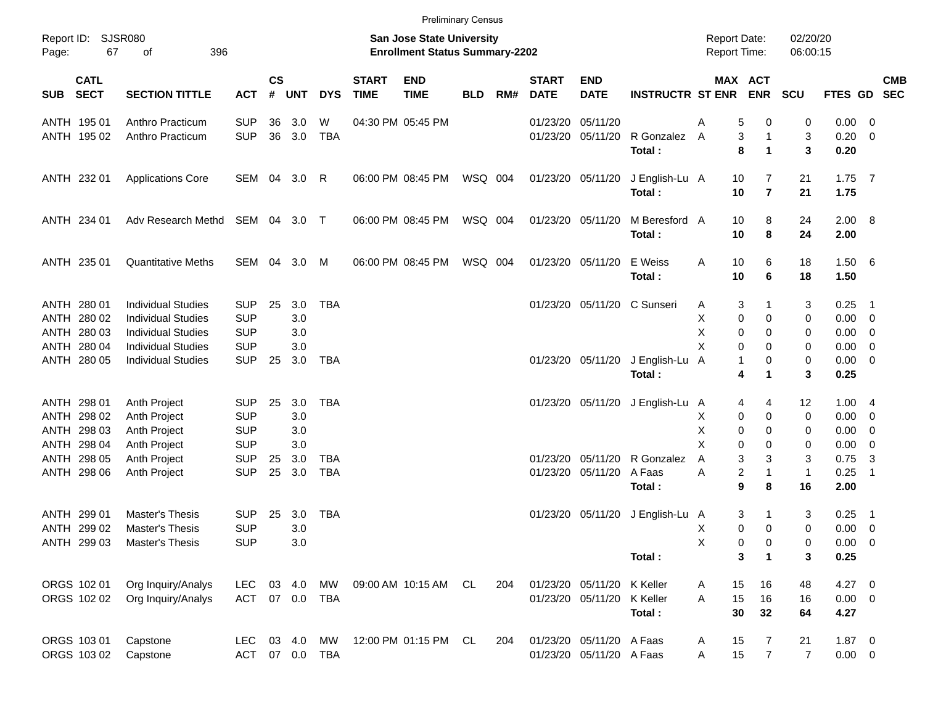|            |                            |                                 |            |                    |            |              |                             |                                                                           | <b>Preliminary Census</b> |     |                             |                            |                             |                                     |                       |                      |                |                          |            |
|------------|----------------------------|---------------------------------|------------|--------------------|------------|--------------|-----------------------------|---------------------------------------------------------------------------|---------------------------|-----|-----------------------------|----------------------------|-----------------------------|-------------------------------------|-----------------------|----------------------|----------------|--------------------------|------------|
| Page:      | Report ID: SJSR080<br>67   | 396<br>of                       |            |                    |            |              |                             | <b>San Jose State University</b><br><b>Enrollment Status Summary-2202</b> |                           |     |                             |                            |                             | <b>Report Date:</b><br>Report Time: |                       | 02/20/20<br>06:00:15 |                |                          |            |
| <b>SUB</b> | <b>CATL</b><br><b>SECT</b> | <b>SECTION TITTLE</b>           | <b>ACT</b> | $\mathsf{cs}$<br># | <b>UNT</b> | <b>DYS</b>   | <b>START</b><br><b>TIME</b> | <b>END</b><br><b>TIME</b>                                                 | <b>BLD</b>                | RM# | <b>START</b><br><b>DATE</b> | <b>END</b><br><b>DATE</b>  | <b>INSTRUCTR ST ENR</b>     |                                     | MAX ACT<br><b>ENR</b> | <b>SCU</b>           | FTES GD SEC    |                          | <b>CMB</b> |
|            | ANTH 195 01                | Anthro Practicum                | <b>SUP</b> | 36                 | 3.0        | W            |                             | 04:30 PM 05:45 PM                                                         |                           |     |                             | 01/23/20 05/11/20          |                             | Α                                   | 5<br>0                | 0                    | $0.00 \t 0$    |                          |            |
|            | ANTH 195 02                | Anthro Practicum                | <b>SUP</b> | 36                 | 3.0        | <b>TBA</b>   |                             |                                                                           |                           |     |                             | 01/23/20 05/11/20          | R Gonzalez                  | $\overline{A}$                      | 3<br>1                | 3                    | $0.20 \ 0$     |                          |            |
|            |                            |                                 |            |                    |            |              |                             |                                                                           |                           |     |                             |                            | Total:                      |                                     | 8<br>1                | 3                    | 0.20           |                          |            |
|            | ANTH 232 01                | <b>Applications Core</b>        | SEM 04 3.0 |                    |            | R            |                             | 06:00 PM 08:45 PM                                                         | WSQ 004                   |     |                             | 01/23/20 05/11/20          | J English-Lu A              | 10                                  | 7                     | 21                   | $1.75$ 7       |                          |            |
|            |                            |                                 |            |                    |            |              |                             |                                                                           |                           |     |                             |                            | Total:                      | 10                                  | $\overline{7}$        | 21                   | 1.75           |                          |            |
|            | ANTH 234 01                | Adv Research Methd SEM 04 3.0 T |            |                    |            |              |                             | 06:00 PM 08:45 PM                                                         | WSQ 004                   |     |                             | 01/23/20 05/11/20          | M Beresford A<br>Total:     | 10<br>10                            | 8<br>8                | 24<br>24             | 2.00 8<br>2.00 |                          |            |
|            | ANTH 235 01                | <b>Quantitative Meths</b>       | SEM 04 3.0 |                    |            | M            |                             | 06:00 PM 08:45 PM                                                         | WSQ 004                   |     |                             | 01/23/20 05/11/20          | E Weiss                     | Α<br>10                             | 6                     | 18                   | 1.506          |                          |            |
|            |                            |                                 |            |                    |            |              |                             |                                                                           |                           |     |                             |                            | Total:                      | 10                                  | 6                     | 18                   | 1.50           |                          |            |
|            | ANTH 280 01                | <b>Individual Studies</b>       | <b>SUP</b> | 25                 | 3.0        | <b>TBA</b>   |                             |                                                                           |                           |     |                             |                            | 01/23/20 05/11/20 C Sunseri | Α                                   | 3<br>1                | 3                    | $0.25$ 1       |                          |            |
|            | ANTH 280 02                | <b>Individual Studies</b>       | <b>SUP</b> |                    | 3.0        |              |                             |                                                                           |                           |     |                             |                            |                             | х                                   | 0<br>0                | 0                    | $0.00 \t 0$    |                          |            |
|            | ANTH 280 03                | <b>Individual Studies</b>       | <b>SUP</b> |                    | 3.0        |              |                             |                                                                           |                           |     |                             |                            |                             | х                                   | 0<br>0                | 0                    | $0.00 \t 0$    |                          |            |
|            | ANTH 280 04                | <b>Individual Studies</b>       | <b>SUP</b> |                    | 3.0        |              |                             |                                                                           |                           |     |                             |                            |                             | X                                   | 0<br>$\Omega$         | 0                    | $0.00 \t 0$    |                          |            |
|            | ANTH 280 05                | <b>Individual Studies</b>       | <b>SUP</b> | 25                 | 3.0        | TBA          |                             |                                                                           |                           |     |                             | 01/23/20 05/11/20          | J English-Lu                | A                                   | 0<br>1                | 0                    | $0.00 \t 0$    |                          |            |
|            |                            |                                 |            |                    |            |              |                             |                                                                           |                           |     |                             |                            | Total:                      |                                     | 4<br>1                | 3                    | 0.25           |                          |            |
|            | ANTH 298 01                | Anth Project                    | <b>SUP</b> | 25                 | 3.0        | <b>TBA</b>   |                             |                                                                           |                           |     |                             | 01/23/20 05/11/20          | J English-Lu                | $\overline{A}$                      | 4<br>4                | 12                   | 1.004          |                          |            |
|            | ANTH 298 02                | Anth Project                    | <b>SUP</b> |                    | 3.0        |              |                             |                                                                           |                           |     |                             |                            |                             | х                                   | 0<br>0                | 0                    | $0.00 \t 0$    |                          |            |
|            | ANTH 298 03                | Anth Project                    | <b>SUP</b> |                    | 3.0        |              |                             |                                                                           |                           |     |                             |                            |                             | Χ                                   | 0<br>0                | 0                    | 0.00           | $\overline{\phantom{0}}$ |            |
|            | ANTH 298 04                | Anth Project                    | <b>SUP</b> |                    | 3.0        |              |                             |                                                                           |                           |     |                             |                            |                             | X                                   | 0<br>0                | 0                    | $0.00 \t 0$    |                          |            |
|            | ANTH 298 05                | Anth Project                    | <b>SUP</b> | 25                 | 3.0        | <b>TBA</b>   |                             |                                                                           |                           |     |                             | 01/23/20 05/11/20          | R Gonzalez                  | A                                   | 3<br>3                | 3                    | 0.75           | $\overline{\mathbf{3}}$  |            |
|            | ANTH 298 06                | Anth Project                    | <b>SUP</b> | 25                 | 3.0        | <b>TBA</b>   |                             |                                                                           |                           |     |                             | 01/23/20 05/11/20          | A Faas                      | Α                                   | 2<br>1                | $\mathbf{1}$         | 0.25           | $\overline{\phantom{1}}$ |            |
|            |                            |                                 |            |                    |            |              |                             |                                                                           |                           |     |                             |                            | Total:                      |                                     | 9<br>8                | 16                   | 2.00           |                          |            |
|            | ANTH 299 01                | Master's Thesis                 | <b>SUP</b> | 25                 | 3.0        | <b>TBA</b>   |                             |                                                                           |                           |     |                             | 01/23/20 05/11/20          | J English-Lu A              |                                     | 3<br>1                | 3                    | 0.25           | $\overline{\phantom{1}}$ |            |
|            | ANTH 299 02                | Master's Thesis                 | <b>SUP</b> |                    | 3.0        |              |                             |                                                                           |                           |     |                             |                            |                             | Χ                                   | 0<br>0                | 0                    | $0.00 \t 0$    |                          |            |
|            | ANTH 299 03                | <b>Master's Thesis</b>          | <b>SUP</b> |                    | 3.0        |              |                             |                                                                           |                           |     |                             |                            |                             | х                                   | 0<br>0                | 0                    | $0.00 \t 0$    |                          |            |
|            |                            |                                 |            |                    |            |              |                             |                                                                           |                           |     |                             |                            | Total:                      |                                     | 3<br>1                | 3                    | 0.25           |                          |            |
|            | ORGS 102 01                | Org Inquiry/Analys              | LEC.       |                    | 03 4.0     | MW           |                             | 09:00 AM 10:15 AM                                                         | CL                        | 204 |                             | 01/23/20 05/11/20 K Keller |                             | 15<br>A                             | 16                    | 48                   | $4.27$ 0       |                          |            |
|            | ORGS 102 02                | Org Inquiry/Analys              | <b>ACT</b> |                    |            | 07  0.0  TBA |                             |                                                                           |                           |     |                             | 01/23/20 05/11/20          | K Keller                    | 15<br>A                             | 16                    | 16                   | $0.00 \t 0$    |                          |            |
|            |                            |                                 |            |                    |            |              |                             |                                                                           |                           |     |                             |                            | Total:                      | 30                                  | 32                    | 64                   | 4.27           |                          |            |
|            | ORGS 103 01                | Capstone                        | LEC.       |                    | 03 4.0     | MW           |                             | 12:00 PM 01:15 PM CL                                                      |                           | 204 |                             | 01/23/20 05/11/20 A Faas   |                             | 15<br>A                             | 7                     | 21                   | $1.87 \t 0$    |                          |            |
|            | ORGS 103 02                | Capstone                        | <b>ACT</b> |                    |            | 07  0.0  TBA |                             |                                                                           |                           |     |                             | 01/23/20 05/11/20 A Faas   |                             | 15<br>Α                             | $\overline{7}$        | $\overline{7}$       | $0.00 \t 0$    |                          |            |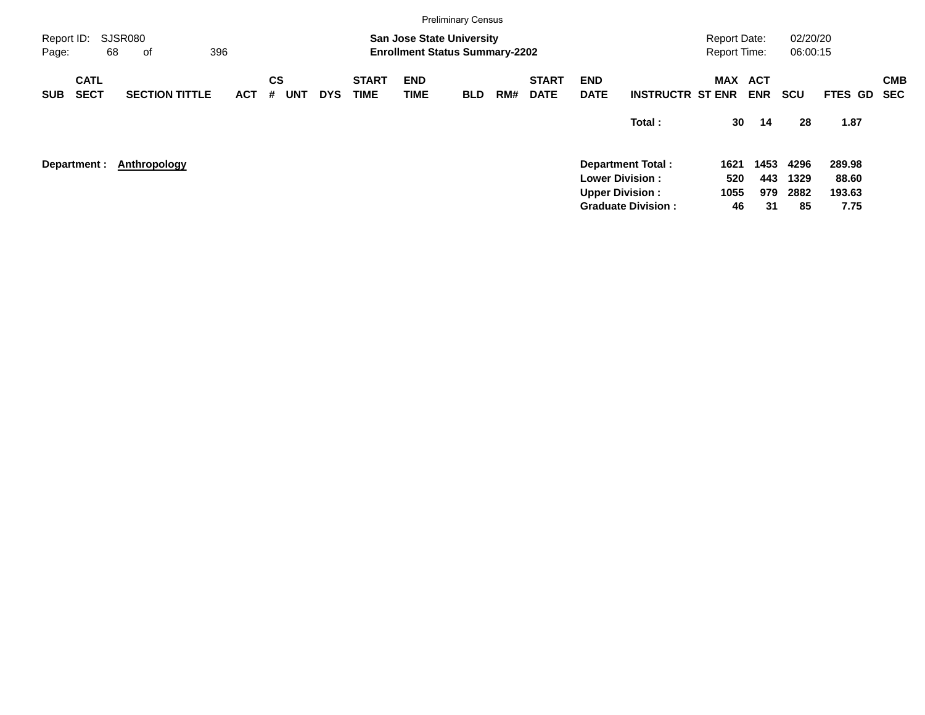|                     |                            |                       |     |     |                |            |            |                             |                    | <b>Preliminary Census</b>                                                 |     |                             |                           |                           |                                            |            |                      |             |            |
|---------------------|----------------------------|-----------------------|-----|-----|----------------|------------|------------|-----------------------------|--------------------|---------------------------------------------------------------------------|-----|-----------------------------|---------------------------|---------------------------|--------------------------------------------|------------|----------------------|-------------|------------|
| Report ID:<br>Page: |                            | SJSR080<br>68<br>οf   | 396 |     |                |            |            |                             |                    | <b>San Jose State University</b><br><b>Enrollment Status Summary-2202</b> |     |                             |                           |                           | <b>Report Date:</b><br><b>Report Time:</b> |            | 02/20/20<br>06:00:15 |             |            |
| <b>SUB</b>          | <b>CATL</b><br><b>SECT</b> | <b>SECTION TITTLE</b> |     | ACT | <b>CS</b><br># | <b>UNT</b> | <b>DYS</b> | <b>START</b><br><b>TIME</b> | <b>END</b><br>TIME | <b>BLD</b>                                                                | RM# | <b>START</b><br><b>DATE</b> | <b>END</b><br><b>DATE</b> | <b>INSTRUCTR ST ENR</b>   | MAX ACT                                    | <b>ENR</b> | <b>SCU</b>           | FTES GD SEC | <b>CMB</b> |
|                     |                            |                       |     |     |                |            |            |                             |                    |                                                                           |     |                             |                           | Total:                    | 30                                         | 14         | 28                   | 1.87        |            |
|                     | Department :               | Anthropology          |     |     |                |            |            |                             |                    |                                                                           |     |                             |                           | <b>Department Total:</b>  | 1621                                       | 1453       | 4296                 | 289.98      |            |
|                     |                            |                       |     |     |                |            |            |                             |                    |                                                                           |     |                             |                           | <b>Lower Division:</b>    | 520                                        | 443        | 1329                 | 88.60       |            |
|                     |                            |                       |     |     |                |            |            |                             |                    |                                                                           |     |                             |                           | <b>Upper Division:</b>    | 1055                                       | 979        | 2882                 | 193.63      |            |
|                     |                            |                       |     |     |                |            |            |                             |                    |                                                                           |     |                             |                           | <b>Graduate Division:</b> | 46                                         | -31        | 85                   | 7.75        |            |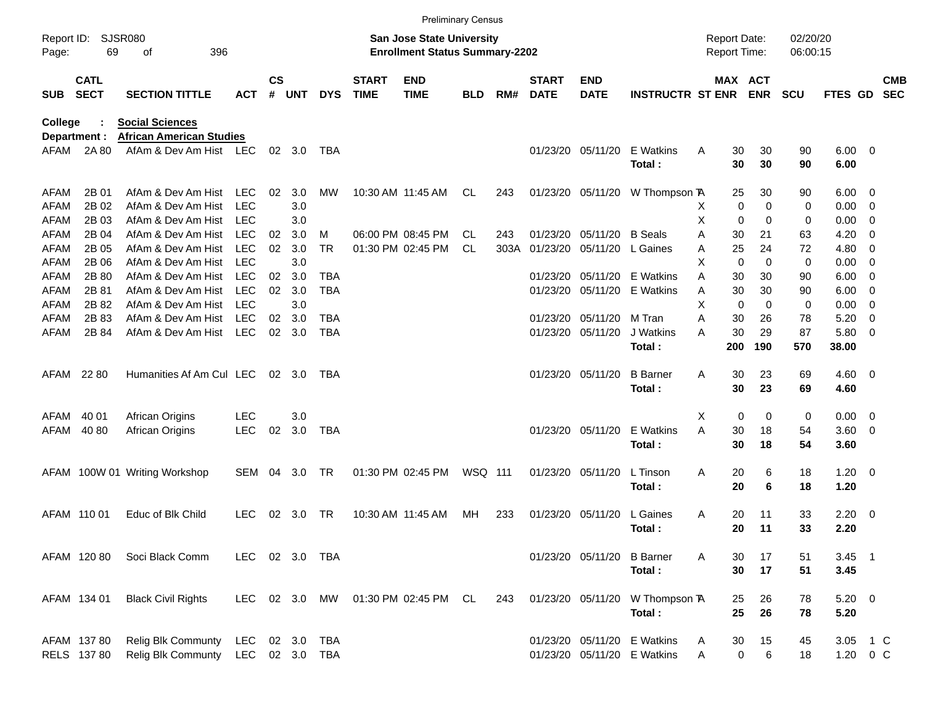|                     |                            |                                 |                |                    |            |            |                             |                                                                           | <b>Preliminary Census</b> |      |                             |                            |                                 |                                            |                         |                      |                        |                          |                          |
|---------------------|----------------------------|---------------------------------|----------------|--------------------|------------|------------|-----------------------------|---------------------------------------------------------------------------|---------------------------|------|-----------------------------|----------------------------|---------------------------------|--------------------------------------------|-------------------------|----------------------|------------------------|--------------------------|--------------------------|
| Report ID:<br>Page: | 69                         | <b>SJSR080</b><br>396<br>οf     |                |                    |            |            |                             | <b>San Jose State University</b><br><b>Enrollment Status Summary-2202</b> |                           |      |                             |                            |                                 | <b>Report Date:</b><br><b>Report Time:</b> |                         | 02/20/20<br>06:00:15 |                        |                          |                          |
| <b>SUB</b>          | <b>CATL</b><br><b>SECT</b> | <b>SECTION TITTLE</b>           | <b>ACT</b>     | $\mathsf{cs}$<br># | <b>UNT</b> | <b>DYS</b> | <b>START</b><br><b>TIME</b> | <b>END</b><br><b>TIME</b>                                                 | <b>BLD</b>                | RM#  | <b>START</b><br><b>DATE</b> | <b>END</b><br><b>DATE</b>  | <b>INSTRUCTR ST ENR ENR</b>     |                                            | MAX ACT                 | <b>SCU</b>           | FTES GD                |                          | <b>CMB</b><br><b>SEC</b> |
| College             |                            | <b>Social Sciences</b>          |                |                    |            |            |                             |                                                                           |                           |      |                             |                            |                                 |                                            |                         |                      |                        |                          |                          |
| Department :        |                            | <b>African American Studies</b> |                |                    |            |            |                             |                                                                           |                           |      |                             |                            |                                 |                                            |                         |                      |                        |                          |                          |
| AFAM                | 2A 80                      | AfAm & Dev Am Hist LEC          |                |                    | 02 3.0     | TBA        |                             |                                                                           |                           |      |                             | 01/23/20 05/11/20          | E Watkins<br>Total:             | Α                                          | 30<br>30<br>30<br>30    | 90<br>90             | $6.00 \quad 0$<br>6.00 |                          |                          |
| AFAM                | 2B 01                      | AfAm & Dev Am Hist              | <b>LEC</b>     | 02                 | 3.0        | <b>MW</b>  |                             | 10:30 AM 11:45 AM                                                         | CL                        | 243  |                             | 01/23/20 05/11/20          | W Thompson <b>A</b>             |                                            | 30<br>25                | 90                   | $6.00 \quad 0$         |                          |                          |
| AFAM                | 2B 02                      | AfAm & Dev Am Hist              | <b>LEC</b>     |                    | 3.0        |            |                             |                                                                           |                           |      |                             |                            |                                 | X                                          | 0<br>0                  | 0                    | 0.00                   | $\overline{\phantom{0}}$ |                          |
| <b>AFAM</b>         | 2B 03                      | AfAm & Dev Am Hist              | <b>LEC</b>     |                    | 3.0        |            |                             |                                                                           |                           |      |                             |                            |                                 | Х                                          | 0<br>$\Omega$           | 0                    | 0.00                   | $\overline{\mathbf{0}}$  |                          |
| <b>AFAM</b>         | 2B 04                      | AfAm & Dev Am Hist              | <b>LEC</b>     | 02                 | 3.0        | м          |                             | 06:00 PM 08:45 PM                                                         | CL.                       | 243  |                             | 01/23/20 05/11/20          | <b>B</b> Seals                  | Α                                          | 30<br>21                | 63                   | 4.20                   | $\overline{0}$           |                          |
| <b>AFAM</b>         | 2B 05                      | AfAm & Dev Am Hist              | <b>LEC</b>     | 02                 | 3.0        | <b>TR</b>  |                             | 01:30 PM 02:45 PM                                                         | CL.                       | 303A |                             | 01/23/20 05/11/20 L Gaines |                                 | Α                                          | 25<br>24                | 72                   | 4.80                   | - 0                      |                          |
| <b>AFAM</b>         | 2B 06                      | AfAm & Dev Am Hist              | <b>LEC</b>     |                    | 3.0        |            |                             |                                                                           |                           |      |                             |                            |                                 | X                                          | $\mathbf 0$<br>$\Omega$ | 0                    | 0.00                   | $\overline{\mathbf{0}}$  |                          |
| <b>AFAM</b>         | 2B 80                      | AfAm & Dev Am Hist              | <b>LEC</b>     | 02                 | 3.0        | TBA        |                             |                                                                           |                           |      |                             |                            | 01/23/20 05/11/20 E Watkins     | A                                          | 30<br>30                | 90                   | 6.00                   | $\overline{\phantom{0}}$ |                          |
| AFAM                | 2B 81                      | AfAm & Dev Am Hist              | <b>LEC</b>     | 02                 | 3.0        | TBA        |                             |                                                                           |                           |      |                             |                            | 01/23/20 05/11/20 E Watkins     | A                                          | 30<br>30                | 90                   | 6.00                   | $\overline{\mathbf{0}}$  |                          |
| <b>AFAM</b>         | 2B 82                      | AfAm & Dev Am Hist              | <b>LEC</b>     |                    | 3.0        |            |                             |                                                                           |                           |      |                             |                            |                                 | X                                          | $\mathbf 0$<br>$\Omega$ | 0                    | 0.00                   | $\overline{\mathbf{0}}$  |                          |
| <b>AFAM</b>         | 2B 83                      | AfAm & Dev Am Hist              | <b>LEC</b>     | 02                 | 3.0        | <b>TBA</b> |                             |                                                                           |                           |      | 01/23/20                    | 05/11/20                   | M Tran                          | Α                                          | 30<br>26                | 78                   | 5.20                   | $\overline{0}$           |                          |
| AFAM                | 2B 84                      | AfAm & Dev Am Hist              | LEC            |                    | 02 3.0     | <b>TBA</b> |                             |                                                                           |                           |      |                             | 01/23/20 05/11/20          | J Watkins                       | Α                                          | 30<br>29                | 87                   | 5.80                   | $\overline{\phantom{0}}$ |                          |
|                     |                            |                                 |                |                    |            |            |                             |                                                                           |                           |      |                             |                            | Total:                          | 200                                        | 190                     | 570                  | 38.00                  |                          |                          |
| AFAM 22 80          |                            | Humanities Af Am Cul LEC        |                |                    | 02 3.0     | TBA        |                             |                                                                           |                           |      |                             | 01/23/20 05/11/20          | <b>B</b> Barner                 | Α                                          | 30<br>23                | 69                   | $4.60$ 0               |                          |                          |
|                     |                            |                                 |                |                    |            |            |                             |                                                                           |                           |      |                             |                            | Total:                          |                                            | 30<br>23                | 69                   | 4.60                   |                          |                          |
|                     |                            |                                 |                |                    |            |            |                             |                                                                           |                           |      |                             |                            |                                 |                                            |                         |                      |                        |                          |                          |
| AFAM                | 40 01                      | African Origins                 | <b>LEC</b>     |                    | 3.0        |            |                             |                                                                           |                           |      |                             |                            |                                 | х                                          | 0<br>0                  | 0                    | $0.00 \t 0$            |                          |                          |
| AFAM                | 40 80                      | <b>African Origins</b>          | <b>LEC</b>     | 02                 | 3.0        | TBA        |                             |                                                                           |                           |      |                             | 01/23/20 05/11/20          | E Watkins                       | A                                          | 30<br>18                | 54                   | 3.60 0                 |                          |                          |
|                     |                            |                                 |                |                    |            |            |                             |                                                                           |                           |      |                             |                            | Total:                          |                                            | 30<br>18                | 54                   | 3.60                   |                          |                          |
|                     |                            | AFAM 100W 01 Writing Workshop   | SEM 04         |                    | 3.0        | TR         |                             | 01:30 PM 02:45 PM                                                         | WSQ 111                   |      |                             | 01/23/20 05/11/20          | L Tinson                        | Α                                          | 20<br>6                 | 18                   | $1.20 \t 0$            |                          |                          |
|                     |                            |                                 |                |                    |            |            |                             |                                                                           |                           |      |                             |                            | Total:                          |                                            | 20<br>6                 | 18                   | 1.20                   |                          |                          |
|                     |                            |                                 |                |                    |            |            |                             |                                                                           |                           |      |                             |                            |                                 |                                            |                         |                      |                        |                          |                          |
| AFAM 110 01         |                            | Educ of Blk Child               | <b>LEC</b>     | 02                 | 3.0        | TR         |                             | 10:30 AM 11:45 AM                                                         | MH.                       | 233  |                             | 01/23/20 05/11/20          | L Gaines                        | A                                          | 20<br>11                | 33                   | $2.20 \t 0$            |                          |                          |
|                     |                            |                                 |                |                    |            |            |                             |                                                                           |                           |      |                             |                            | Total :                         |                                            | 11<br>20                | 33                   | 2.20                   |                          |                          |
|                     | AFAM 120 80                | Soci Black Comm                 | LEC 02 3.0 TBA |                    |            |            |                             |                                                                           |                           |      |                             | 01/23/20 05/11/20 B Barner |                                 | A                                          | 30<br>17                | 51                   | $3.45$ 1               |                          |                          |
|                     |                            |                                 |                |                    |            |            |                             |                                                                           |                           |      |                             |                            | Total:                          |                                            | 30<br>17                | 51                   | 3.45                   |                          |                          |
|                     | AFAM 134 01                | <b>Black Civil Rights</b>       |                |                    |            |            |                             | LEC 02 3.0 MW 01:30 PM 02:45 PM CL                                        |                           | 243  |                             |                            | 01/23/20 05/11/20 W Thompson TA |                                            | 26<br>25                | 78                   | $5.20 \ 0$             |                          |                          |
|                     |                            |                                 |                |                    |            |            |                             |                                                                           |                           |      |                             |                            | Total:                          |                                            | 25<br>26                | 78                   | 5.20                   |                          |                          |
|                     | AFAM 137 80                | <b>Relig Blk Communty</b>       | LEC            |                    |            | 02 3.0 TBA |                             |                                                                           |                           |      |                             |                            | 01/23/20 05/11/20 E Watkins     | A                                          | 30<br>15                | 45                   | 3.05 1 C               |                          |                          |
|                     | RELS 137 80                | Relig Blk Communty              | LEC 02 3.0 TBA |                    |            |            |                             |                                                                           |                           |      |                             |                            | 01/23/20 05/11/20 E Watkins     | Α                                          | 0<br>6                  | 18                   | 1.20 0 C               |                          |                          |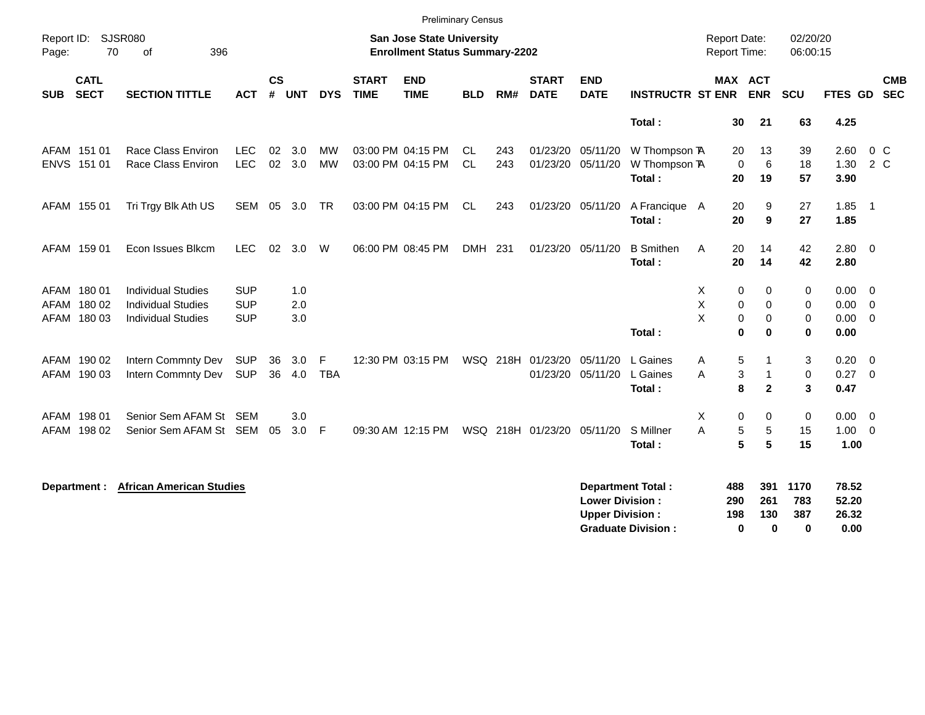|                     |                                      |                                                                                     |                                        |                |                   |                        |                             | <b>Preliminary Census</b>                                                 |                  |            |                               |                                                  |                                                       |                                            |                                              |                         |                                 |                                                           |
|---------------------|--------------------------------------|-------------------------------------------------------------------------------------|----------------------------------------|----------------|-------------------|------------------------|-----------------------------|---------------------------------------------------------------------------|------------------|------------|-------------------------------|--------------------------------------------------|-------------------------------------------------------|--------------------------------------------|----------------------------------------------|-------------------------|---------------------------------|-----------------------------------------------------------|
| Report ID:<br>Page: | 70                                   | <b>SJSR080</b><br>396<br>of                                                         |                                        |                |                   |                        |                             | <b>San Jose State University</b><br><b>Enrollment Status Summary-2202</b> |                  |            |                               |                                                  |                                                       | <b>Report Date:</b><br><b>Report Time:</b> |                                              | 02/20/20<br>06:00:15    |                                 |                                                           |
| <b>SUB</b>          | <b>CATL</b><br><b>SECT</b>           | <b>SECTION TITTLE</b>                                                               | <b>ACT</b>                             | <b>CS</b><br># | <b>UNT</b>        | <b>DYS</b>             | <b>START</b><br><b>TIME</b> | <b>END</b><br><b>TIME</b>                                                 | <b>BLD</b>       | RM#        | <b>START</b><br><b>DATE</b>   | <b>END</b><br><b>DATE</b>                        | <b>INSTRUCTR ST ENR</b>                               | MAX ACT                                    | <b>ENR</b>                                   | SCU                     | FTES GD                         | <b>CMB</b><br><b>SEC</b>                                  |
|                     |                                      |                                                                                     |                                        |                |                   |                        |                             |                                                                           |                  |            |                               |                                                  | Total:                                                | 30                                         | 21                                           | 63                      | 4.25                            |                                                           |
|                     | AFAM 151 01<br>ENVS 151 01           | Race Class Environ<br>Race Class Environ                                            | <b>LEC</b><br><b>LEC</b>               | 02<br>02       | 3.0<br>3.0        | <b>MW</b><br><b>MW</b> |                             | 03:00 PM 04:15 PM<br>03:00 PM 04:15 PM                                    | CL.<br><b>CL</b> | 243<br>243 | 01/23/20 05/11/20<br>01/23/20 | 05/11/20                                         | W Thompson TA<br>W Thompson TA<br>Total:              | 20<br>$\mathbf 0$<br>20                    | 13<br>$\,6\,$<br>19                          | 39<br>18<br>57          | 2.60<br>1.30<br>3.90            | $0\,C$<br>$2\degree$ C                                    |
|                     | AFAM 155 01                          | Tri Trgy Blk Ath US                                                                 | SEM                                    | 05             | 3.0               | TR                     |                             | 03:00 PM 04:15 PM                                                         | CL               | 243        |                               | 01/23/20 05/11/20                                | A Francique A<br>Total:                               | 20<br>20                                   | 9<br>9                                       | 27<br>27                | 1.85<br>1.85                    | $\overline{\phantom{1}}$                                  |
|                     | AFAM 159 01                          | Econ Issues Blkcm                                                                   | <b>LEC</b>                             | 02             | 3.0               | W                      |                             | 06:00 PM 08:45 PM                                                         | DMH 231          |            | 01/23/20 05/11/20             |                                                  | <b>B</b> Smithen<br>Total:                            | A<br>20<br>20                              | 14<br>14                                     | 42<br>42                | 2.80 0<br>2.80                  |                                                           |
| AFAM                | AFAM 180 01<br>180 02<br>AFAM 180 03 | <b>Individual Studies</b><br><b>Individual Studies</b><br><b>Individual Studies</b> | <b>SUP</b><br><b>SUP</b><br><b>SUP</b> |                | 1.0<br>2.0<br>3.0 |                        |                             |                                                                           |                  |            |                               |                                                  | Total:                                                | Χ<br>0<br>X<br>0<br>X<br>0<br>$\bf{0}$     | 0<br>$\mathbf 0$<br>$\mathbf 0$<br>$\bf{0}$  | 0<br>0<br>0<br>$\bf{0}$ | 0.00<br>0.00<br>0.00<br>0.00    | $\overline{\phantom{0}}$<br>$\mathbf 0$<br>$\overline{0}$ |
|                     | AFAM 190 02<br>AFAM 190 03           | Intern Commnty Dev<br>Intern Commnty Dev                                            | <b>SUP</b><br><b>SUP</b>               | 36<br>36       | 3.0<br>4.0        | F<br><b>TBA</b>        |                             | 12:30 PM 03:15 PM                                                         |                  | WSQ 218H   | 01/23/20<br>01/23/20 05/11/20 | 05/11/20                                         | L Gaines<br>L Gaines<br>Total:                        | Α<br>5<br>3<br>Α<br>8                      | $\mathbf{1}$<br>$\mathbf{1}$<br>$\mathbf{2}$ | 3<br>0<br>3             | 0.20<br>0.27<br>0.47            | $\overline{\phantom{0}}$<br>$\overline{\mathbf{0}}$       |
| AFAM                | AFAM 198 01<br>198 02                | Senior Sem AFAM St<br>Senior Sem AFAM St                                            | <b>SEM</b><br>SEM                      | 05             | 3.0<br>3.0        | -F                     |                             | 09:30 AM 12:15 PM                                                         |                  |            | WSQ 218H 01/23/20 05/11/20    |                                                  | S Millner<br>Total:                                   | Χ<br>0<br>5<br>A<br>5                      | 0<br>$\sqrt{5}$<br>5                         | 0<br>15<br>15           | $0.00 \t 0$<br>1.00<br>1.00     | $\overline{\phantom{0}}$                                  |
|                     | Department :                         | <b>African American Studies</b>                                                     |                                        |                |                   |                        |                             |                                                                           |                  |            |                               | <b>Lower Division:</b><br><b>Upper Division:</b> | <b>Department Total:</b><br><b>Graduate Division:</b> | 488<br>290<br>198<br>$\mathbf 0$           | 391<br>261<br>130<br>0                       | 1170<br>783<br>387<br>0 | 78.52<br>52.20<br>26.32<br>0.00 |                                                           |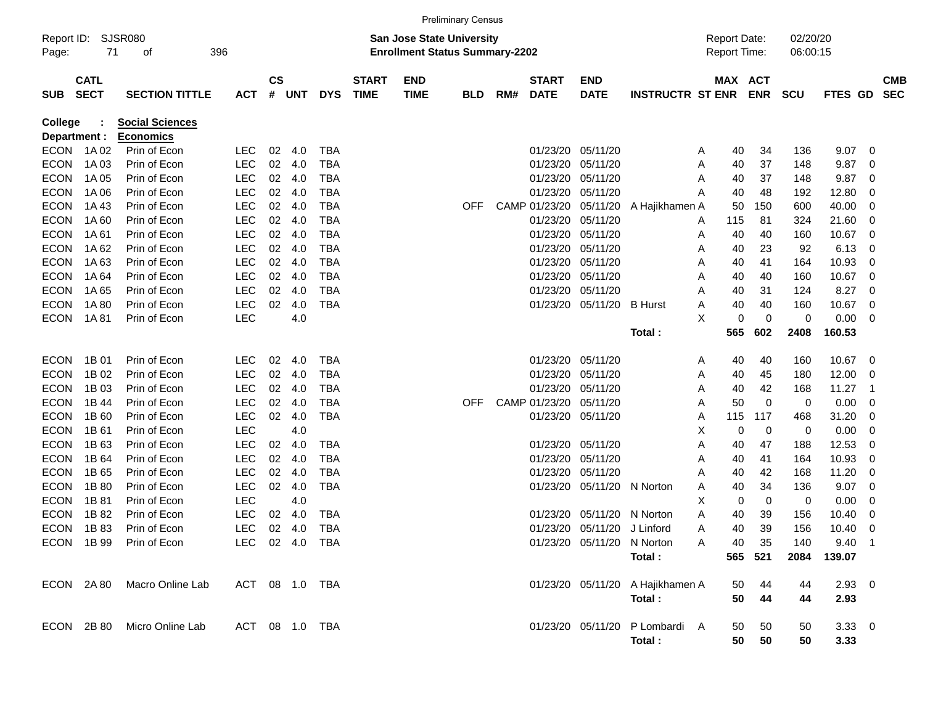|                |             |                             |                |               |                |            |              |                                       | <b>Preliminary Census</b> |     |               |                            |                                  |   |                     |             |             |            |                         |            |
|----------------|-------------|-----------------------------|----------------|---------------|----------------|------------|--------------|---------------------------------------|---------------------------|-----|---------------|----------------------------|----------------------------------|---|---------------------|-------------|-------------|------------|-------------------------|------------|
| Report ID:     |             | <b>SJSR080</b>              |                |               |                |            |              | San Jose State University             |                           |     |               |                            |                                  |   | <b>Report Date:</b> |             | 02/20/20    |            |                         |            |
| Page:          | 71          | 396<br>οf                   |                |               |                |            |              | <b>Enrollment Status Summary-2202</b> |                           |     |               |                            |                                  |   | <b>Report Time:</b> |             | 06:00:15    |            |                         |            |
|                | <b>CATL</b> |                             |                | $\mathsf{cs}$ |                |            | <b>START</b> | <b>END</b>                            |                           |     | <b>START</b>  | <b>END</b>                 |                                  |   | MAX ACT             |             |             |            |                         | <b>CMB</b> |
| <b>SUB</b>     | <b>SECT</b> | <b>SECTION TITTLE</b>       | <b>ACT</b>     | #             | <b>UNT</b>     | <b>DYS</b> | <b>TIME</b>  | <b>TIME</b>                           | <b>BLD</b>                | RM# | <b>DATE</b>   | <b>DATE</b>                | <b>INSTRUCTR ST ENR</b>          |   |                     | <b>ENR</b>  | <b>SCU</b>  | FTES GD    |                         | <b>SEC</b> |
| <b>College</b> |             | <b>Social Sciences</b>      |                |               |                |            |              |                                       |                           |     |               |                            |                                  |   |                     |             |             |            |                         |            |
| Department :   |             | <b>Economics</b>            |                |               |                |            |              |                                       |                           |     |               |                            |                                  |   |                     |             |             |            |                         |            |
| <b>ECON</b>    | 1A 02       | Prin of Econ                | <b>LEC</b>     | 02            | 4.0            | <b>TBA</b> |              |                                       |                           |     | 01/23/20      | 05/11/20                   |                                  | Α | 40                  | 34          | 136         | 9.07       | - 0                     |            |
| ECON           | 1A 03       | Prin of Econ                | <b>LEC</b>     | 02            | 4.0            | <b>TBA</b> |              |                                       |                           |     | 01/23/20      | 05/11/20                   |                                  | Α | 40                  | 37          | 148         | 9.87       | 0                       |            |
| ECON           | 1A 05       | Prin of Econ                | <b>LEC</b>     | 02            | 4.0            | <b>TBA</b> |              |                                       |                           |     | 01/23/20      | 05/11/20                   |                                  | A | 40                  | 37          | 148         | 9.87       | 0                       |            |
| ECON           | 1A 06       | Prin of Econ                | <b>LEC</b>     | 02            | 4.0            | <b>TBA</b> |              |                                       |                           |     | 01/23/20      | 05/11/20                   |                                  | Α | 40                  | 48          | 192         | 12.80      | 0                       |            |
| ECON           | 1A43        | Prin of Econ                | <b>LEC</b>     | 02            | 4.0            | <b>TBA</b> |              |                                       | OFF                       |     | CAMP 01/23/20 | 05/11/20                   | A Hajikhamen A                   |   | 50                  | 150         | 600         | 40.00      | -0                      |            |
| ECON           | 1A 60       | Prin of Econ                | <b>LEC</b>     | 02            | 4.0            | <b>TBA</b> |              |                                       |                           |     | 01/23/20      | 05/11/20                   |                                  | Α | 115                 | 81          | 324         | 21.60      | 0                       |            |
| ECON           | 1A 61       | Prin of Econ                | <b>LEC</b>     | 02            | 4.0            | <b>TBA</b> |              |                                       |                           |     | 01/23/20      | 05/11/20                   |                                  | Α | 40                  | 40          | 160         | 10.67      | 0                       |            |
| <b>ECON</b>    | 1A 62       | Prin of Econ                | <b>LEC</b>     | 02            | 4.0            | <b>TBA</b> |              |                                       |                           |     | 01/23/20      | 05/11/20                   |                                  | Α | 40                  | 23          | 92          | 6.13       | -0                      |            |
| ECON           | 1A63        | Prin of Econ                | <b>LEC</b>     | 02            | 4.0            | <b>TBA</b> |              |                                       |                           |     | 01/23/20      | 05/11/20                   |                                  | Α | 40                  | 41          | 164         | 10.93      | 0                       |            |
| ECON           | 1A 64       | Prin of Econ                | <b>LEC</b>     | 02            | 4.0            | <b>TBA</b> |              |                                       |                           |     | 01/23/20      | 05/11/20                   |                                  | Α | 40                  | 40          | 160         | 10.67      | -0                      |            |
| <b>ECON</b>    | 1A 65       | Prin of Econ                | <b>LEC</b>     | 02            | 4.0            | <b>TBA</b> |              |                                       |                           |     | 01/23/20      | 05/11/20                   |                                  | Α | 40                  | 31          | 124         | 8.27       | -0                      |            |
| <b>ECON</b>    | 1A 80       | Prin of Econ                | <b>LEC</b>     | 02            | 4.0            | <b>TBA</b> |              |                                       |                           |     |               | 01/23/20 05/11/20          | <b>B</b> Hurst                   | Α | 40                  | 40          | 160         | 10.67      | -0                      |            |
| <b>ECON</b>    | 1A 81       | Prin of Econ                | <b>LEC</b>     |               | 4.0            |            |              |                                       |                           |     |               |                            |                                  | X | 0                   | $\mathbf 0$ | $\Omega$    | 0.00       | - 0                     |            |
|                |             |                             |                |               |                |            |              |                                       |                           |     |               |                            | Total :                          |   | 565                 | 602         | 2408        | 160.53     |                         |            |
| <b>ECON</b>    | 1B 01       | Prin of Econ                | <b>LEC</b>     | 02            | 4.0            | <b>TBA</b> |              |                                       |                           |     | 01/23/20      | 05/11/20                   |                                  | Α | 40                  | 40          | 160         | 10.67      | $\overline{\mathbf{0}}$ |            |
| <b>ECON</b>    | 1B 02       | Prin of Econ                | <b>LEC</b>     | 02            | 4.0            | <b>TBA</b> |              |                                       |                           |     | 01/23/20      | 05/11/20                   |                                  | Α | 40                  | 45          | 180         | 12.00      | - 0                     |            |
| <b>ECON</b>    | 1B 03       | Prin of Econ                | <b>LEC</b>     | 02            | 4.0            | <b>TBA</b> |              |                                       |                           |     | 01/23/20      | 05/11/20                   |                                  | Α | 40                  | 42          | 168         | 11.27      | -1                      |            |
| <b>ECON</b>    | 1B 44       | Prin of Econ                | <b>LEC</b>     | 02            | 4.0            | <b>TBA</b> |              |                                       | <b>OFF</b>                |     | CAMP 01/23/20 | 05/11/20                   |                                  | A | 50                  | $\mathbf 0$ | 0           | 0.00       | -0                      |            |
| ECON           | 1B 60       | Prin of Econ                | <b>LEC</b>     | 02            | 4.0            | <b>TBA</b> |              |                                       |                           |     |               | 01/23/20 05/11/20          |                                  | Α | 115                 | 117         | 468         | 31.20      | -0                      |            |
| ECON           | 1B 61       | Prin of Econ                | <b>LEC</b>     |               | 4.0            |            |              |                                       |                           |     |               |                            |                                  | х | 0                   | 0           | $\mathbf 0$ | 0.00       | 0                       |            |
| <b>ECON</b>    | 1B 63       | Prin of Econ                | <b>LEC</b>     | 02            | 4.0            | <b>TBA</b> |              |                                       |                           |     | 01/23/20      | 05/11/20                   |                                  | Α | 40                  | 47          | 188         | 12.53      | 0                       |            |
| ECON           | 1B 64       | Prin of Econ                | <b>LEC</b>     | 02            | 4.0            | <b>TBA</b> |              |                                       |                           |     | 01/23/20      | 05/11/20                   |                                  | Α | 40                  | 41          | 164         | 10.93      | 0                       |            |
| ECON           | 1B 65       | Prin of Econ                | <b>LEC</b>     | 02            | 4.0            | <b>TBA</b> |              |                                       |                           |     | 01/23/20      | 05/11/20                   |                                  | A | 40                  | 42          | 168         | 11.20      | 0                       |            |
| <b>ECON</b>    | 1B 80       | Prin of Econ                | <b>LEC</b>     | 02            | 4.0            | <b>TBA</b> |              |                                       |                           |     | 01/23/20      | 05/11/20                   | N Norton                         | Α | 40                  | 34          | 136         | 9.07       | - 0                     |            |
| <b>ECON</b>    | 1B 81       | Prin of Econ                | <b>LEC</b>     |               | 4.0            |            |              |                                       |                           |     |               |                            |                                  | х | 0                   | 0           | 0           | 0.00       | 0                       |            |
| ECON           | 1B 82       | Prin of Econ                | <b>LEC</b>     | 02            | 4.0            | <b>TBA</b> |              |                                       |                           |     | 01/23/20      | 05/11/20                   | N Norton                         | A | 40                  | 39          | 156         | 10.40      | 0                       |            |
| <b>ECON</b>    | 1B 83       | Prin of Econ                | <b>LEC</b>     | 02            | 4.0            | <b>TBA</b> |              |                                       |                           |     | 01/23/20      | 05/11/20                   | J Linford                        | A | 40                  | 39          | 156         | 10.40      | $\mathbf 0$             |            |
|                |             | ECON 1B 99 Prin of Econ     |                |               | LEC 02 4.0 TBA |            |              |                                       |                           |     |               | 01/23/20 05/11/20 N Norton |                                  | A | 40                  | 35          | 140         | $9.40$ 1   |                         |            |
|                |             |                             |                |               |                |            |              |                                       |                           |     |               |                            | Total:                           |   |                     | 565 521     | 2084        | 139.07     |                         |            |
| ECON 2A80      |             | Macro Online Lab            |                |               | ACT 08 1.0 TBA |            |              |                                       |                           |     |               |                            | 01/23/20 05/11/20 A Hajikhamen A |   | 50                  | 44          | 44          | $2.93$ 0   |                         |            |
|                |             |                             |                |               |                |            |              |                                       |                           |     |               |                            | Total:                           |   | 50                  | 44          | 44          | 2.93       |                         |            |
|                |             | ECON 2B 80 Micro Online Lab | ACT 08 1.0 TBA |               |                |            |              |                                       |                           |     |               |                            | 01/23/20 05/11/20 P Lombardi A   |   | 50                  | 50          | 50          | $3.33 \ 0$ |                         |            |
|                |             |                             |                |               |                |            |              |                                       |                           |     |               |                            | Total:                           |   | 50                  | 50          | 50          | 3.33       |                         |            |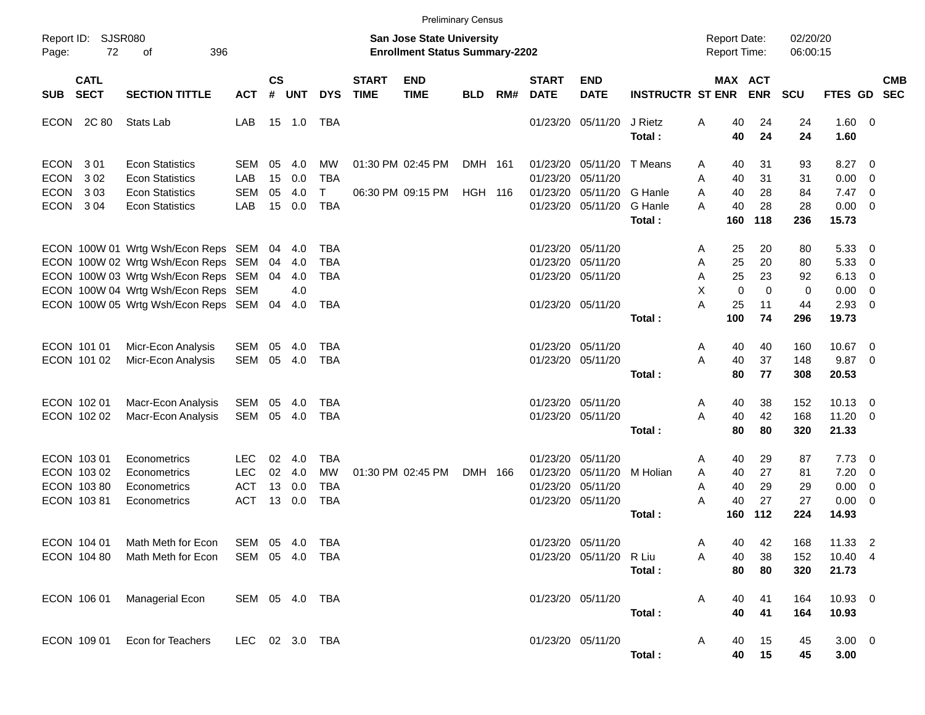|                             |             |                                     |                |                    |            |              |                             | <b>Preliminary Census</b>                                          |                |     |                             |                           |                         |                                            |                         |                      |                |                          |            |
|-----------------------------|-------------|-------------------------------------|----------------|--------------------|------------|--------------|-----------------------------|--------------------------------------------------------------------|----------------|-----|-----------------------------|---------------------------|-------------------------|--------------------------------------------|-------------------------|----------------------|----------------|--------------------------|------------|
| Report ID: SJSR080<br>Page: | 72          | 396<br>οf                           |                |                    |            |              |                             | San Jose State University<br><b>Enrollment Status Summary-2202</b> |                |     |                             |                           |                         | <b>Report Date:</b><br><b>Report Time:</b> |                         | 02/20/20<br>06:00:15 |                |                          |            |
| <b>SECT</b><br><b>SUB</b>   | <b>CATL</b> | <b>SECTION TITTLE</b>               | <b>ACT</b>     | $\mathsf{cs}$<br># | <b>UNT</b> | <b>DYS</b>   | <b>START</b><br><b>TIME</b> | <b>END</b><br><b>TIME</b>                                          | <b>BLD</b>     | RM# | <b>START</b><br><b>DATE</b> | <b>END</b><br><b>DATE</b> | <b>INSTRUCTR ST ENR</b> |                                            | MAX ACT<br><b>ENR</b>   | <b>SCU</b>           | FTES GD SEC    |                          | <b>CMB</b> |
| ECON                        | 2C 80       | Stats Lab                           | LAB            |                    |            | TBA          |                             |                                                                    |                |     |                             | 01/23/20 05/11/20         | J Rietz                 | 40<br>Α                                    | 24                      | 24                   | $1.60 \t 0$    |                          |            |
|                             |             |                                     |                |                    |            |              |                             |                                                                    |                |     |                             |                           | Total:                  | 40                                         | 24                      | 24                   | 1.60           |                          |            |
| <b>ECON</b>                 | 301         | <b>Econ Statistics</b>              | SEM            | 05                 | 4.0        | MW           |                             | 01:30 PM 02:45 PM                                                  | DMH 161        |     |                             | 01/23/20 05/11/20         | T Means                 | 40<br>A                                    | 31                      | 93                   | 8.27 0         |                          |            |
| <b>ECON</b>                 | 302         | <b>Econ Statistics</b>              | LAB            | 15                 | 0.0        | <b>TBA</b>   |                             |                                                                    |                |     | 01/23/20                    | 05/11/20                  |                         | Α<br>40                                    | 31                      | 31                   | 0.00           | $\overline{\phantom{0}}$ |            |
| <b>ECON</b>                 | 303         | <b>Econ Statistics</b>              | <b>SEM</b>     | 05                 | 4.0        | $\mathsf{T}$ |                             | 06:30 PM 09:15 PM                                                  | <b>HGH 116</b> |     | 01/23/20                    | 05/11/20                  | G Hanle                 | 40<br>A                                    | 28                      | 84                   | $7.47\ 0$      |                          |            |
| <b>ECON</b>                 | 3 0 4       | <b>Econ Statistics</b>              | LAB            | 15                 | 0.0        | <b>TBA</b>   |                             |                                                                    |                |     |                             | 01/23/20 05/11/20         | G Hanle                 | 40<br>А                                    | 28                      | 28                   | $0.00 \t 0$    |                          |            |
|                             |             |                                     |                |                    |            |              |                             |                                                                    |                |     |                             |                           | Total:                  | 160                                        | 118                     | 236                  | 15.73          |                          |            |
|                             |             | ECON 100W 01 Wrtg Wsh/Econ Reps SEM |                |                    | 04 4.0     | TBA          |                             |                                                                    |                |     | 01/23/20 05/11/20           |                           |                         | 25<br>A                                    | 20                      | 80                   | 5.33 0         |                          |            |
|                             |             | ECON 100W 02 Wrtg Wsh/Econ Reps SEM |                | 04                 | 4.0        | <b>TBA</b>   |                             |                                                                    |                |     | 01/23/20 05/11/20           |                           |                         | 25<br>Α                                    | 20                      | 80                   | 5.33           | $\overline{\phantom{0}}$ |            |
|                             |             | ECON 100W 03 Wrtg Wsh/Econ Reps SEM |                | 04                 | 4.0        | <b>TBA</b>   |                             |                                                                    |                |     |                             | 01/23/20 05/11/20         |                         | 25<br>Α                                    | 23                      | 92                   | $6.13 \quad 0$ |                          |            |
|                             |             | ECON 100W 04 Wrtg Wsh/Econ Reps SEM |                |                    | 4.0        |              |                             |                                                                    |                |     |                             |                           |                         | X                                          | $\mathbf 0$<br>$\Omega$ | $\mathbf 0$          | 0.00           | $\overline{\phantom{0}}$ |            |
|                             |             | ECON 100W 05 Wrtg Wsh/Econ Reps SEM |                |                    | 04 4.0     | TBA          |                             |                                                                    |                |     | 01/23/20 05/11/20           |                           |                         | Α<br>25                                    | 11                      | 44                   | $2.93$ 0       |                          |            |
|                             |             |                                     |                |                    |            |              |                             |                                                                    |                |     |                             |                           | Total:                  | 100                                        | 74                      | 296                  | 19.73          |                          |            |
|                             |             |                                     |                |                    |            |              |                             |                                                                    |                |     |                             |                           |                         |                                            |                         |                      |                |                          |            |
| ECON 101 01                 |             | Micr-Econ Analysis                  | <b>SEM</b>     | 05                 | 4.0        | TBA          |                             |                                                                    |                |     | 01/23/20 05/11/20           |                           |                         | 40<br>A                                    | 40                      | 160                  | 10.67 0        |                          |            |
| ECON 101 02                 |             | Micr-Econ Analysis                  | SEM            | 05                 | 4.0        | TBA          |                             |                                                                    |                |     | 01/23/20 05/11/20           |                           |                         | A<br>40                                    | 37                      | 148                  | $9.87$ 0       |                          |            |
|                             |             |                                     |                |                    |            |              |                             |                                                                    |                |     |                             |                           | Total:                  | 80                                         | 77                      | 308                  | 20.53          |                          |            |
| ECON 102 01                 |             | Macr-Econ Analysis                  | <b>SEM</b>     | 05                 | 4.0        | <b>TBA</b>   |                             |                                                                    |                |     | 01/23/20 05/11/20           |                           |                         | 40<br>A                                    | 38                      | 152                  | $10.13 \t 0$   |                          |            |
| ECON 102 02                 |             | Macr-Econ Analysis                  | SEM            | 05                 | 4.0        | TBA          |                             |                                                                    |                |     |                             | 01/23/20 05/11/20         |                         | A<br>40                                    | 42                      | 168                  | 11.20 0        |                          |            |
|                             |             |                                     |                |                    |            |              |                             |                                                                    |                |     |                             |                           | Total:                  | 80                                         | 80                      | 320                  | 21.33          |                          |            |
| ECON 103 01                 |             | Econometrics                        | LEC.           | 02                 | 4.0        | TBA          |                             |                                                                    |                |     | 01/23/20                    | 05/11/20                  |                         | 40<br>Α                                    | 29                      | 87                   | $7.73 \t 0$    |                          |            |
| ECON 103 02                 |             | Econometrics                        | <b>LEC</b>     | 02                 | 4.0        | MW           |                             | 01:30 PM 02:45 PM                                                  | DMH 166        |     | 01/23/20                    | 05/11/20                  | M Holian                | A<br>40                                    | 27                      | 81                   | 7.20           | $\overline{\phantom{0}}$ |            |
| ECON 103 80                 |             | Econometrics                        | ACT            | 13                 | 0.0        | <b>TBA</b>   |                             |                                                                    |                |     | 01/23/20 05/11/20           |                           |                         | A<br>40                                    | 29                      | 29                   | 0.00           | $\overline{\phantom{0}}$ |            |
| ECON 10381                  |             | Econometrics                        | <b>ACT</b>     | 13                 | 0.0        | <b>TBA</b>   |                             |                                                                    |                |     | 01/23/20 05/11/20           |                           |                         | 40<br>А                                    | 27                      | 27                   | $0.00 \t 0$    |                          |            |
|                             |             |                                     |                |                    |            |              |                             |                                                                    |                |     |                             |                           | Total:                  | 160                                        | 112                     | 224                  | 14.93          |                          |            |
|                             |             |                                     |                |                    |            |              |                             |                                                                    |                |     |                             |                           |                         |                                            |                         |                      |                |                          |            |
| ECON 104 01                 |             | Math Meth for Econ                  | SEM 05 4.0 TBA |                    |            |              |                             |                                                                    |                |     |                             | 01/23/20 05/11/20         |                         | 40<br>A                                    | 42                      | 168                  | 11.33 2        |                          |            |
| ECON 104 80                 |             | Math Meth for Econ                  | SEM 05 4.0 TBA |                    |            |              |                             |                                                                    |                |     |                             | 01/23/20 05/11/20 R Liu   |                         | 40<br>Α                                    | 38                      | 152                  | 10.40 4        |                          |            |
|                             |             |                                     |                |                    |            |              |                             |                                                                    |                |     |                             |                           | Total:                  | 80                                         | 80                      | 320                  | 21.73          |                          |            |
| ECON 106 01                 |             | Managerial Econ                     | SEM 05 4.0 TBA |                    |            |              |                             |                                                                    |                |     |                             | 01/23/20 05/11/20         |                         | 40<br>A                                    | 41                      | 164                  | 10.93 0        |                          |            |
|                             |             |                                     |                |                    |            |              |                             |                                                                    |                |     |                             |                           | Total:                  | 40                                         | 41                      | 164                  | 10.93          |                          |            |
| ECON 109 01                 |             | Econ for Teachers                   | LEC 02 3.0 TBA |                    |            |              |                             |                                                                    |                |     |                             | 01/23/20 05/11/20         |                         | 40<br>A                                    | 15                      | 45                   | $3.00 \t 0$    |                          |            |
|                             |             |                                     |                |                    |            |              |                             |                                                                    |                |     |                             |                           | Total:                  |                                            | 40<br>15                | 45                   | 3.00           |                          |            |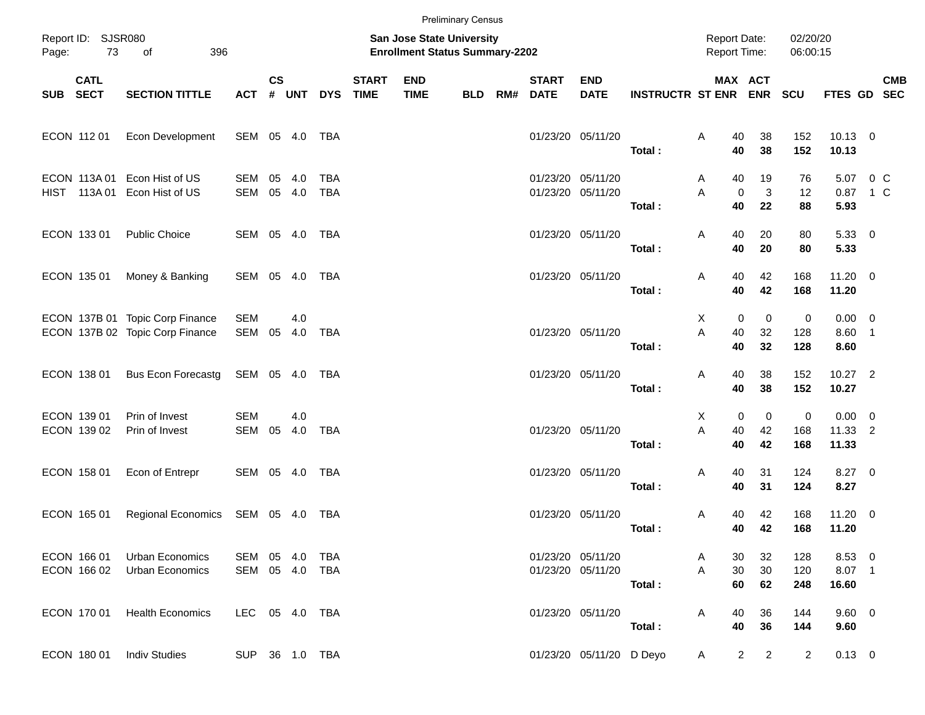|          |                            |                                                                    |                          |               |               |                          |                             |                                                                    | <b>Preliminary Census</b> |     |                             |                                        |                             |                                            |                                  |                      |                                 |            |
|----------|----------------------------|--------------------------------------------------------------------|--------------------------|---------------|---------------|--------------------------|-----------------------------|--------------------------------------------------------------------|---------------------------|-----|-----------------------------|----------------------------------------|-----------------------------|--------------------------------------------|----------------------------------|----------------------|---------------------------------|------------|
| Page:    | Report ID: SJSR080<br>73   | 396<br>of                                                          |                          |               |               |                          |                             | San Jose State University<br><b>Enrollment Status Summary-2202</b> |                           |     |                             |                                        |                             | <b>Report Date:</b><br><b>Report Time:</b> |                                  | 02/20/20<br>06:00:15 |                                 |            |
| SUB SECT | <b>CATL</b>                | <b>SECTION TITTLE</b>                                              | <b>ACT</b>               | $\mathsf{cs}$ |               | # UNT DYS                | <b>START</b><br><b>TIME</b> | <b>END</b><br><b>TIME</b>                                          | <b>BLD</b>                | RM# | <b>START</b><br><b>DATE</b> | <b>END</b><br><b>DATE</b>              | <b>INSTRUCTR ST ENR ENR</b> |                                            | MAX ACT                          | <b>SCU</b>           | FTES GD SEC                     | <b>CMB</b> |
|          | ECON 112 01                | Econ Development                                                   | SEM 05 4.0               |               |               | TBA                      |                             |                                                                    |                           |     |                             | 01/23/20 05/11/20                      | Total:                      | Α<br>40<br>40                              | 38<br>38                         | 152<br>152           | $10.13 \t 0$<br>10.13           |            |
|          | ECON 113A 01               | Econ Hist of US<br>HIST 113A 01 Econ Hist of US                    | SEM 05<br>SEM            |               | 4.0<br>05 4.0 | <b>TBA</b><br><b>TBA</b> |                             |                                                                    |                           |     |                             | 01/23/20 05/11/20<br>01/23/20 05/11/20 | Total:                      | 40<br>A<br>A<br>$\mathbf 0$<br>40          | 19<br>$\sqrt{3}$<br>22           | 76<br>12<br>88       | 5.07 0 C<br>0.87 1 C<br>5.93    |            |
|          | ECON 133 01                | <b>Public Choice</b>                                               | SEM 05 4.0               |               |               | TBA                      |                             |                                                                    |                           |     |                             | 01/23/20 05/11/20                      | Total:                      | 40<br>Α<br>40                              | 20<br>20                         | 80<br>80             | 5.33 0<br>5.33                  |            |
|          | ECON 135 01                | Money & Banking                                                    | SEM 05 4.0               |               |               | TBA                      |                             |                                                                    |                           |     |                             | 01/23/20 05/11/20                      | Total:                      | Α<br>40<br>40                              | 42<br>42                         | 168<br>168           | $11.20 \t 0$<br>11.20           |            |
|          |                            | ECON 137B 01 Topic Corp Finance<br>ECON 137B 02 Topic Corp Finance | <b>SEM</b><br>SEM        | 05            | 4.0<br>4.0    | TBA                      |                             |                                                                    |                           |     |                             | 01/23/20 05/11/20                      | Total:                      | Χ<br>0<br>A<br>40<br>40                    | 0<br>32<br>32                    | 0<br>128<br>128      | $0.00 \t 0$<br>8.60 1<br>8.60   |            |
|          | ECON 138 01                | <b>Bus Econ Forecastg</b>                                          | SEM 05 4.0               |               |               | TBA                      |                             |                                                                    |                           |     |                             | 01/23/20 05/11/20                      | Total:                      | Α<br>40<br>40                              | 38<br>38                         | 152<br>152           | 10.27 2<br>10.27                |            |
|          | ECON 139 01<br>ECON 139 02 | Prin of Invest<br>Prin of Invest                                   | <b>SEM</b><br>SEM 05     |               | 4.0<br>4.0    | TBA                      |                             |                                                                    |                           |     |                             | 01/23/20 05/11/20                      | Total:                      | 0<br>X<br>A<br>40<br>40                    | 0<br>42<br>42                    | 0<br>168<br>168      | $0.00 \t 0$<br>11.33 2<br>11.33 |            |
|          | ECON 158 01                | Econ of Entrepr                                                    | SEM 05 4.0               |               |               | TBA                      |                             |                                                                    |                           |     |                             | 01/23/20 05/11/20                      | Total:                      | Α<br>40<br>40                              | 31<br>31                         | 124<br>124           | 8.27 0<br>8.27                  |            |
|          | ECON 165 01                | Regional Economics                                                 | SEM 05 4.0               |               |               | TBA                      |                             |                                                                    |                           |     |                             | 01/23/20 05/11/20                      | Total:                      | Α<br>40<br>40                              | 42<br>42                         | 168<br>168           | 11.20 0<br>11.20                |            |
|          | ECON 166 01<br>ECON 166 02 | Urban Economics<br><b>Urban Economics</b>                          | SEM 05 4.0<br>SEM 05 4.0 |               |               | TBA<br>TBA               |                             |                                                                    |                           |     |                             | 01/23/20 05/11/20<br>01/23/20 05/11/20 | Total:                      | 30<br>Α<br>A<br>30<br>60                   | 32<br>30<br>62                   | 128<br>120<br>248    | 8.53 0<br>8.07 1<br>16.60       |            |
|          | ECON 170 01                | <b>Health Economics</b>                                            | LEC 05 4.0 TBA           |               |               |                          |                             |                                                                    |                           |     |                             | 01/23/20 05/11/20                      | Total:                      | Α<br>40<br>40                              | 36<br>36                         | 144<br>144           | 9.60 0<br>9.60                  |            |
|          | ECON 180 01                | <b>Indiv Studies</b>                                               | SUP 36 1.0 TBA           |               |               |                          |                             |                                                                    |                           |     |                             | 01/23/20 05/11/20 D Deyo               |                             | A                                          | $\overline{2}$<br>$\overline{a}$ | $\overline{2}$       | $0.13 \ 0$                      |            |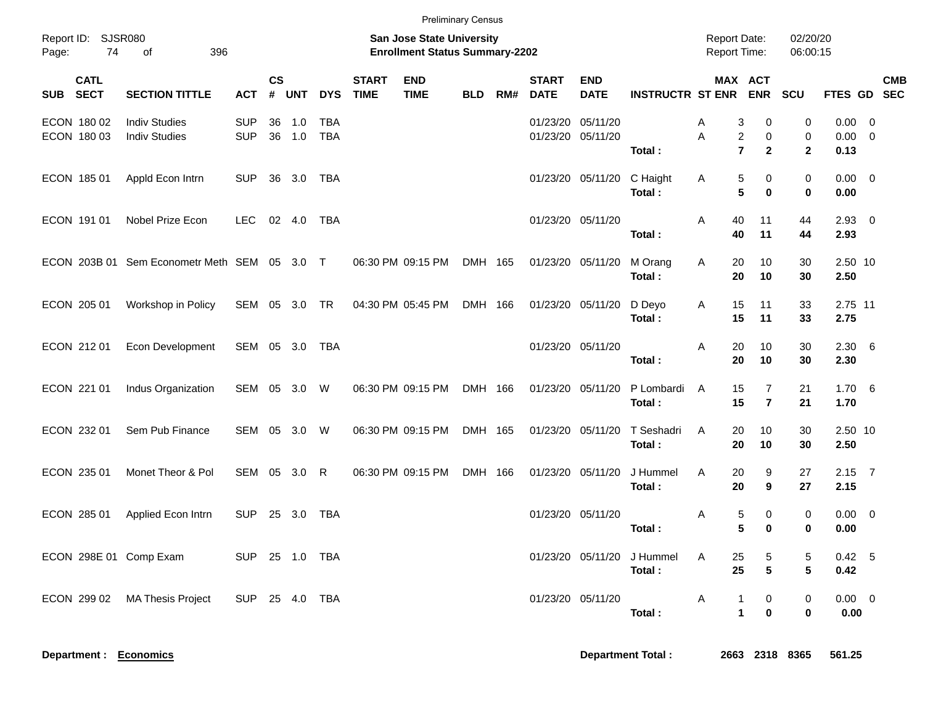|                                          |                                              |                          |                |            |                          |                             | <b>Preliminary Census</b>                                                 |            |     |                             |                                        |                                      |                                            |                                                                          |                        |                       |                                |            |
|------------------------------------------|----------------------------------------------|--------------------------|----------------|------------|--------------------------|-----------------------------|---------------------------------------------------------------------------|------------|-----|-----------------------------|----------------------------------------|--------------------------------------|--------------------------------------------|--------------------------------------------------------------------------|------------------------|-----------------------|--------------------------------|------------|
| Report ID: SJSR080<br>Page:              | 74<br>396<br>of                              |                          |                |            |                          |                             | <b>San Jose State University</b><br><b>Enrollment Status Summary-2202</b> |            |     |                             |                                        |                                      | <b>Report Date:</b><br><b>Report Time:</b> |                                                                          | 02/20/20<br>06:00:15   |                       |                                |            |
| <b>CATL</b><br><b>SECT</b><br><b>SUB</b> | <b>SECTION TITTLE</b>                        | <b>ACT</b>               | <b>CS</b><br># | <b>UNT</b> | <b>DYS</b>               | <b>START</b><br><b>TIME</b> | <b>END</b><br><b>TIME</b>                                                 | <b>BLD</b> | RM# | <b>START</b><br><b>DATE</b> | <b>END</b><br><b>DATE</b>              | <b>INSTRUCTR ST ENR</b>              |                                            | MAX ACT<br><b>ENR</b>                                                    | SCU                    | FTES GD SEC           |                                | <b>CMB</b> |
| ECON 180 02<br>ECON 180 03               | <b>Indiv Studies</b><br><b>Indiv Studies</b> | <b>SUP</b><br><b>SUP</b> | 36<br>36       | 1.0<br>1.0 | <b>TBA</b><br><b>TBA</b> |                             |                                                                           |            |     |                             | 01/23/20 05/11/20<br>01/23/20 05/11/20 | Total:                               | A<br>A                                     | 3<br>0<br>$\overline{\mathbf{c}}$<br>0<br>$\overline{7}$<br>$\mathbf{2}$ | 0<br>0<br>$\mathbf{2}$ | 0.00<br>0.00<br>0.13  | - 0<br>$\overline{\mathbf{0}}$ |            |
| ECON 185 01                              | Appld Econ Intrn                             | <b>SUP</b>               |                | 36 3.0     | TBA                      |                             |                                                                           |            |     |                             | 01/23/20 05/11/20                      | C Haight<br>Total:                   | Α                                          | 5<br>0<br>5<br>$\bf{0}$                                                  | 0<br>$\mathbf 0$       | $0.00 \t 0$<br>0.00   |                                |            |
| ECON 191 01                              | Nobel Prize Econ                             | <b>LEC</b>               |                | 02 4.0     | TBA                      |                             |                                                                           |            |     |                             | 01/23/20 05/11/20                      | Total:                               | 40<br>A<br>40                              | 11<br>11                                                                 | 44<br>44               | $2.93$ 0<br>2.93      |                                |            |
|                                          | ECON 203B 01 Sem Econometr Meth SEM 05 3.0 T |                          |                |            |                          |                             | 06:30 PM 09:15 PM                                                         | DMH 165    |     |                             | 01/23/20 05/11/20                      | M Orang<br>Total:                    | A                                          | 20<br>10<br>20<br>10                                                     | 30<br>30               | 2.50 10<br>2.50       |                                |            |
| ECON 205 01                              | Workshop in Policy                           | SEM 05 3.0               |                |            | <b>TR</b>                |                             | 04:30 PM 05:45 PM                                                         | DMH 166    |     |                             | 01/23/20 05/11/20                      | D Deyo<br>Total:                     | A<br>15                                    | 15<br>11<br>11                                                           | 33<br>33               | 2.75 11<br>2.75       |                                |            |
| ECON 212 01                              | Econ Development                             | SEM 05 3.0               |                |            | TBA                      |                             |                                                                           |            |     |                             | 01/23/20 05/11/20                      | Total:                               | 20<br>A<br>20                              | 10<br>10                                                                 | 30<br>30               | $2.30\quad 6$<br>2.30 |                                |            |
| ECON 221 01                              | Indus Organization                           | SEM 05 3.0               |                |            | W                        |                             | 06:30 PM 09:15 PM                                                         | DMH 166    |     |                             | 01/23/20 05/11/20                      | P Lombardi<br>Total:                 | A                                          | 15<br>$\overline{7}$<br>15<br>$\overline{7}$                             | 21<br>21               | 1.706<br>1.70         |                                |            |
| ECON 232 01                              | Sem Pub Finance                              | SEM                      |                | 05 3.0     | W                        |                             | 06:30 PM 09:15 PM                                                         | DMH 165    |     |                             | 01/23/20 05/11/20                      | T Seshadri<br>Total:                 | 20<br>A<br>20                              | 10<br>10                                                                 | 30<br>30               | 2.50 10<br>2.50       |                                |            |
| ECON 235 01                              | Monet Theor & Pol                            | SEM                      | 05             | 3.0        | R                        |                             | 06:30 PM 09:15 PM                                                         | DMH 166    |     |                             | 01/23/20 05/11/20                      | J Hummel<br>Total:                   | A                                          | 20<br>9<br>20<br>9                                                       | 27<br>27               | $2.15$ 7<br>2.15      |                                |            |
| ECON 285 01                              | Applied Econ Intrn                           | <b>SUP</b>               | 25             | 3.0        | TBA                      |                             |                                                                           |            |     |                             | 01/23/20 05/11/20                      | Total:                               | Α                                          | 5<br>0<br>5<br>$\bf{0}$                                                  | 0<br>$\bf{0}$          | 0.00<br>0.00          | $\overline{\phantom{0}}$       |            |
|                                          | ECON 298E 01 Comp Exam SUP 25 1.0 TBA        |                          |                |            |                          |                             |                                                                           |            |     |                             |                                        | 01/23/20 05/11/20 J Hummel<br>Total: | A<br>25<br>25                              | $\overline{5}$<br>$5\phantom{a}$                                         | 5<br>$5\phantom{.0}$   | 0.42 5<br>0.42        |                                |            |
|                                          | ECON 299 02 MA Thesis Project                | SUP 25 4.0 TBA           |                |            |                          |                             |                                                                           |            |     |                             | 01/23/20 05/11/20                      | Total:                               | A                                          | $\mathbf{1}$<br>$\overline{\mathbf{0}}$<br>$\mathbf{1}$<br>$\mathbf 0$   | 0<br>$\mathbf 0$       | $0.00 \t 0$<br>0.00   |                                |            |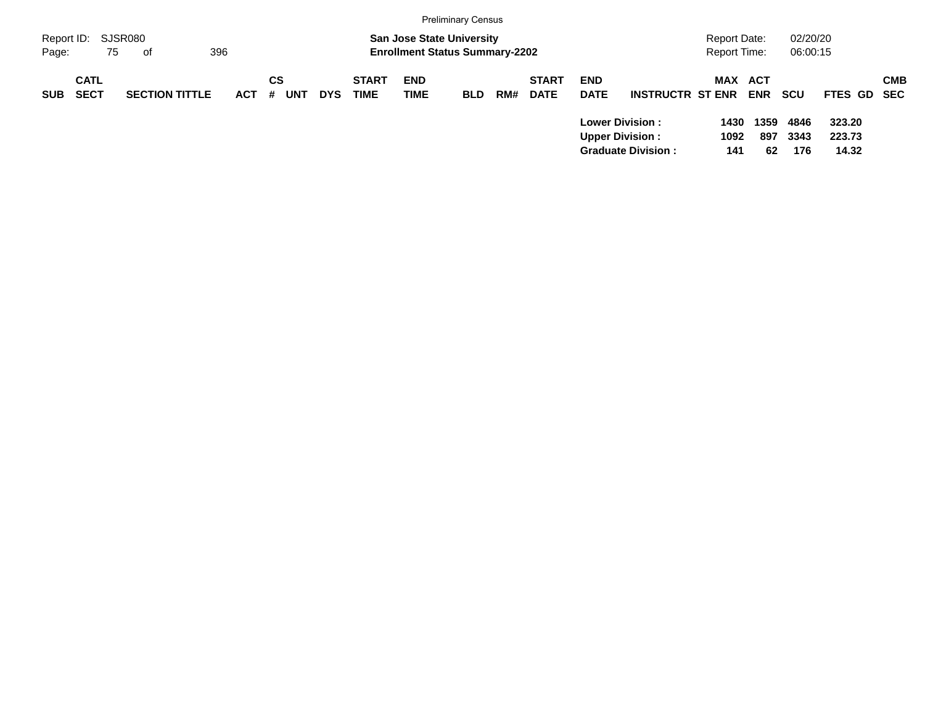|                     |                            |                       |         |    |            |            |                             |                                                                           | <b>Preliminary Census</b> |     |                             |                           |                                                                               |                              |                   |                      |                           |            |
|---------------------|----------------------------|-----------------------|---------|----|------------|------------|-----------------------------|---------------------------------------------------------------------------|---------------------------|-----|-----------------------------|---------------------------|-------------------------------------------------------------------------------|------------------------------|-------------------|----------------------|---------------------------|------------|
| Report ID:<br>Page: | 75                         | SJSR080<br>396<br>оf  |         |    |            |            |                             | <b>San Jose State University</b><br><b>Enrollment Status Summary-2202</b> |                           |     |                             |                           |                                                                               | Report Date:<br>Report Time: |                   | 02/20/20<br>06:00:15 |                           |            |
| <b>SUB</b>          | <b>CATL</b><br><b>SECT</b> | <b>SECTION TITTLE</b> | $ACT$ # | CS | <b>UNT</b> | <b>DYS</b> | <b>START</b><br><b>TIME</b> | <b>END</b><br><b>TIME</b>                                                 | <b>BLD</b>                | RM# | <b>START</b><br><b>DATE</b> | <b>END</b><br><b>DATE</b> | <b>INSTRUCTR ST ENR</b>                                                       | MAX ACT                      | <b>ENR</b>        | <b>SCU</b>           | FTES GD SEC               | <b>CMB</b> |
|                     |                            |                       |         |    |            |            |                             |                                                                           |                           |     |                             |                           | <b>Lower Division:</b><br><b>Upper Division:</b><br><b>Graduate Division:</b> | 1430<br>1092<br>141          | 1359<br>897<br>62 | 4846<br>3343<br>176  | 323.20<br>223.73<br>14.32 |            |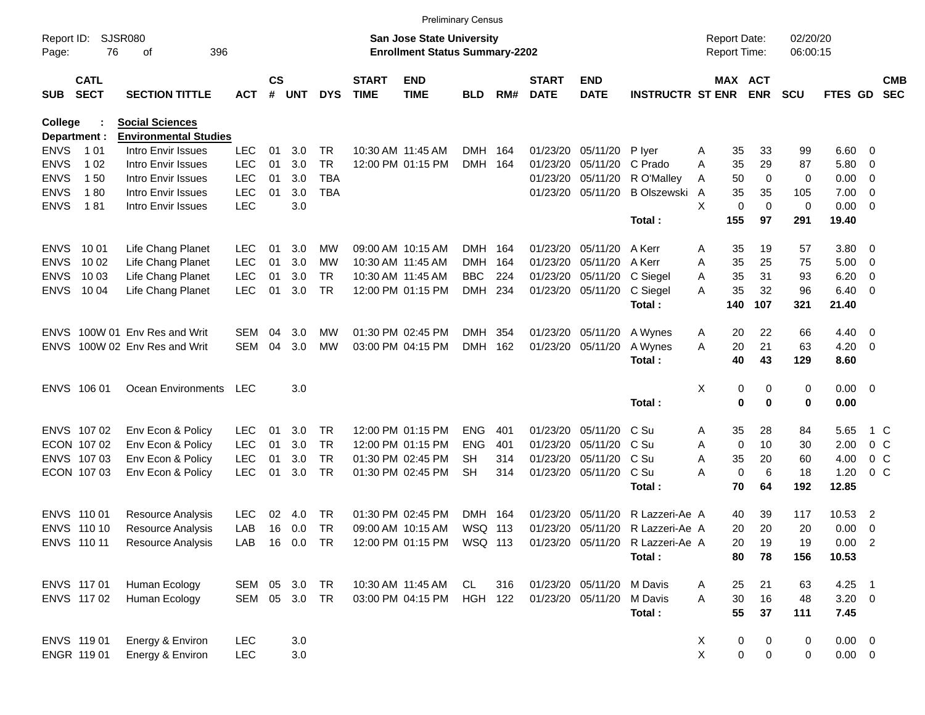|                     |                            |                              |            |               |       |            |                             |                                                                           | <b>Preliminary Census</b> |     |                             |                           |                         |   |                                            |             |                      |             |                          |                          |
|---------------------|----------------------------|------------------------------|------------|---------------|-------|------------|-----------------------------|---------------------------------------------------------------------------|---------------------------|-----|-----------------------------|---------------------------|-------------------------|---|--------------------------------------------|-------------|----------------------|-------------|--------------------------|--------------------------|
| Report ID:<br>Page: | 76                         | SJSR080<br>οf<br>396         |            |               |       |            |                             | <b>San Jose State University</b><br><b>Enrollment Status Summary-2202</b> |                           |     |                             |                           |                         |   | <b>Report Date:</b><br><b>Report Time:</b> |             | 02/20/20<br>06:00:15 |             |                          |                          |
|                     |                            |                              |            |               |       |            |                             |                                                                           |                           |     |                             |                           |                         |   |                                            |             |                      |             |                          |                          |
| <b>SUB</b>          | <b>CATL</b><br><b>SECT</b> | <b>SECTION TITTLE</b>        | <b>ACT</b> | $\mathsf{cs}$ | # UNT | <b>DYS</b> | <b>START</b><br><b>TIME</b> | <b>END</b><br><b>TIME</b>                                                 | <b>BLD</b>                | RM# | <b>START</b><br><b>DATE</b> | <b>END</b><br><b>DATE</b> | <b>INSTRUCTR ST ENR</b> |   | MAX ACT                                    | <b>ENR</b>  | <b>SCU</b>           | FTES GD     |                          | <b>CMB</b><br><b>SEC</b> |
| <b>College</b>      |                            | <b>Social Sciences</b>       |            |               |       |            |                             |                                                                           |                           |     |                             |                           |                         |   |                                            |             |                      |             |                          |                          |
|                     | Department :               | <b>Environmental Studies</b> |            |               |       |            |                             |                                                                           |                           |     |                             |                           |                         |   |                                            |             |                      |             |                          |                          |
| <b>ENVS</b>         | 1 0 1                      | Intro Envir Issues           | <b>LEC</b> | 01            | 3.0   | TR.        | 10:30 AM 11:45 AM           |                                                                           | DMH 164                   |     | 01/23/20                    | 05/11/20                  | P lyer                  | A | 35                                         | 33          | 99                   | 6.60        | - 0                      |                          |
| <b>ENVS</b>         | 1 0 2                      | Intro Envir Issues           | <b>LEC</b> | 01            | 3.0   | <b>TR</b>  |                             | 12:00 PM 01:15 PM                                                         | DMH 164                   |     | 01/23/20                    | 05/11/20                  | C Prado                 | A | 35                                         | 29          | 87                   | 5.80        | 0                        |                          |
| <b>ENVS</b>         | 150                        | Intro Envir Issues           | <b>LEC</b> | 01            | 3.0   | <b>TBA</b> |                             |                                                                           |                           |     | 01/23/20                    | 05/11/20                  | R O'Malley              | A | 50                                         | $\mathbf 0$ | 0                    | 0.00        | 0                        |                          |
| <b>ENVS</b>         | 180                        | Intro Envir Issues           | <b>LEC</b> | 01            | 3.0   | <b>TBA</b> |                             |                                                                           |                           |     | 01/23/20                    | 05/11/20                  | <b>B Olszewski</b>      | A | 35                                         | 35          | 105                  | 7.00        | -0                       |                          |
| <b>ENVS</b>         | 181                        | Intro Envir Issues           | <b>LEC</b> |               | 3.0   |            |                             |                                                                           |                           |     |                             |                           |                         | X | 0                                          | $\mathbf 0$ | 0                    | 0.00        | - 0                      |                          |
|                     |                            |                              |            |               |       |            |                             |                                                                           |                           |     |                             |                           | Total:                  |   | 155                                        | 97          | 291                  | 19.40       |                          |                          |
| <b>ENVS</b>         | 10 01                      | Life Chang Planet            | <b>LEC</b> | 01            | 3.0   | МW         |                             | 09:00 AM 10:15 AM                                                         | DMH 164                   |     | 01/23/20                    | 05/11/20                  | A Kerr                  | A | 35                                         | 19          | 57                   | 3.80        | - 0                      |                          |
| <b>ENVS</b>         | 10 02                      | Life Chang Planet            | <b>LEC</b> | 01            | 3.0   | МW         | 10:30 AM 11:45 AM           |                                                                           | <b>DMH</b>                | 164 | 01/23/20                    | 05/11/20                  | A Kerr                  | A | 35                                         | 25          | 75                   | 5.00        | 0                        |                          |
| <b>ENVS</b>         | 10 03                      | Life Chang Planet            | <b>LEC</b> | 01            | 3.0   | TR.        | 10:30 AM 11:45 AM           |                                                                           | <b>BBC</b>                | 224 | 01/23/20                    | 05/11/20                  | C Siegel                | A | 35                                         | 31          | 93                   | 6.20        | 0                        |                          |
| <b>ENVS</b>         | 10 04                      | Life Chang Planet            | <b>LEC</b> | 01            | 3.0   | <b>TR</b>  |                             | 12:00 PM 01:15 PM                                                         | DMH                       | 234 | 01/23/20                    | 05/11/20                  | C Siegel                | A | 35                                         | 32          | 96                   | 6.40        | - 0                      |                          |
|                     |                            |                              |            |               |       |            |                             |                                                                           |                           |     |                             |                           | Total:                  |   | 140                                        | 107         | 321                  | 21.40       |                          |                          |
| <b>ENVS</b>         |                            | 100W 01 Env Res and Writ     | SEM        | 04            | 3.0   | МW         |                             | 01:30 PM 02:45 PM                                                         | DMH                       | 354 | 01/23/20                    | 05/11/20                  | A Wynes                 | A | 20                                         | 22          | 66                   | 4.40        | - 0                      |                          |
| <b>ENVS</b>         |                            | 100W 02 Env Res and Writ     | SEM        | 04            | 3.0   | МW         |                             | 03:00 PM 04:15 PM                                                         | DMH                       | 162 | 01/23/20                    | 05/11/20                  | A Wynes                 | A | 20                                         | 21          | 63                   | 4.20        | - 0                      |                          |
|                     |                            |                              |            |               |       |            |                             |                                                                           |                           |     |                             |                           | Total:                  |   | 40                                         | 43          | 129                  | 8.60        |                          |                          |
|                     | ENVS 106 01                | Ocean Environments           | LEC        |               | 3.0   |            |                             |                                                                           |                           |     |                             |                           |                         | X | 0                                          | 0           | 0                    | 0.00        | $\overline{\phantom{0}}$ |                          |
|                     |                            |                              |            |               |       |            |                             |                                                                           |                           |     |                             |                           | Total:                  |   | 0                                          | $\bf{0}$    | 0                    | 0.00        |                          |                          |
|                     | ENVS 107 02                | Env Econ & Policy            | <b>LEC</b> | 01            | 3.0   | TR.        |                             | 12:00 PM 01:15 PM                                                         | <b>ENG</b>                | 401 | 01/23/20                    | 05/11/20                  | C Su                    | A | 35                                         | 28          | 84                   | 5.65        |                          | 1 C                      |
|                     | ECON 107 02                | Env Econ & Policy            | <b>LEC</b> | 01            | 3.0   | TR.        |                             | 12:00 PM 01:15 PM                                                         | <b>ENG</b>                | 401 | 01/23/20                    | 05/11/20                  | C Su                    | A | 0                                          | 10          | 30                   | 2.00        |                          | 0 <sup>C</sup>           |
|                     | ENVS 107 03                | Env Econ & Policy            | <b>LEC</b> | 01            | 3.0   | <b>TR</b>  |                             | 01:30 PM 02:45 PM                                                         | <b>SH</b>                 | 314 | 01/23/20                    | 05/11/20                  | C Su                    | A | 35                                         | 20          | 60                   | 4.00        |                          | $0\,C$                   |
|                     | ECON 107 03                | Env Econ & Policy            | <b>LEC</b> | 01            | 3.0   | <b>TR</b>  |                             | 01:30 PM 02:45 PM                                                         | <b>SH</b>                 | 314 | 01/23/20                    | 05/11/20                  | C Su                    | A | 0                                          | 6           | 18                   | 1.20        |                          | 0 <sup>o</sup>           |
|                     |                            |                              |            |               |       |            |                             |                                                                           |                           |     |                             |                           | Total :                 |   | 70                                         | 64          | 192                  | 12.85       |                          |                          |
|                     | ENVS 110 01                | Resource Analysis            | <b>LEC</b> | 02            | 4.0   | TR.        |                             | 01:30 PM 02:45 PM                                                         | <b>DMH</b>                | 164 | 01/23/20                    | 05/11/20                  | R Lazzeri-Ae A          |   | 40                                         | 39          | 117                  | 10.53       | $\overline{\phantom{a}}$ |                          |
|                     | ENVS 110 10                | <b>Resource Analysis</b>     | LAB        | 16            | 0.0   | TR         |                             | 09:00 AM 10:15 AM                                                         | WSQ 113                   |     | 01/23/20                    | 05/11/20                  | R Lazzeri-Ae A          |   | 20                                         | 20          | 20                   | 0.00        | 0                        |                          |
|                     | ENVS 110 11                | Resource Analysis            | LAB        |               |       |            |                             |                                                                           |                           |     |                             |                           |                         |   | 20                                         | 19          | 19                   | 0.00 2      |                          |                          |
|                     |                            |                              |            |               |       |            |                             |                                                                           |                           |     |                             |                           | Total:                  |   | 80                                         | 78          | 156                  | 10.53       |                          |                          |
|                     | ENVS 117 01                | Human Ecology                | SEM 05 3.0 |               |       | TR         |                             | 10:30 AM 11:45 AM                                                         | CL                        | 316 | 01/23/20 05/11/20           |                           | M Davis                 | A | 25                                         | 21          | 63                   | 4.25        | $\overline{\phantom{0}}$ |                          |
|                     | ENVS 117 02                | Human Ecology                | SEM 05 3.0 |               |       | <b>TR</b>  |                             | 03:00 PM 04:15 PM                                                         | HGH 122                   |     | 01/23/20 05/11/20           |                           | M Davis                 | A | 30                                         | 16          | 48                   | $3.20 \ 0$  |                          |                          |
|                     |                            |                              |            |               |       |            |                             |                                                                           |                           |     |                             |                           | Total:                  |   | 55                                         | 37          | 111                  | 7.45        |                          |                          |
|                     | ENVS 119 01                | Energy & Environ             | <b>LEC</b> |               | 3.0   |            |                             |                                                                           |                           |     |                             |                           |                         | X | 0                                          | 0           | 0                    | $0.00 \t 0$ |                          |                          |
|                     | ENGR 119 01                | Energy & Environ             | <b>LEC</b> |               | 3.0   |            |                             |                                                                           |                           |     |                             |                           |                         | X | $\pmb{0}$                                  | 0           | 0                    | $0.00 \t 0$ |                          |                          |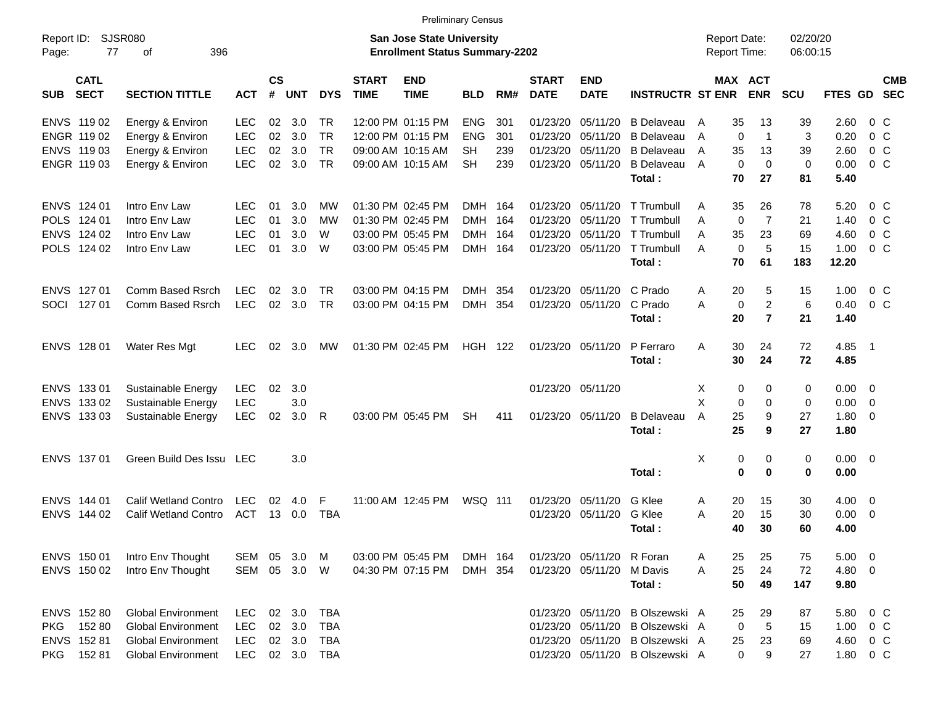|                                          |                             |              |                    |            |            |                             |                                                                           | <b>Preliminary Census</b> |      |                             |                           |                                 |                                     |                               |                      |                |                            |                          |
|------------------------------------------|-----------------------------|--------------|--------------------|------------|------------|-----------------------------|---------------------------------------------------------------------------|---------------------------|------|-----------------------------|---------------------------|---------------------------------|-------------------------------------|-------------------------------|----------------------|----------------|----------------------------|--------------------------|
| Report ID:<br>77<br>Page:                | <b>SJSR080</b><br>396<br>οf |              |                    |            |            |                             | <b>San Jose State University</b><br><b>Enrollment Status Summary-2202</b> |                           |      |                             |                           |                                 | <b>Report Date:</b><br>Report Time: |                               | 02/20/20<br>06:00:15 |                |                            |                          |
| <b>CATL</b><br><b>SECT</b><br><b>SUB</b> | <b>SECTION TITTLE</b>       | <b>ACT</b>   | $\mathsf{cs}$<br># | <b>UNT</b> | <b>DYS</b> | <b>START</b><br><b>TIME</b> | <b>END</b><br><b>TIME</b>                                                 | <b>BLD</b>                | RM#  | <b>START</b><br><b>DATE</b> | <b>END</b><br><b>DATE</b> | <b>INSTRUCTR ST ENR</b>         |                                     | <b>MAX ACT</b><br><b>ENR</b>  | <b>SCU</b>           | <b>FTES GD</b> |                            | <b>CMB</b><br><b>SEC</b> |
| ENVS 119 02                              | Energy & Environ            | <b>LEC</b>   | 02 <sub>o</sub>    | 3.0        | TR         |                             | 12:00 PM 01:15 PM                                                         | <b>ENG</b>                | 301  | 01/23/20                    | 05/11/20                  | <b>B</b> Delaveau               | 35<br>A                             | 13                            | 39                   | 2.60           | 0 C                        |                          |
| ENGR 119 02                              | Energy & Environ            | <b>LEC</b>   | 02                 | 3.0        | <b>TR</b>  |                             | 12:00 PM 01:15 PM                                                         | <b>ENG</b>                | 301  | 01/23/20                    | 05/11/20                  | <b>B</b> Delaveau               | A                                   | $\Omega$<br>$\mathbf 1$       | 3                    | 0.20           | 0 <sup>o</sup>             |                          |
| ENVS 119 03                              | Energy & Environ            | <b>LEC</b>   | 02 <sub>o</sub>    | 3.0        | <b>TR</b>  |                             | 09:00 AM 10:15 AM                                                         | <b>SH</b>                 | 239  | 01/23/20                    | 05/11/20                  | <b>B</b> Delaveau               | 35<br>A                             | 13                            | 39                   | 2.60           | 0 <sup>o</sup>             |                          |
| ENGR 119 03                              | Energy & Environ            | <b>LEC</b>   | 02                 | 3.0        | <b>TR</b>  |                             | 09:00 AM 10:15 AM                                                         | <b>SH</b>                 | 239  | 01/23/20                    | 05/11/20                  | <b>B</b> Delaveau               | A                                   | $\Omega$<br>$\Omega$          | $\mathbf 0$          | 0.00           | 0 <sup>o</sup>             |                          |
|                                          |                             |              |                    |            |            |                             |                                                                           |                           |      |                             |                           | Total:                          | 70                                  | 27                            | 81                   | 5.40           |                            |                          |
| ENVS 124 01                              | Intro Env Law               | <b>LEC</b>   | 01                 | 3.0        | МW         |                             | 01:30 PM 02:45 PM                                                         | DMH                       | -164 | 01/23/20                    | 05/11/20                  | T Trumbull                      | 35<br>A                             | 26                            | 78                   | 5.20           | 0 C                        |                          |
| POLS 124 01                              | Intro Env Law               | <b>LEC</b>   | 01                 | 3.0        | МW         |                             | 01:30 PM 02:45 PM                                                         | <b>DMH</b>                | 164  | 01/23/20                    |                           | 05/11/20 T Trumbull             | A                                   | $\mathbf 0$<br>$\overline{7}$ | 21                   | 1.40           | 0 <sup>o</sup>             |                          |
| ENVS 124 02                              | Intro Env Law               | <b>LEC</b>   | 01                 | 3.0        | W          |                             | 03:00 PM 05:45 PM                                                         | <b>DMH</b>                | 164  | 01/23/20                    |                           | 05/11/20 T Trumbull             | 35<br>A                             | 23                            | 69                   | 4.60           | 0 <sup>o</sup>             |                          |
| POLS 124 02                              | Intro Env Law               | <b>LEC</b>   | 01                 | 3.0        | W          |                             | 03:00 PM 05:45 PM                                                         | <b>DMH</b>                | 164  | 01/23/20                    | 05/11/20                  | T Trumbull                      | A                                   | $\mathbf 0$<br>5              | 15                   | 1.00           |                            | 0 C                      |
|                                          |                             |              |                    |            |            |                             |                                                                           |                           |      |                             |                           | Total:                          | 70                                  | 61                            | 183                  | 12.20          |                            |                          |
| ENVS 127 01                              | Comm Based Rsrch            | <b>LEC</b>   | 02                 | 3.0        | TR         |                             | 03:00 PM 04:15 PM                                                         | <b>DMH</b>                | 354  | 01/23/20                    | 05/11/20 C Prado          |                                 | 20<br>A                             | 5                             | 15                   | 1.00           | $0\,$ C                    |                          |
| SOCI 127 01                              | Comm Based Rsrch            | <b>LEC</b>   | 02 <sub>o</sub>    | 3.0        | <b>TR</b>  |                             | 03:00 PM 04:15 PM                                                         | <b>DMH</b>                | 354  | 01/23/20                    | 05/11/20                  | C Prado                         | A                                   | $\overline{c}$<br>$\mathbf 0$ | 6                    | 0.40           | 0 <sup>o</sup>             |                          |
|                                          |                             |              |                    |            |            |                             |                                                                           |                           |      |                             |                           | Total:                          | 20                                  | $\overline{7}$                | 21                   | 1.40           |                            |                          |
| ENVS 128 01                              | Water Res Mgt               | <b>LEC</b>   | 02                 | 3.0        | MW         |                             | 01:30 PM 02:45 PM                                                         | <b>HGH 122</b>            |      | 01/23/20                    | 05/11/20                  | P Ferraro                       | 30<br>Α                             | 24                            | 72                   | 4.85           | $\overline{\phantom{0}}$ 1 |                          |
|                                          |                             |              |                    |            |            |                             |                                                                           |                           |      |                             |                           | Total:                          | 30                                  | 24                            | 72                   | 4.85           |                            |                          |
| ENVS 133 01                              | Sustainable Energy          | <b>LEC</b>   | 02                 | 3.0        |            |                             |                                                                           |                           |      |                             | 01/23/20 05/11/20         |                                 | X                                   | 0<br>0                        | 0                    | $0.00 \quad 0$ |                            |                          |
| ENVS 133 02                              | Sustainable Energy          | <b>LEC</b>   |                    | 3.0        |            |                             |                                                                           |                           |      |                             |                           |                                 | X                                   | $\mathbf 0$<br>$\Omega$       | 0                    | 0.00           | - 0                        |                          |
| ENVS 133 03                              | Sustainable Energy          | <b>LEC</b>   | 02                 | 3.0        | R          |                             | 03:00 PM 05:45 PM                                                         | <b>SH</b>                 | 411  |                             | 01/23/20 05/11/20         | <b>B</b> Delaveau               | 25<br>A                             | 9                             | 27                   | 1.80           | - 0                        |                          |
|                                          |                             |              |                    |            |            |                             |                                                                           |                           |      |                             |                           | Total:                          | 25                                  | 9                             | 27                   | 1.80           |                            |                          |
| ENVS 137 01                              | Green Build Des Issu        | <b>LEC</b>   |                    | 3.0        |            |                             |                                                                           |                           |      |                             |                           |                                 | X                                   | 0<br>0                        | 0                    | $0.00 \t 0$    |                            |                          |
|                                          |                             |              |                    |            |            |                             |                                                                           |                           |      |                             |                           | Total:                          |                                     | $\bf{0}$<br>$\bf{0}$          | 0                    | 0.00           |                            |                          |
| ENVS 144 01                              | <b>Calif Wetland Contro</b> | <b>LEC</b>   | 02                 | 4.0        | F          |                             | 11:00 AM 12:45 PM                                                         | <b>WSQ 111</b>            |      | 01/23/20                    | 05/11/20                  | G Klee                          | 20<br>A                             | 15                            | 30                   | $4.00 \ 0$     |                            |                          |
| ENVS 144 02                              | <b>Calif Wetland Contro</b> | <b>ACT</b>   | 13                 | 0.0        | <b>TBA</b> |                             |                                                                           |                           |      | 01/23/20                    | 05/11/20                  | G Klee                          | 20<br>A                             | 15                            | 30                   | 0.00           | - 0                        |                          |
|                                          |                             |              |                    |            |            |                             |                                                                           |                           |      |                             |                           | Total :                         | 40                                  | 30                            | 60                   | 4.00           |                            |                          |
|                                          |                             |              |                    |            |            |                             |                                                                           |                           |      |                             |                           |                                 |                                     |                               |                      |                |                            |                          |
| ENVS 150 01                              | Intro Env Thought           | SEM 05       |                    | 3.0        | M          |                             | 03:00 PM 05:45 PM                                                         | DMH 164                   |      |                             | 01/23/20 05/11/20 R Foran |                                 | 25<br>A                             | 25                            | 75                   | $5.00 \t 0$    |                            |                          |
| ENVS 150 02                              | Intro Env Thought           | SEM 05 3.0 W |                    |            |            |                             | 04:30 PM 07:15 PM                                                         | DMH 354                   |      |                             | 01/23/20 05/11/20         | M Davis                         | 25<br>A                             | 24                            | 72                   | 4.80 0         |                            |                          |
|                                          |                             |              |                    |            |            |                             |                                                                           |                           |      |                             |                           | Total:                          | 50                                  | 49                            | 147                  | 9.80           |                            |                          |
| ENVS 152 80                              | <b>Global Environment</b>   | <b>LEC</b>   |                    | 02 3.0     | <b>TBA</b> |                             |                                                                           |                           |      |                             |                           | 01/23/20 05/11/20 B Olszewski A | 25                                  | 29                            | 87                   | 5.80 0 C       |                            |                          |
| 15280<br><b>PKG</b>                      | <b>Global Environment</b>   | <b>LEC</b>   |                    | 02 3.0     | <b>TBA</b> |                             |                                                                           |                           |      | 01/23/20                    |                           | 05/11/20 B Olszewski A          |                                     | $\mathbf 0$<br>5              | 15                   | 1.00 0 C       |                            |                          |
| ENVS 152 81                              | <b>Global Environment</b>   | <b>LEC</b>   |                    | 02 3.0     | TBA        |                             |                                                                           |                           |      |                             |                           | 01/23/20 05/11/20 B Olszewski A | 25                                  | 23                            | 69                   | 4.60 0 C       |                            |                          |
| PKG 15281                                | Global Environment          | <b>LEC</b>   |                    |            | 02 3.0 TBA |                             |                                                                           |                           |      |                             |                           | 01/23/20 05/11/20 B Olszewski A |                                     | $\mathbf 0$<br>9              | 27                   | 1.80 0 C       |                            |                          |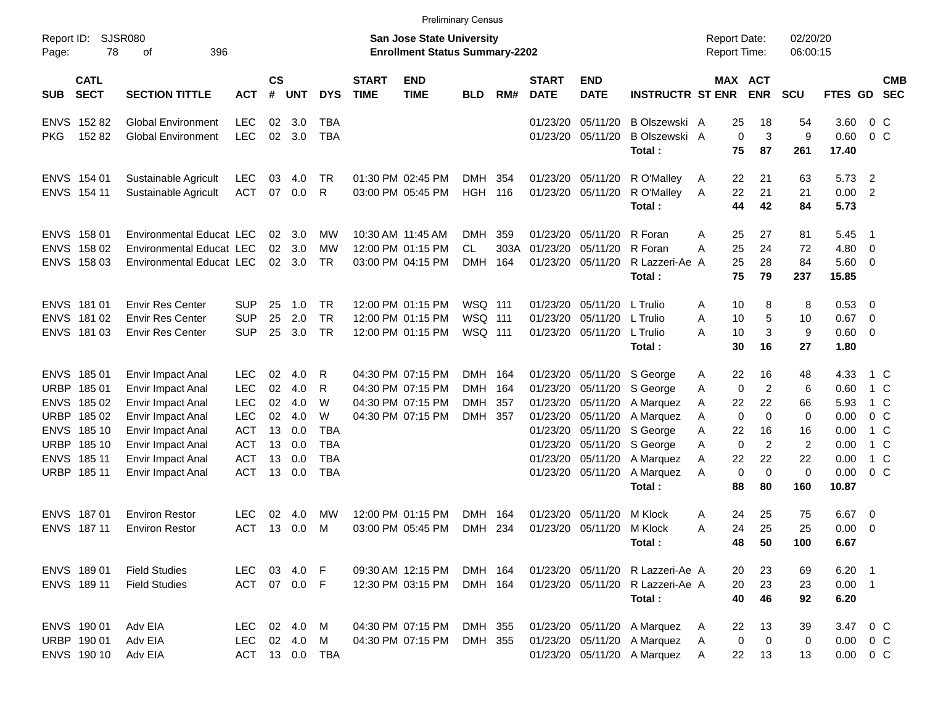|                                          |                                 |            |                    |            |              |                             |                                                                           | <b>Preliminary Census</b> |      |                             |                           |                             |                                            |                               |                      |          |                          |
|------------------------------------------|---------------------------------|------------|--------------------|------------|--------------|-----------------------------|---------------------------------------------------------------------------|---------------------------|------|-----------------------------|---------------------------|-----------------------------|--------------------------------------------|-------------------------------|----------------------|----------|--------------------------|
| Report ID:<br>78<br>Page:                | <b>SJSR080</b><br>396<br>οf     |            |                    |            |              |                             | <b>San Jose State University</b><br><b>Enrollment Status Summary-2202</b> |                           |      |                             |                           |                             | <b>Report Date:</b><br><b>Report Time:</b> |                               | 02/20/20<br>06:00:15 |          |                          |
| <b>CATL</b><br><b>SECT</b><br><b>SUB</b> | <b>SECTION TITTLE</b>           | <b>ACT</b> | $\mathsf{cs}$<br># | <b>UNT</b> | <b>DYS</b>   | <b>START</b><br><b>TIME</b> | <b>END</b><br><b>TIME</b>                                                 | <b>BLD</b>                | RM#  | <b>START</b><br><b>DATE</b> | <b>END</b><br><b>DATE</b> | <b>INSTRUCTR ST ENR</b>     |                                            | MAX ACT<br><b>ENR</b>         | <b>SCU</b>           | FTES GD  | <b>CMB</b><br><b>SEC</b> |
| ENVS 152 82                              | <b>Global Environment</b>       | <b>LEC</b> | 02                 | 3.0        | <b>TBA</b>   |                             |                                                                           |                           |      | 01/23/20                    | 05/11/20                  | B Olszewski A               | 25                                         | 18                            | 54                   | 3.60     | 0 <sup>o</sup>           |
| 15282<br><b>PKG</b>                      | <b>Global Environment</b>       | <b>LEC</b> | 02                 | 3.0        | <b>TBA</b>   |                             |                                                                           |                           |      | 01/23/20                    | 05/11/20                  | B Olszewski A               |                                            | $\mathbf 0$<br>3              | 9                    | 0.60     | $0\,C$                   |
|                                          |                                 |            |                    |            |              |                             |                                                                           |                           |      |                             |                           | Total:                      | 75                                         | 87                            | 261                  | 17.40    |                          |
| ENVS 154 01                              | Sustainable Agricult            | <b>LEC</b> | 03                 | 4.0        | TR           |                             | 01:30 PM 02:45 PM                                                         | DMH                       | 354  | 01/23/20                    | 05/11/20                  | R O'Malley                  | 22<br>A                                    | 21                            | 63                   | 5.73     | $\overline{\phantom{a}}$ |
| ENVS 154 11                              | Sustainable Agricult            | <b>ACT</b> | 07                 | 0.0        | R            |                             | 03:00 PM 05:45 PM                                                         | <b>HGH</b>                | 116  | 01/23/20                    | 05/11/20                  | R O'Malley                  | 22<br>A                                    | 21                            | 21                   | 0.00 2   |                          |
|                                          |                                 |            |                    |            |              |                             |                                                                           |                           |      |                             |                           | Total:                      | 44                                         | 42                            | 84                   | 5.73     |                          |
| ENVS 158 01                              | <b>Environmental Educat LEC</b> |            | 02                 | 3.0        | МW           |                             | 10:30 AM 11:45 AM                                                         | <b>DMH</b>                | 359  | 01/23/20                    | 05/11/20                  | R Foran                     | 25<br>Α                                    | 27                            | 81                   | 5.45     | - 1                      |
| ENVS 158 02                              | <b>Environmental Educat LEC</b> |            | 02                 | 3.0        | МW           |                             | 12:00 PM 01:15 PM                                                         | <b>CL</b>                 | 303A | 01/23/20                    | 05/11/20                  | R Foran                     | 25<br>A                                    | 24                            | 72                   | 4.80     | $\overline{\mathbf{0}}$  |
| ENVS 158 03                              | <b>Environmental Educat LEC</b> |            | 02                 | 3.0        | <b>TR</b>    |                             | 03:00 PM 04:15 PM                                                         | <b>DMH</b>                | 164  | 01/23/20                    | 05/11/20                  | R Lazzeri-Ae A              | 25                                         | 28                            | 84                   | $5.60$ 0 |                          |
|                                          |                                 |            |                    |            |              |                             |                                                                           |                           |      |                             |                           | Total:                      | 75                                         | 79                            | 237                  | 15.85    |                          |
| ENVS 181 01                              | <b>Envir Res Center</b>         | SUP        | 25                 | 1.0        | <b>TR</b>    |                             | 12:00 PM 01:15 PM                                                         | WSQ 111                   |      | 01/23/20                    | 05/11/20                  | L Trulio                    | 10<br>Α                                    | 8                             | 8                    | 0.53     | $\overline{\phantom{0}}$ |
| ENVS 181 02                              | <b>Envir Res Center</b>         | <b>SUP</b> | 25                 | 2.0        | <b>TR</b>    |                             | 12:00 PM 01:15 PM                                                         | <b>WSQ 111</b>            |      | 01/23/20                    | 05/11/20                  | L Trulio                    | 10<br>A                                    | 5                             | 10                   | 0.67     | $\overline{\phantom{0}}$ |
| ENVS 181 03                              | <b>Envir Res Center</b>         | <b>SUP</b> | 25                 | 3.0        | <b>TR</b>    |                             | 12:00 PM 01:15 PM                                                         | WSQ 111                   |      | 01/23/20                    | 05/11/20                  | L Trulio                    | 10<br>Α                                    | 3                             | 9                    | 0.60 0   |                          |
|                                          |                                 |            |                    |            |              |                             |                                                                           |                           |      |                             |                           | Total:                      | 30                                         | 16                            | 27                   | 1.80     |                          |
| ENVS 185 01                              | Envir Impact Anal               | <b>LEC</b> | 02                 | 4.0        | R            |                             | 04:30 PM 07:15 PM                                                         | DMH 164                   |      | 01/23/20                    | 05/11/20                  | S George                    | 22<br>Α                                    | 16                            | 48                   | 4.33     | 1 C                      |
| URBP 185 01                              | Envir Impact Anal               | <b>LEC</b> | 02                 | 4.0        | R            |                             | 04:30 PM 07:15 PM                                                         | <b>DMH</b>                | 164  | 01/23/20                    | 05/11/20                  | S George                    | Α                                          | $\overline{2}$<br>$\mathbf 0$ | 6                    | 0.60     | 1 C                      |
| ENVS 185 02                              | Envir Impact Anal               | <b>LEC</b> | 02                 | 4.0        | W            |                             | 04:30 PM 07:15 PM                                                         | <b>DMH</b>                | 357  | 01/23/20                    | 05/11/20                  | A Marquez                   | 22<br>Α                                    | 22                            | 66                   | 5.93     | 1 C                      |
| URBP 185 02                              | Envir Impact Anal               | <b>LEC</b> | 02                 | 4.0        | W            |                             | 04:30 PM 07:15 PM                                                         | DMH                       | 357  | 01/23/20                    | 05/11/20                  | A Marquez                   | Α                                          | $\mathbf 0$<br>$\mathbf 0$    | 0                    | 0.00     | 0 <sup>o</sup>           |
| ENVS 185 10                              | Envir Impact Anal               | <b>ACT</b> | 13                 | 0.0        | <b>TBA</b>   |                             |                                                                           |                           |      | 01/23/20                    | 05/11/20                  | S George                    | Α<br>22                                    | 16                            | 16                   | 0.00     | 1 C                      |
| URBP 185 10                              | Envir Impact Anal               | <b>ACT</b> | 13                 | 0.0        | <b>TBA</b>   |                             |                                                                           |                           |      | 01/23/20                    | 05/11/20                  | S George                    | Α                                          | $\mathbf 0$<br>$\overline{c}$ | 2                    | 0.00     | 1 C                      |
| ENVS 185 11                              | Envir Impact Anal               | <b>ACT</b> | 13                 | 0.0        | <b>TBA</b>   |                             |                                                                           |                           |      | 01/23/20                    | 05/11/20                  | A Marquez                   | Α<br>22                                    | 22                            | 22                   | 0.00     | 1 C                      |
| URBP 185 11                              | <b>Envir Impact Anal</b>        | <b>ACT</b> | 13                 | 0.0        | <b>TBA</b>   |                             |                                                                           |                           |      | 01/23/20                    | 05/11/20                  | A Marquez                   | Α                                          | $\mathbf 0$<br>$\mathbf 0$    | 0                    | 0.00     | 0 <sup>o</sup>           |
|                                          |                                 |            |                    |            |              |                             |                                                                           |                           |      |                             |                           | Total:                      | 88                                         | 80                            | 160                  | 10.87    |                          |
| ENVS 18701                               | <b>Environ Restor</b>           | LEC        | 02                 | 4.0        | МW           |                             | 12:00 PM 01:15 PM                                                         | <b>DMH</b>                | 164  | 01/23/20                    | 05/11/20                  | M Klock                     | 24<br>Α                                    | 25                            | 75                   | $6.67$ 0 |                          |
| ENVS 18711                               | <b>Environ Restor</b>           | <b>ACT</b> | 13                 | 0.0        | м            |                             | 03:00 PM 05:45 PM                                                         | <b>DMH</b>                | 234  | 01/23/20                    | 05/11/20                  | M Klock                     | 24<br>Α                                    | 25                            | 25                   | 0.00     | $\overline{\mathbf{0}}$  |
|                                          |                                 |            |                    |            |              |                             |                                                                           |                           |      |                             |                           | Total :                     |                                            | 48<br>50                      | 100                  | 6.67     |                          |
| ENVS 189 01                              | <b>Field Studies</b>            | LEC.       |                    | 03 4.0 F   |              |                             | 09:30 AM 12:15 PM                                                         | DMH 164                   |      |                             | 01/23/20 05/11/20         | R Lazzeri-Ae A              |                                            | 20<br>23                      | 69                   | $6.20$ 1 |                          |
| ENVS 189 11                              | <b>Field Studies</b>            | ACT        |                    | 07 0.0 F   |              |                             | 12:30 PM 03:15 PM                                                         | DMH 164                   |      |                             | 01/23/20 05/11/20         | R Lazzeri-Ae A              | 20                                         | 23                            | 23                   | $0.00$ 1 |                          |
|                                          |                                 |            |                    |            |              |                             |                                                                           |                           |      |                             |                           | Total:                      |                                            | 40<br>46                      | 92                   | 6.20     |                          |
| ENVS 190 01                              | Adv EIA                         | LEC.       |                    | 02 4.0     | M            |                             | 04:30 PM 07:15 PM                                                         | DMH 355                   |      |                             |                           | 01/23/20 05/11/20 A Marquez | 22<br>A                                    | 13                            | 39                   |          | 3.47 0 C                 |
| URBP 190 01                              | Adv EIA                         | <b>LEC</b> |                    | 02 4.0     | M            |                             | 04:30 PM 07:15 PM                                                         | DMH 355                   |      |                             |                           | 01/23/20 05/11/20 A Marquez | A                                          | $\pmb{0}$<br>$\mathbf 0$      | $\mathbf 0$          |          | $0.00 \t 0 C$            |
| ENVS 190 10                              | Adv EIA                         | ACT        |                    |            | 13  0.0  TBA |                             |                                                                           |                           |      |                             |                           | 01/23/20 05/11/20 A Marquez | A                                          | 22<br>13                      | 13                   |          | $0.00 \t 0 C$            |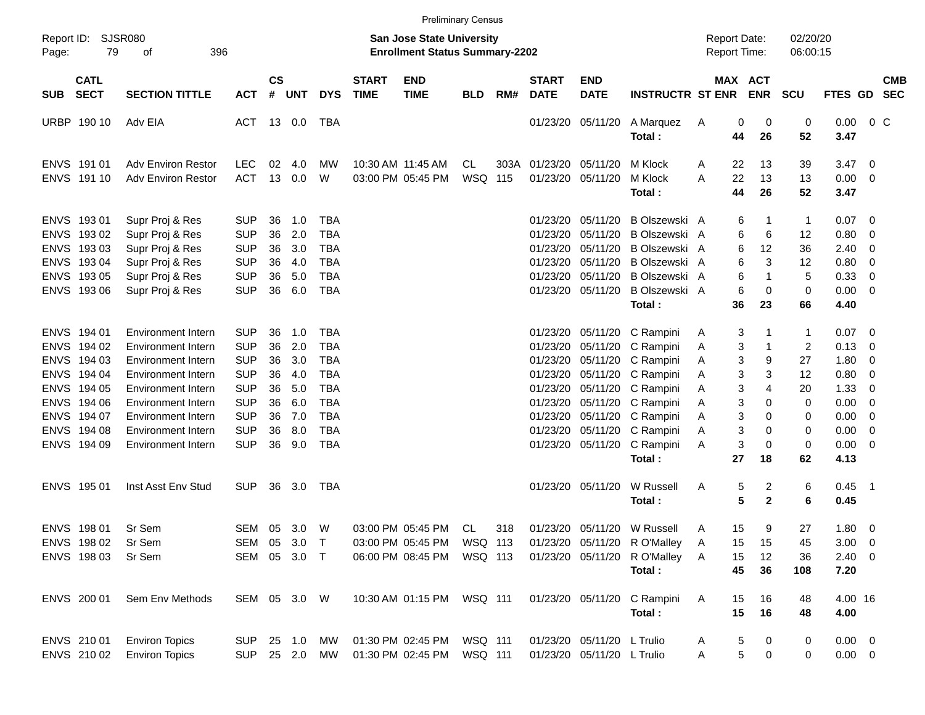|                     |                            |                           |               |                    |            |             |                             |                                                                    | <b>Preliminary Census</b> |     |                             |                            |                              |   |                                     |              |                      |                          |                          |
|---------------------|----------------------------|---------------------------|---------------|--------------------|------------|-------------|-----------------------------|--------------------------------------------------------------------|---------------------------|-----|-----------------------------|----------------------------|------------------------------|---|-------------------------------------|--------------|----------------------|--------------------------|--------------------------|
| Report ID:<br>Page: | 79                         | SJSR080<br>396<br>οf      |               |                    |            |             |                             | San Jose State University<br><b>Enrollment Status Summary-2202</b> |                           |     |                             |                            |                              |   | <b>Report Date:</b><br>Report Time: |              | 02/20/20<br>06:00:15 |                          |                          |
| <b>SUB</b>          | <b>CATL</b><br><b>SECT</b> | <b>SECTION TITTLE</b>     | <b>ACT</b>    | $\mathsf{cs}$<br># | <b>UNT</b> | <b>DYS</b>  | <b>START</b><br><b>TIME</b> | <b>END</b><br><b>TIME</b>                                          | <b>BLD</b>                | RM# | <b>START</b><br><b>DATE</b> | <b>END</b><br><b>DATE</b>  | <b>INSTRUCTR ST ENR</b>      |   | MAX ACT<br><b>ENR</b>               | <b>SCU</b>   | <b>FTES GD</b>       |                          | <b>CMB</b><br><b>SEC</b> |
|                     | URBP 190 10                | Adv EIA                   | ACT           |                    | 13 0.0     | TBA         |                             |                                                                    |                           |     |                             | 01/23/20 05/11/20          | A Marquez                    | A | 0                                   | 0            | 0<br>0.00            |                          | 0 C                      |
|                     |                            |                           |               |                    |            |             |                             |                                                                    |                           |     |                             |                            | Total:                       |   | 44<br>26                            | 52           | 3.47                 |                          |                          |
|                     | ENVS 191 01                | Adv Environ Restor        | <b>LEC</b>    | 02                 | 4.0        | МW          |                             | 10:30 AM 11:45 AM                                                  | CL.                       |     | 303A 01/23/20               | 05/11/20                   | M Klock                      | A | 22<br>13                            | 39           | $3.47 \quad 0$       |                          |                          |
|                     | ENVS 191 10                | <b>Adv Environ Restor</b> | <b>ACT</b>    |                    | 13 0.0     | W           |                             | 03:00 PM 05:45 PM                                                  | <b>WSQ</b>                | 115 |                             | 01/23/20 05/11/20          | M Klock                      | Α | 22                                  | 13<br>13     | 0.00                 | $\overline{\phantom{0}}$ |                          |
|                     |                            |                           |               |                    |            |             |                             |                                                                    |                           |     |                             |                            | Total:                       |   | 44<br>26                            | 52           | 3.47                 |                          |                          |
|                     | ENVS 19301                 | Supr Proj & Res           | <b>SUP</b>    | 36                 | 1.0        | <b>TBA</b>  |                             |                                                                    |                           |     | 01/23/20                    | 05/11/20                   | B Olszewski A                |   | 6                                   | 1            | 0.07                 | $\overline{\phantom{0}}$ |                          |
|                     | ENVS 193 02                | Supr Proj & Res           | <b>SUP</b>    | 36                 | 2.0        | <b>TBA</b>  |                             |                                                                    |                           |     | 01/23/20                    | 05/11/20                   | B Olszewski A                |   | 6                                   | 6<br>12      | 0.80                 | 0                        |                          |
|                     | ENVS 193 03                | Supr Proj & Res           | <b>SUP</b>    | 36                 | 3.0        | <b>TBA</b>  |                             |                                                                    |                           |     | 01/23/20                    | 05/11/20                   | B Olszewski A                |   | 6                                   | 12<br>36     | 2.40                 | 0                        |                          |
|                     | ENVS 193 04                | Supr Proj & Res           | <b>SUP</b>    | 36                 | 4.0        | <b>TBA</b>  |                             |                                                                    |                           |     | 01/23/20                    | 05/11/20                   | B Olszewski A                |   | 6                                   | 3<br>12      | 0.80                 | $\overline{\mathbf{0}}$  |                          |
|                     | ENVS 193 05                | Supr Proj & Res           | <b>SUP</b>    | 36                 | 5.0        | <b>TBA</b>  |                             |                                                                    |                           |     | 01/23/20                    | 05/11/20                   | B Olszewski A                |   | 6                                   | 5            | 0.33                 | 0                        |                          |
|                     | ENVS 193 06                | Supr Proj & Res           | <b>SUP</b>    | 36                 | 6.0        | <b>TBA</b>  |                             |                                                                    |                           |     |                             | 01/23/20 05/11/20          | B Olszewski A                |   | 6                                   | 0            | 0.00<br>0            | $\overline{\phantom{0}}$ |                          |
|                     |                            |                           |               |                    |            |             |                             |                                                                    |                           |     |                             |                            | Total:                       |   | 36<br>23                            | 66           | 4.40                 |                          |                          |
|                     | ENVS 194 01                | <b>Environment Intern</b> | <b>SUP</b>    | 36                 | 1.0        | TBA         |                             |                                                                    |                           |     |                             |                            | 01/23/20 05/11/20 C Rampini  | A | 3                                   | 1            | $0.07 \t 0$          |                          |                          |
|                     | ENVS 194 02                | <b>Environment Intern</b> | <b>SUP</b>    | 36                 | 2.0        | <b>TBA</b>  |                             |                                                                    |                           |     |                             |                            | 01/23/20 05/11/20 C Rampini  | Α | 3                                   |              | 2<br>0.13            | $\overline{\mathbf{0}}$  |                          |
|                     | ENVS 194 03                | <b>Environment Intern</b> | <b>SUP</b>    | 36                 | 3.0        | <b>TBA</b>  |                             |                                                                    |                           |     |                             |                            | 01/23/20 05/11/20 C Rampini  | Α | 3                                   | 27<br>9      | 1.80                 | $\overline{\mathbf{0}}$  |                          |
|                     | ENVS 194 04                | <b>Environment Intern</b> | <b>SUP</b>    | 36                 | 4.0        | <b>TBA</b>  |                             |                                                                    |                           |     |                             |                            | 01/23/20 05/11/20 C Rampini  | Α | 3                                   | 3<br>12      | 0.80                 | 0                        |                          |
|                     | ENVS 194 05                | <b>Environment Intern</b> | <b>SUP</b>    | 36                 | 5.0        | <b>TBA</b>  |                             |                                                                    |                           |     |                             |                            | 01/23/20 05/11/20 C Rampini  | Α | 3                                   | 4<br>20      | 1.33                 | $\overline{\mathbf{0}}$  |                          |
|                     | ENVS 194 06                | <b>Environment Intern</b> | <b>SUP</b>    | 36                 | 6.0        | <b>TBA</b>  |                             |                                                                    |                           |     |                             |                            | 01/23/20 05/11/20 C Rampini  | Α | 3                                   | 0            | 0.00<br>0            | $\overline{\mathbf{0}}$  |                          |
|                     | ENVS 194 07                | <b>Environment Intern</b> | <b>SUP</b>    | 36                 | 7.0        | <b>TBA</b>  |                             |                                                                    |                           |     |                             |                            | 01/23/20 05/11/20 C Rampini  | Α | 3                                   | 0            | 0.00<br>0            | $\overline{\mathbf{0}}$  |                          |
|                     | ENVS 194 08                | <b>Environment Intern</b> | <b>SUP</b>    | 36                 | 8.0        | <b>TBA</b>  |                             |                                                                    |                           |     |                             |                            | 01/23/20 05/11/20 C Rampini  | Α | 3                                   | 0            | 0.00<br>0            | $\overline{\mathbf{0}}$  |                          |
|                     | ENVS 194 09                | Environment Intern        | <b>SUP</b>    | 36                 | 9.0        | <b>TBA</b>  |                             |                                                                    |                           |     |                             | 01/23/20 05/11/20          | C Rampini                    | Α | 3                                   | 0            | 0.00<br>0            | $\overline{\phantom{0}}$ |                          |
|                     |                            |                           |               |                    |            |             |                             |                                                                    |                           |     |                             |                            | Total:                       |   | 27<br>18                            | 62           | 4.13                 |                          |                          |
|                     | ENVS 195 01                | Inst Asst Env Stud        | <b>SUP</b>    | 36                 | 3.0        | TBA         |                             |                                                                    |                           |     |                             | 01/23/20 05/11/20          | W Russell                    | Α | 5                                   | 2            | 6<br>$0.45$ 1        |                          |                          |
|                     |                            |                           |               |                    |            |             |                             |                                                                    |                           |     |                             |                            | Total:                       |   | 5                                   | $\mathbf{2}$ | 6<br>0.45            |                          |                          |
|                     | ENVS 198 01                | Sr Sem                    | <b>SEM</b>    | 05                 | 3.0        | W           |                             | 03:00 PM 05:45 PM                                                  | CL                        | 318 |                             |                            | 01/23/20 05/11/20 W Russell  | Α | 15                                  | 27<br>9      | 1.80 0               |                          |                          |
|                     | ENVS 198 02                | Sr Sem                    | SEM 05 3.0 T  |                    |            |             |                             | 03:00 PM 05:45 PM                                                  | WSQ 113                   |     |                             |                            | 01/23/20 05/11/20 R O'Malley | Α | 15<br>15                            | 45           | $3.00 \ 0$           |                          |                          |
|                     | ENVS 198 03                | Sr Sem                    | SEM 05 3.0 T  |                    |            |             |                             | 06:00 PM 08:45 PM                                                  | WSQ 113                   |     |                             |                            | 01/23/20 05/11/20 R O'Malley | Α | 15<br>12                            | 36           | $2.40 \ 0$           |                          |                          |
|                     |                            |                           |               |                    |            |             |                             |                                                                    |                           |     |                             |                            | Total:                       |   | 45<br>36                            | 108          | 7.20                 |                          |                          |
|                     | ENVS 200 01                | Sem Env Methods           | SEM 05 3.0 W  |                    |            |             |                             | 10:30 AM 01:15 PM                                                  | WSQ 111                   |     |                             |                            | 01/23/20 05/11/20 C Rampini  | A | 15                                  | 16<br>48     | 4.00 16              |                          |                          |
|                     |                            |                           |               |                    |            |             |                             |                                                                    |                           |     |                             |                            | Total:                       |   | 15<br>16                            | 48           | 4.00                 |                          |                          |
|                     | ENVS 210 01                | <b>Environ Topics</b>     | SUP 25 1.0 MW |                    |            |             |                             | 01:30 PM 02:45 PM                                                  | WSQ 111                   |     |                             | 01/23/20 05/11/20 L Trulio |                              | A | $\overline{5}$                      | 0<br>0       | $0.00 \t 0$          |                          |                          |
|                     | ENVS 210 02                | <b>Environ Topics</b>     | <b>SUP</b>    |                    |            | 25  2.0  MW |                             | 01:30 PM 02:45 PM                                                  | WSQ 111                   |     |                             | 01/23/20 05/11/20 L Trulio |                              | Α | 5                                   | 0            | 0<br>$0.00 \t 0$     |                          |                          |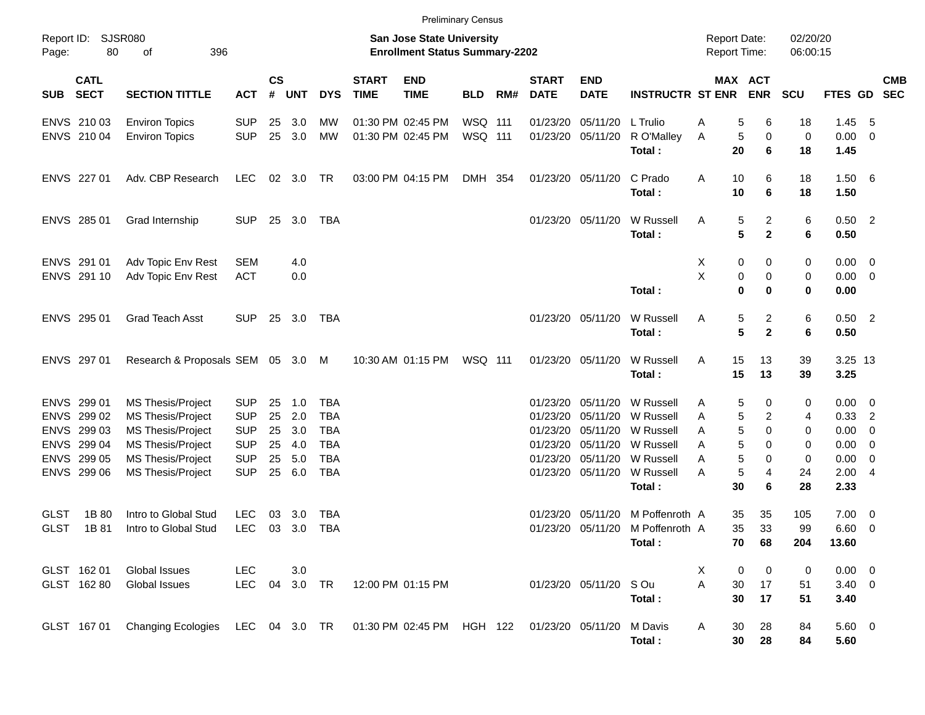|             |                            |                                                                              |                          |                    |               |                   |                             | <b>Preliminary Census</b>                                          |                |     |                             |                               |                         |                                     |                       |                                |                               |                          |            |
|-------------|----------------------------|------------------------------------------------------------------------------|--------------------------|--------------------|---------------|-------------------|-----------------------------|--------------------------------------------------------------------|----------------|-----|-----------------------------|-------------------------------|-------------------------|-------------------------------------|-----------------------|--------------------------------|-------------------------------|--------------------------|------------|
| Page:       | Report ID: SJSR080<br>80   | 396<br>of                                                                    |                          |                    |               |                   |                             | San Jose State University<br><b>Enrollment Status Summary-2202</b> |                |     |                             |                               |                         | <b>Report Date:</b><br>Report Time: |                       |                                | 02/20/20<br>06:00:15          |                          |            |
| <b>SUB</b>  | <b>CATL</b><br><b>SECT</b> | <b>SECTION TITTLE</b>                                                        | <b>ACT</b>               | $\mathsf{cs}$<br># | <b>UNT</b>    | <b>DYS</b>        | <b>START</b><br><b>TIME</b> | <b>END</b><br><b>TIME</b>                                          | <b>BLD</b>     | RM# | <b>START</b><br><b>DATE</b> | <b>END</b><br><b>DATE</b>     | <b>INSTRUCTR ST ENR</b> |                                     | MAX ACT<br><b>ENR</b> | <b>SCU</b>                     | FTES GD SEC                   |                          | <b>CMB</b> |
|             | ENVS 210 03                | <b>Environ Topics</b>                                                        | <b>SUP</b>               | 25                 | 3.0           | MW                |                             | 01:30 PM 02:45 PM                                                  | WSQ 111        |     | 01/23/20                    | 05/11/20                      | L Trulio                | Α                                   | 5                     | 6<br>18                        | 1.45                          | - 5                      |            |
|             | ENVS 210 04                | <b>Environ Topics</b>                                                        | <b>SUP</b>               | 25                 | 3.0           | MW                |                             | 01:30 PM 02:45 PM                                                  | WSQ 111        |     |                             | 01/23/20 05/11/20             | R O'Malley<br>Total:    | Α                                   | 5<br>20               | 0<br>6<br>18                   | 0<br>$0.00 \t 0$<br>1.45      |                          |            |
|             | ENVS 227 01                | Adv. CBP Research                                                            | <b>LEC</b>               |                    | 02 3.0 TR     |                   |                             | 03:00 PM 04:15 PM                                                  | DMH 354        |     |                             | 01/23/20 05/11/20             | C Prado<br>Total:       | Α                                   | 10<br>10              | 6<br>18<br>6<br>18             | 1.506<br>1.50                 |                          |            |
|             | ENVS 285 01                | Grad Internship                                                              | <b>SUP</b>               |                    | 25 3.0        | TBA               |                             |                                                                    |                |     |                             | 01/23/20 05/11/20             | W Russell<br>Total:     | Α                                   | 5<br>5                | $\overline{2}$<br>$\mathbf{2}$ | 6<br>$0.50$ 2<br>6<br>0.50    |                          |            |
|             | ENVS 291 01                | Adv Topic Env Rest                                                           | <b>SEM</b>               |                    | 4.0           |                   |                             |                                                                    |                |     |                             |                               |                         | X                                   | 0                     | 0                              | $0.00 \t 0$<br>0              |                          |            |
|             | ENVS 291 10                | Adv Topic Env Rest                                                           | <b>ACT</b>               |                    | 0.0           |                   |                             |                                                                    |                |     |                             |                               | Total:                  | X                                   | 0<br>$\bf{0}$         | 0<br>0                         | $0.00 \t 0$<br>0<br>0<br>0.00 |                          |            |
|             | ENVS 295 01                | Grad Teach Asst                                                              | <b>SUP</b>               |                    | 25 3.0        | TBA               |                             |                                                                    |                |     |                             | 01/23/20 05/11/20             | W Russell<br>Total:     | Α                                   | 5<br>5                | $\overline{c}$<br>$\mathbf{2}$ | 6<br>$0.50$ 2<br>6<br>0.50    |                          |            |
|             | ENVS 297 01                | Research & Proposals SEM 05 3.0 M                                            |                          |                    |               |                   |                             | 10:30 AM 01:15 PM                                                  | <b>WSQ 111</b> |     |                             | 01/23/20 05/11/20             | W Russell<br>Total:     | Α                                   | 15<br>13<br>15<br>13  | 39<br>39                       | 3.25 13<br>3.25               |                          |            |
|             | ENVS 299 01                | MS Thesis/Project                                                            | <b>SUP</b>               | 25                 | 1.0           | TBA               |                             |                                                                    |                |     | 01/23/20                    | 05/11/20                      | W Russell               | Α                                   | 5                     | 0                              | $0.00 \t 0$<br>0              |                          |            |
|             | ENVS 299 02                | <b>MS Thesis/Project</b>                                                     | <b>SUP</b>               | 25                 | 2.0           | <b>TBA</b>        |                             |                                                                    |                |     | 01/23/20                    | 05/11/20                      | W Russell               | Α                                   | 5                     | 2                              | 0.33<br>4                     | $\overline{\phantom{0}}$ |            |
|             | ENVS 299 03                | MS Thesis/Project                                                            | <b>SUP</b>               | 25                 | 3.0           | <b>TBA</b>        |                             |                                                                    |                |     | 01/23/20                    | 05/11/20                      | W Russell               | A                                   | 5                     | 0                              | $0.00 \t 0$<br>0              |                          |            |
|             | ENVS 299 04                | <b>MS Thesis/Project</b>                                                     | <b>SUP</b>               | 25                 | 4.0           | <b>TBA</b>        |                             |                                                                    |                |     | 01/23/20                    | 01/23/20 05/11/20<br>05/11/20 | W Russell               | A                                   | 5                     | 0                              | $0.00 \t 0$<br>0              |                          |            |
|             | ENVS 299 05<br>ENVS 299 06 | <b>MS Thesis/Project</b><br><b>MS Thesis/Project</b>                         | <b>SUP</b><br><b>SUP</b> | 25                 | 5.0<br>25 6.0 | TBA<br><b>TBA</b> |                             |                                                                    |                |     |                             | 01/23/20 05/11/20             | W Russell<br>W Russell  | Α<br>Α                              | 5<br>5                | 0<br>4<br>24                   | $0.00 \t 0$<br>0<br>2.004     |                          |            |
|             |                            |                                                                              |                          |                    |               |                   |                             |                                                                    |                |     |                             |                               | Total:                  |                                     | 30                    | 6<br>28                        | 2.33                          |                          |            |
| GLST        | 1B 80                      | Intro to Global Stud                                                         | <b>LEC</b>               | 03                 | 3.0           | TBA               |                             |                                                                    |                |     | 01/23/20                    | 05/11/20                      | M Poffenroth A          |                                     | 35<br>35              | 105                            | $7.00 \t 0$                   |                          |            |
| <b>GLST</b> | 1B 81                      | Intro to Global Stud                                                         | <b>LEC</b>               | 03                 | 3.0           | TBA               |                             |                                                                    |                |     |                             | 01/23/20 05/11/20             | M Poffenroth A          |                                     | 35<br>33              | 99                             | $6.60$ 0                      |                          |            |
|             |                            |                                                                              |                          |                    |               |                   |                             |                                                                    |                |     |                             |                               | Total:                  |                                     | 70 68                 | 204                            | 13.60                         |                          |            |
|             | GLST 162 01                | <b>Global Issues</b>                                                         | <b>LEC</b>               |                    | 3.0           |                   |                             |                                                                    |                |     |                             |                               |                         | X                                   | 0                     | 0                              | $0.00 \t 0$<br>0              |                          |            |
|             | GLST 162 80                | <b>Global Issues</b>                                                         | LEC 04 3.0 TR            |                    |               |                   |                             | 12:00 PM 01:15 PM                                                  |                |     |                             | 01/23/20 05/11/20             | S Ou                    | A                                   | 17<br>30              | 51                             | $3.40 \ 0$                    |                          |            |
|             |                            |                                                                              |                          |                    |               |                   |                             |                                                                    |                |     |                             |                               | Total:                  |                                     | 30<br>17              | 51                             | 3.40                          |                          |            |
|             | GLST 16701                 | Changing Ecologies LEC 04 3.0 TR 01:30 PM 02:45 PM HGH 122 01/23/20 05/11/20 |                          |                    |               |                   |                             |                                                                    |                |     |                             |                               | M Davis<br>Total:       | A                                   | 30<br>28<br>30<br>28  | 84<br>84                       | $5.60$ 0<br>5.60              |                          |            |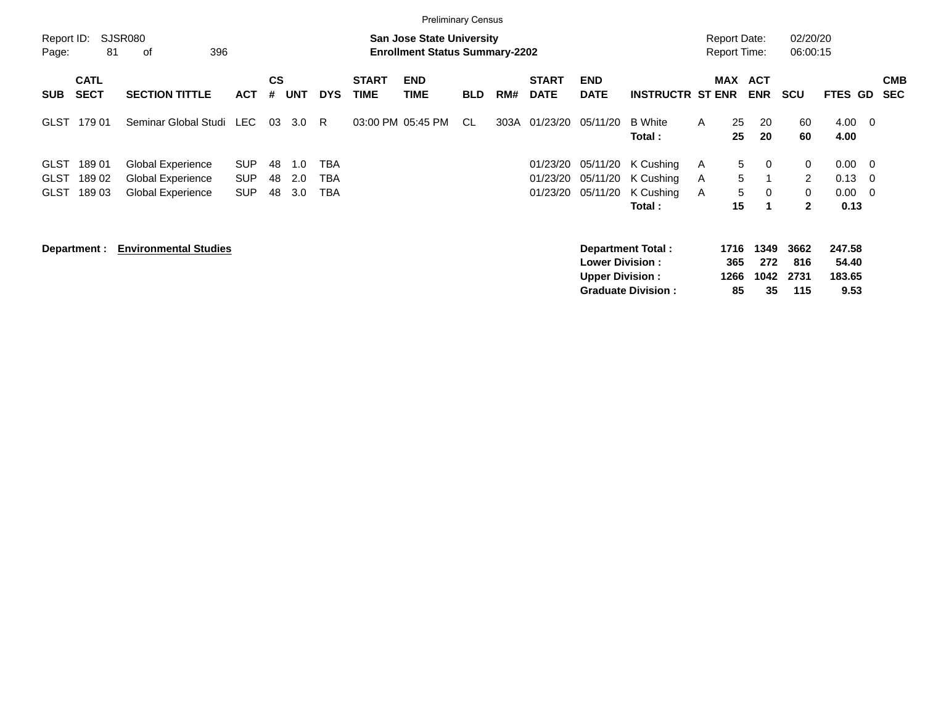|                                           |                            |                                                                    |                                        |                    |                   |                          |                             | <b>Preliminary Census</b>                                                 |            |     |                                  |                                                  |                                                       |             |                           |                                            |                                                    |                                   |                                                                       |                          |
|-------------------------------------------|----------------------------|--------------------------------------------------------------------|----------------------------------------|--------------------|-------------------|--------------------------|-----------------------------|---------------------------------------------------------------------------|------------|-----|----------------------------------|--------------------------------------------------|-------------------------------------------------------|-------------|---------------------------|--------------------------------------------|----------------------------------------------------|-----------------------------------|-----------------------------------------------------------------------|--------------------------|
| Report ID:<br>Page:                       | 81                         | <b>SJSR080</b><br>396<br>οf                                        |                                        |                    |                   |                          |                             | <b>San Jose State University</b><br><b>Enrollment Status Summary-2202</b> |            |     |                                  |                                                  |                                                       |             |                           | <b>Report Date:</b><br><b>Report Time:</b> | 02/20/20<br>06:00:15                               |                                   |                                                                       |                          |
| <b>SUB</b>                                | <b>CATL</b><br><b>SECT</b> | <b>SECTION TITTLE</b>                                              | <b>ACT</b>                             | $\mathsf{cs}$<br># | UNT               | <b>DYS</b>               | <b>START</b><br><b>TIME</b> | <b>END</b><br><b>TIME</b>                                                 | <b>BLD</b> | RM# | <b>START</b><br><b>DATE</b>      | <b>END</b><br><b>DATE</b>                        | <b>INSTRUCTR ST ENR</b>                               |             | MAX                       | <b>ACT</b><br><b>ENR</b>                   | <b>SCU</b>                                         | FTES GD                           |                                                                       | <b>CMB</b><br><b>SEC</b> |
| <b>GLST</b>                               | 179 01                     | Seminar Global Studi                                               | LEC                                    | 03                 | 3.0               | R.                       |                             | 03:00 PM 05:45 PM                                                         | CL.        |     | 303A 01/23/20                    | 05/11/20                                         | <b>B</b> White<br>Total:                              | A           | 25<br>25                  | 20<br>20                                   | 60<br>60                                           | 4.00 0<br>4.00                    |                                                                       |                          |
| <b>GLST</b><br><b>GLST</b><br><b>GLST</b> | 18901<br>18902<br>18903    | Global Experience<br>Global Experience<br><b>Global Experience</b> | <b>SUP</b><br><b>SUP</b><br><b>SUP</b> | 48<br>48<br>48     | 1.0<br>2.0<br>3.0 | TBA<br><b>TBA</b><br>TBA |                             |                                                                           |            |     | 01/23/20<br>01/23/20<br>01/23/20 | 05/11/20<br>05/11/20<br>05/11/20                 | K Cushing<br>K Cushing<br>K Cushing<br>Total:         | A<br>A<br>A | 5<br>5<br>5<br>15         | 0<br>0                                     | 0<br>$\overline{2}$<br>$\mathbf 0$<br>$\mathbf{2}$ | 0.00<br>0.13<br>0.00<br>0.13      | $\overline{\phantom{0}}$<br>$\overline{0}$<br>$\overline{\mathbf{0}}$ |                          |
|                                           | Department :               | <b>Environmental Studies</b>                                       |                                        |                    |                   |                          |                             |                                                                           |            |     |                                  | <b>Lower Division:</b><br><b>Upper Division:</b> | <b>Department Total:</b><br><b>Graduate Division:</b> |             | 1716<br>365<br>1266<br>85 | 1349<br>272<br>1042<br>35                  | 3662<br>816<br>2731<br>115                         | 247.58<br>54.40<br>183.65<br>9.53 |                                                                       |                          |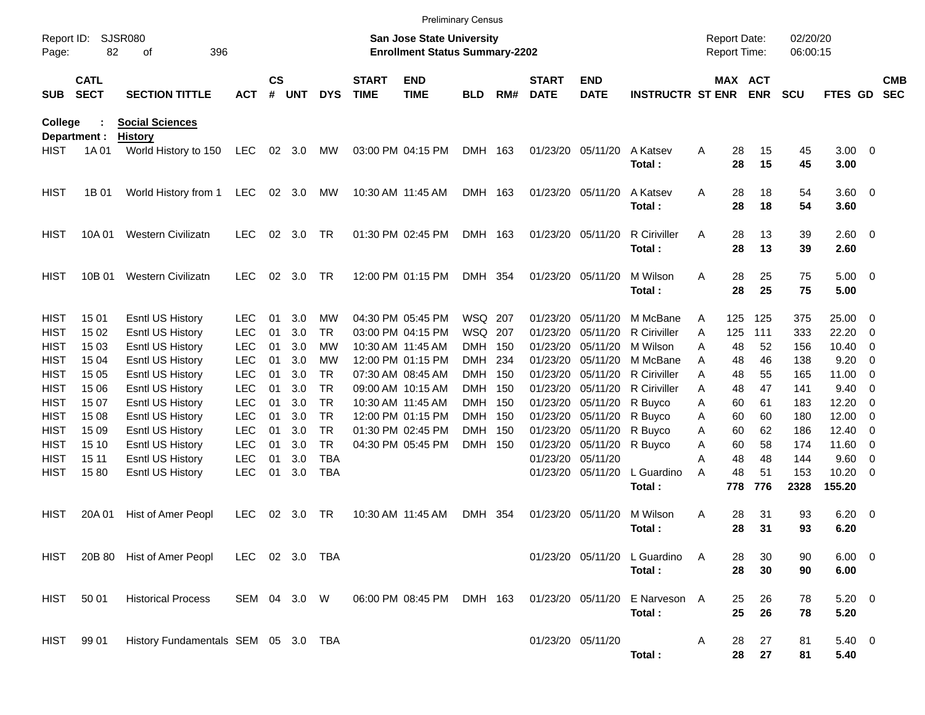|                     |                            |                                        |                |                    |            |            |                             | <b>Preliminary Census</b>                                          |            |      |                             |                           |                                          |                                     |           |           |                      |                        |     |                          |
|---------------------|----------------------------|----------------------------------------|----------------|--------------------|------------|------------|-----------------------------|--------------------------------------------------------------------|------------|------|-----------------------------|---------------------------|------------------------------------------|-------------------------------------|-----------|-----------|----------------------|------------------------|-----|--------------------------|
| Report ID:<br>Page: | 82                         | SJSR080<br>396<br>οf                   |                |                    |            |            |                             | San Jose State University<br><b>Enrollment Status Summary-2202</b> |            |      |                             |                           |                                          | <b>Report Date:</b><br>Report Time: |           |           | 02/20/20<br>06:00:15 |                        |     |                          |
| <b>SUB</b>          | <b>CATL</b><br><b>SECT</b> | <b>SECTION TITTLE</b>                  | <b>ACT</b>     | $\mathsf{cs}$<br># | <b>UNT</b> | <b>DYS</b> | <b>START</b><br><b>TIME</b> | <b>END</b><br><b>TIME</b>                                          | <b>BLD</b> | RM#  | <b>START</b><br><b>DATE</b> | <b>END</b><br><b>DATE</b> | <b>INSTRUCTR ST ENR ENR</b>              |                                     |           | MAX ACT   | <b>SCU</b>           | <b>FTES GD</b>         |     | <b>CMB</b><br><b>SEC</b> |
| College             |                            | <b>Social Sciences</b>                 |                |                    |            |            |                             |                                                                    |            |      |                             |                           |                                          |                                     |           |           |                      |                        |     |                          |
| <b>HIST</b>         | Department :<br>1A 01      | <b>History</b><br>World History to 150 | LEC 02 3.0     |                    |            | МW         |                             | 03:00 PM 04:15 PM                                                  | DMH 163    |      |                             | 01/23/20 05/11/20         | A Katsev<br>Total:                       | Α                                   | 28<br>28  | 15<br>15  | 45<br>45             | $3.00 \ 0$<br>3.00     |     |                          |
| <b>HIST</b>         | 1B 01                      | World History from 1                   | LEC            |                    | 02 3.0     | МW         | 10:30 AM 11:45 AM           |                                                                    | DMH 163    |      |                             | 01/23/20 05/11/20         | A Katsev<br>Total:                       | A                                   | 28<br>28  | 18<br>18  | 54<br>54             | $3.60 \ 0$<br>3.60     |     |                          |
| <b>HIST</b>         | 10A 01                     | <b>Western Civilizatn</b>              | <b>LEC</b>     |                    | 02 3.0     | TR         |                             | 01:30 PM 02:45 PM                                                  | DMH 163    |      |                             | 01/23/20 05/11/20         | R Ciriviller<br>Total:                   | Α                                   | 28<br>28  | 13<br>13  | 39<br>39             | $2.60 \quad 0$<br>2.60 |     |                          |
| <b>HIST</b>         | 10B 01                     | <b>Western Civilizatn</b>              | <b>LEC</b>     | 02                 | 3.0        | TR         |                             | 12:00 PM 01:15 PM                                                  | DMH 354    |      |                             | 01/23/20 05/11/20         | M Wilson<br>Total:                       | Α                                   | 28<br>28  | 25<br>25  | 75<br>75             | $5.00 \t 0$<br>5.00    |     |                          |
| <b>HIST</b>         | 15 01                      | Esntl US History                       | <b>LEC</b>     | 01                 | 3.0        | МW         |                             | 04:30 PM 05:45 PM                                                  | WSQ 207    |      | 01/23/20                    | 05/11/20                  | M McBane                                 | A                                   | 125       | 125       | 375                  | 25.00                  | - 0 |                          |
| <b>HIST</b>         | 15 02                      | Esntl US History                       | <b>LEC</b>     | 01                 | 3.0        | TR.        |                             | 03:00 PM 04:15 PM                                                  | WSQ 207    |      | 01/23/20                    | 05/11/20                  | R Ciriviller                             | Α                                   | 125       | 111       | 333                  | 22.20                  | -0  |                          |
| <b>HIST</b>         | 15 03                      | <b>Esntl US History</b>                | <b>LEC</b>     | 01                 | 3.0        | МW         | 10:30 AM 11:45 AM           |                                                                    | DMH.       | 150  | 01/23/20                    | 05/11/20                  | M Wilson                                 | Α                                   | 48        | 52        | 156                  | 10.40                  | - 0 |                          |
| <b>HIST</b>         | 15 04                      | <b>Esntl US History</b>                | <b>LEC</b>     | 01                 | 3.0        | МW         |                             | 12:00 PM 01:15 PM                                                  | DMH.       | -234 | 01/23/20                    | 05/11/20                  | M McBane                                 | A                                   | 48        | 46        | 138                  | 9.20                   | -0  |                          |
| <b>HIST</b>         | 15 05                      | <b>Esntl US History</b>                | <b>LEC</b>     | 01                 | 3.0        | TR.        |                             | 07:30 AM 08:45 AM                                                  | DMH.       | 150  | 01/23/20                    | 05/11/20                  | R Ciriviller                             | A                                   | 48        | 55        | 165                  | 11.00                  | - 0 |                          |
| <b>HIST</b>         | 15 06                      | <b>Esntl US History</b>                | <b>LEC</b>     | 01                 | 3.0        | TR.        |                             | 09:00 AM 10:15 AM                                                  | DMH        | 150  | 01/23/20                    | 05/11/20                  | <b>R</b> Ciriviller                      | A                                   | 48        | 47        | 141                  | 9.40                   | -0  |                          |
| <b>HIST</b>         | 15 07                      | <b>Esntl US History</b>                | <b>LEC</b>     | 01                 | 3.0        | <b>TR</b>  | 10:30 AM 11:45 AM           |                                                                    | DMH.       | 150  | 01/23/20                    | 05/11/20                  | R Buyco                                  | A                                   | 60        | 61        | 183                  | 12.20                  | -0  |                          |
| <b>HIST</b>         | 15 08                      | <b>Esntl US History</b>                | <b>LEC</b>     | 01                 | 3.0        | TR.        |                             | 12:00 PM 01:15 PM                                                  | <b>DMH</b> | 150  |                             | 01/23/20 05/11/20         | R Buyco                                  | Α                                   | 60        | 60        | 180                  | 12.00                  | -0  |                          |
| <b>HIST</b>         | 15 09                      | <b>Esntl US History</b>                | <b>LEC</b>     | 01                 | 3.0        | <b>TR</b>  |                             | 01:30 PM 02:45 PM                                                  | <b>DMH</b> | 150  |                             | 01/23/20 05/11/20         | R Buyco                                  | Α                                   | 60        | 62        | 186                  | 12.40                  | -0  |                          |
| <b>HIST</b>         | 15 10                      | <b>Esntl US History</b>                | <b>LEC</b>     | 01                 | 3.0        | <b>TR</b>  |                             | 04:30 PM 05:45 PM                                                  | <b>DMH</b> | 150  |                             | 01/23/20 05/11/20 R Buyco |                                          | A                                   | 60        | 58        | 174                  | 11.60                  | - 0 |                          |
| <b>HIST</b>         | 15 11                      | <b>Esntl US History</b>                | <b>LEC</b>     | 01                 | 3.0        | <b>TBA</b> |                             |                                                                    |            |      |                             | 01/23/20 05/11/20         |                                          | A                                   | 48        | 48        | 144                  | 9.60                   | - 0 |                          |
| <b>HIST</b>         | 1580                       | Esntl US History                       | <b>LEC</b>     | 01                 | 3.0        | <b>TBA</b> |                             |                                                                    |            |      |                             | 01/23/20 05/11/20         | L Guardino<br>Total:                     | Α                                   | 48<br>778 | 51<br>776 | 153<br>2328          | 10.20<br>155.20        | - 0 |                          |
| <b>HIST</b>         | 20A 01                     | Hist of Amer Peopl                     | <b>LEC</b>     | 02                 | 3.0        | TR         | 10:30 AM 11:45 AM           |                                                                    | <b>DMH</b> | 354  |                             | 01/23/20 05/11/20         | M Wilson                                 | A                                   | 28        | 31        | 93                   | $6.20 \ 0$             |     |                          |
|                     |                            |                                        |                |                    |            |            |                             |                                                                    |            |      |                             |                           | Total :                                  |                                     | 28        | 31        | 93                   | 6.20                   |     |                          |
|                     |                            | HIST 20B 80 Hist of Amer Peopl         | LEC 02 3.0 TBA |                    |            |            |                             |                                                                    |            |      |                             |                           | 01/23/20 05/11/20 L Guardino A<br>Total: |                                     | 28<br>28  | 30<br>30  | 90<br>90             | $6.00 \t 0$<br>6.00    |     |                          |
|                     | HIST 50 01                 | <b>Historical Process</b>              | SEM 04 3.0 W   |                    |            |            |                             | 06:00 PM 08:45 PM                                                  | DMH 163    |      |                             |                           | 01/23/20 05/11/20 E Narveson A           |                                     | 25        | 26        | 78                   | $5.20 \ 0$             |     |                          |
|                     |                            |                                        |                |                    |            |            |                             |                                                                    |            |      |                             |                           | Total:                                   |                                     | 25        | 26        | 78                   | 5.20                   |     |                          |
|                     | HIST 99 01                 | History Fundamentals SEM 05 3.0 TBA    |                |                    |            |            |                             |                                                                    |            |      |                             | 01/23/20 05/11/20         | Total:                                   | A                                   | 28<br>28  | 27<br>27  | 81<br>81             | $5.40\ 0$<br>5.40      |     |                          |
|                     |                            |                                        |                |                    |            |            |                             |                                                                    |            |      |                             |                           |                                          |                                     |           |           |                      |                        |     |                          |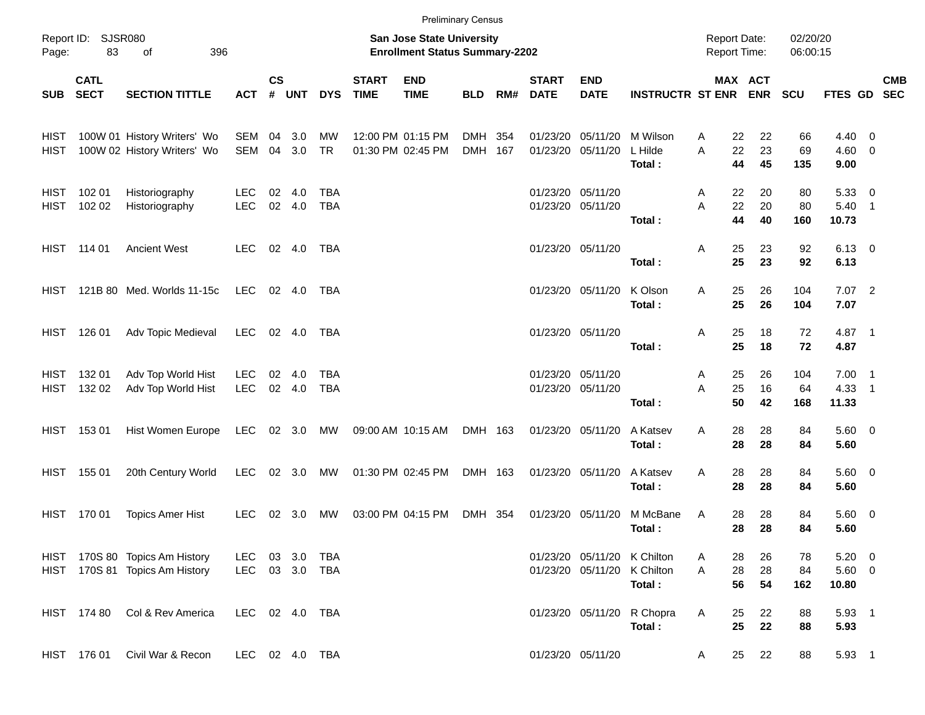|              |                            |                                                                  |                          |                    |               |                   |                             |                                                                    | <b>Preliminary Census</b> |     |                             |                                                  |                                      |                                            |                |                      |                                    |            |
|--------------|----------------------------|------------------------------------------------------------------|--------------------------|--------------------|---------------|-------------------|-----------------------------|--------------------------------------------------------------------|---------------------------|-----|-----------------------------|--------------------------------------------------|--------------------------------------|--------------------------------------------|----------------|----------------------|------------------------------------|------------|
| Page:        | Report ID: SJSR080<br>83   | 396<br>of                                                        |                          |                    |               |                   |                             | San Jose State University<br><b>Enrollment Status Summary-2202</b> |                           |     |                             |                                                  |                                      | <b>Report Date:</b><br><b>Report Time:</b> |                | 02/20/20<br>06:00:15 |                                    |            |
| SUB          | <b>CATL</b><br><b>SECT</b> | <b>SECTION TITTLE</b>                                            | <b>ACT</b>               | $\mathsf{cs}$<br># | <b>UNT</b>    | <b>DYS</b>        | <b>START</b><br><b>TIME</b> | <b>END</b><br><b>TIME</b>                                          | <b>BLD</b>                | RM# | <b>START</b><br><b>DATE</b> | <b>END</b><br><b>DATE</b>                        | <b>INSTRUCTR ST ENR ENR</b>          |                                            | MAX ACT        | <b>SCU</b>           | FTES GD SEC                        | <b>CMB</b> |
| HIST<br>HIST |                            | 100W 01 History Writers' Wo<br>100W 02 History Writers' Wo       | SEM<br>SEM               | 04<br>04           | 3.0<br>3.0    | МW<br><b>TR</b>   |                             | 12:00 PM 01:15 PM<br>01:30 PM 02:45 PM                             | DMH 354<br>DMH 167        |     |                             | 01/23/20 05/11/20<br>01/23/20 05/11/20           | M Wilson<br>L Hilde<br>Total:        | 22<br>A<br>22<br>A<br>44                   | 22<br>23<br>45 | 66<br>69<br>135      | $4.40 \quad 0$<br>$4.60$ 0<br>9.00 |            |
| HIST<br>HIST | 102 01<br>102 02           | Historiography<br>Historiography                                 | <b>LEC</b><br><b>LEC</b> | 02                 | 4.0<br>02 4.0 | TBA<br>TBA        |                             |                                                                    |                           |     |                             | 01/23/20 05/11/20<br>01/23/20 05/11/20           | Total:                               | 22<br>Α<br>A<br>22<br>44                   | 20<br>20<br>40 | 80<br>80<br>160      | 5.33 0<br>$5.40$ 1<br>10.73        |            |
|              | HIST 114 01                | <b>Ancient West</b>                                              | <b>LEC</b>               |                    | 02 4.0        | TBA               |                             |                                                                    |                           |     |                             | 01/23/20 05/11/20                                | Total:                               | 25<br>Α<br>25                              | 23<br>23       | 92<br>92             | $6.13 \quad 0$<br>6.13             |            |
|              |                            | HIST 121B 80 Med. Worlds 11-15c                                  | <b>LEC</b>               |                    | 02 4.0        | TBA               |                             |                                                                    |                           |     |                             | 01/23/20 05/11/20                                | K Olson<br>Total:                    | 25<br>Α<br>25                              | 26<br>26       | 104<br>104           | $7.07$ 2<br>7.07                   |            |
|              | HIST 126 01                | Adv Topic Medieval                                               | <b>LEC</b>               |                    | 02 4.0        | TBA               |                             |                                                                    |                           |     |                             | 01/23/20 05/11/20                                | Total:                               | 25<br>Α<br>25                              | 18<br>18       | 72<br>72             | 4.87 1<br>4.87                     |            |
|              | HIST 132 01<br>HIST 132 02 | Adv Top World Hist<br>Adv Top World Hist                         | <b>LEC</b><br><b>LEC</b> | 02                 | 4.0<br>02 4.0 | TBA<br><b>TBA</b> |                             |                                                                    |                           |     |                             | 01/23/20 05/11/20<br>01/23/20 05/11/20           | Total:                               | 25<br>A<br>A<br>25<br>50                   | 26<br>16<br>42 | 104<br>64<br>168     | $7.00$ 1<br>4.33 1<br>11.33        |            |
|              | HIST 153 01                | Hist Women Europe                                                | LEC 02 3.0 MW            |                    |               |                   |                             | 09:00 AM 10:15 AM                                                  | DMH 163                   |     |                             | 01/23/20 05/11/20                                | A Katsev<br>Total:                   | 28<br>A<br>28                              | 28<br>28       | 84<br>84             | $5.60$ 0<br>5.60                   |            |
|              | HIST 155 01                | 20th Century World                                               | <b>LEC</b>               |                    | 02 3.0        | MW                |                             | 01:30 PM 02:45 PM                                                  | DMH 163                   |     |                             | 01/23/20 05/11/20                                | A Katsev<br>Total:                   | 28<br>A<br>28                              | 28<br>28       | 84<br>84             | $5.60$ 0<br>5.60                   |            |
| HIST         | 170 01                     | <b>Topics Amer Hist</b>                                          | <b>LEC</b>               | 02                 | 3.0           | МW                |                             | 03:00 PM 04:15 PM                                                  | DMH 354                   |     |                             | 01/23/20 05/11/20                                | M McBane<br>Total:                   | A<br>28<br>28                              | 28<br>28       | 84<br>84             | 5.60 0<br>5.60                     |            |
|              |                            | HIST 170S 80 Topics Am History<br>HIST 170S 81 Topics Am History | LEC<br>LEC 03 3.0 TBA    |                    |               |                   |                             |                                                                    |                           |     |                             | 01/23/20 05/11/20 K Chilton<br>01/23/20 05/11/20 | K Chilton<br>Total:                  | 28<br>A<br>28<br>A<br>56                   | 26<br>28<br>54 | 78<br>84<br>162      | $5.20 \ 0$<br>5.60 0<br>10.80      |            |
|              | HIST 174 80                | Col & Rev America                                                | LEC 02 4.0 TBA           |                    |               |                   |                             |                                                                    |                           |     |                             |                                                  | 01/23/20 05/11/20 R Chopra<br>Total: | 25<br>A<br>25                              | 22<br>22       | 88<br>88             | 5.93 1<br>5.93                     |            |
|              | HIST 176 01                | Civil War & Recon                                                | LEC 02 4.0 TBA           |                    |               |                   |                             |                                                                    |                           |     |                             | 01/23/20 05/11/20                                |                                      | 25<br>A                                    | 22             | 88                   | 5.93 1                             |            |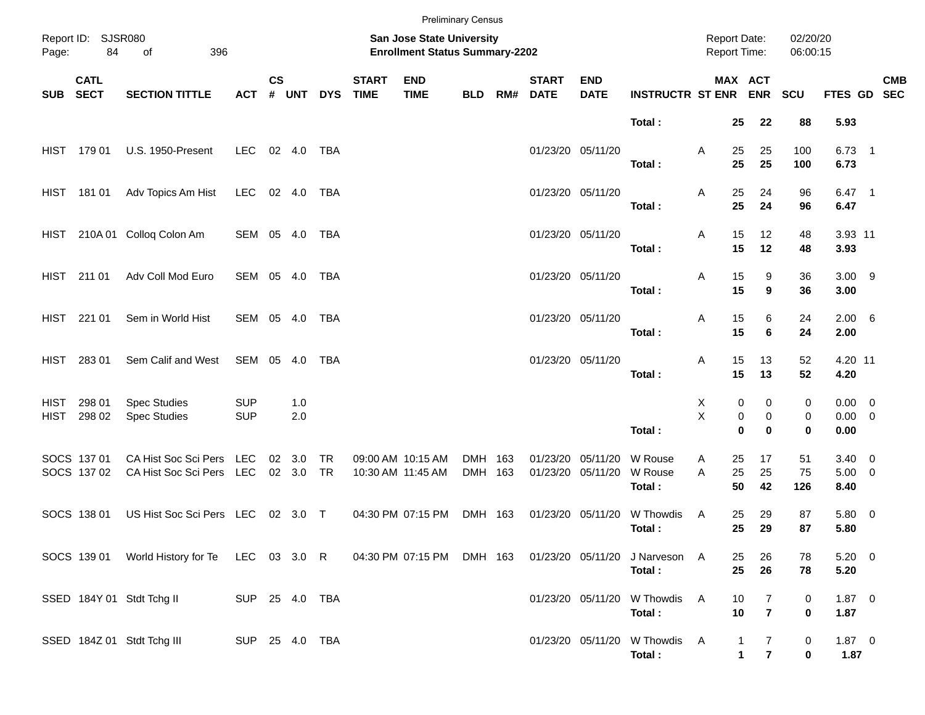|              |                            |                                                                                                        |                          |               |                  |                 |                             | <b>Preliminary Census</b>                                          |                    |     |                             |                                        |                                         |                                     |                                          |                      |                                   |            |  |
|--------------|----------------------------|--------------------------------------------------------------------------------------------------------|--------------------------|---------------|------------------|-----------------|-----------------------------|--------------------------------------------------------------------|--------------------|-----|-----------------------------|----------------------------------------|-----------------------------------------|-------------------------------------|------------------------------------------|----------------------|-----------------------------------|------------|--|
| Page:        | Report ID: SJSR080<br>84   | 396<br>of                                                                                              |                          |               |                  |                 |                             | San Jose State University<br><b>Enrollment Status Summary-2202</b> |                    |     |                             |                                        |                                         | <b>Report Date:</b><br>Report Time: |                                          | 02/20/20<br>06:00:15 |                                   |            |  |
| SUB          | <b>CATL</b><br><b>SECT</b> | <b>SECTION TITTLE</b>                                                                                  | <b>ACT</b>               | $\mathsf{cs}$ | # UNT            | <b>DYS</b>      | <b>START</b><br><b>TIME</b> | <b>END</b><br><b>TIME</b>                                          | <b>BLD</b>         | RM# | <b>START</b><br><b>DATE</b> | <b>END</b><br><b>DATE</b>              | <b>INSTRUCTR ST ENR ENR</b>             |                                     | MAX ACT                                  | <b>SCU</b>           | FTES GD SEC                       | <b>CMB</b> |  |
|              |                            |                                                                                                        |                          |               |                  |                 |                             |                                                                    |                    |     |                             |                                        | Total:                                  | 25                                  | 22                                       | 88                   | 5.93                              |            |  |
|              | HIST 179 01                | U.S. 1950-Present                                                                                      | LEC.                     |               | 02 4.0           | TBA             |                             |                                                                    |                    |     |                             | 01/23/20 05/11/20                      | Total:                                  | 25<br>Α<br>25                       | 25<br>25                                 | 100<br>100           | $6.73$ 1<br>6.73                  |            |  |
|              | HIST 181 01                | Adv Topics Am Hist                                                                                     | <b>LEC</b>               |               | 02 4.0           | TBA             |                             |                                                                    |                    |     |                             | 01/23/20 05/11/20                      | Total:                                  | 25<br>Α<br>25                       | 24<br>24                                 | 96<br>96             | $6.47$ 1<br>6.47                  |            |  |
| HIST         |                            | 210A 01 Colloq Colon Am                                                                                | SEM 05 4.0               |               |                  | TBA             |                             |                                                                    |                    |     |                             | 01/23/20 05/11/20                      |                                         | 15<br>Α<br>15                       | 12<br>12                                 | 48                   | 3.93 11                           |            |  |
|              | HIST 211 01                | Adv Coll Mod Euro                                                                                      | SEM 05 4.0               |               |                  | TBA             |                             |                                                                    |                    |     |                             | 01/23/20 05/11/20                      | Total:                                  | 15<br>Α                             | 9                                        | 48<br>36             | 3.93<br>$3.00$ 9                  |            |  |
| HIST         | 221 01                     | Sem in World Hist                                                                                      | SEM 05 4.0               |               |                  | TBA             |                             |                                                                    |                    |     |                             | 01/23/20 05/11/20                      | Total:                                  | 15<br>15<br>Α                       | 9<br>6                                   | 36<br>24             | 3.00<br>$2.00\quad 6$             |            |  |
|              |                            |                                                                                                        |                          |               |                  |                 |                             |                                                                    |                    |     |                             |                                        | Total:                                  | 15                                  | 6                                        | 24                   | 2.00                              |            |  |
| HIST         | 28301                      | Sem Calif and West                                                                                     | SEM 05 4.0               |               |                  | TBA             |                             |                                                                    |                    |     | 01/23/20 05/11/20           |                                        | Total:                                  | 15<br>Α<br>15                       | 13<br>13                                 | 52<br>52             | 4.20 11<br>4.20                   |            |  |
| HIST<br>HIST | 298 01<br>298 02           | <b>Spec Studies</b><br><b>Spec Studies</b>                                                             | <b>SUP</b><br><b>SUP</b> |               | 1.0<br>2.0       |                 |                             |                                                                    |                    |     |                             |                                        |                                         | Χ<br>Χ                              | 0<br>0<br>0<br>0                         | 0<br>0               | $0.00 \t 0$<br>$0.00 \t 0$        |            |  |
|              |                            |                                                                                                        |                          |               |                  |                 |                             |                                                                    |                    |     |                             |                                        | Total:                                  |                                     | $\bf{0}$<br>$\bf{0}$                     | 0                    | 0.00                              |            |  |
|              | SOCS 137 01<br>SOCS 137 02 | CA Hist Soc Sci Pers LEC<br>CA Hist Soc Sci Pers LEC                                                   |                          |               | 02 3.0<br>02 3.0 | <b>TR</b><br>TR |                             | 09:00 AM 10:15 AM<br>10:30 AM 11:45 AM                             | DMH 163<br>DMH 163 |     |                             | 01/23/20 05/11/20<br>01/23/20 05/11/20 | W Rouse<br>W Rouse<br>Total:            | 25<br>Α<br>A<br>25<br>50            | 17<br>25<br>42                           | 51<br>75<br>126      | $3.40 \ 0$<br>$5.00 \t 0$<br>8.40 |            |  |
|              | SOCS 138 01                | US Hist Soc Sci Pers LEC                                                                               |                          |               | 02 3.0 T         |                 |                             | 04:30 PM 07:15 PM                                                  | DMH 163            |     |                             | 01/23/20 05/11/20                      | W Thowdis<br>Total:                     | 25<br>A<br>25                       | 29<br>29                                 | 87<br>87             | 5.80 0<br>5.80                    |            |  |
|              |                            | SOCS 139 01 World History for Te LEC 03 3.0 R 04:30 PM 07:15 PM DMH 163 01/23/20 05/11/20 J Narveson A |                          |               |                  |                 |                             |                                                                    |                    |     |                             |                                        | Total:                                  | 25<br>25                            | 26<br>26                                 | 78<br>78             | $5.20 \t 0$<br>5.20               |            |  |
|              |                            | SSED 184Y 01 Stdt Tchg II                                                                              | SUP 25 4.0 TBA           |               |                  |                 |                             |                                                                    |                    |     |                             |                                        | 01/23/20 05/11/20 W Thowdis<br>Total:   | <sup>A</sup><br>10<br>10            | 7<br>$\overline{7}$                      | 0<br>0               | $1.87 \ 0$<br>1.87                |            |  |
|              |                            | SSED 184Z 01 Stdt Tchg III                                                                             | SUP 25 4.0 TBA           |               |                  |                 |                             |                                                                    |                    |     |                             |                                        | 01/23/20 05/11/20 W Thowdis A<br>Total: |                                     | 7<br>1<br>$\overline{7}$<br>$\mathbf{1}$ | 0<br>0               | $1.87 \ 0$<br>1.87                |            |  |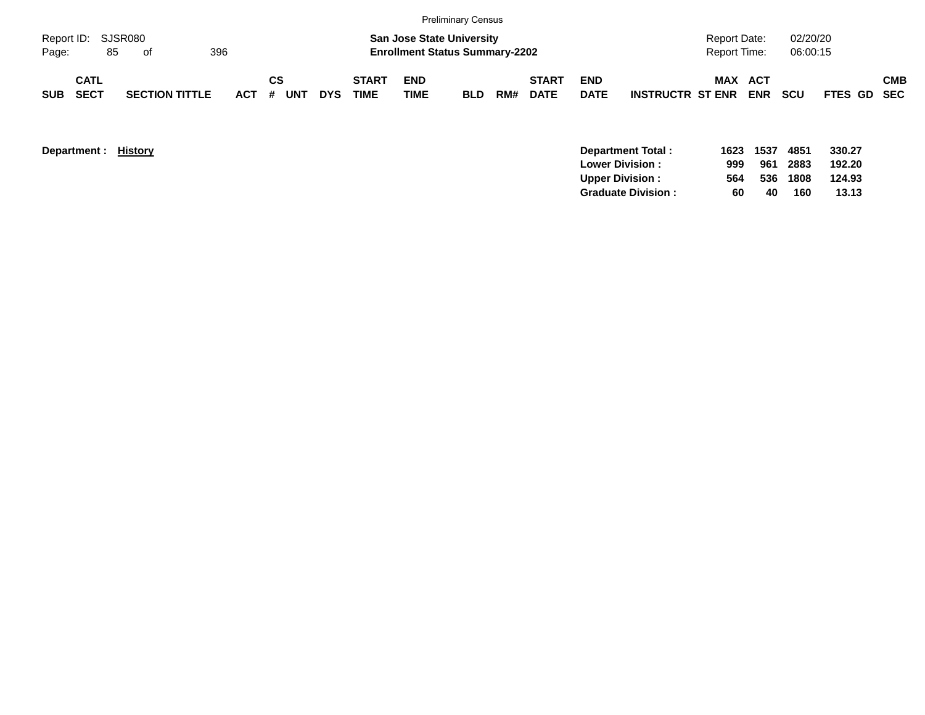|                     |                            |               |      |                       |     |         |           |     |            |                      |                    | <b>Preliminary Census</b>                                                 |     |                             |                           |                         |                                            |                   |                      |                    |            |
|---------------------|----------------------------|---------------|------|-----------------------|-----|---------|-----------|-----|------------|----------------------|--------------------|---------------------------------------------------------------------------|-----|-----------------------------|---------------------------|-------------------------|--------------------------------------------|-------------------|----------------------|--------------------|------------|
| Report ID:<br>Page: |                            | SJSR080<br>85 | . of |                       | 396 |         |           |     |            |                      |                    | <b>San Jose State University</b><br><b>Enrollment Status Summary-2202</b> |     |                             |                           |                         | <b>Report Date:</b><br><b>Report Time:</b> |                   | 02/20/20<br>06:00:15 |                    |            |
| <b>SUB</b>          | <b>CATL</b><br><b>SECT</b> |               |      | <b>SECTION TITTLE</b> |     | $ACT$ # | <b>CS</b> | UNT | <b>DYS</b> | <b>START</b><br>TIME | <b>END</b><br>TIME | <b>BLD</b>                                                                | RM# | <b>START</b><br><b>DATE</b> | <b>END</b><br><b>DATE</b> | <b>INSTRUCTR ST ENR</b> | MAX                                        | ACT<br><b>ENR</b> | <b>SCU</b>           | <b>FTES GD SEC</b> | <b>CMB</b> |

| <b>Department:</b> | History | Department Total:         | 1623 | 1537 | 4851 | 330.27 |
|--------------------|---------|---------------------------|------|------|------|--------|
|                    |         | <b>Lower Division:</b>    | 999  | 961  | 2883 | 192.20 |
|                    |         | <b>Upper Division:</b>    | 564  | 536  | 1808 | 124.93 |
|                    |         | <b>Graduate Division:</b> | 60   | 40   | 160  | 13.13  |
|                    |         |                           |      |      |      |        |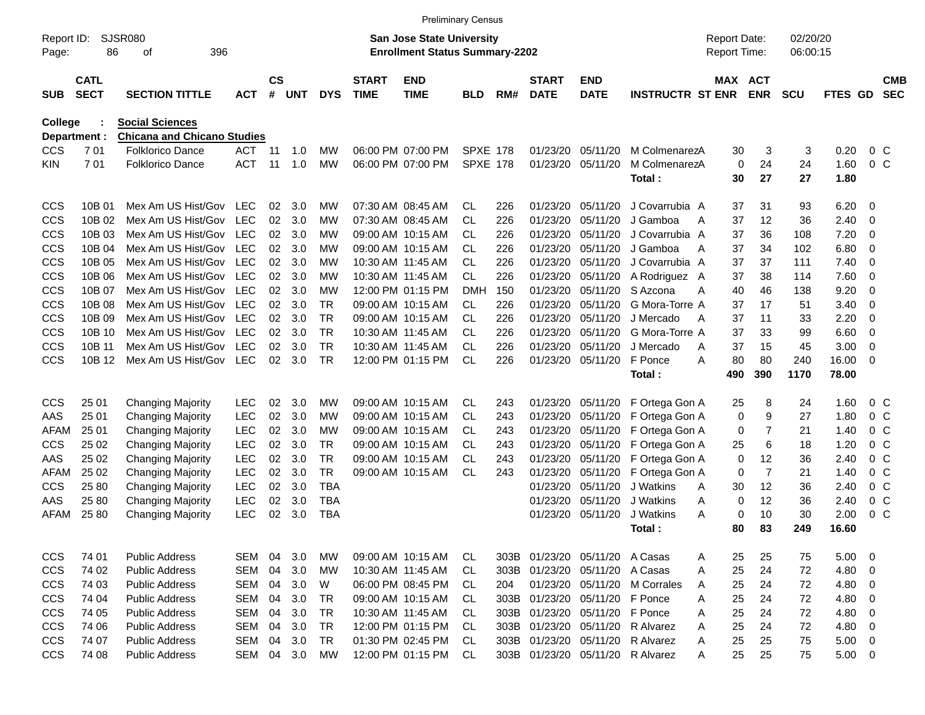|                     |                            |                                    |            |                    |            |            |                             | <b>Preliminary Census</b>                                                 |                 |      |                             |                           |                              |                                     |                |                      |             |                          |                          |
|---------------------|----------------------------|------------------------------------|------------|--------------------|------------|------------|-----------------------------|---------------------------------------------------------------------------|-----------------|------|-----------------------------|---------------------------|------------------------------|-------------------------------------|----------------|----------------------|-------------|--------------------------|--------------------------|
| Report ID:<br>Page: | 86                         | SJSR080<br>396<br>οf               |            |                    |            |            |                             | <b>San Jose State University</b><br><b>Enrollment Status Summary-2202</b> |                 |      |                             |                           |                              | <b>Report Date:</b><br>Report Time: |                | 02/20/20<br>06:00:15 |             |                          |                          |
| <b>SUB</b>          | <b>CATL</b><br><b>SECT</b> | <b>SECTION TITTLE</b>              | <b>ACT</b> | $\mathsf{cs}$<br># | <b>UNT</b> | <b>DYS</b> | <b>START</b><br><b>TIME</b> | <b>END</b><br><b>TIME</b>                                                 | <b>BLD</b>      | RM#  | <b>START</b><br><b>DATE</b> | <b>END</b><br><b>DATE</b> | <b>INSTRUCTR ST ENR</b>      | MAX ACT                             | <b>ENR</b>     | <b>SCU</b>           | FTES GD     |                          | <b>CMB</b><br><b>SEC</b> |
| College             |                            | <b>Social Sciences</b>             |            |                    |            |            |                             |                                                                           |                 |      |                             |                           |                              |                                     |                |                      |             |                          |                          |
| Department :        |                            | <b>Chicana and Chicano Studies</b> |            |                    |            |            |                             |                                                                           |                 |      |                             |                           |                              |                                     |                |                      |             |                          |                          |
| <b>CCS</b>          | 701                        | Folklorico Dance                   | <b>ACT</b> | 11                 | 1.0        | МW         |                             | 06:00 PM 07:00 PM                                                         | <b>SPXE 178</b> |      | 01/23/20                    | 05/11/20                  | M ColmenarezA                | 30                                  | 3              | 3                    | 0.20        | 0 <sup>o</sup>           |                          |
| KIN                 | 701                        | <b>Folklorico Dance</b>            | <b>ACT</b> | -11                | 1.0        | МW         |                             | 06:00 PM 07:00 PM                                                         | <b>SPXE 178</b> |      | 01/23/20                    | 05/11/20                  | M ColmenarezA                | 0                                   | 24             | 24                   | 1.60        |                          | $0\,C$                   |
|                     |                            |                                    |            |                    |            |            |                             |                                                                           |                 |      |                             |                           | Total:                       | 30                                  | 27             | 27                   | 1.80        |                          |                          |
| CCS                 | 10B 01                     | Mex Am US Hist/Gov                 | LEC        | 02                 | 3.0        | МW         |                             | 07:30 AM 08:45 AM                                                         | CL              | 226  | 01/23/20                    | 05/11/20                  | J Covarrubia A               | 37                                  | 31             | 93                   | 6.20        | 0                        |                          |
| CCS                 | 10B 02                     | Mex Am US Hist/Gov                 | <b>LEC</b> | 02                 | 3.0        | МW         |                             | 07:30 AM 08:45 AM                                                         | CL              | 226  | 01/23/20                    | 05/11/20                  | J Gamboa<br>A                | 37                                  | 12             | 36                   | 2.40        | $\mathbf 0$              |                          |
| <b>CCS</b>          | 10B 03                     | Mex Am US Hist/Gov                 | <b>LEC</b> | 02                 | 3.0        | МW         |                             | 09:00 AM 10:15 AM                                                         | CL              | 226  | 01/23/20                    | 05/11/20                  | J Covarrubia A               | 37                                  | 36             | 108                  | 7.20        | 0                        |                          |
| CCS                 | 10B 04                     | Mex Am US Hist/Gov                 | <b>LEC</b> | 02                 | 3.0        | МW         |                             | 09:00 AM 10:15 AM                                                         | CL              | 226  | 01/23/20                    | 05/11/20                  | J Gamboa<br>A                | 37                                  | 34             | 102                  | 6.80        | 0                        |                          |
| CCS                 | 10B 05                     | Mex Am US Hist/Gov                 | <b>LEC</b> | 02                 | 3.0        | МW         |                             | 10:30 AM 11:45 AM                                                         | <b>CL</b>       | 226  | 01/23/20                    | 05/11/20                  | J Covarrubia A               | 37                                  | 37             | 111                  | 7.40        | $\mathbf 0$              |                          |
| CCS                 | 10B 06                     | Mex Am US Hist/Gov                 | <b>LEC</b> | 02                 | 3.0        | МW         |                             | 10:30 AM 11:45 AM                                                         | <b>CL</b>       | 226  | 01/23/20                    | 05/11/20                  | A Rodriguez A                | 37                                  | 38             | 114                  | 7.60        | 0                        |                          |
| CCS                 | 10B 07                     | Mex Am US Hist/Gov                 | <b>LEC</b> | 02                 | 3.0        | МW         |                             | 12:00 PM 01:15 PM                                                         | <b>DMH</b>      | 150  | 01/23/20                    | 05/11/20                  | S Azcona                     | 40<br>Α                             | 46             | 138                  | 9.20        | $\mathbf 0$              |                          |
| CCS                 | 10B 08                     | Mex Am US Hist/Gov                 | <b>LEC</b> | 02                 | 3.0        | <b>TR</b>  |                             | 09:00 AM 10:15 AM                                                         | CL              | 226  | 01/23/20                    | 05/11/20                  | G Mora-Torre A               | 37                                  | 17             | 51                   | 3.40        | $\mathbf 0$              |                          |
| CCS                 | 10B 09                     | Mex Am US Hist/Gov                 | <b>LEC</b> | 02                 | 3.0        | <b>TR</b>  |                             | 09:00 AM 10:15 AM                                                         | CL              | 226  | 01/23/20                    | 05/11/20                  | J Mercado<br>A               | 37                                  | 11             | 33                   | 2.20        | 0                        |                          |
| CCS                 | 10B 10                     | Mex Am US Hist/Gov                 | <b>LEC</b> | 02                 | 3.0        | <b>TR</b>  |                             | 10:30 AM 11:45 AM                                                         | CL              | 226  | 01/23/20                    | 05/11/20                  | G Mora-Torre A               | 37                                  | 33             | 99                   | 6.60        | $\mathbf 0$              |                          |
| <b>CCS</b>          | 10B 11                     | Mex Am US Hist/Gov                 | <b>LEC</b> | 02                 | 3.0        | <b>TR</b>  |                             | 10:30 AM 11:45 AM                                                         | CL              | 226  | 01/23/20                    | 05/11/20                  | J Mercado                    | 37<br>A                             | 15             | 45                   | 3.00        | $\mathbf 0$              |                          |
| <b>CCS</b>          | 10B 12                     | Mex Am US Hist/Gov                 | <b>LEC</b> | 02                 | 3.0        | <b>TR</b>  |                             | 12:00 PM 01:15 PM                                                         | <b>CL</b>       | 226  | 01/23/20                    | 05/11/20                  | F Ponce                      | 80<br>A                             | 80             | 240                  | 16.00       | $\overline{0}$           |                          |
|                     |                            |                                    |            |                    |            |            |                             |                                                                           |                 |      |                             |                           | Total:                       | 490                                 | 390            | 1170                 | 78.00       |                          |                          |
| CCS                 | 25 01                      | <b>Changing Majority</b>           | <b>LEC</b> | 02                 | 3.0        | МW         |                             | 09:00 AM 10:15 AM                                                         | CL              | 243  |                             | 01/23/20 05/11/20         | F Ortega Gon A               | 25                                  | 8              | 24                   | 1.60        | $0\,$ C                  |                          |
| AAS                 | 25 01                      | <b>Changing Majority</b>           | <b>LEC</b> | 02                 | 3.0        | МW         |                             | 09:00 AM 10:15 AM                                                         | CL              | 243  | 01/23/20                    | 05/11/20                  | F Ortega Gon A               | 0                                   | 9              | 27                   | 1.80        |                          | 0 <sup>o</sup>           |
| AFAM                | 25 01                      | <b>Changing Majority</b>           | <b>LEC</b> | 02                 | 3.0        | МW         |                             | 09:00 AM 10:15 AM                                                         | CL              | 243  | 01/23/20                    | 05/11/20                  | F Ortega Gon A               | 0                                   | $\overline{7}$ | 21                   | 1.40        |                          | 0 <sup>o</sup>           |
| CCS                 | 25 02                      | <b>Changing Majority</b>           | <b>LEC</b> | 02                 | 3.0        | <b>TR</b>  |                             | 09:00 AM 10:15 AM                                                         | CL              | 243  | 01/23/20                    | 05/11/20                  | F Ortega Gon A               | 25                                  | 6              | 18                   | 1.20        |                          | 0 <sup>o</sup>           |
| AAS                 | 25 02                      | <b>Changing Majority</b>           | <b>LEC</b> | 02                 | 3.0        | <b>TR</b>  |                             | 09:00 AM 10:15 AM                                                         | CL              | 243  | 01/23/20                    | 05/11/20                  | F Ortega Gon A               | 0                                   | 12             | 36                   | 2.40        |                          | 0 <sup>o</sup>           |
| AFAM                | 25 02                      | <b>Changing Majority</b>           | <b>LEC</b> | 02                 | 3.0        | <b>TR</b>  |                             | 09:00 AM 10:15 AM                                                         | CL              | 243  | 01/23/20                    | 05/11/20                  | F Ortega Gon A               | $\mathbf 0$                         | $\overline{7}$ | 21                   | 1.40        |                          | 0 <sup>o</sup>           |
| CCS                 | 25 80                      | <b>Changing Majority</b>           | <b>LEC</b> | 02                 | 3.0        | <b>TBA</b> |                             |                                                                           |                 |      | 01/23/20                    | 05/11/20                  | J Watkins                    | 30<br>Α                             | 12             | 36                   | 2.40        |                          | 0 <sup>o</sup>           |
| AAS                 | 25 80                      | <b>Changing Majority</b>           | LEC        | 02                 | 3.0        | <b>TBA</b> |                             |                                                                           |                 |      | 01/23/20                    | 05/11/20                  | J Watkins                    | Α<br>0                              | 12             | 36                   | 2.40        |                          | 0 <sup>o</sup>           |
| AFAM                | 25 80                      | <b>Changing Majority</b>           | <b>LEC</b> | 02                 | 3.0        | <b>TBA</b> |                             |                                                                           |                 |      | 01/23/20                    | 05/11/20                  | J Watkins                    | Α<br>0                              | 10             | 30                   | 2.00        |                          | $0\,C$                   |
|                     |                            |                                    |            |                    |            |            |                             |                                                                           |                 |      |                             |                           | Total:                       | 80                                  | 83             | 249                  | 16.60       |                          |                          |
| <b>CCS</b>          | 74 01                      | <b>Public Address</b>              | <b>SEM</b> | 04                 | 3.0        | MW         |                             | 09:00 AM 10:15 AM                                                         | CL.             | 303B |                             | 01/23/20 05/11/20 A Casas |                              | 25<br>A                             | 25             | 75                   | 5.00        | $\overline{\mathbf{0}}$  |                          |
| <b>CCS</b>          | 74 02                      | <b>Public Address</b>              | <b>SEM</b> | 04                 | 3.0        | MW         |                             | 10:30 AM 11:45 AM                                                         | CL              | 303B |                             | 01/23/20 05/11/20         | A Casas                      | 25<br>Α                             | 24             | 72                   | $4.80$ 0    |                          |                          |
| <b>CCS</b>          | 74 03                      | <b>Public Address</b>              | SEM        | 04                 | 3.0        | W          |                             | 06:00 PM 08:45 PM                                                         | CL              | 204  |                             |                           | 01/23/20 05/11/20 M Corrales | 25<br>A                             | 24             | 72                   | 4.80        | $\overline{\phantom{0}}$ |                          |
| <b>CCS</b>          | 74 04                      | <b>Public Address</b>              | <b>SEM</b> | 04                 | 3.0        | <b>TR</b>  |                             | 09:00 AM 10:15 AM                                                         | CL              | 303B |                             | 01/23/20 05/11/20         | F Ponce                      | 25<br>Α                             | 24             | 72                   | 4.80        | $\overline{\phantom{0}}$ |                          |
| <b>CCS</b>          | 74 05                      | <b>Public Address</b>              | <b>SEM</b> | 04                 | 3.0        | <b>TR</b>  |                             | 10:30 AM 11:45 AM                                                         | CL              | 303B |                             | 01/23/20 05/11/20         | F Ponce                      | 25<br>Α                             | 24             | 72                   | 4.80        | $\overline{\phantom{0}}$ |                          |
| <b>CCS</b>          | 74 06                      | <b>Public Address</b>              | <b>SEM</b> | 04                 | 3.0        | <b>TR</b>  |                             | 12:00 PM 01:15 PM                                                         | CL              | 303B |                             | 01/23/20 05/11/20         | R Alvarez                    | 25<br>Α                             | 24             | 72                   | 4.80        | $\overline{\phantom{0}}$ |                          |
| <b>CCS</b>          | 74 07                      | <b>Public Address</b>              | <b>SEM</b> | 04                 | 3.0        | <b>TR</b>  |                             | 01:30 PM 02:45 PM                                                         | CL              | 303B |                             | 01/23/20 05/11/20         | R Alvarez                    | 25<br>A                             | 25             | 75                   | $5.00 \t 0$ |                          |                          |
| <b>CCS</b>          | 74 08                      | <b>Public Address</b>              | SEM 04 3.0 |                    |            | MW         |                             | 12:00 PM 01:15 PM                                                         | CL              |      |                             | 303B 01/23/20 05/11/20    | R Alvarez                    | 25<br>A                             | 25             | 75                   | $5.00 \t 0$ |                          |                          |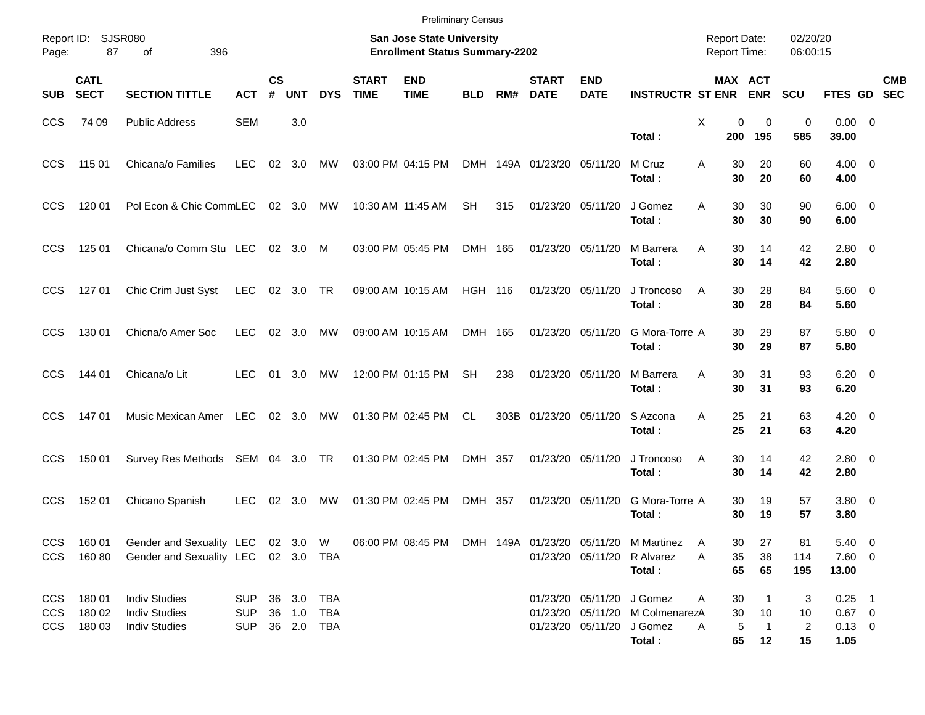|                                        |                            |                                                                                                                                             |                                 |                    |                                        |            |                                                                           | <b>Preliminary Census</b> |                |     |                             |                           |                                                                                                     |        |                     |                       |                                 |                                            |            |
|----------------------------------------|----------------------------|---------------------------------------------------------------------------------------------------------------------------------------------|---------------------------------|--------------------|----------------------------------------|------------|---------------------------------------------------------------------------|---------------------------|----------------|-----|-----------------------------|---------------------------|-----------------------------------------------------------------------------------------------------|--------|---------------------|-----------------------|---------------------------------|--------------------------------------------|------------|
| Report ID:<br>Page:                    | SJSR080<br>87              |                                                                                                                                             |                                 |                    |                                        |            | <b>San Jose State University</b><br><b>Enrollment Status Summary-2202</b> |                           |                |     |                             |                           | <b>Report Date:</b><br><b>Report Time:</b>                                                          |        |                     | 02/20/20<br>06:00:15  |                                 |                                            |            |
| <b>SUB</b>                             | <b>CATL</b><br><b>SECT</b> | <b>SECTION TITTLE</b>                                                                                                                       | <b>ACT</b>                      | $\mathsf{cs}$<br># | <b>UNT</b>                             | <b>DYS</b> | <b>START</b><br><b>TIME</b>                                               | <b>END</b><br><b>TIME</b> | <b>BLD</b>     | RM# | <b>START</b><br><b>DATE</b> | <b>END</b><br><b>DATE</b> | <b>INSTRUCTR ST ENR</b>                                                                             |        |                     | MAX ACT<br><b>ENR</b> | <b>SCU</b>                      | FTES GD SEC                                | <b>CMB</b> |
| <b>CCS</b>                             | 74 09                      | <b>Public Address</b>                                                                                                                       | <b>SEM</b>                      |                    | 3.0                                    |            |                                                                           |                           |                |     |                             |                           | Total:                                                                                              | X      | 0<br>200            | 0<br>195              | $\mathbf 0$<br>585              | $0.00 \t 0$<br>39.00                       |            |
| <b>CCS</b>                             | 115 01                     | Chicana/o Families                                                                                                                          | <b>LEC</b>                      | 02                 | - 3.0                                  | МW         |                                                                           | 03:00 PM 04:15 PM         |                |     | DMH 149A 01/23/20 05/11/20  |                           | M Cruz<br>Total:                                                                                    | A      | 30<br>30            | 20<br>20              | 60<br>60                        | $4.00 \ 0$<br>4.00                         |            |
| <b>CCS</b>                             | 120 01                     | Pol Econ & Chic CommLEC                                                                                                                     |                                 |                    | 02 3.0                                 | МW         |                                                                           | 10:30 AM 11:45 AM         | <b>SH</b>      | 315 | 01/23/20 05/11/20           |                           | J Gomez<br>Total:                                                                                   | A      | 30<br>30            | 30<br>30              | 90<br>90                        | $6.00 \quad 0$<br>6.00                     |            |
| <b>CCS</b>                             | 125 01                     | Chicana/o Comm Stu LEC                                                                                                                      |                                 |                    | 02 3.0 M                               |            |                                                                           | 03:00 PM 05:45 PM         | DMH 165        |     | 01/23/20 05/11/20           |                           | M Barrera<br>Total:                                                                                 | Α      | 30<br>30            | 14<br>14              | 42<br>42                        | $2.80 \t 0$<br>2.80                        |            |
| <b>CCS</b>                             | 127 01                     | Chic Crim Just Syst                                                                                                                         | LEC                             |                    | 02 3.0 TR                              |            |                                                                           | 09:00 AM 10:15 AM         | <b>HGH 116</b> |     | 01/23/20 05/11/20           |                           | J Troncoso<br>Total:                                                                                | A      | 30<br>30            | 28<br>28              | 84<br>84                        | $5.60$ 0<br>5.60                           |            |
| <b>CCS</b>                             | 130 01                     | Chicna/o Amer Soc                                                                                                                           | <b>LEC</b>                      |                    | 02 3.0                                 | <b>MW</b>  |                                                                           | 09:00 AM 10:15 AM         | DMH 165        |     | 01/23/20 05/11/20           |                           | G Mora-Torre A<br>Total:                                                                            |        | 30<br>30            | 29<br>29              | 87<br>87                        | 5.80 0<br>5.80                             |            |
| <b>CCS</b>                             | 144 01                     | Chicana/o Lit                                                                                                                               | <b>LEC</b>                      |                    | 01 3.0                                 | МW         |                                                                           | 12:00 PM 01:15 PM         | <b>SH</b>      | 238 | 01/23/20 05/11/20           |                           | M Barrera<br>Total:                                                                                 | Α      | 30<br>30            | 31<br>31              | 93<br>93                        | $6.20 \quad 0$<br>6.20                     |            |
| <b>CCS</b>                             | 14701                      | Music Mexican Amer LEC                                                                                                                      |                                 |                    | 02 3.0                                 | <b>MW</b>  |                                                                           | 01:30 PM 02:45 PM         | CL             |     | 303B 01/23/20 05/11/20      |                           | S Azcona<br>Total:                                                                                  | Α      | 25<br>25            | 21<br>21              | 63<br>63                        | $4.20 \ 0$<br>4.20                         |            |
| <b>CCS</b>                             | 150 01                     | Survey Res Methods SEM 04 3.0 TR                                                                                                            |                                 |                    |                                        |            |                                                                           | 01:30 PM 02:45 PM         | DMH 357        |     | 01/23/20 05/11/20           |                           | J Troncoso<br>Total:                                                                                | A      | 30<br>30            | 14<br>14              | 42<br>42                        | $2.80 \t 0$<br>2.80                        |            |
| <b>CCS</b>                             | 152 01                     | Chicano Spanish                                                                                                                             | <b>LEC</b>                      | 02                 | 3.0                                    | МW         |                                                                           | 01:30 PM 02:45 PM         | DMH 357        |     |                             | 01/23/20 05/11/20         | G Mora-Torre A<br>Total:                                                                            |        | 30<br>30            | 19<br>19              | 57<br>57                        | 3.80 0<br>3.80                             |            |
|                                        | CCS 16080                  | CCS 160 01 Gender and Sexuality LEC 02 3.0 W 06:00 PM 08:45 PM DMH 149A 01/23/20 05/11/20 M Martinez<br>Gender and Sexuality LEC 02 3.0 TBA |                                 |                    |                                        |            |                                                                           |                           |                |     |                             |                           | 01/23/20 05/11/20 R Alvarez<br>Total:                                                               | A<br>A | 30<br>35<br>65      | 27<br>38<br>65        | 81<br>114<br>195                | $5.40 \ 0$<br>$7.60$ 0<br>13.00            |            |
| <b>CCS</b><br><b>CCS</b><br><b>CCS</b> | 180 01<br>180 02<br>180 03 | <b>Indiv Studies</b><br><b>Indiv Studies</b><br><b>Indiv Studies</b>                                                                        | SUP<br><b>SUP</b><br><b>SUP</b> |                    | 36 3.0 TBA<br>36 1.0 TBA<br>36 2.0 TBA |            |                                                                           |                           |                |     |                             |                           | 01/23/20 05/11/20 J Gomez<br>01/23/20 05/11/20 M ColmenarezA<br>01/23/20 05/11/20 J Gomez<br>Total: | A<br>A | 30<br>30<br>5<br>65 | -1<br>10<br>-1<br>12  | 3<br>10<br>$\overline{2}$<br>15 | $0.25$ 1<br>$0.67$ 0<br>$0.13 \ 0$<br>1.05 |            |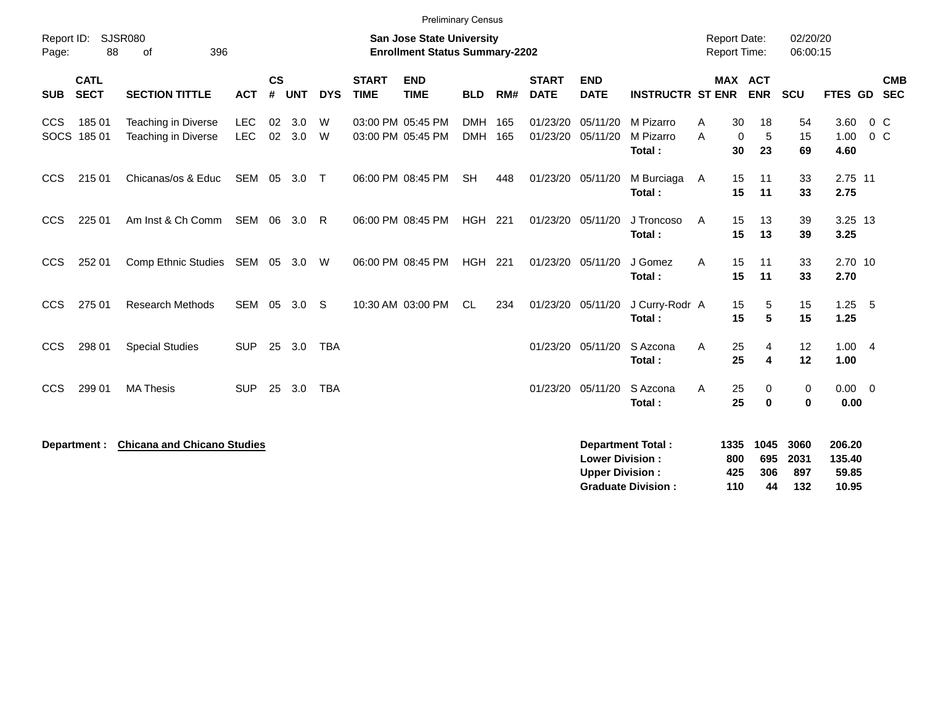|                     |                            |                                            |                   |                    |            |            |                             | <b>Preliminary Census</b>                                                 |                          |            |                             |                                                  |                                  |                                     |                       |                      |                           |                           |
|---------------------|----------------------------|--------------------------------------------|-------------------|--------------------|------------|------------|-----------------------------|---------------------------------------------------------------------------|--------------------------|------------|-----------------------------|--------------------------------------------------|----------------------------------|-------------------------------------|-----------------------|----------------------|---------------------------|---------------------------|
| Report ID:<br>Page: | 88                         | <b>SJSR080</b><br>396<br>οf                |                   |                    |            |            |                             | <b>San Jose State University</b><br><b>Enrollment Status Summary-2202</b> |                          |            |                             |                                                  |                                  | <b>Report Date:</b><br>Report Time: |                       | 02/20/20<br>06:00:15 |                           |                           |
| <b>SUB</b>          | <b>CATL</b><br><b>SECT</b> | <b>SECTION TITTLE</b>                      | <b>ACT</b>        | $\mathsf{cs}$<br># | <b>UNT</b> | <b>DYS</b> | <b>START</b><br><b>TIME</b> | <b>END</b><br><b>TIME</b>                                                 | <b>BLD</b>               | RM#        | <b>START</b><br><b>DATE</b> | <b>END</b><br><b>DATE</b>                        | <b>INSTRUCTR ST ENR</b>          |                                     | MAX ACT<br><b>ENR</b> | <b>SCU</b>           |                           | <b>CMB</b><br>FTES GD SEC |
| <b>CCS</b>          | 185 01<br>SOCS 185 01      | Teaching in Diverse<br>Teaching in Diverse | <b>LEC</b><br>LEC | 02<br>02           | 3.0<br>3.0 | W<br>W     |                             | 03:00 PM 05:45 PM<br>03:00 PM 05:45 PM                                    | <b>DMH</b><br><b>DMH</b> | 165<br>165 | 01/23/20<br>01/23/20        | 05/11/20<br>05/11/20                             | M Pizarro<br>M Pizarro<br>Total: | 30<br>A<br>A<br>30                  | 18<br>5<br>0<br>23    | 54<br>15<br>69       | 3.60<br>1.00<br>4.60      | $0\,$ C<br>$0\,C$         |
| <b>CCS</b>          | 215 01                     | Chicanas/os & Educ                         | SEM               | 05                 | 3.0        | $\top$     |                             | 06:00 PM 08:45 PM                                                         | <b>SH</b>                | 448        | 01/23/20                    | 05/11/20                                         | M Burciaga<br>Total:             | 15<br>A<br>15                       | 11<br>11              | 33<br>33             | 2.75 11<br>2.75           |                           |
| <b>CCS</b>          | 225 01                     | Am Inst & Ch Comm                          | SEM 06 3.0        |                    |            | R          |                             | 06:00 PM 08:45 PM                                                         | <b>HGH 221</b>           |            |                             | 01/23/20 05/11/20                                | J Troncoso<br>Total:             | 15<br>A<br>15                       | 13<br>13              | 39<br>39             | 3.25 13<br>3.25           |                           |
| <b>CCS</b>          | 252 01                     | Comp Ethnic Studies                        | SEM 05            |                    | 3.0        | W          |                             | 06:00 PM 08:45 PM                                                         | HGH                      | 221        | 01/23/20                    | 05/11/20                                         | J Gomez<br>Total:                | 15<br>A<br>15                       | 11<br>11              | 33<br>33             | 2.70 10<br>2.70           |                           |
| <b>CCS</b>          | 275 01                     | <b>Research Methods</b>                    | <b>SEM</b>        | 05                 | 3.0        | -S         |                             | 10:30 AM 03:00 PM                                                         | <b>CL</b>                | 234        |                             | 01/23/20 05/11/20                                | J Curry-Rodr A<br>Total:         | 15<br>15                            | 5<br>$5\phantom{.0}$  | 15<br>15             | 1.25<br>1.25              | 5                         |
| <b>CCS</b>          | 298 01                     | <b>Special Studies</b>                     | <b>SUP</b>        | 25                 | 3.0        | <b>TBA</b> |                             |                                                                           |                          |            |                             | 01/23/20 05/11/20                                | S Azcona<br>Total:               | 25<br>A<br>25                       | 4<br>4                | 12<br>12             | 1.004<br>1.00             |                           |
| <b>CCS</b>          | 299 01                     | <b>MA Thesis</b>                           | <b>SUP</b>        | 25                 | 3.0        | <b>TBA</b> |                             |                                                                           |                          |            | 01/23/20                    | 05/11/20                                         | S Azcona<br>Total:               | 25<br>Α<br>25                       | 0<br>$\bf{0}$         | 0<br>$\mathbf 0$     | $0.00 \t 0$<br>0.00       |                           |
|                     | Department :               | <b>Chicana and Chicano Studies</b>         |                   |                    |            |            |                             |                                                                           |                          |            |                             | <b>Lower Division:</b><br><b>Upper Division:</b> | <b>Department Total:</b>         | 1335<br>800<br>425                  | 1045<br>695<br>306    | 3060<br>2031<br>897  | 206.20<br>135.40<br>59.85 |                           |

**Graduate Division : 110 44 132 10.95**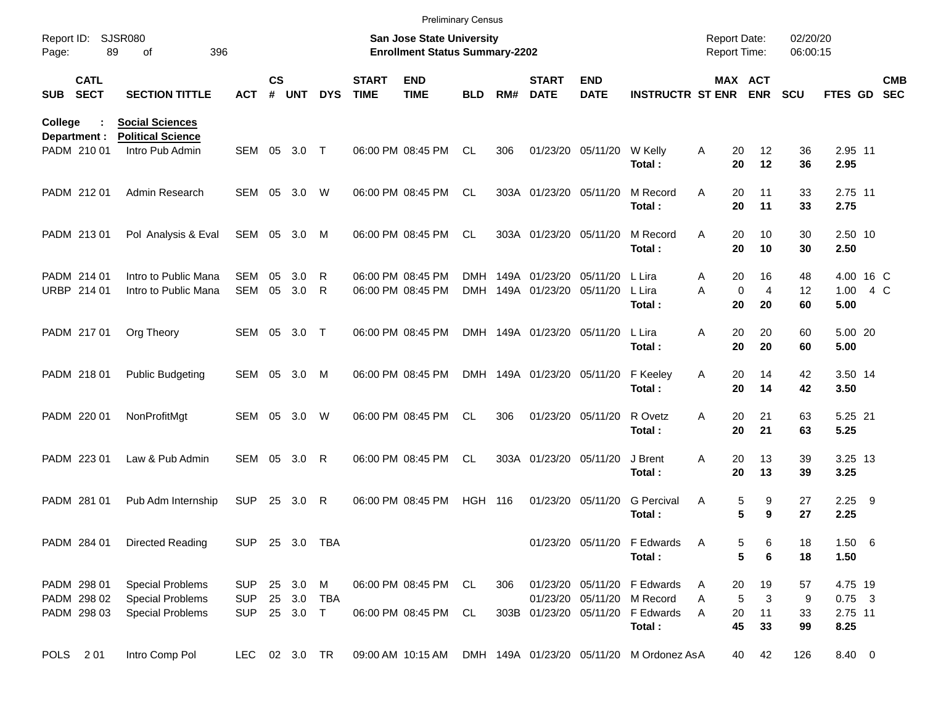|                     |                            |                                                    |                          |                    |                    |                |                             | <b>Preliminary Census</b>                                          |                |     |                             |                           |                                                                |                                            |                       |                      |                     |     |                          |
|---------------------|----------------------------|----------------------------------------------------|--------------------------|--------------------|--------------------|----------------|-----------------------------|--------------------------------------------------------------------|----------------|-----|-----------------------------|---------------------------|----------------------------------------------------------------|--------------------------------------------|-----------------------|----------------------|---------------------|-----|--------------------------|
| Report ID:<br>Page: |                            | <b>SJSR080</b><br>89<br>396<br>οf                  |                          |                    |                    |                |                             | San Jose State University<br><b>Enrollment Status Summary-2202</b> |                |     |                             |                           |                                                                | <b>Report Date:</b><br><b>Report Time:</b> |                       | 02/20/20<br>06:00:15 |                     |     |                          |
| <b>SUB</b>          | <b>CATL</b><br><b>SECT</b> | <b>SECTION TITTLE</b>                              | ACT                      | $\mathsf{cs}$<br># | <b>UNT</b>         | <b>DYS</b>     | <b>START</b><br><b>TIME</b> | <b>END</b><br><b>TIME</b>                                          | <b>BLD</b>     | RM# | <b>START</b><br><b>DATE</b> | <b>END</b><br><b>DATE</b> | <b>INSTRUCTR ST ENR</b>                                        |                                            | MAX ACT<br><b>ENR</b> | <b>SCU</b>           | FTES GD             |     | <b>CMB</b><br><b>SEC</b> |
| College             | Department :               | <b>Social Sciences</b><br><b>Political Science</b> | SEM 05                   |                    |                    |                |                             |                                                                    |                |     |                             |                           |                                                                |                                            |                       |                      |                     |     |                          |
|                     | PADM 210 01                | Intro Pub Admin                                    |                          |                    | 3.0                | $\top$         |                             | 06:00 PM 08:45 PM                                                  | CL.            | 306 |                             | 01/23/20 05/11/20         | W Kelly<br>Total:                                              | Α<br>20<br>20                              | 12<br>12              | 36<br>36             | 2.95 11<br>2.95     |     |                          |
|                     | PADM 212 01                | Admin Research                                     | SEM 05                   |                    | 3.0                | W              |                             | 06:00 PM 08:45 PM                                                  | <b>CL</b>      |     | 303A 01/23/20 05/11/20      |                           | M Record<br>Total:                                             | 20<br>A<br>20                              | 11<br>11              | 33<br>33             | 2.75 11<br>2.75     |     |                          |
|                     | PADM 213 01                | Pol Analysis & Eval                                |                          |                    | SEM 05 3.0         | M              |                             | 06:00 PM 08:45 PM                                                  | <b>CL</b>      |     | 303A 01/23/20 05/11/20      |                           | M Record<br>Total:                                             | 20<br>A<br>20                              | 10<br>10              | 30<br>30             | 2.50 10<br>2.50     |     |                          |
|                     | PADM 214 01                | Intro to Public Mana                               | <b>SEM</b>               | 05                 | 3.0                | R              |                             | 06:00 PM 08:45 PM                                                  | DMH            |     | 149A 01/23/20               | 05/11/20                  | L Lira                                                         | 20<br>A                                    | 16                    | 48                   | 4.00 16 C           |     |                          |
|                     | URBP 214 01                | Intro to Public Mana                               | <b>SEM</b>               | 05                 | 3.0                | R              |                             | 06:00 PM 08:45 PM                                                  | DMH.           |     | 149A 01/23/20 05/11/20      |                           | L Lira<br>Total:                                               | A<br>$\mathbf 0$<br>20                     | $\overline{4}$<br>20  | 12<br>60             | 1.00<br>5.00        | 4 C |                          |
|                     | PADM 217 01                | Org Theory                                         | SEM 05                   |                    | 3.0                | $\top$         |                             | 06:00 PM 08:45 PM                                                  |                |     | DMH 149A 01/23/20 05/11/20  |                           | L Lira                                                         | 20<br>Α                                    | 20                    | 60                   | 5.00 20             |     |                          |
|                     |                            |                                                    |                          |                    |                    |                |                             |                                                                    |                |     |                             |                           | Total:                                                         | 20                                         | 20                    | 60                   | 5.00                |     |                          |
|                     | PADM 218 01                | <b>Public Budgeting</b>                            | SEM 05                   |                    | 3.0                | M              |                             | 06:00 PM 08:45 PM                                                  | DMH            |     | 149A 01/23/20 05/11/20      |                           | F Keeley<br>Total:                                             | A<br>20<br>20                              | 14<br>14              | 42<br>42             | 3.50 14<br>3.50     |     |                          |
|                     | PADM 220 01                | NonProfitMgt                                       | SEM 05                   |                    | 3.0                | W              |                             | 06:00 PM 08:45 PM                                                  | <b>CL</b>      | 306 |                             | 01/23/20 05/11/20         | R Ovetz<br>Total:                                              | 20<br>A<br>20                              | 21<br>21              | 63<br>63             | 5.25 21<br>5.25     |     |                          |
|                     | PADM 223 01                | Law & Pub Admin                                    | <b>SEM 05</b>            |                    | 3.0                | R              |                             | 06:00 PM 08:45 PM                                                  | <b>CL</b>      |     | 303A 01/23/20 05/11/20      |                           | J Brent                                                        | 20<br>A                                    | 13                    | 39                   | 3.25 13             |     |                          |
|                     |                            |                                                    |                          |                    |                    |                |                             |                                                                    |                |     |                             |                           | Total:                                                         | 20                                         | 13                    | 39                   | 3.25                |     |                          |
|                     | PADM 281 01                | Pub Adm Internship                                 | <b>SUP</b>               | 25                 | 3.0                | R              |                             | 06:00 PM 08:45 PM                                                  | <b>HGH 116</b> |     |                             | 01/23/20 05/11/20         | <b>G</b> Percival<br>Total:                                    | Α<br>5                                     | 9<br>5<br>9           | 27<br>27             | $2.25$ 9<br>2.25    |     |                          |
|                     | PADM 284 01                | <b>Directed Reading</b>                            |                          |                    |                    | SUP 25 3.0 TBA |                             |                                                                    |                |     |                             |                           | 01/23/20 05/11/20 F Edwards<br>Total:                          | A                                          | 6<br>5<br>5<br>6      | 18<br>18             | 1.506<br>1.50       |     |                          |
|                     |                            |                                                    |                          |                    |                    |                |                             |                                                                    |                |     |                             |                           |                                                                |                                            |                       |                      |                     |     |                          |
|                     | PADM 298 01                | <b>Special Problems</b>                            | <b>SUP</b>               |                    | 25 3.0             | M              |                             | 06:00 PM 08:45 PM CL                                               |                | 306 |                             |                           | 01/23/20 05/11/20 F Edwards                                    | 20<br>A                                    | 19                    | 57                   | 4.75 19             |     |                          |
|                     | PADM 298 02<br>PADM 298 03 | <b>Special Problems</b><br><b>Special Problems</b> | <b>SUP</b><br><b>SUP</b> |                    | 25 3.0<br>25 3.0 T | TBA            |                             | 06:00 PM 08:45 PM                                                  | CL             |     |                             |                           | 01/23/20 05/11/20 M Record<br>303B 01/23/20 05/11/20 F Edwards | 5<br>A<br>A                                | 3                     | 9                    | $0.75$ 3<br>2.75 11 |     |                          |
|                     |                            |                                                    |                          |                    |                    |                |                             |                                                                    |                |     |                             |                           | Total:                                                         | 20<br>45                                   | 11<br>33              | 33<br>99             | 8.25                |     |                          |
|                     | POLS 201                   | Intro Comp Pol                                     |                          |                    | LEC 02 3.0 TR      |                |                             | 09:00 AM 10:15 AM                                                  |                |     |                             |                           | DMH 149A 01/23/20 05/11/20 M Ordonez AsA                       | 40                                         | 42                    | 126                  | 8.40 0              |     |                          |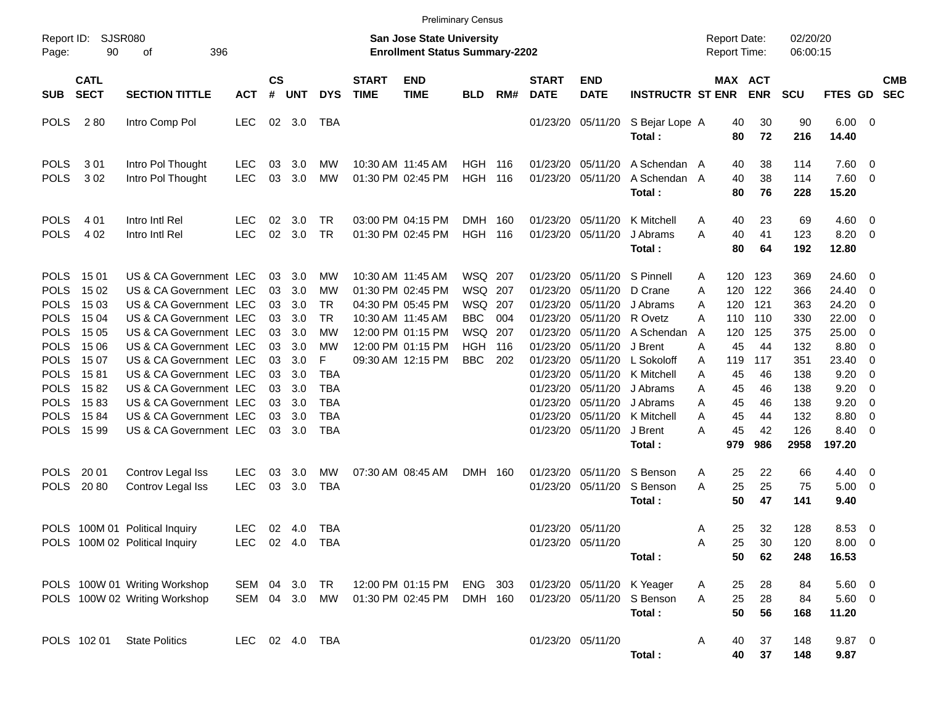|                                                                                                                                                                   |                                                                                             |                                                                                                                                                                                                                                                                                            |                              |                                                                |                                                                           |                                                                                               |                             | <b>Preliminary Census</b>                                                                                                                       |                                                                     |                                 |                                                                                                                                  |                                                                                                                                  |                                                                                                                                        |                                                                                               |                                                                                                    |                                                                           |                                                                                              |                                                                                                          |                          |
|-------------------------------------------------------------------------------------------------------------------------------------------------------------------|---------------------------------------------------------------------------------------------|--------------------------------------------------------------------------------------------------------------------------------------------------------------------------------------------------------------------------------------------------------------------------------------------|------------------------------|----------------------------------------------------------------|---------------------------------------------------------------------------|-----------------------------------------------------------------------------------------------|-----------------------------|-------------------------------------------------------------------------------------------------------------------------------------------------|---------------------------------------------------------------------|---------------------------------|----------------------------------------------------------------------------------------------------------------------------------|----------------------------------------------------------------------------------------------------------------------------------|----------------------------------------------------------------------------------------------------------------------------------------|-----------------------------------------------------------------------------------------------|----------------------------------------------------------------------------------------------------|---------------------------------------------------------------------------|----------------------------------------------------------------------------------------------|----------------------------------------------------------------------------------------------------------|--------------------------|
| Report ID:<br>Page:                                                                                                                                               | 90                                                                                          | <b>SJSR080</b><br>396<br>оf                                                                                                                                                                                                                                                                |                              |                                                                |                                                                           |                                                                                               |                             | <b>San Jose State University</b><br><b>Enrollment Status Summary-2202</b>                                                                       |                                                                     |                                 |                                                                                                                                  |                                                                                                                                  |                                                                                                                                        | <b>Report Date:</b><br><b>Report Time:</b>                                                    |                                                                                                    | 02/20/20<br>06:00:15                                                      |                                                                                              |                                                                                                          |                          |
| <b>SUB</b>                                                                                                                                                        | <b>CATL</b><br><b>SECT</b>                                                                  | <b>SECTION TITTLE</b>                                                                                                                                                                                                                                                                      | <b>ACT</b>                   | $\mathsf{cs}$<br>#                                             | <b>UNT</b>                                                                | <b>DYS</b>                                                                                    | <b>START</b><br><b>TIME</b> | <b>END</b><br><b>TIME</b>                                                                                                                       | <b>BLD</b>                                                          | RM#                             | <b>START</b><br><b>DATE</b>                                                                                                      | <b>END</b><br><b>DATE</b>                                                                                                        | <b>INSTRUCTR ST ENR</b>                                                                                                                |                                                                                               | <b>MAX ACT</b><br><b>ENR</b>                                                                       | <b>SCU</b>                                                                | FTES GD                                                                                      |                                                                                                          | <b>CMB</b><br><b>SEC</b> |
| <b>POLS</b>                                                                                                                                                       | 280                                                                                         | Intro Comp Pol                                                                                                                                                                                                                                                                             | <b>LEC</b>                   | $02\,$                                                         | 3.0                                                                       | TBA                                                                                           |                             |                                                                                                                                                 |                                                                     |                                 | 01/23/20                                                                                                                         | 05/11/20                                                                                                                         | S Bejar Lope A<br>Total:                                                                                                               |                                                                                               | 30<br>40<br>72<br>80                                                                               | 90<br>216                                                                 | $6.00 \quad 0$<br>14.40                                                                      |                                                                                                          |                          |
| <b>POLS</b><br><b>POLS</b>                                                                                                                                        | 301<br>302                                                                                  | Intro Pol Thought<br>Intro Pol Thought                                                                                                                                                                                                                                                     | <b>LEC</b><br><b>LEC</b>     | 03<br>03                                                       | 3.0<br>3.0                                                                | МW<br><b>MW</b>                                                                               |                             | 10:30 AM 11:45 AM<br>01:30 PM 02:45 PM                                                                                                          | <b>HGH 116</b><br><b>HGH</b>                                        | 116                             | 01/23/20<br>01/23/20                                                                                                             | 05/11/20<br>05/11/20                                                                                                             | A Schendan A<br>A Schendan A<br>Total:                                                                                                 |                                                                                               | 38<br>40<br>40<br>38<br>76<br>80                                                                   | 114<br>114<br>228                                                         | 7.60 0<br>7.60 0<br>15.20                                                                    |                                                                                                          |                          |
| <b>POLS</b><br><b>POLS</b>                                                                                                                                        | 4 0 1<br>4 0 2                                                                              | Intro Intl Rel<br>Intro Intl Rel                                                                                                                                                                                                                                                           | <b>LEC</b><br>LEC            | 02<br>02                                                       | 3.0<br>3.0                                                                | TR<br><b>TR</b>                                                                               |                             | 03:00 PM 04:15 PM<br>01:30 PM 02:45 PM                                                                                                          | <b>DMH</b><br><b>HGH</b>                                            | 160<br>116                      | 01/23/20<br>01/23/20                                                                                                             | 05/11/20<br>05/11/20                                                                                                             | K Mitchell<br>J Abrams<br>Total:                                                                                                       | A<br>A                                                                                        | 40<br>23<br>40<br>41<br>80<br>64                                                                   | 69<br>123<br>192                                                          | 4.60 0<br>8.20<br>12.80                                                                      | $\overline{\phantom{0}}$                                                                                 |                          |
| <b>POLS</b><br><b>POLS</b><br><b>POLS</b><br><b>POLS</b><br><b>POLS</b><br><b>POLS</b><br><b>POLS</b><br><b>POLS</b><br><b>POLS</b><br><b>POLS</b><br><b>POLS</b> | 15 01<br>15 02<br>15 03<br>15 04<br>15 05<br>15 06<br>15 07<br>1581<br>1582<br>1583<br>1584 | US & CA Government LEC<br>US & CA Government LEC<br>US & CA Government LEC<br>US & CA Government LEC<br>US & CA Government LEC<br>US & CA Government LEC<br>US & CA Government LEC<br>US & CA Government LEC<br>US & CA Government LEC<br>US & CA Government LEC<br>US & CA Government LEC |                              | 03<br>03<br>03<br>03<br>03<br>03<br>03<br>03<br>03<br>03<br>03 | 3.0<br>3.0<br>3.0<br>3.0<br>3.0<br>3.0<br>3.0<br>3.0<br>3.0<br>3.0<br>3.0 | МW<br>МW<br>TR<br><b>TR</b><br>МW<br>МW<br>F<br>TBA<br><b>TBA</b><br><b>TBA</b><br><b>TBA</b> |                             | 10:30 AM 11:45 AM<br>01:30 PM 02:45 PM<br>04:30 PM 05:45 PM<br>10:30 AM 11:45 AM<br>12:00 PM 01:15 PM<br>12:00 PM 01:15 PM<br>09:30 AM 12:15 PM | WSQ 207<br>WSQ 207<br>WSQ<br><b>BBC</b><br>WSQ<br>HGH<br><b>BBC</b> | 207<br>004<br>207<br>116<br>202 | 01/23/20<br>01/23/20<br>01/23/20<br>01/23/20<br>01/23/20<br>01/23/20<br>01/23/20<br>01/23/20<br>01/23/20<br>01/23/20<br>01/23/20 | 05/11/20<br>05/11/20<br>05/11/20<br>05/11/20<br>05/11/20<br>05/11/20<br>05/11/20<br>05/11/20<br>05/11/20<br>05/11/20<br>05/11/20 | S Pinnell<br>D Crane<br>J Abrams<br>R Ovetz<br>A Schendan<br>J Brent<br>L Sokoloff<br>K Mitchell<br>J Abrams<br>J Abrams<br>K Mitchell | 120<br>A<br>120<br>A<br>120<br>A<br>110<br>A<br>120<br>A<br>A<br>A<br>119<br>A<br>A<br>A<br>A | 123<br>122<br>121<br>110<br>125<br>45<br>44<br>117<br>45<br>46<br>45<br>46<br>45<br>46<br>45<br>44 | 369<br>366<br>363<br>330<br>375<br>132<br>351<br>138<br>138<br>138<br>132 | 24.60 0<br>24.40<br>24.20<br>22.00<br>25.00<br>8.80<br>23.40<br>9.20<br>9.20<br>9.20<br>8.80 | - 0<br>- 0<br>- 0<br>- 0<br>- 0<br>- 0<br>- 0<br>$\overline{\mathbf{0}}$<br>$\overline{\mathbf{0}}$<br>0 |                          |
| <b>POLS</b><br><b>POLS</b><br><b>POLS</b>                                                                                                                         | 15 99<br>20 01<br>2080                                                                      | US & CA Government LEC<br>Controv Legal Iss<br>Controv Legal Iss                                                                                                                                                                                                                           | <b>LEC</b><br>LEC            | 03<br>03<br>03                                                 | 3.0<br>3.0<br>3.0                                                         | <b>TBA</b><br>MW<br><b>TBA</b>                                                                |                             | 07:30 AM 08:45 AM                                                                                                                               | DMH 160                                                             |                                 | 01/23/20<br>01/23/20<br>01/23/20                                                                                                 | 05/11/20<br>05/11/20<br>05/11/20                                                                                                 | J Brent<br>Total :<br>S Benson<br>S Benson                                                                                             | A<br>979<br>A<br>A                                                                            | 45<br>42<br>986<br>25<br>22<br>25<br>25<br>50<br>47                                                | 126<br>2958<br>66<br>75<br>141                                            | 8.40<br>197.20<br>4.40<br>5.00<br>9.40                                                       | - 0<br>$\overline{\phantom{0}}$<br>$\overline{\phantom{0}}$                                              |                          |
|                                                                                                                                                                   |                                                                                             | POLS 100M 01 Political Inquiry<br>POLS 100M 02 Political Inquiry                                                                                                                                                                                                                           | <b>LEC</b><br>LEC 02 4.0 TBA |                                                                | $02 \quad 4.0$                                                            | TBA                                                                                           |                             |                                                                                                                                                 |                                                                     |                                 | 01/23/20 05/11/20                                                                                                                | 01/23/20 05/11/20                                                                                                                | Total :<br>Total :                                                                                                                     | A<br>А                                                                                        | 32<br>25<br>$30\,$<br>25<br>50<br>62                                                               | 128<br>120<br>248                                                         | 8.53 0<br>$8.00 \t 0$<br>16.53                                                               |                                                                                                          |                          |
|                                                                                                                                                                   |                                                                                             | POLS 100W 01 Writing Workshop<br>POLS 100W 02 Writing Workshop                                                                                                                                                                                                                             | SEM 04 3.0<br>SEM 04 3.0 MW  |                                                                |                                                                           | TR                                                                                            |                             | 12:00 PM 01:15 PM<br>01:30 PM 02:45 PM                                                                                                          | ENG 303<br>DMH 160                                                  |                                 |                                                                                                                                  | 01/23/20 05/11/20 K Yeager                                                                                                       | 01/23/20 05/11/20 S Benson<br>Total:                                                                                                   | A<br>A                                                                                        | 25<br>28<br>25<br>28<br>50<br>56                                                                   | 84<br>84<br>168                                                           | 5.60 0<br>$5.60$ 0<br>11.20                                                                  |                                                                                                          |                          |
|                                                                                                                                                                   | POLS 102 01                                                                                 | <b>State Politics</b>                                                                                                                                                                                                                                                                      | LEC 02 4.0 TBA               |                                                                |                                                                           |                                                                                               |                             |                                                                                                                                                 |                                                                     |                                 |                                                                                                                                  | 01/23/20 05/11/20                                                                                                                | Total :                                                                                                                                | A                                                                                             | 37<br>40<br>40<br>37                                                                               | 148<br>148                                                                | $9.87$ 0<br>9.87                                                                             |                                                                                                          |                          |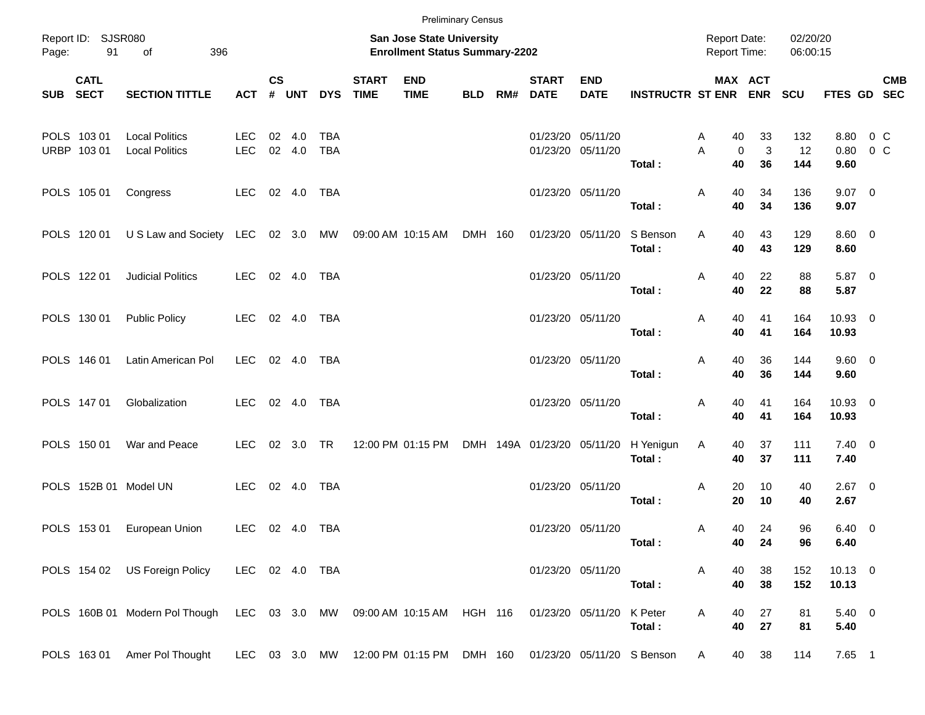|          |                            |                                                                        |                          |               |               |                          |                             | <b>Preliminary Census</b>                                          |            |     |                             |                                        |                             |                                            |                        |                      |                        |                          |            |
|----------|----------------------------|------------------------------------------------------------------------|--------------------------|---------------|---------------|--------------------------|-----------------------------|--------------------------------------------------------------------|------------|-----|-----------------------------|----------------------------------------|-----------------------------|--------------------------------------------|------------------------|----------------------|------------------------|--------------------------|------------|
| Page:    | Report ID: SJSR080<br>91   | 396<br>of                                                              |                          |               |               |                          |                             | San Jose State University<br><b>Enrollment Status Summary-2202</b> |            |     |                             |                                        |                             | <b>Report Date:</b><br><b>Report Time:</b> |                        | 02/20/20<br>06:00:15 |                        |                          |            |
| SUB SECT | <b>CATL</b>                | <b>SECTION TITTLE</b>                                                  | <b>ACT</b>               | $\mathsf{cs}$ | # UNT         | <b>DYS</b>               | <b>START</b><br><b>TIME</b> | <b>END</b><br><b>TIME</b>                                          | <b>BLD</b> | RM# | <b>START</b><br><b>DATE</b> | <b>END</b><br><b>DATE</b>              | <b>INSTRUCTR ST ENR ENR</b> |                                            | MAX ACT                | <b>SCU</b>           | FTES GD SEC            |                          | <b>CMB</b> |
|          | POLS 103 01<br>URBP 103 01 | <b>Local Politics</b><br><b>Local Politics</b>                         | <b>LEC</b><br><b>LEC</b> | 02            | 4.0<br>02 4.0 | <b>TBA</b><br><b>TBA</b> |                             |                                                                    |            |     |                             | 01/23/20 05/11/20<br>01/23/20 05/11/20 | Total:                      | 40<br>Α<br>A<br>$\mathbf 0$<br>40          | 33<br>$\sqrt{3}$<br>36 | 132<br>12<br>144     | 8.80<br>0.80<br>9.60   | $0\,C$<br>0 <sup>o</sup> |            |
|          | POLS 105 01                | Congress                                                               | <b>LEC</b>               |               | 02 4.0        | TBA                      |                             |                                                                    |            |     |                             | 01/23/20 05/11/20                      | Total:                      | Α<br>40<br>40                              | 34<br>34               | 136<br>136           | $9.07$ 0<br>9.07       |                          |            |
|          | POLS 120 01                | US Law and Society LEC 02 3.0 MW                                       |                          |               |               |                          |                             | 09:00 AM 10:15 AM                                                  | DMH 160    |     |                             | 01/23/20 05/11/20                      | S Benson<br>Total:          | 40<br>Α<br>40                              | 43<br>43               | 129<br>129           | $8.60$ 0<br>8.60       |                          |            |
|          | POLS 122 01                | <b>Judicial Politics</b>                                               | <b>LEC</b>               |               | 02 4.0        | TBA                      |                             |                                                                    |            |     |                             | 01/23/20 05/11/20                      | Total:                      | Α<br>40<br>40                              | 22<br>22               | 88<br>88             | 5.87 0<br>5.87         |                          |            |
|          | POLS 130 01                | <b>Public Policy</b>                                                   | LEC                      |               | 02 4.0        | TBA                      |                             |                                                                    |            |     |                             | 01/23/20 05/11/20                      | Total:                      | 40<br>Α<br>40                              | 41<br>41               | 164<br>164           | 10.93 0<br>10.93       |                          |            |
|          | POLS 146 01                | Latin American Pol                                                     | LEC                      |               | 02 4.0        | TBA                      |                             |                                                                    |            |     |                             | 01/23/20 05/11/20                      | Total:                      | Α<br>40<br>40                              | 36<br>36               | 144<br>144           | 9.60 0<br>9.60         |                          |            |
|          | POLS 147 01                | Globalization                                                          | <b>LEC</b>               |               | 02 4.0        | TBA                      |                             |                                                                    |            |     |                             | 01/23/20 05/11/20                      | Total:                      | Α<br>40<br>40                              | 41<br>41               | 164<br>164           | 10.93 0<br>10.93       |                          |            |
|          | POLS 150 01                | War and Peace                                                          | <b>LEC</b>               |               | 02 3.0        | <b>TR</b>                |                             | 12:00 PM 01:15 PM                                                  |            |     | DMH 149A 01/23/20 05/11/20  |                                        | H Yenigun<br>Total:         | 40<br>Α<br>40                              | 37<br>37               | 111<br>111           | $7.40 \quad 0$<br>7.40 |                          |            |
|          |                            | POLS 152B 01 Model UN                                                  | <b>LEC</b>               |               | 02 4.0        | TBA                      |                             |                                                                    |            |     |                             | 01/23/20 05/11/20                      | Total:                      | Α<br>20<br>20                              | 10<br>10               | 40<br>40             | $2.67$ 0<br>2.67       |                          |            |
|          | POLS 153 01                | European Union                                                         | <b>LEC</b>               | 02 4.0        |               | TBA                      |                             |                                                                    |            |     |                             | 01/23/20 05/11/20                      | Total:                      | 40<br>A                                    | 24<br>40 24            | 96<br>96             | $6.40\ 0$<br>6.40      |                          |            |
|          |                            | POLS 154 02 US Foreign Policy                                          | LEC 02 4.0 TBA           |               |               |                          |                             |                                                                    |            |     |                             | 01/23/20 05/11/20                      | Total:                      | Α<br>40<br>40                              | 38<br>38               | 152<br>152           | $10.13$ 0<br>10.13     |                          |            |
|          |                            | POLS 160B 01 Modern Pol Though LEC 03 3.0 MW 09:00 AM 10:15 AM HGH 116 |                          |               |               |                          |                             |                                                                    |            |     |                             | 01/23/20 05/11/20                      | K Peter<br>Total:           | Α<br>40<br>40                              | 27<br>27               | 81<br>81             | $5.40 \ 0$<br>5.40     |                          |            |
|          |                            | POLS 163 01 Amer Pol Thought                                           |                          |               |               |                          |                             | LEC 03 3.0 MW 12:00 PM 01:15 PM DMH 160 01/23/20 05/11/20 S Benson |            |     |                             |                                        |                             | A                                          | 38<br>40               | 114                  | 7.65 1                 |                          |            |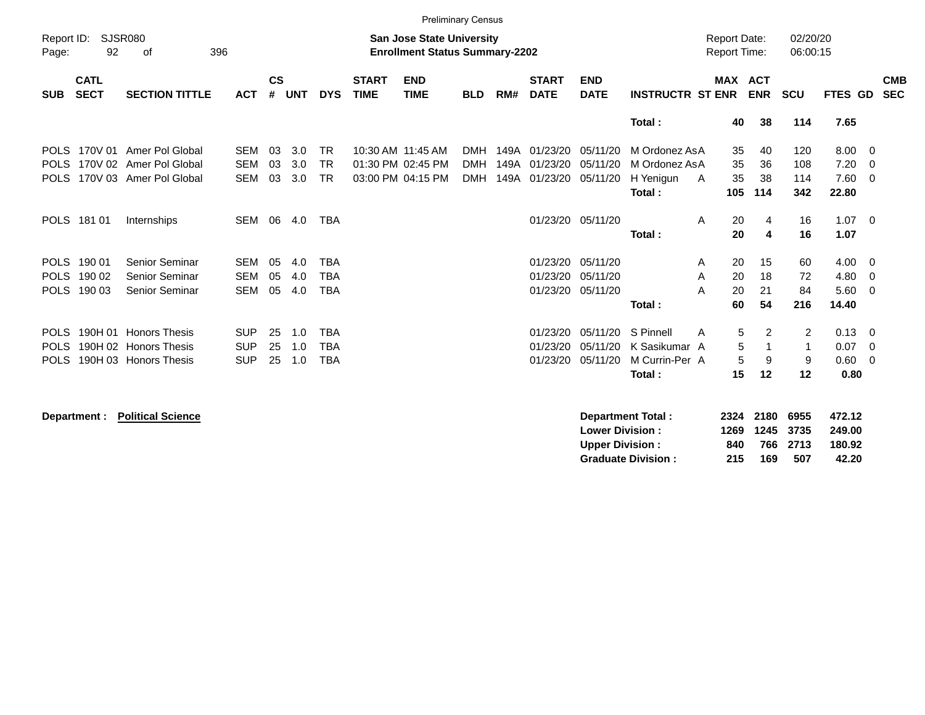|                                           | <b>Preliminary Census</b><br><b>SJSR080</b><br>02/20/20<br><b>San Jose State University</b><br><b>Report Date:</b> |                                                                               |                                        |                    |                   |                                        |                             |                                                             |                                        |     |                                                 |                                  |                                                        |                                     |                                             |                                |                               |                                                                      |  |
|-------------------------------------------|--------------------------------------------------------------------------------------------------------------------|-------------------------------------------------------------------------------|----------------------------------------|--------------------|-------------------|----------------------------------------|-----------------------------|-------------------------------------------------------------|----------------------------------------|-----|-------------------------------------------------|----------------------------------|--------------------------------------------------------|-------------------------------------|---------------------------------------------|--------------------------------|-------------------------------|----------------------------------------------------------------------|--|
| Report ID:<br>Page:                       | 92                                                                                                                 | 396<br>οf                                                                     |                                        |                    |                   |                                        |                             | <b>Enrollment Status Summary-2202</b>                       |                                        |     |                                                 |                                  |                                                        | <b>Report Time:</b>                 |                                             | 06:00:15                       |                               |                                                                      |  |
| <b>SUB</b>                                | <b>CATL</b><br><b>SECT</b>                                                                                         | <b>SECTION TITTLE</b>                                                         | <b>ACT</b>                             | $\mathsf{cs}$<br># | <b>UNT</b>        | <b>DYS</b>                             | <b>START</b><br><b>TIME</b> | <b>END</b><br><b>TIME</b>                                   | <b>BLD</b>                             | RM# | <b>START</b><br><b>DATE</b>                     | <b>END</b><br><b>DATE</b>        | <b>INSTRUCTR ST ENR</b>                                | <b>MAX</b>                          | <b>ACT</b><br><b>ENR</b>                    | <b>SCU</b>                     | <b>FTES GD</b>                | <b>CMB</b><br><b>SEC</b>                                             |  |
|                                           |                                                                                                                    |                                                                               |                                        |                    |                   |                                        |                             |                                                             |                                        |     |                                                 |                                  | Total:                                                 | 40                                  | 38                                          | 114                            | 7.65                          |                                                                      |  |
| <b>POLS</b><br><b>POLS</b><br><b>POLS</b> |                                                                                                                    | 170V 01 Amer Pol Global<br>170V 02 Amer Pol Global<br>170V 03 Amer Pol Global | <b>SEM</b><br><b>SEM</b><br><b>SEM</b> | 03<br>03<br>03     | 3.0<br>3.0<br>3.0 | <b>TR</b><br><b>TR</b><br><b>TR</b>    |                             | 10:30 AM 11:45 AM<br>01:30 PM 02:45 PM<br>03:00 PM 04:15 PM | <b>DMH</b><br><b>DMH</b><br><b>DMH</b> |     | 149A 01/23/20<br>149A 01/23/20<br>149A 01/23/20 | 05/11/20<br>05/11/20<br>05/11/20 | M Ordonez AsA<br>M Ordonez AsA<br>H Yenigun<br>Total:  | 35<br>35<br>35<br>A<br>105          | 40<br>36<br>38<br>114                       | 120<br>108<br>114<br>342       | 8.00<br>7.20<br>7.60<br>22.80 | $\overline{\phantom{0}}$<br>$\overline{0}$<br>$\overline{0}$         |  |
| <b>POLS</b>                               | 181 01                                                                                                             | Internships                                                                   | SEM                                    | 06                 | 4.0               | <b>TBA</b>                             |                             |                                                             |                                        |     |                                                 | 01/23/20 05/11/20                | Total:                                                 | 20<br>A<br>20                       | 4<br>4                                      | 16<br>16                       | $1.07 \t 0$<br>1.07           |                                                                      |  |
| <b>POLS</b><br><b>POLS</b>                | 190 01<br>190 02<br>POLS 190 03                                                                                    | Senior Seminar<br><b>Senior Seminar</b><br>Senior Seminar                     | <b>SEM</b><br><b>SEM</b><br><b>SEM</b> | 05<br>05<br>05     | 4.0<br>4.0<br>4.0 | <b>TBA</b><br><b>TBA</b><br><b>TBA</b> |                             |                                                             |                                        |     | 01/23/20<br>01/23/20<br>01/23/20                | 05/11/20<br>05/11/20<br>05/11/20 | Total:                                                 | 20<br>A<br>20<br>A<br>20<br>A<br>60 | 15<br>18<br>21<br>54                        | 60<br>72<br>84<br>216          | 4.00<br>4.80<br>5.60<br>14.40 | $\overline{\mathbf{0}}$<br>$\overline{0}$<br>$\overline{\mathbf{0}}$ |  |
| <b>POLS</b><br><b>POLS</b><br><b>POLS</b> | 190H 02                                                                                                            | 190H 01 Honors Thesis<br><b>Honors Thesis</b><br>190H 03 Honors Thesis        | <b>SUP</b><br><b>SUP</b><br><b>SUP</b> | 25<br>25<br>25     | 1.0<br>1.0<br>1.0 | <b>TBA</b><br><b>TBA</b><br><b>TBA</b> |                             |                                                             |                                        |     | 01/23/20<br>01/23/20<br>01/23/20                | 05/11/20<br>05/11/20<br>05/11/20 | S Pinnell<br>K Sasikumar A<br>M Currin-Per A<br>Total: | 5<br>A<br>5<br>5<br>15              | $\overline{2}$<br>$\overline{1}$<br>9<br>12 | $\overline{2}$<br>1<br>9<br>12 | 0.13<br>0.07<br>0.60<br>0.80  | $\overline{0}$<br>$\overline{0}$<br>$\overline{\mathbf{0}}$          |  |

**Department : Political Science** 

| <b>Department Total:</b>  |     | 2324 2180 6955 |          | 472.12 |
|---------------------------|-----|----------------|----------|--------|
| <b>Lower Division:</b>    |     | 1269 1245 3735 |          | 249.00 |
| <b>Upper Division:</b>    | 840 |                | 766 2713 | 180.92 |
| <b>Graduate Division:</b> | 215 | 169            | 507      | 42.20  |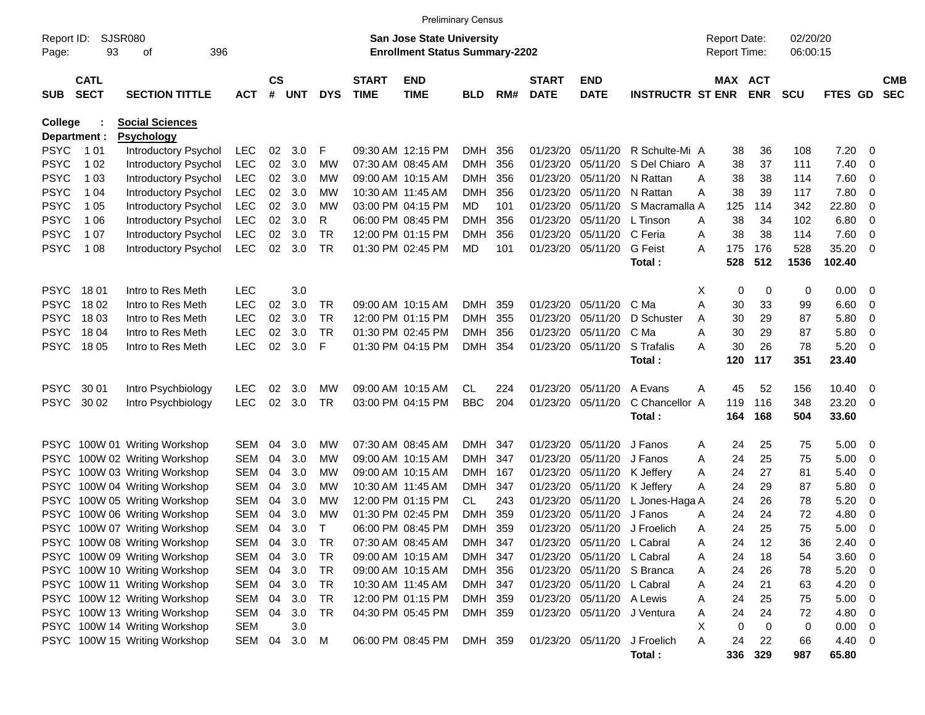|                |             |                               |            |               |            |            |              | <b>Preliminary Census</b>             |            |     |              |                             |                         |   |                     |            |            |         |                          |            |
|----------------|-------------|-------------------------------|------------|---------------|------------|------------|--------------|---------------------------------------|------------|-----|--------------|-----------------------------|-------------------------|---|---------------------|------------|------------|---------|--------------------------|------------|
| Report ID:     |             | SJSR080                       |            |               |            |            |              | <b>San Jose State University</b>      |            |     |              |                             |                         |   | <b>Report Date:</b> |            | 02/20/20   |         |                          |            |
| Page:          | 93          | 396<br>οf                     |            |               |            |            |              | <b>Enrollment Status Summary-2202</b> |            |     |              |                             |                         |   | Report Time:        |            | 06:00:15   |         |                          |            |
|                | <b>CATL</b> |                               |            | $\mathsf{cs}$ |            |            | <b>START</b> | <b>END</b>                            |            |     | <b>START</b> | <b>END</b>                  |                         |   | MAX ACT             |            |            |         |                          | <b>CMB</b> |
| <b>SUB</b>     | <b>SECT</b> | <b>SECTION TITTLE</b>         | <b>ACT</b> | #             | <b>UNT</b> | <b>DYS</b> | <b>TIME</b>  | <b>TIME</b>                           | <b>BLD</b> | RM# | <b>DATE</b>  | <b>DATE</b>                 | <b>INSTRUCTR ST ENR</b> |   |                     | <b>ENR</b> | <b>SCU</b> | FTES GD |                          | <b>SEC</b> |
| <b>College</b> |             | <b>Social Sciences</b>        |            |               |            |            |              |                                       |            |     |              |                             |                         |   |                     |            |            |         |                          |            |
| Department :   |             | <b>Psychology</b>             |            |               |            |            |              |                                       |            |     |              |                             |                         |   |                     |            |            |         |                          |            |
| <b>PSYC</b>    | 1 0 1       | Introductory Psychol          | LEC        | 02            | 3.0        | F          |              | 09:30 AM 12:15 PM                     | DMH        | 356 | 01/23/20     | 05/11/20                    | R Schulte-Mi A          |   | 38                  | 36         | 108        | 7.20    | $\overline{0}$           |            |
| <b>PSYC</b>    | 1 0 2       | Introductory Psychol          | <b>LEC</b> | 02            | 3.0        | МW         |              | 07:30 AM 08:45 AM                     | <b>DMH</b> | 356 | 01/23/20     | 05/11/20                    | S Del Chiaro A          |   | 38                  | 37         | 111        | 7.40    | $\overline{0}$           |            |
| <b>PSYC</b>    | 1 0 3       | Introductory Psychol          | <b>LEC</b> | 02            | 3.0        | МW         |              | 09:00 AM 10:15 AM                     | <b>DMH</b> | 356 | 01/23/20     | 05/11/20                    | N Rattan                | A | 38                  | 38         | 114        | 7.60    | $\overline{0}$           |            |
| <b>PSYC</b>    | 1 04        | Introductory Psychol          | <b>LEC</b> | 02            | 3.0        | МW         |              | 10:30 AM 11:45 AM                     | <b>DMH</b> | 356 | 01/23/20     | 05/11/20                    | N Rattan                | A | 38                  | 39         | 117        | 7.80    | 0                        |            |
| <b>PSYC</b>    | 1 0 5       | Introductory Psychol          | <b>LEC</b> | 02            | 3.0        | МW         |              | 03:00 PM 04:15 PM                     | MD         | 101 | 01/23/20     | 05/11/20                    | S Macramalla A          |   | 125                 | 114        | 342        | 22.80   | 0                        |            |
| <b>PSYC</b>    | 1 0 6       | Introductory Psychol          | <b>LEC</b> | 02            | 3.0        | R          |              | 06:00 PM 08:45 PM                     | <b>DMH</b> | 356 | 01/23/20     | 05/11/20                    | L Tinson                | A | 38                  | 34         | 102        | 6.80    | 0                        |            |
| <b>PSYC</b>    | 1 0 7       | Introductory Psychol          | <b>LEC</b> | 02            | 3.0        | TR         |              | 12:00 PM 01:15 PM                     | <b>DMH</b> | 356 | 01/23/20     | 05/11/20                    | C Feria                 | A | 38                  | 38         | 114        | 7.60    | 0                        |            |
| <b>PSYC</b>    | 1 0 8       | Introductory Psychol          | <b>LEC</b> | 02            | 3.0        | <b>TR</b>  |              | 01:30 PM 02:45 PM                     | MD         | 101 | 01/23/20     | 05/11/20                    | <b>G</b> Feist          | A | 175                 | 176        | 528        | 35.20   | $\overline{0}$           |            |
|                |             |                               |            |               |            |            |              |                                       |            |     |              |                             | Total:                  |   | 528                 | 512        | 1536       | 102.40  |                          |            |
|                |             |                               |            |               |            |            |              |                                       |            |     |              |                             |                         |   |                     |            |            |         |                          |            |
| <b>PSYC</b>    | 1801        | Intro to Res Meth             | <b>LEC</b> |               | 3.0        |            |              |                                       |            |     |              |                             |                         | X | 0                   | 0          | 0          | 0.00    | $\overline{\mathbf{0}}$  |            |
| <b>PSYC</b>    | 18 02       | Intro to Res Meth             | <b>LEC</b> | 02            | 3.0        | TR         |              | 09:00 AM 10:15 AM                     | DMH        | 359 | 01/23/20     | 05/11/20                    | C Ma                    | A | 30                  | 33         | 99         | 6.60    | - 0                      |            |
| <b>PSYC</b>    | 18 03       | Intro to Res Meth             | <b>LEC</b> | 02            | 3.0        | TR         |              | 12:00 PM 01:15 PM                     | <b>DMH</b> | 355 | 01/23/20     | 05/11/20                    | D Schuster              | A | 30                  | 29         | 87         | 5.80    | 0                        |            |
| <b>PSYC</b>    | 18 04       | Intro to Res Meth             | <b>LEC</b> | 02            | 3.0        | TR         |              | 01:30 PM 02:45 PM                     | <b>DMH</b> | 356 | 01/23/20     | 05/11/20                    | C Ma                    | A | 30                  | 29         | 87         | 5.80    | $\overline{0}$           |            |
| <b>PSYC</b>    | 18 05       | Intro to Res Meth             | <b>LEC</b> | 02            | 3.0        | F          |              | 01:30 PM 04:15 PM                     | DMH        | 354 | 01/23/20     | 05/11/20                    | S Trafalis              | A | 30                  | 26         | 78         | 5.20    | - 0                      |            |
|                |             |                               |            |               |            |            |              |                                       |            |     |              |                             | Total:                  |   | 120                 | 117        | 351        | 23.40   |                          |            |
| <b>PSYC</b>    | 30 01       | Intro Psychbiology            | <b>LEC</b> | 02            | 3.0        | МW         |              | 09:00 AM 10:15 AM                     | CL         | 224 | 01/23/20     | 05/11/20                    | A Evans                 | A | 45                  | 52         | 156        | 10.40   | - 0                      |            |
| <b>PSYC</b>    | 30 02       | Intro Psychbiology            | <b>LEC</b> | 02            | 3.0        | TR         |              | 03:00 PM 04:15 PM                     | <b>BBC</b> | 204 | 01/23/20     | 05/11/20                    | C Chancellor A          |   | 119                 | 116        | 348        | 23.20   | $\overline{\mathbf{0}}$  |            |
|                |             |                               |            |               |            |            |              |                                       |            |     |              |                             | Total:                  |   | 164                 | 168        | 504        | 33.60   |                          |            |
|                |             | PSYC 100W 01 Writing Workshop | SEM        | 04            | 3.0        | МW         |              | 07:30 AM 08:45 AM                     | DMH 347    |     | 01/23/20     | 05/11/20                    | J Fanos                 | A | 24                  | 25         | 75         | 5.00    | - 0                      |            |
| <b>PSYC</b>    |             | 100W 02 Writing Workshop      | SEM        | 04            | 3.0        | MW         |              | 09:00 AM 10:15 AM                     | DMH        | 347 | 01/23/20     | 05/11/20                    | J Fanos                 | A | 24                  | 25         | 75         | 5.00    | $\overline{0}$           |            |
| <b>PSYC</b>    |             | 100W 03 Writing Workshop      | SEM        | 04            | 3.0        | МW         |              | 09:00 AM 10:15 AM                     | DMH 167    |     | 01/23/20     | 05/11/20                    | K Jeffery               | A | 24                  | 27         | 81         | 5.40    | 0                        |            |
| <b>PSYC</b>    |             | 100W 04 Writing Workshop      | SEM        | 04            | 3.0        | МW         |              | 10:30 AM 11:45 AM                     | DMH        | 347 | 01/23/20     | 05/11/20                    | K Jeffery               | A | 24                  | 29         | 87         | 5.80    | 0                        |            |
| <b>PSYC</b>    |             | 100W 05 Writing Workshop      | SEM        | 04            | 3.0        | MW         |              | 12:00 PM 01:15 PM                     | CL         | 243 | 01/23/20     | 05/11/20                    | L Jones-Haga A          |   | 24                  | 26         | 78         | 5.20    | 0                        |            |
| <b>PSYC</b>    |             | 100W 06 Writing Workshop      | <b>SEM</b> | 04            | 3.0        | МW         |              | 01:30 PM 02:45 PM                     | <b>DMH</b> | 359 | 01/23/20     | 05/11/20                    | J Fanos                 | A | 24                  | 24         | 72         | 4.80    | 0                        |            |
|                |             | PSYC 100W 07 Writing Workshop | SEM        | 04            | 3.0        | Т          |              | 06:00 PM 08:45 PM                     | <b>DMH</b> | 359 | 01/23/20     | 05/11/20                    | J Froelich              | Α | 24                  | 25         | 75         | 5.00    | $\overline{\mathbf{0}}$  |            |
|                |             | PSYC 100W 08 Writing Workshop | SEM        | 04            | 3.0        | TR         |              | 07:30 AM 08:45 AM                     | DMH 347    |     |              | 01/23/20 05/11/20 L Cabral  |                         | Α | 24                  | 12         | 36         | 2.40    | $\mathbf 0$              |            |
|                |             | PSYC 100W 09 Writing Workshop | SEM        | 04            | 3.0        | TR         |              | 09:00 AM 10:15 AM                     | DMH 347    |     |              | 01/23/20 05/11/20 L Cabral  |                         | A | 24                  | 18         | 54         | 3.60    | $\overline{\phantom{0}}$ |            |
|                |             | PSYC 100W 10 Writing Workshop | SEM        | 04            | 3.0        | TR         |              | 09:00 AM 10:15 AM                     | DMH 356    |     |              | 01/23/20 05/11/20 S Branca  |                         | A | 24                  | 26         | 78         | 5.20    | $\overline{\mathbf{0}}$  |            |
|                |             | PSYC 100W 11 Writing Workshop | SEM        | 04            | 3.0        | TR         |              | 10:30 AM 11:45 AM                     | DMH 347    |     |              | 01/23/20 05/11/20 L Cabral  |                         | A | 24                  | 21         | 63         | 4.20    | $\overline{\mathbf{0}}$  |            |
|                |             | PSYC 100W 12 Writing Workshop | SEM        | 04            | 3.0        | TR         |              | 12:00 PM 01:15 PM                     | DMH 359    |     |              | 01/23/20 05/11/20 A Lewis   |                         | A | 24                  | 25         | 75         | 5.00    | $\overline{\phantom{0}}$ |            |
|                |             | PSYC 100W 13 Writing Workshop | SEM        | 04            | 3.0        | TR         |              | 04:30 PM 05:45 PM                     | DMH 359    |     |              | 01/23/20 05/11/20 J Ventura |                         | A | 24                  | 24         | 72         | 4.80    | $\overline{\mathbf{0}}$  |            |
|                |             | PSYC 100W 14 Writing Workshop | <b>SEM</b> |               | 3.0        |            |              |                                       |            |     |              |                             |                         | Χ | 0                   | 0          | 0          | 0.00    | $\overline{\phantom{0}}$ |            |
|                |             | PSYC 100W 15 Writing Workshop | SEM        | 04            | 3.0        | M          |              | 06:00 PM 08:45 PM                     | DMH 359    |     |              | 01/23/20 05/11/20           | J Froelich              | Α | 24                  | 22         | 66         | 4.40 0  |                          |            |
|                |             |                               |            |               |            |            |              |                                       |            |     |              |                             | Total:                  |   | 336                 | 329        | 987        | 65.80   |                          |            |
|                |             |                               |            |               |            |            |              |                                       |            |     |              |                             |                         |   |                     |            |            |         |                          |            |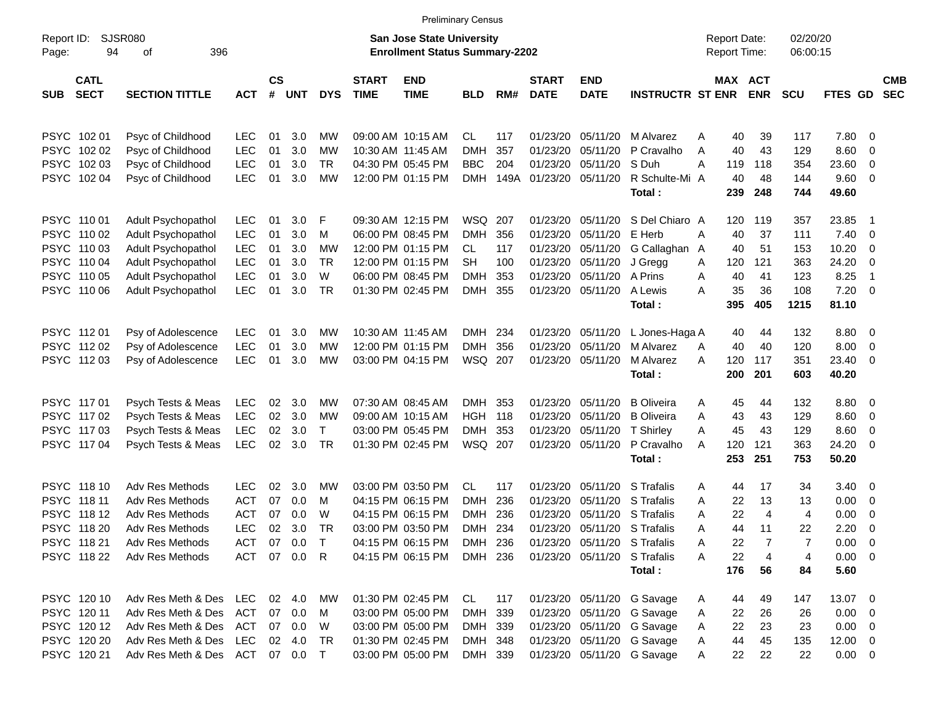| Report ID:<br>94<br>Page:                | SJSR080<br>396<br>оf            |              |                    |            |              |                             | <b>San Jose State University</b><br><b>Enrollment Status Summary-2202</b> |            |      |                             |                           |                              | <b>Report Date:</b><br>Report Time: |                       | 02/20/20<br>06:00:15 |                |                          |                          |
|------------------------------------------|---------------------------------|--------------|--------------------|------------|--------------|-----------------------------|---------------------------------------------------------------------------|------------|------|-----------------------------|---------------------------|------------------------------|-------------------------------------|-----------------------|----------------------|----------------|--------------------------|--------------------------|
| <b>CATL</b><br><b>SECT</b><br><b>SUB</b> | <b>SECTION TITTLE</b>           | <b>ACT</b>   | $\mathsf{cs}$<br># | <b>UNT</b> | <b>DYS</b>   | <b>START</b><br><b>TIME</b> | <b>END</b><br><b>TIME</b>                                                 | <b>BLD</b> | RM#  | <b>START</b><br><b>DATE</b> | <b>END</b><br><b>DATE</b> | <b>INSTRUCTR ST ENR</b>      |                                     | MAX ACT<br><b>ENR</b> | <b>SCU</b>           | FTES GD        |                          | <b>CMB</b><br><b>SEC</b> |
| PSYC 102 01                              | Psyc of Childhood               | <b>LEC</b>   | 01                 | 3.0        | МW           |                             | 09:00 AM 10:15 AM                                                         | CL         | 117  | 01/23/20                    | 05/11/20                  | M Alvarez                    | Α<br>40                             | 39                    | 117                  | 7.80           | $\overline{\phantom{0}}$ |                          |
| PSYC 102 02                              | Psyc of Childhood               | LEC          | 01                 | 3.0        | <b>MW</b>    |                             | 10:30 AM 11:45 AM                                                         | <b>DMH</b> | 357  | 01/23/20                    | 05/11/20                  | P Cravalho                   | A<br>40                             | 43                    | 129                  | 8.60           | 0                        |                          |
| PSYC 102 03                              | Psyc of Childhood               | <b>LEC</b>   | 01                 | 3.0        | TR           |                             | 04:30 PM 05:45 PM                                                         | <b>BBC</b> | 204  | 01/23/20                    | 05/11/20                  | S Duh                        | A<br>119                            | 118                   | 354                  | 23.60          | 0                        |                          |
| PSYC 102 04                              | Psyc of Childhood               | LEC          | 01                 | 3.0        | MW           |                             | 12:00 PM 01:15 PM                                                         | <b>DMH</b> | 149A | 01/23/20                    | 05/11/20                  | R Schulte-Mi A<br>Total:     | 40<br>239                           | 48<br>248             | 144<br>744           | 9.60<br>49.60  | $\mathbf 0$              |                          |
| PSYC 110 01                              | Adult Psychopathol              | LEC          | 01                 | 3.0        | F            |                             | 09:30 AM 12:15 PM                                                         | WSQ        | 207  | 01/23/20                    | 05/11/20                  | S Del Chiaro A               | 120                                 | 119                   | 357                  | 23.85          | - 1                      |                          |
| PSYC 110 02                              | Adult Psychopathol              | <b>LEC</b>   | 01                 | 3.0        | М            |                             | 06:00 PM 08:45 PM                                                         | <b>DMH</b> | 356  | 01/23/20                    | 05/11/20                  | E Herb                       | 40<br>Α                             | 37                    | 111                  | 7.40           | 0                        |                          |
| PSYC 110 03                              | Adult Psychopathol              | <b>LEC</b>   | 01                 | 3.0        | MW           |                             | 12:00 PM 01:15 PM                                                         | CL         | 117  | 01/23/20                    | 05/11/20                  | G Callaghan                  | 40<br>A                             | 51                    | 153                  | 10.20          | 0                        |                          |
| PSYC 110 04                              | Adult Psychopathol              | <b>LEC</b>   | 01                 | 3.0        | <b>TR</b>    |                             | 12:00 PM 01:15 PM                                                         | <b>SH</b>  | 100  | 01/23/20                    | 05/11/20                  | J Gregg                      | 120<br>A                            | 121                   | 363                  | 24.20          | 0                        |                          |
| PSYC 110 05                              | Adult Psychopathol              | <b>LEC</b>   | 01                 | 3.0        | W            |                             | 06:00 PM 08:45 PM                                                         | <b>DMH</b> | 353  | 01/23/20                    | 05/11/20                  | A Prins                      | 40<br>Α                             | 41                    | 123                  | 8.25           | -1                       |                          |
| PSYC 110 06                              | Adult Psychopathol              | LEC          | 01                 | 3.0        | <b>TR</b>    |                             | 01:30 PM 02:45 PM                                                         | <b>DMH</b> | 355  | 01/23/20                    | 05/11/20                  | A Lewis                      | 35<br>Α                             | 36                    | 108                  | 7.20           | $\overline{0}$           |                          |
|                                          |                                 |              |                    |            |              |                             |                                                                           |            |      |                             |                           | Total:                       | 395                                 | 405                   | 1215                 | 81.10          |                          |                          |
| PSYC 11201                               | Psy of Adolescence              | LEC          | 01                 | 3.0        | МW           |                             | 10:30 AM 11:45 AM                                                         | <b>DMH</b> | 234  | 01/23/20                    | 05/11/20                  | L Jones-Haga A               | 40                                  | 44                    | 132                  | 8.80           | $\overline{\phantom{0}}$ |                          |
| PSYC 112 02                              | Psy of Adolescence              | LEC          | 01                 | 3.0        | MW           |                             | 12:00 PM 01:15 PM                                                         | <b>DMH</b> | 356  | 01/23/20                    | 05/11/20                  | M Alvarez                    | 40<br>A                             | 40                    | 120                  | 8.00           | 0                        |                          |
| PSYC 112 03                              | Psy of Adolescence              | LEC          | 01                 | 3.0        | <b>MW</b>    |                             | 03:00 PM 04:15 PM                                                         | WSQ        | 207  | 01/23/20                    | 05/11/20                  | M Alvarez                    | A<br>120                            | 117                   | 351                  | 23.40          | 0                        |                          |
|                                          |                                 |              |                    |            |              |                             |                                                                           |            |      |                             |                           | Total:                       | 200                                 | 201                   | 603                  | 40.20          |                          |                          |
|                                          |                                 |              |                    |            |              |                             |                                                                           |            |      |                             |                           |                              |                                     |                       |                      |                |                          |                          |
| PSYC 117 01                              | Psych Tests & Meas              | LEC          | 02                 | 3.0        | МW           |                             | 07:30 AM 08:45 AM                                                         | <b>DMH</b> | 353  | 01/23/20                    | 05/11/20                  | <b>B</b> Oliveira            | Α<br>45                             | 44                    | 132                  | 8.80           | $\overline{\mathbf{0}}$  |                          |
| PSYC 117 02                              | Psych Tests & Meas              | <b>LEC</b>   | 02                 | 3.0        | MW           |                             | 09:00 AM 10:15 AM                                                         | <b>HGH</b> | 118  | 01/23/20                    | 05/11/20                  | <b>B</b> Oliveira            | A<br>43                             | 43                    | 129                  | 8.60           | 0                        |                          |
| PSYC 117 03                              | Psych Tests & Meas              | <b>LEC</b>   | 02                 | 3.0        | $\mathsf{T}$ |                             | 03:00 PM 05:45 PM                                                         | <b>DMH</b> | 353  | 01/23/20                    | 05/11/20                  | T Shirley                    | 45<br>Α                             | 43                    | 129                  | 8.60           | 0                        |                          |
| PSYC 117 04                              | Psych Tests & Meas              | LEC          | 02                 | 3.0        | <b>TR</b>    |                             | 01:30 PM 02:45 PM                                                         | WSQ        | 207  | 01/23/20                    | 05/11/20                  | P Cravalho<br>Total:         | 120<br>A<br>253                     | 121<br>251            | 363<br>753           | 24.20<br>50.20 | 0                        |                          |
|                                          |                                 |              |                    |            |              |                             |                                                                           |            |      |                             |                           |                              |                                     |                       |                      |                |                          |                          |
| PSYC 118 10                              | Adv Res Methods                 | <b>LEC</b>   | 02                 | 3.0        | МW           |                             | 03:00 PM 03:50 PM                                                         | CL         | 117  | 01/23/20                    | 05/11/20                  | S Trafalis                   | 44<br>A                             | 17                    | 34                   | 3.40           | $\overline{\phantom{0}}$ |                          |
| PSYC 118 11                              | <b>Adv Res Methods</b>          | <b>ACT</b>   | 07                 | 0.0        | М            |                             | 04:15 PM 06:15 PM                                                         | <b>DMH</b> | 236  | 01/23/20                    | 05/11/20                  | S Trafalis                   | 22<br>Α                             | 13                    | 13                   | 0.00           | $\overline{0}$           |                          |
| PSYC 118 12                              | Adv Res Methods                 | <b>ACT</b>   | 07                 | 0.0        | W            |                             | 04:15 PM 06:15 PM                                                         | <b>DMH</b> | 236  | 01/23/20                    | 05/11/20                  | S Trafalis                   | 22<br>Α                             | 4                     | 4                    | 0.00           | 0                        |                          |
| <b>PSYC</b><br>118 20                    | Adv Res Methods                 | <b>LEC</b>   | 02                 | 3.0        | <b>TR</b>    |                             | 03:00 PM 03:50 PM                                                         | <b>DMH</b> | 234  | 01/23/20                    | 05/11/20                  | <b>S</b> Trafalis            | 44<br>Α                             | 11                    | 22                   | 2.20           | $\mathbf 0$              |                          |
| PSYC 118 21                              | Adv Res Methods                 | <b>ACT</b>   | 07                 | 0.0        | $\mathsf{T}$ |                             | 04:15 PM 06:15 PM                                                         | <b>DMH</b> | 236  | 01/23/20                    | 05/11/20                  | S Trafalis                   | Α<br>22                             | $\overline{7}$        | $\overline{7}$       | 0.00           | $\mathbf 0$              |                          |
| PSYC 118 22                              | <b>Adv Res Methods</b>          | ACT 07 0.0 R |                    |            |              |                             | 04:15 PM 06:15 PM                                                         | DMH 236    |      |                             |                           | 01/23/20 05/11/20 S Trafalis | Α<br>22                             | 4                     | 4                    | $0.00 \t 0$    |                          |                          |
|                                          |                                 |              |                    |            |              |                             |                                                                           |            |      |                             |                           | Total:                       | 176                                 | 56                    | 84                   | 5.60           |                          |                          |
| PSYC 120 10                              | Adv Res Meth & Des LEC          |              |                    | 02 4.0     | МW           |                             | 01:30 PM 02:45 PM                                                         | CL         | 117  |                             |                           | 01/23/20 05/11/20 G Savage   | 44<br>A                             | 49                    | 147                  | 13.07 0        |                          |                          |
| PSYC 12011                               | Adv Res Meth & Des              | ACT          |                    | 07 0.0     | M            |                             | 03:00 PM 05:00 PM                                                         | DMH 339    |      |                             |                           | 01/23/20 05/11/20 G Savage   | 22<br>A                             | 26                    | 26                   | $0.00 \t 0$    |                          |                          |
| PSYC 120 12                              | Adv Res Meth & Des              | ACT          |                    | 07 0.0     | W            |                             | 03:00 PM 05:00 PM                                                         | DMH 339    |      |                             |                           | 01/23/20 05/11/20 G Savage   | 22<br>A                             | 23                    | 23                   | $0.00 \t 0$    |                          |                          |
| PSYC 120 20                              | Adv Res Meth & Des              | LEC          |                    | 02 4.0     | TR           |                             | 01:30 PM 02:45 PM                                                         | DMH 348    |      |                             |                           | 01/23/20 05/11/20 G Savage   | 44<br>A                             | 45                    | 135                  | $12.00 \t 0$   |                          |                          |
| PSYC 120 21                              | Adv Res Meth & Des ACT 07 0.0 T |              |                    |            |              |                             | 03:00 PM 05:00 PM                                                         | DMH 339    |      |                             |                           | 01/23/20 05/11/20 G Savage   | 22<br>A                             | 22                    | 22                   | $0.00 \t 0$    |                          |                          |

Preliminary Census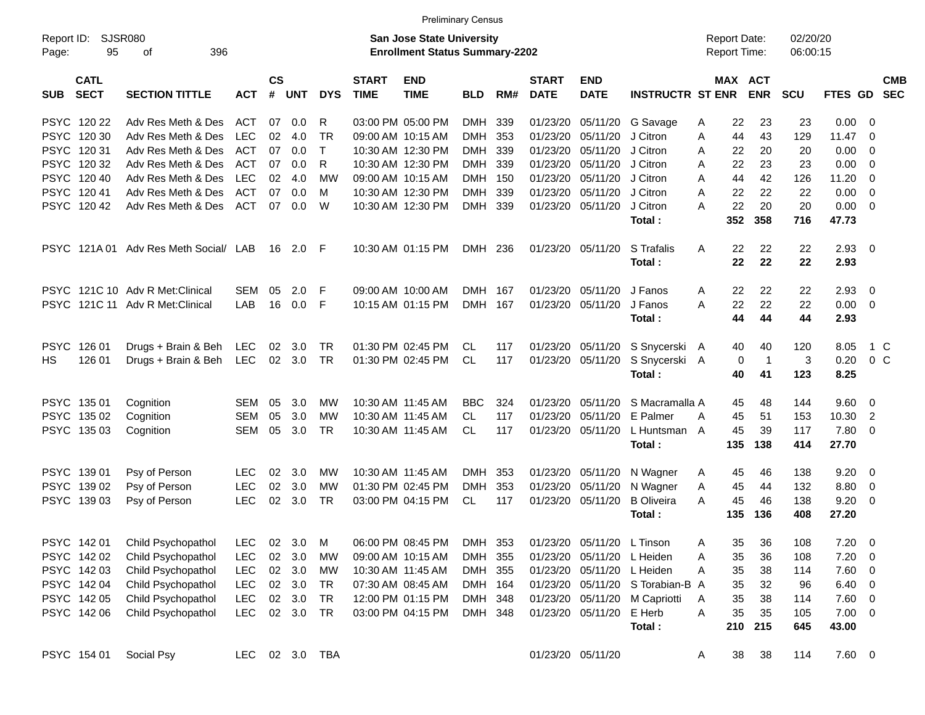|                     | <b>Preliminary Census</b><br><b>SJSR080</b><br><b>San Jose State University</b><br>02/20/20<br><b>Report Date:</b> |                                       |            |                |            |            |                             |                                       |            |       |                             |                           |                         |   |                     |                |          |             |                          |
|---------------------|--------------------------------------------------------------------------------------------------------------------|---------------------------------------|------------|----------------|------------|------------|-----------------------------|---------------------------------------|------------|-------|-----------------------------|---------------------------|-------------------------|---|---------------------|----------------|----------|-------------|--------------------------|
| Report ID:<br>Page: | 95                                                                                                                 | 396<br>οf                             |            |                |            |            |                             | <b>Enrollment Status Summary-2202</b> |            |       |                             |                           |                         |   | <b>Report Time:</b> |                | 06:00:15 |             |                          |
| <b>SUB</b>          | <b>CATL</b><br><b>SECT</b>                                                                                         | <b>SECTION TITTLE</b>                 | <b>ACT</b> | <b>CS</b><br># | <b>UNT</b> | <b>DYS</b> | <b>START</b><br><b>TIME</b> | <b>END</b><br><b>TIME</b>             | <b>BLD</b> | RM#   | <b>START</b><br><b>DATE</b> | <b>END</b><br><b>DATE</b> | <b>INSTRUCTR ST ENR</b> |   | MAX ACT             | <b>ENR</b>     | SCU      | FTES GD     | <b>CMB</b><br><b>SEC</b> |
|                     | PSYC 120 22                                                                                                        | Adv Res Meth & Des                    | ACT        | 07             | 0.0        | R          |                             | 03:00 PM 05:00 PM                     | <b>DMH</b> | 339   | 01/23/20                    | 05/11/20                  | G Savage                | A | 22                  | 23             | 23       | 0.00        | - 0                      |
| <b>PSYC</b>         | 120 30                                                                                                             | Adv Res Meth & Des                    | <b>LEC</b> | 02             | 4.0        | <b>TR</b>  |                             | 09:00 AM 10:15 AM                     | <b>DMH</b> | 353   | 01/23/20                    | 05/11/20                  | J Citron                | A | 44                  | 43             | 129      | 11.47       | - 0                      |
| <b>PSYC</b>         | 120 31                                                                                                             | Adv Res Meth & Des                    | <b>ACT</b> | 07             | 0.0        | T          |                             | 10:30 AM 12:30 PM                     | <b>DMH</b> | 339   | 01/23/20                    | 05/11/20                  | J Citron                | A | 22                  | 20             | 20       | 0.00        | 0                        |
| <b>PSYC</b>         | 120 32                                                                                                             | Adv Res Meth & Des                    | <b>ACT</b> | 07             | 0.0        | R          |                             | 10:30 AM 12:30 PM                     | DMH 339    |       | 01/23/20                    | 05/11/20                  | J Citron                | A | 22                  | 23             | 23       | 0.00        | - 0                      |
|                     | PSYC 120 40                                                                                                        | Adv Res Meth & Des                    | <b>LEC</b> | 02             | 4.0        | МW         |                             | 09:00 AM 10:15 AM                     | DMH 150    |       | 01/23/20                    | 05/11/20                  | J Citron                | A | 44                  | 42             | 126      | 11.20       | - 0                      |
| <b>PSYC</b>         | 120 41                                                                                                             | Adv Res Meth & Des                    | <b>ACT</b> | 07             | 0.0        | M          |                             | 10:30 AM 12:30 PM                     | <b>DMH</b> | 339   | 01/23/20                    | 05/11/20                  | J Citron                | A | 22                  | 22             | 22       | 0.00        | $\overline{0}$           |
|                     | PSYC 12042                                                                                                         | Adv Res Meth & Des                    | <b>ACT</b> | 07             | 0.0        | W          |                             | 10:30 AM 12:30 PM                     | DMH 339    |       | 01/23/20                    | 05/11/20                  | J Citron                | A | 22                  | 20             | 20       | 0.00        | $\overline{0}$           |
|                     |                                                                                                                    |                                       |            |                |            |            |                             |                                       |            |       |                             |                           | Total:                  |   | 352                 | 358            | 716      | 47.73       |                          |
|                     |                                                                                                                    | PSYC 121A 01 Adv Res Meth Social/ LAB |            | 16             | 2.0        | -F         |                             | 10:30 AM 01:15 PM                     | DMH 236    |       |                             | 01/23/20 05/11/20         | S Trafalis              | A | 22                  | 22             | 22       | 2.93        | - 0                      |
|                     |                                                                                                                    |                                       |            |                |            |            |                             |                                       |            |       |                             |                           | Total:                  |   | 22                  | 22             | 22       | 2.93        |                          |
|                     |                                                                                                                    | PSYC 121C 10 Adv R Met:Clinical       | <b>SEM</b> | 05             | 2.0        | F          |                             | 09:00 AM 10:00 AM                     | <b>DMH</b> | - 167 | 01/23/20                    | 05/11/20                  | J Fanos                 | A | 22                  | 22             | 22       | 2.93        | $\overline{0}$           |
| <b>PSYC</b>         |                                                                                                                    | 121C 11 Adv R Met: Clinical           | LAB        | 16             | 0.0        | F          |                             | 10:15 AM 01:15 PM                     | <b>DMH</b> | 167   | 01/23/20                    | 05/11/20                  | J Fanos                 | A | 22                  | 22             | 22       | 0.00        | $\overline{0}$           |
|                     |                                                                                                                    |                                       |            |                |            |            |                             |                                       |            |       |                             |                           | Total:                  |   | 44                  | 44             | 44       | 2.93        |                          |
| <b>PSYC</b>         | 126 01                                                                                                             | Drugs + Brain & Beh                   | <b>LEC</b> | 02             | 3.0        | <b>TR</b>  |                             | 01:30 PM 02:45 PM                     | CL         | 117   | 01/23/20                    | 05/11/20                  | S Snycerski A           |   | 40                  | 40             | 120      | 8.05        | 1 C                      |
| HS.                 | 126 01                                                                                                             | Drugs + Brain & Beh                   | LEC        | 02             | 3.0        | <b>TR</b>  |                             | 01:30 PM 02:45 PM                     | <b>CL</b>  | 117   | 01/23/20                    | 05/11/20                  | S Snycerski A           |   | 0                   | $\overline{1}$ | 3        | 0.20        | $0\,C$                   |
|                     |                                                                                                                    |                                       |            |                |            |            |                             |                                       |            |       |                             |                           | Total:                  |   | 40                  | 41             | 123      | 8.25        |                          |
|                     | PSYC 135 01                                                                                                        | Cognition                             | <b>SEM</b> | 05             | 3.0        | MW         |                             | 10:30 AM 11:45 AM                     | <b>BBC</b> | 324   | 01/23/20                    | 05/11/20                  | S Macramalla A          |   | 45                  | 48             | 144      | 9.60        | - 0                      |
|                     | PSYC 135 02                                                                                                        | Cognition                             | <b>SEM</b> | 05             | 3.0        | МW         |                             | 10:30 AM 11:45 AM                     | CL.        | 117   | 01/23/20                    | 05/11/20                  | E Palmer                | A | 45                  | 51             | 153      | 10.30       | $\overline{2}$           |
|                     | PSYC 135 03                                                                                                        | Cognition                             | <b>SEM</b> | 05             | 3.0        | <b>TR</b>  |                             | 10:30 AM 11:45 AM                     | <b>CL</b>  | 117   | 01/23/20                    | 05/11/20                  | L Huntsman A            |   | 45                  | 39             | 117      | 7.80        | $\overline{0}$           |
|                     |                                                                                                                    |                                       |            |                |            |            |                             |                                       |            |       |                             |                           | Total:                  |   | 135                 | 138            | 414      | 27.70       |                          |
|                     | PSYC 139 01                                                                                                        | Psy of Person                         | <b>LEC</b> | 02             | 3.0        | MW         |                             | 10:30 AM 11:45 AM                     | <b>DMH</b> | 353   | 01/23/20                    | 05/11/20                  | N Wagner                | A | 45                  | 46             | 138      | 9.20        | - 0                      |
|                     | PSYC 139 02                                                                                                        | Psy of Person                         | <b>LEC</b> | 02             | 3.0        | МW         |                             | 01:30 PM 02:45 PM                     | <b>DMH</b> | 353   | 01/23/20                    | 05/11/20                  | N Wagner                | A | 45                  | 44             | 132      | 8.80        | $\overline{0}$           |
|                     | PSYC 139 03                                                                                                        | Psy of Person                         | LEC        | 02             | 3.0        | <b>TR</b>  |                             | 03:00 PM 04:15 PM                     | <b>CL</b>  | 117   | 01/23/20                    | 05/11/20                  | <b>B</b> Oliveira       | A | 45                  | 46             | 138      | 9.20        | $\overline{\mathbf{0}}$  |
|                     |                                                                                                                    |                                       |            |                |            |            |                             |                                       |            |       |                             |                           | Total:                  |   | 135                 | 136            | 408      | 27.20       |                          |
|                     | PSYC 142 01                                                                                                        | Child Psychopathol                    | LEC        | 02             | 3.0        | M          |                             | 06:00 PM 08:45 PM                     | DMH 353    |       | 01/23/20                    | 05/11/20                  | L Tinson                | Α | 35                  | 36             | 108      | 7.20        | $\overline{0}$           |
|                     | PSYC 142 02                                                                                                        | Child Psychopathol                    | <b>LEC</b> | 02             | 3.0        | MW         |                             | 09:00 AM 10:15 AM                     | DMH 355    |       | 01/23/20                    | 05/11/20                  | L Heiden                | A | 35                  | 36             | 108      | 7.20        | $\overline{\mathbf{0}}$  |
|                     | PSYC 142 03                                                                                                        | Child Psychopathol                    | <b>LEC</b> |                | 02 3.0     | МW         |                             | 10:30 AM 11:45 AM                     | DMH 355    |       | 01/23/20                    | 05/11/20                  | L Heiden                | Α | 35                  | 38             | 114      | 7.60        | $\overline{\mathbf{0}}$  |
|                     | PSYC 142 04                                                                                                        | Child Psychopathol                    | <b>LEC</b> | 02             | 3.0        | <b>TR</b>  |                             | 07:30 AM 08:45 AM                     | DMH 164    |       | 01/23/20                    | 05/11/20                  | S Torabian-B A          |   | 35                  | 32             | 96       | 6.40        | $\overline{\mathbf{0}}$  |
|                     | PSYC 142 05                                                                                                        | Child Psychopathol                    | <b>LEC</b> | 02             | 3.0        | <b>TR</b>  |                             | 12:00 PM 01:15 PM                     | DMH 348    |       | 01/23/20                    | 05/11/20                  | M Capriotti             | A | 35                  | 38             | 114      | 7.60        | $\overline{\mathbf{0}}$  |
|                     | PSYC 142 06                                                                                                        | Child Psychopathol                    | <b>LEC</b> |                | 02 3.0     | <b>TR</b>  |                             | 03:00 PM 04:15 PM                     | DMH 348    |       | 01/23/20                    | 05/11/20                  | E Herb                  | Α | 35                  | 35             | 105      | $7.00 \t 0$ |                          |
|                     |                                                                                                                    |                                       |            |                |            |            |                             |                                       |            |       |                             |                           | Total:                  |   | 210                 | 215            | 645      | 43.00       |                          |
|                     | PSYC 154 01                                                                                                        | Social Psy                            | <b>LEC</b> |                | 02 3.0     | TBA        |                             |                                       |            |       |                             | 01/23/20 05/11/20         |                         | A | 38                  | 38             | 114      | 7.60 0      |                          |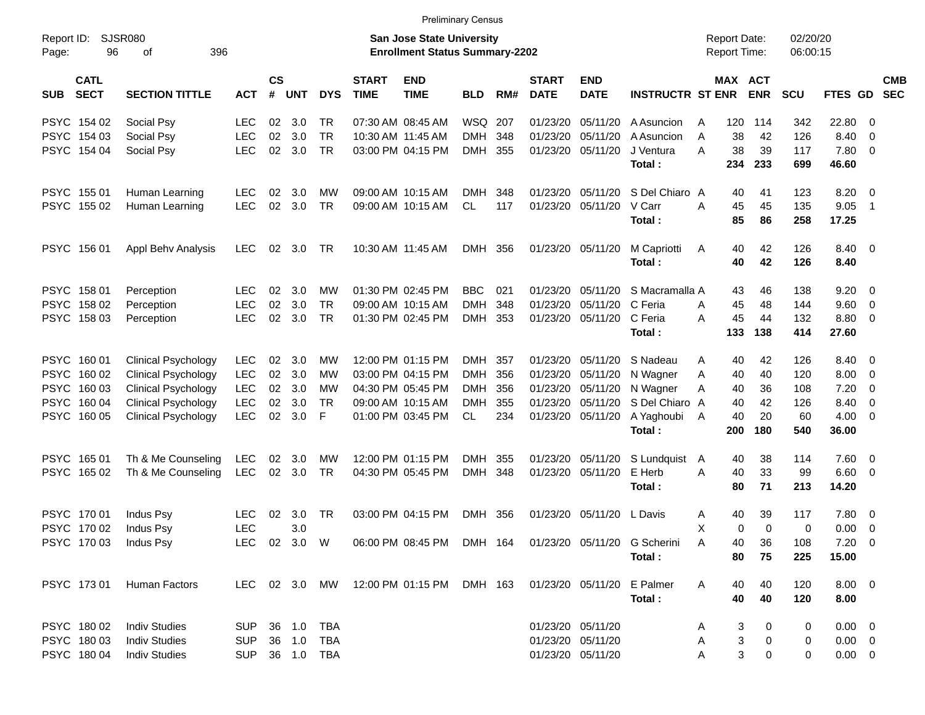| Report ID:<br>Page: | 96                         | SJSR080<br>396<br>οf       |            |                             |            |            |                             | <b>San Jose State University</b><br><b>Enrollment Status Summary-2202</b> |            |     |                             |                           |                            |   | <b>Report Date:</b><br><b>Report Time:</b> |            | 02/20/20<br>06:00:15 |               |                          |                          |
|---------------------|----------------------------|----------------------------|------------|-----------------------------|------------|------------|-----------------------------|---------------------------------------------------------------------------|------------|-----|-----------------------------|---------------------------|----------------------------|---|--------------------------------------------|------------|----------------------|---------------|--------------------------|--------------------------|
| <b>SUB</b>          | <b>CATL</b><br><b>SECT</b> | <b>SECTION TITTLE</b>      | <b>ACT</b> | $\mathbf{c}\mathbf{s}$<br># | <b>UNT</b> | <b>DYS</b> | <b>START</b><br><b>TIME</b> | <b>END</b><br><b>TIME</b>                                                 | <b>BLD</b> | RM# | <b>START</b><br><b>DATE</b> | <b>END</b><br><b>DATE</b> | <b>INSTRUCTR ST ENR</b>    |   | MAX ACT                                    | <b>ENR</b> | <b>SCU</b>           | FTES GD       |                          | <b>CMB</b><br><b>SEC</b> |
|                     | PSYC 154 02                | Social Psy                 | <b>LEC</b> | 02                          | 3.0        | TR         |                             | 07:30 AM 08:45 AM                                                         | WSQ        | 207 | 01/23/20                    | 05/11/20                  | A Asuncion                 | A | 120                                        | 114        | 342                  | 22.80         | $\overline{\mathbf{0}}$  |                          |
|                     | PSYC 154 03                | Social Psy                 | <b>LEC</b> | 02                          | 3.0        | <b>TR</b>  |                             | 10:30 AM 11:45 AM                                                         | <b>DMH</b> | 348 | 01/23/20                    | 05/11/20                  | A Asuncion                 | Α | 38                                         | 42         | 126                  | 8.40          | 0                        |                          |
|                     | PSYC 154 04                | Social Psy                 | <b>LEC</b> | 02                          | 3.0        | TR         |                             | 03:00 PM 04:15 PM                                                         | <b>DMH</b> | 355 | 01/23/20                    | 05/11/20                  | J Ventura<br>Total:        | Α | 38<br>234                                  | 39<br>233  | 117<br>699           | 7.80<br>46.60 | $\overline{\mathbf{0}}$  |                          |
|                     |                            |                            |            |                             |            |            |                             |                                                                           |            |     |                             |                           |                            |   |                                            |            |                      |               |                          |                          |
|                     | PSYC 155 01                | Human Learning             | <b>LEC</b> | 02                          | 3.0        | МW         |                             | 09:00 AM 10:15 AM                                                         | <b>DMH</b> | 348 | 01/23/20                    | 05/11/20                  | S Del Chiaro A             |   | 40                                         | 41         | 123                  | 8.20          | $\overline{\phantom{0}}$ |                          |
|                     | PSYC 155 02                | Human Learning             | <b>LEC</b> | 02                          | 3.0        | TR         |                             | 09:00 AM 10:15 AM                                                         | CL.        | 117 | 01/23/20                    | 05/11/20                  | V Carr                     | A | 45                                         | 45         | 135                  | 9.05          | $\overline{1}$           |                          |
|                     |                            |                            |            |                             |            |            |                             |                                                                           |            |     |                             |                           | Total:                     |   | 85                                         | 86         | 258                  | 17.25         |                          |                          |
|                     | PSYC 156 01                | Appl Behy Analysis         | <b>LEC</b> | 02                          | 3.0        | TR         |                             | 10:30 AM 11:45 AM                                                         | <b>DMH</b> | 356 |                             | 01/23/20 05/11/20         | M Capriotti                | A | 40                                         | 42         | 126                  | 8.40 0        |                          |                          |
|                     |                            |                            |            |                             |            |            |                             |                                                                           |            |     |                             |                           | Total:                     |   | 40                                         | 42         | 126                  | 8.40          |                          |                          |
|                     | PSYC 158 01                | Perception                 | <b>LEC</b> | 02                          | 3.0        | MW         |                             | 01:30 PM 02:45 PM                                                         | <b>BBC</b> | 021 | 01/23/20                    | 05/11/20                  | S Macramalla A             |   | 43                                         | 46         | 138                  | 9.20          | $\overline{\phantom{0}}$ |                          |
|                     | PSYC 158 02                | Perception                 | <b>LEC</b> | 02                          | 3.0        | <b>TR</b>  |                             | 09:00 AM 10:15 AM                                                         | <b>DMH</b> | 348 | 01/23/20                    | 05/11/20                  | C Feria                    | A | 45                                         | 48         | 144                  | 9.60          | 0                        |                          |
|                     | PSYC 158 03                | Perception                 | <b>LEC</b> | 02                          | 3.0        | <b>TR</b>  |                             | 01:30 PM 02:45 PM                                                         | <b>DMH</b> | 353 | 01/23/20                    | 05/11/20                  | C Feria                    | A | 45                                         | 44         | 132                  | 8.80          | 0                        |                          |
|                     |                            |                            |            |                             |            |            |                             |                                                                           |            |     |                             |                           | Total:                     |   | 133                                        | 138        | 414                  | 27.60         |                          |                          |
|                     | PSYC 160 01                | <b>Clinical Psychology</b> | <b>LEC</b> | 02                          | 3.0        | МW         |                             | 12:00 PM 01:15 PM                                                         | DMH        | 357 | 01/23/20                    | 05/11/20                  | S Nadeau                   | Α | 40                                         | 42         | 126                  | 8.40 0        |                          |                          |
|                     | PSYC 160 02                | <b>Clinical Psychology</b> | <b>LEC</b> | 02                          | 3.0        | МW         |                             | 03:00 PM 04:15 PM                                                         | <b>DMH</b> | 356 | 01/23/20                    | 05/11/20                  | N Wagner                   | Α | 40                                         | 40         | 120                  | 8.00          | 0                        |                          |
|                     | PSYC 160 03                | <b>Clinical Psychology</b> | <b>LEC</b> | 02                          | 3.0        | MW         |                             | 04:30 PM 05:45 PM                                                         | <b>DMH</b> | 356 | 01/23/20                    | 05/11/20                  | N Wagner                   | Α | 40                                         | 36         | 108                  | 7.20          | 0                        |                          |
|                     | PSYC 160 04                | <b>Clinical Psychology</b> | <b>LEC</b> | 02                          | 3.0        | TR         |                             | 09:00 AM 10:15 AM                                                         | <b>DMH</b> | 355 | 01/23/20                    | 05/11/20                  | S Del Chiaro A             |   | 40                                         | 42         | 126                  | 8.40          | 0                        |                          |
|                     | PSYC 160 05                | <b>Clinical Psychology</b> | LEC        | 02                          | 3.0        | F          |                             | 01:00 PM 03:45 PM                                                         | <b>CL</b>  | 234 | 01/23/20                    | 05/11/20                  | A Yaghoubi                 | A | 40                                         | 20         | 60                   | 4.00          | $\overline{\mathbf{0}}$  |                          |
|                     |                            |                            |            |                             |            |            |                             |                                                                           |            |     |                             |                           | Total:                     |   | 200                                        | 180        | 540                  | 36.00         |                          |                          |
|                     | PSYC 165 01                | Th & Me Counseling         | <b>LEC</b> | 02                          | 3.0        | MW         |                             | 12:00 PM 01:15 PM                                                         | <b>DMH</b> | 355 | 01/23/20                    | 05/11/20                  | S Lundquist                | A | 40                                         | 38         | 114                  | $7.60 \t 0$   |                          |                          |
|                     | PSYC 165 02                | Th & Me Counseling         | <b>LEC</b> | 02                          | 3.0        | TR         |                             | 04:30 PM 05:45 PM                                                         | <b>DMH</b> | 348 | 01/23/20                    | 05/11/20                  | E Herb                     | A | 40                                         | 33         | 99                   | 6.60          | $\overline{\mathbf{0}}$  |                          |
|                     |                            |                            |            |                             |            |            |                             |                                                                           |            |     |                             |                           | Total:                     |   | 80                                         | 71         | 213                  | 14.20         |                          |                          |
|                     | PSYC 170 01                | Indus Psy                  | <b>LEC</b> | 02                          | 3.0        | TR         |                             | 03:00 PM 04:15 PM                                                         | <b>DMH</b> | 356 | 01/23/20                    | 05/11/20                  | L Davis                    | Α | 40                                         | 39         | 117                  | 7.80          | $\overline{\phantom{0}}$ |                          |
|                     | PSYC 170 02                | Indus Psy                  | <b>LEC</b> |                             | 3.0        |            |                             |                                                                           |            |     |                             |                           |                            | Х | 0                                          | 0          | 0                    | 0.00          | 0                        |                          |
|                     | PSYC 170 03                | Indus Psy                  | <b>LEC</b> | 02                          | 3.0        | W          |                             | 06:00 PM 08:45 PM                                                         | DMH        | 164 |                             | 01/23/20 05/11/20         | G Scherini                 | A | 40                                         | 36         | 108                  | 7.20          | 0                        |                          |
|                     |                            |                            |            |                             |            |            |                             |                                                                           |            |     |                             |                           | Total:                     |   | 80                                         | 75         | 225                  | 15.00         |                          |                          |
|                     | PSYC 17301                 | <b>Human Factors</b>       |            |                             |            |            |                             | LEC 02 3.0 MW 12:00 PM 01:15 PM                                           | DMH 163    |     |                             |                           | 01/23/20 05/11/20 E Palmer | A | 40                                         | 40         | 120                  | $8.00 \ 0$    |                          |                          |
|                     |                            |                            |            |                             |            |            |                             |                                                                           |            |     |                             |                           | Total:                     |   | 40                                         | 40         | 120                  | 8.00          |                          |                          |
|                     | PSYC 180 02                | <b>Indiv Studies</b>       | <b>SUP</b> |                             | 36 1.0     | <b>TBA</b> |                             |                                                                           |            |     |                             | 01/23/20 05/11/20         |                            | A | 3                                          | 0          | 0                    | $0.00 \t 0$   |                          |                          |
|                     | PSYC 180 03                | <b>Indiv Studies</b>       | <b>SUP</b> |                             | 36 1.0     | <b>TBA</b> |                             |                                                                           |            |     |                             | 01/23/20 05/11/20         |                            | Α | 3                                          | 0          | 0                    | $0.00 \t 0$   |                          |                          |
|                     | PSYC 180 04                | <b>Indiv Studies</b>       | <b>SUP</b> |                             | 36 1.0     | <b>TBA</b> |                             |                                                                           |            |     |                             | 01/23/20 05/11/20         |                            | Α | 3                                          | 0          | 0                    | $0.00 \t 0$   |                          |                          |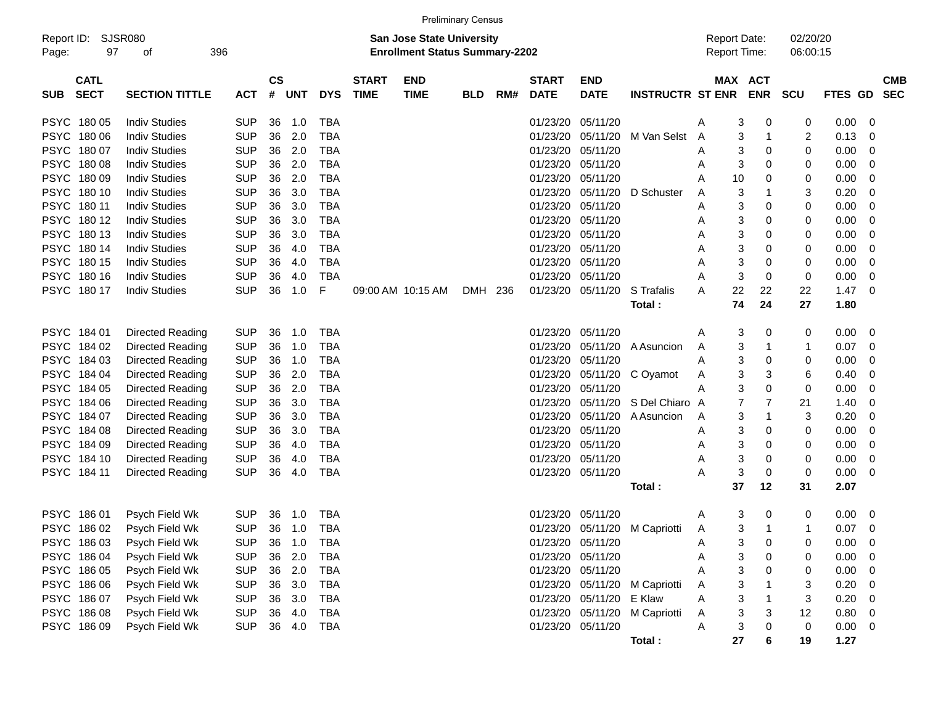|                     |                            |                         |            |                |        |            |                             |                                                                    | <b>Preliminary Census</b> |     |                             |                           |                               |                                            |                              |                      |         |                          |  |
|---------------------|----------------------------|-------------------------|------------|----------------|--------|------------|-----------------------------|--------------------------------------------------------------------|---------------------------|-----|-----------------------------|---------------------------|-------------------------------|--------------------------------------------|------------------------------|----------------------|---------|--------------------------|--|
| Report ID:<br>Page: | 97                         | <b>SJSR080</b><br>οf    | 396        |                |        |            |                             | San Jose State University<br><b>Enrollment Status Summary-2202</b> |                           |     |                             |                           |                               | <b>Report Date:</b><br><b>Report Time:</b> |                              | 02/20/20<br>06:00:15 |         |                          |  |
| <b>SUB</b>          | <b>CATL</b><br><b>SECT</b> | <b>SECTION TITTLE</b>   | <b>ACT</b> | <b>CS</b><br># | UNT    | <b>DYS</b> | <b>START</b><br><b>TIME</b> | <b>END</b><br><b>TIME</b>                                          | <b>BLD</b>                | RM# | <b>START</b><br><b>DATE</b> | <b>END</b><br><b>DATE</b> | <b>INSTRUCTR ST ENR</b>       |                                            | <b>MAX ACT</b><br><b>ENR</b> | SCU                  | FTES GD | <b>CMB</b><br><b>SEC</b> |  |
|                     | PSYC 180 05                | <b>Indiv Studies</b>    | <b>SUP</b> | 36             | 1.0    | TBA        |                             |                                                                    |                           |     | 01/23/20                    | 05/11/20                  |                               | Α<br>3                                     | 0                            | 0                    | 0.00    | 0                        |  |
|                     | PSYC 180 06                | <b>Indiv Studies</b>    | <b>SUP</b> | 36             | 2.0    | <b>TBA</b> |                             |                                                                    |                           |     | 01/23/20                    | 05/11/20                  | M Van Selst                   | 3<br>A                                     | 1                            | 2                    | 0.13    | 0                        |  |
|                     | PSYC 180 07                | <b>Indiv Studies</b>    | <b>SUP</b> | 36             | 2.0    | <b>TBA</b> |                             |                                                                    |                           |     | 01/23/20                    | 05/11/20                  |                               | 3<br>Α                                     | 0                            | 0                    | 0.00    | 0                        |  |
|                     | PSYC 180 08                | <b>Indiv Studies</b>    | <b>SUP</b> | 36             | 2.0    | <b>TBA</b> |                             |                                                                    |                           |     | 01/23/20                    | 05/11/20                  |                               | Α                                          | 3<br>0                       | 0                    | 0.00    | 0                        |  |
|                     | PSYC 180 09                | <b>Indiv Studies</b>    | <b>SUP</b> | 36             | 2.0    | <b>TBA</b> |                             |                                                                    |                           |     | 01/23/20                    | 05/11/20                  |                               | 10<br>Α                                    | 0                            | 0                    | 0.00    | 0                        |  |
|                     | PSYC 180 10                | <b>Indiv Studies</b>    | <b>SUP</b> | 36             | 3.0    | <b>TBA</b> |                             |                                                                    |                           |     | 01/23/20                    | 05/11/20                  | D Schuster                    | 3<br>Α                                     |                              | 3                    | 0.20    | 0                        |  |
|                     | PSYC 180 11                | <b>Indiv Studies</b>    | <b>SUP</b> | 36             | 3.0    | <b>TBA</b> |                             |                                                                    |                           |     | 01/23/20                    | 05/11/20                  |                               | 3<br>Α                                     | 0                            | 0                    | 0.00    | 0                        |  |
|                     | PSYC 180 12                | <b>Indiv Studies</b>    | <b>SUP</b> | 36             | 3.0    | <b>TBA</b> |                             |                                                                    |                           |     | 01/23/20                    | 05/11/20                  |                               | Α                                          | 3<br>0                       | 0                    | 0.00    | 0                        |  |
|                     | PSYC 180 13                | <b>Indiv Studies</b>    | <b>SUP</b> | 36             | 3.0    | <b>TBA</b> |                             |                                                                    |                           |     | 01/23/20                    | 05/11/20                  |                               | Α                                          | 3<br>0                       | 0                    | 0.00    | 0                        |  |
|                     | PSYC 180 14                | <b>Indiv Studies</b>    | <b>SUP</b> | 36             | 4.0    | <b>TBA</b> |                             |                                                                    |                           |     | 01/23/20                    | 05/11/20                  |                               | Α                                          | 3<br>0                       | 0                    | 0.00    | 0                        |  |
|                     | PSYC 180 15                | <b>Indiv Studies</b>    | <b>SUP</b> | 36             | 4.0    | <b>TBA</b> |                             |                                                                    |                           |     | 01/23/20                    | 05/11/20                  |                               | Α                                          | 3<br>0                       | 0                    | 0.00    | 0                        |  |
|                     | PSYC 180 16                | <b>Indiv Studies</b>    | <b>SUP</b> | 36             | 4.0    | <b>TBA</b> |                             |                                                                    |                           |     | 01/23/20                    | 05/11/20                  |                               | Α                                          | 3<br>0                       | 0                    | 0.00    | 0                        |  |
|                     | PSYC 180 17                | <b>Indiv Studies</b>    | <b>SUP</b> | 36             | 1.0    | F          |                             | 09:00 AM 10:15 AM                                                  | <b>DMH</b>                | 236 | 01/23/20                    | 05/11/20                  | S Trafalis                    | 22<br>A                                    | 22                           | 22                   | 1.47    | 0                        |  |
|                     |                            |                         |            |                |        |            |                             |                                                                    |                           |     |                             |                           | Total:                        | 74                                         | 24                           | 27                   | 1.80    |                          |  |
|                     |                            |                         |            |                |        |            |                             |                                                                    |                           |     |                             |                           |                               |                                            |                              |                      |         |                          |  |
|                     | PSYC 184 01                | <b>Directed Reading</b> | <b>SUP</b> | 36             | 1.0    | TBA        |                             |                                                                    |                           |     | 01/23/20                    | 05/11/20                  |                               | 3<br>A                                     | 0                            | 0                    | 0.00    | 0                        |  |
|                     | PSYC 184 02                | <b>Directed Reading</b> | <b>SUP</b> | 36             | 1.0    | <b>TBA</b> |                             |                                                                    |                           |     | 01/23/20                    | 05/11/20                  | A Asuncion                    | 3<br>Α                                     | 1                            |                      | 0.07    | 0                        |  |
|                     | PSYC 184 03                | <b>Directed Reading</b> | <b>SUP</b> | 36             | 1.0    | <b>TBA</b> |                             |                                                                    |                           |     | 01/23/20                    | 05/11/20                  |                               | Α                                          | 3<br>0                       | 0                    | 0.00    | 0                        |  |
|                     | PSYC 184 04                | Directed Reading        | <b>SUP</b> | 36             | 2.0    | <b>TBA</b> |                             |                                                                    |                           |     | 01/23/20                    | 05/11/20                  | C Oyamot                      | A                                          | 3<br>3                       | 6                    | 0.40    | 0                        |  |
|                     | PSYC 184 05                | <b>Directed Reading</b> | <b>SUP</b> | 36             | 2.0    | <b>TBA</b> |                             |                                                                    |                           |     | 01/23/20                    | 05/11/20                  |                               | A                                          | 3<br>0                       | 0                    | 0.00    | 0                        |  |
|                     | PSYC 184 06                | <b>Directed Reading</b> | <b>SUP</b> | 36             | 3.0    | <b>TBA</b> |                             |                                                                    |                           |     | 01/23/20                    | 05/11/20                  | S Del Chiaro A                |                                            | $\overline{7}$<br>7          | 21                   | 1.40    | 0                        |  |
|                     | PSYC 184 07                | Directed Reading        | <b>SUP</b> | 36             | 3.0    | <b>TBA</b> |                             |                                                                    |                           |     | 01/23/20                    | 05/11/20                  | A Asuncion                    | A                                          | 3                            | 3                    | 0.20    | 0                        |  |
|                     | PSYC 184 08                | <b>Directed Reading</b> | <b>SUP</b> | 36             | 3.0    | <b>TBA</b> |                             |                                                                    |                           |     | 01/23/20                    | 05/11/20                  |                               | 3<br>Α                                     | 0                            | 0                    | 0.00    | 0                        |  |
|                     | PSYC 184 09                | <b>Directed Reading</b> | <b>SUP</b> | 36             | 4.0    | <b>TBA</b> |                             |                                                                    |                           |     | 01/23/20                    | 05/11/20                  |                               | Α                                          | 3<br>0                       | 0                    | 0.00    | 0                        |  |
|                     | PSYC 184 10                | <b>Directed Reading</b> | <b>SUP</b> | 36             | 4.0    | <b>TBA</b> |                             |                                                                    |                           |     | 01/23/20                    | 05/11/20                  |                               | Α                                          | 3<br>0                       | 0                    | 0.00    | 0                        |  |
|                     | PSYC 184 11                | Directed Reading        | <b>SUP</b> | 36             | 4.0    | TBA        |                             |                                                                    |                           |     | 01/23/20                    | 05/11/20                  |                               | A                                          | 3<br>0                       | 0                    | 0.00    | 0                        |  |
|                     |                            |                         |            |                |        |            |                             |                                                                    |                           |     |                             |                           | Total:                        | 37                                         | 12                           | 31                   | 2.07    |                          |  |
|                     | PSYC 186 01                | Psych Field Wk          | <b>SUP</b> | 36             | 1.0    | <b>TBA</b> |                             |                                                                    |                           |     | 01/23/20                    | 05/11/20                  |                               | Α                                          | 3<br>0                       | 0                    | 0.00    | 0                        |  |
|                     | PSYC 186 02                | Psych Field Wk          | <b>SUP</b> | 36             | 1.0    | TBA        |                             |                                                                    |                           |     | 01/23/20                    |                           | 05/11/20 M Capriotti          | A                                          | 3                            | 1                    | 0.07    | 0                        |  |
|                     | PSYC 186 03                | Psych Field Wk          | <b>SUP</b> | 36             | 1.0    | <b>TBA</b> |                             |                                                                    |                           |     |                             | 01/23/20 05/11/20         |                               | A                                          | 3<br>0                       | 0                    | 0.00    | 0                        |  |
|                     | PSYC 186 04                | Psych Field Wk          | <b>SUP</b> | 36             | 2.0    | TBA        |                             |                                                                    |                           |     |                             | 01/23/20 05/11/20         |                               | 3<br>A                                     | 0                            | 0                    | 0.00    | 0                        |  |
|                     | PSYC 186 05                | Psych Field Wk          | <b>SUP</b> |                | 36 2.0 | <b>TBA</b> |                             |                                                                    |                           |     |                             | 01/23/20 05/11/20         |                               | 3<br>A                                     | 0                            | 0                    | 0.00    | 0                        |  |
|                     | PSYC 186 06                | Psych Field Wk          | <b>SUP</b> | 36             | 3.0    | <b>TBA</b> |                             |                                                                    |                           |     |                             |                           | 01/23/20 05/11/20 M Capriotti | 3<br>A                                     |                              | 3                    | 0.20    | 0                        |  |
|                     | PSYC 186 07                | Psych Field Wk          | <b>SUP</b> | 36             | 3.0    | TBA        |                             |                                                                    |                           |     |                             | 01/23/20 05/11/20         | E Klaw                        | A                                          | 3                            | 3                    | 0.20    | 0                        |  |
|                     | PSYC 186 08                | Psych Field Wk          | <b>SUP</b> | 36             | 4.0    | TBA        |                             |                                                                    |                           |     |                             | 01/23/20 05/11/20         | M Capriotti                   | A                                          | 3<br>3                       | 12                   | 0.80    | 0                        |  |
|                     | PSYC 186 09                | Psych Field Wk          | <b>SUP</b> |                | 36 4.0 | TBA        |                             |                                                                    |                           |     |                             | 01/23/20 05/11/20         |                               | Α                                          | 3<br>0                       | 0                    | 0.00    | 0                        |  |
|                     |                            |                         |            |                |        |            |                             |                                                                    |                           |     |                             |                           | Total:                        | 27                                         | 6                            | 19                   | 1.27    |                          |  |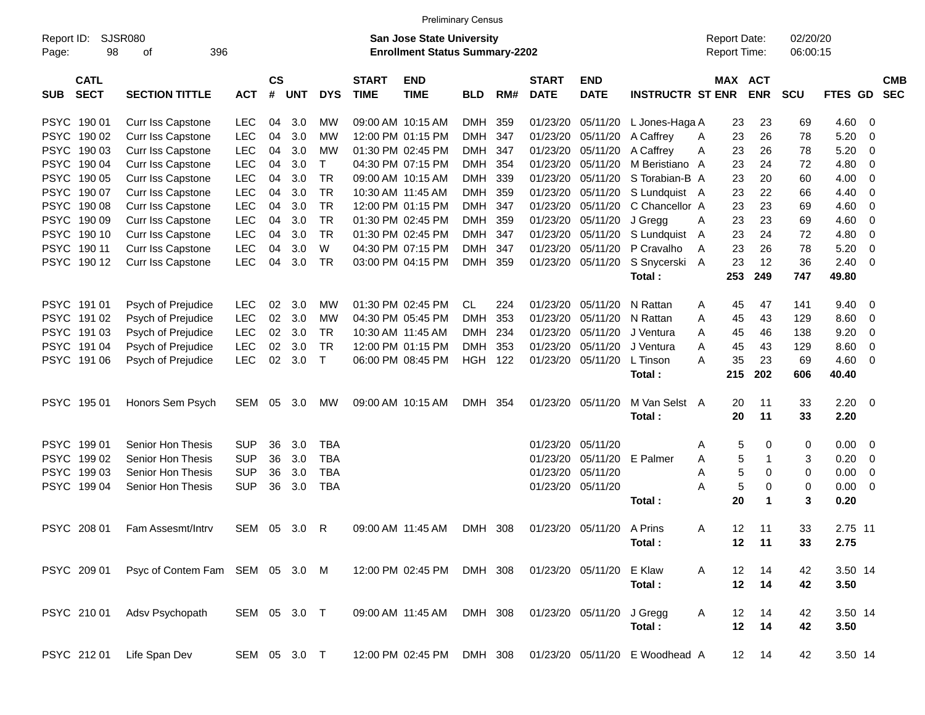|             |             |                                 |              |               |            |            |                   | <b>Preliminary Census</b>             |                |     |                   |                   |                         |   |                     |               |            |                |                         |            |
|-------------|-------------|---------------------------------|--------------|---------------|------------|------------|-------------------|---------------------------------------|----------------|-----|-------------------|-------------------|-------------------------|---|---------------------|---------------|------------|----------------|-------------------------|------------|
| Report ID:  |             | SJSR080                         |              |               |            |            |                   | <b>San Jose State University</b>      |                |     |                   |                   |                         |   | <b>Report Date:</b> |               | 02/20/20   |                |                         |            |
| Page:       | 98          | 396<br>оf                       |              |               |            |            |                   | <b>Enrollment Status Summary-2202</b> |                |     |                   |                   |                         |   | Report Time:        |               | 06:00:15   |                |                         |            |
|             | <b>CATL</b> |                                 |              | $\mathsf{cs}$ |            |            | <b>START</b>      | <b>END</b>                            |                |     | <b>START</b>      | <b>END</b>        |                         |   | MAX ACT             |               |            |                |                         | <b>CMB</b> |
| <b>SUB</b>  | <b>SECT</b> | <b>SECTION TITTLE</b>           | <b>ACT</b>   | #             | <b>UNT</b> | <b>DYS</b> | <b>TIME</b>       | <b>TIME</b>                           | <b>BLD</b>     | RM# | <b>DATE</b>       | <b>DATE</b>       | <b>INSTRUCTR ST ENR</b> |   |                     | <b>ENR</b>    | <b>SCU</b> | <b>FTES GD</b> |                         | <b>SEC</b> |
| <b>PSYC</b> | 190 01      | Curr Iss Capstone               | <b>LEC</b>   | 04            | 3.0        | МW         |                   | 09:00 AM 10:15 AM                     | DMH 359        |     | 01/23/20          | 05/11/20          | L Jones-Haga A          |   | 23                  | 23            | 69         | 4.60           | - 0                     |            |
|             | PSYC 190 02 | Curr Iss Capstone               | <b>LEC</b>   | 04            | 3.0        | МW         |                   | 12:00 PM 01:15 PM                     | DMH 347        |     | 01/23/20          | 05/11/20          | A Caffrey               | A | 23                  | 26            | 78         | 5.20           | 0                       |            |
| <b>PSYC</b> | 190 03      | Curr Iss Capstone               | <b>LEC</b>   | 04            | 3.0        | МW         |                   | 01:30 PM 02:45 PM                     | DMH 347        |     | 01/23/20          | 05/11/20          | A Caffrey               | A | 23                  | 26            | 78         | 5.20           | 0                       |            |
|             | PSYC 190 04 | Curr Iss Capstone               | <b>LEC</b>   | 04            | 3.0        | Τ          |                   | 04:30 PM 07:15 PM                     | DMH 354        |     | 01/23/20          | 05/11/20          | M Beristiano A          |   | 23                  | 24            | 72         | 4.80           | 0                       |            |
|             | PSYC 190 05 | Curr Iss Capstone               | LEC          | 04            | 3.0        | <b>TR</b>  |                   | 09:00 AM 10:15 AM                     | DMH 339        |     | 01/23/20          | 05/11/20          | S Torabian-B A          |   | 23                  | 20            | 60         | 4.00           | 0                       |            |
|             | PSYC 190 07 | Curr Iss Capstone               | <b>LEC</b>   | 04            | 3.0        | <b>TR</b>  | 10:30 AM 11:45 AM |                                       | DMH 359        |     | 01/23/20          | 05/11/20          | S Lundquist A           |   | 23                  | 22            | 66         | 4.40           | - 0                     |            |
|             | PSYC 190 08 | Curr Iss Capstone               | <b>LEC</b>   | 04            | 3.0        | <b>TR</b>  |                   | 12:00 PM 01:15 PM                     | DMH 347        |     | 01/23/20          | 05/11/20          | C Chancellor A          |   | 23                  | 23            | 69         | 4.60           | - 0                     |            |
|             | PSYC 190 09 | Curr Iss Capstone               | LEC          | 04            | 3.0        | <b>TR</b>  |                   | 01:30 PM 02:45 PM                     | DMH 359        |     | 01/23/20          | 05/11/20          | J Gregg                 | A | 23                  | 23            | 69         | 4.60           | 0                       |            |
|             | PSYC 190 10 | Curr Iss Capstone               | <b>LEC</b>   | 04            | 3.0        | <b>TR</b>  |                   | 01:30 PM 02:45 PM                     | DMH 347        |     | 01/23/20          | 05/11/20          | S Lundquist             | A | 23                  | 24            | 72         | 4.80           | 0                       |            |
|             | PSYC 190 11 | Curr Iss Capstone               | <b>LEC</b>   | 04            | 3.0        | W          |                   | 04:30 PM 07:15 PM                     | DMH 347        |     | 01/23/20          | 05/11/20          | P Cravalho              | A | 23                  | 26            | 78         | 5.20           | 0                       |            |
|             | PSYC 190 12 | Curr Iss Capstone               | <b>LEC</b>   | 04            | 3.0        | <b>TR</b>  |                   | 03:00 PM 04:15 PM                     | DMH 359        |     | 01/23/20          | 05/11/20          | S Snycerski A           |   | 23                  | 12            | 36         | 2.40           | - 0                     |            |
|             |             |                                 |              |               |            |            |                   |                                       |                |     |                   |                   | Total:                  |   | 253                 | 249           | 747        | 49.80          |                         |            |
|             |             |                                 |              |               |            |            |                   |                                       |                |     |                   |                   |                         |   |                     |               |            |                |                         |            |
|             | PSYC 191 01 | Psych of Prejudice              | <b>LEC</b>   | 02            | 3.0        | МW         |                   | 01:30 PM 02:45 PM                     | <b>CL</b>      | 224 | 01/23/20          | 05/11/20          | N Rattan                | A | 45                  | 47            | 141        | 9.40           | $\overline{\mathbf{0}}$ |            |
|             | PSYC 191 02 | Psych of Prejudice              | <b>LEC</b>   | 02            | 3.0        | МW         |                   | 04:30 PM 05:45 PM                     | <b>DMH</b>     | 353 | 01/23/20          | 05/11/20          | N Rattan                | A | 45                  | 43            | 129        | 8.60           | 0                       |            |
|             | PSYC 191 03 | Psych of Prejudice              | <b>LEC</b>   | 02            | 3.0        | <b>TR</b>  | 10:30 AM 11:45 AM |                                       | <b>DMH</b>     | 234 | 01/23/20          | 05/11/20          | J Ventura               | A | 45                  | 46            | 138        | 9.20           | 0                       |            |
|             | PSYC 19104  | Psych of Prejudice              | <b>LEC</b>   | 02            | 3.0        | <b>TR</b>  |                   | 12:00 PM 01:15 PM                     | <b>DMH</b>     | 353 | 01/23/20          | 05/11/20          | J Ventura               | A | 45                  | 43            | 129        | 8.60           | 0                       |            |
|             | PSYC 191 06 | Psych of Prejudice              | <b>LEC</b>   | 02            | 3.0        | T          |                   | 06:00 PM 08:45 PM                     | <b>HGH 122</b> |     | 01/23/20          | 05/11/20          | L Tinson                | Α | 35                  | 23            | 69         | 4.60           | - 0                     |            |
|             |             |                                 |              |               |            |            |                   |                                       |                |     |                   |                   | Total:                  |   | 215                 | 202           | 606        | 40.40          |                         |            |
|             | PSYC 195 01 | Honors Sem Psych                | SEM          | 05            | 3.0        | MW         |                   | 09:00 AM 10:15 AM                     | DMH 354        |     | 01/23/20          | 05/11/20          | M Van Selst A           |   | 20                  | 11            | 33         | $2.20 \t 0$    |                         |            |
|             |             |                                 |              |               |            |            |                   |                                       |                |     |                   |                   | Total:                  |   | 20                  | 11            | 33         | 2.20           |                         |            |
|             | PSYC 19901  | Senior Hon Thesis               | <b>SUP</b>   | 36            | 3.0        | <b>TBA</b> |                   |                                       |                |     | 01/23/20          | 05/11/20          |                         | Α | 5                   | 0             | 0          | 0.00           | - 0                     |            |
| <b>PSYC</b> | 19902       | Senior Hon Thesis               | <b>SUP</b>   | 36            | 3.0        | <b>TBA</b> |                   |                                       |                |     | 01/23/20          | 05/11/20          | E Palmer                | A | 5                   | $\mathbf 1$   | 3          | 0.20           | - 0                     |            |
| <b>PSYC</b> | 199 03      | Senior Hon Thesis               | <b>SUP</b>   | 36            | 3.0        | <b>TBA</b> |                   |                                       |                |     | 01/23/20          | 05/11/20          |                         | A | 5                   | 0             | 0          | 0.00           | 0                       |            |
|             | PSYC 199 04 | Senior Hon Thesis               | <b>SUP</b>   | 36            | 3.0        | <b>TBA</b> |                   |                                       |                |     | 01/23/20          | 05/11/20          |                         | А | 5                   | 0             | 0          | 0.00           | - 0                     |            |
|             |             |                                 |              |               |            |            |                   |                                       |                |     |                   |                   | Total :                 |   | 20                  | 1             | 3          | 0.20           |                         |            |
|             |             |                                 |              |               |            |            |                   |                                       |                |     |                   |                   |                         |   |                     |               |            |                |                         |            |
|             | PSYC 208 01 | Fam Assesmt/Intry               | SEM          | 05            | 3.0        | R          |                   | 09:00 AM 11:45 AM                     | DMH 308        |     | 01/23/20          | 05/11/20          | A Prins                 | A | 12                  | -11           | 33         | 2.75 11        |                         |            |
|             |             |                                 |              |               |            |            |                   |                                       |                |     |                   |                   | Total :                 |   |                     | $12 \quad 11$ | 33         | 2.75           |                         |            |
|             | PSYC 209 01 | Psyc of Contem Fam SEM 05 3.0 M |              |               |            |            |                   | 12:00 PM 02:45 PM                     | DMH 308        |     | 01/23/20 05/11/20 |                   | E Klaw                  | A | 12                  | 14            | 42         | 3.50 14        |                         |            |
|             |             |                                 |              |               |            |            |                   |                                       |                |     |                   |                   | Total:                  |   | 12                  | 14            | 42         | 3.50           |                         |            |
|             | PSYC 210 01 | Adsv Psychopath                 | SEM 05 3.0 T |               |            |            |                   | 09:00 AM 11:45 AM                     | DMH 308        |     | 01/23/20 05/11/20 |                   | J Gregg                 | A | 12                  | 14            | 42         | 3.50 14        |                         |            |
|             |             |                                 |              |               |            |            |                   |                                       |                |     |                   |                   | Total:                  |   | 12                  | 14            | 42         | 3.50           |                         |            |
|             | PSYC 21201  | Life Span Dev                   | SEM 05 3.0 T |               |            |            |                   | 12:00 PM 02:45 PM                     | DMH 308        |     |                   | 01/23/20 05/11/20 | E Woodhead A            |   | 12                  | 14            | 42         | 3.50 14        |                         |            |
|             |             |                                 |              |               |            |            |                   |                                       |                |     |                   |                   |                         |   |                     |               |            |                |                         |            |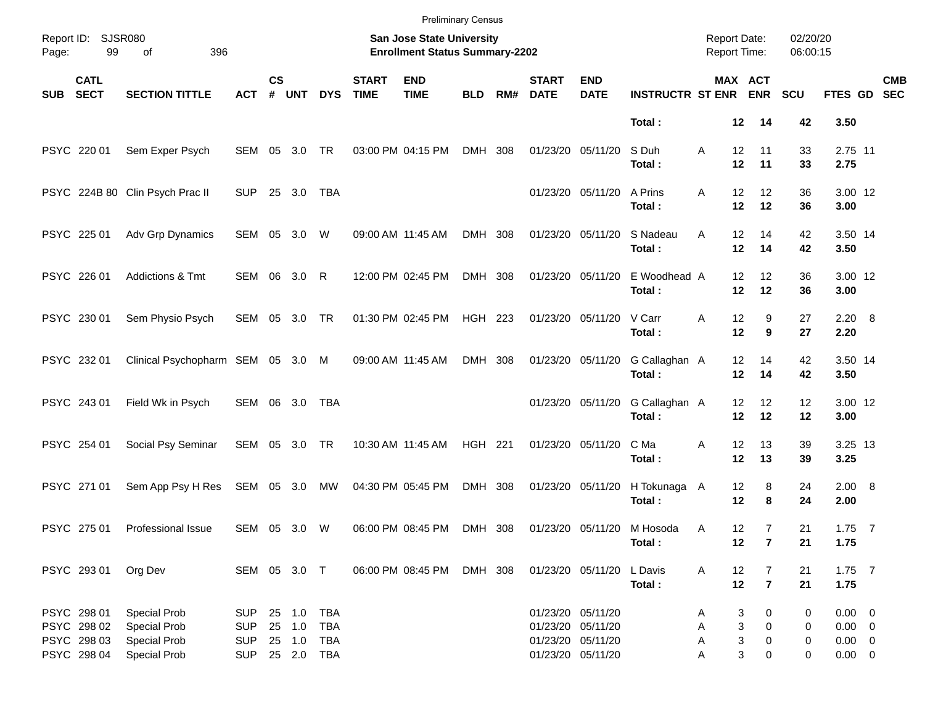|            |                                                          |                                                                            |                                                      |                    |                            |                                   |                             | <b>Preliminary Census</b>                                          |            |     |                             |                                                                                  |                         |                                     |                                      |                      |                                                          |            |
|------------|----------------------------------------------------------|----------------------------------------------------------------------------|------------------------------------------------------|--------------------|----------------------------|-----------------------------------|-----------------------------|--------------------------------------------------------------------|------------|-----|-----------------------------|----------------------------------------------------------------------------------|-------------------------|-------------------------------------|--------------------------------------|----------------------|----------------------------------------------------------|------------|
| Page:      | Report ID: SJSR080<br>99                                 | 396<br>of                                                                  |                                                      |                    |                            |                                   |                             | San Jose State University<br><b>Enrollment Status Summary-2202</b> |            |     |                             |                                                                                  |                         | <b>Report Date:</b><br>Report Time: |                                      | 02/20/20<br>06:00:15 |                                                          |            |
| <b>SUB</b> | <b>CATL</b><br><b>SECT</b>                               | <b>SECTION TITTLE</b>                                                      | <b>ACT</b>                                           | $\mathsf{cs}$<br># | <b>UNT</b>                 | <b>DYS</b>                        | <b>START</b><br><b>TIME</b> | <b>END</b><br><b>TIME</b>                                          | <b>BLD</b> | RM# | <b>START</b><br><b>DATE</b> | <b>END</b><br><b>DATE</b>                                                        | <b>INSTRUCTR ST ENR</b> |                                     | MAX ACT<br><b>ENR</b>                | <b>SCU</b>           | FTES GD SEC                                              | <b>CMB</b> |
|            |                                                          |                                                                            |                                                      |                    |                            |                                   |                             |                                                                    |            |     |                             |                                                                                  | Total:                  | 12                                  | 14                                   | 42                   | 3.50                                                     |            |
|            | PSYC 220 01                                              | Sem Exper Psych                                                            | SEM                                                  | 05                 | 3.0                        | <b>TR</b>                         |                             | 03:00 PM 04:15 PM                                                  | DMH 308    |     |                             | 01/23/20 05/11/20                                                                | S Duh<br>Total:         | 12<br>Α<br>12                       | 11<br>11                             | 33<br>33             | 2.75 11<br>2.75                                          |            |
|            |                                                          | PSYC 224B 80 Clin Psych Prac II                                            | <b>SUP</b>                                           |                    | 25 3.0                     | TBA                               |                             |                                                                    |            |     |                             | 01/23/20 05/11/20                                                                | A Prins<br>Total:       | 12<br>Α<br>12                       | 12<br>12                             | 36<br>36             | 3.00 12<br>3.00                                          |            |
|            | PSYC 225 01                                              | Adv Grp Dynamics                                                           | SEM                                                  | 05                 | 3.0                        | W                                 |                             | 09:00 AM 11:45 AM                                                  | DMH 308    |     |                             | 01/23/20 05/11/20                                                                | S Nadeau<br>Total:      | 12<br>A<br>12                       | 14<br>14                             | 42<br>42             | 3.50 14<br>3.50                                          |            |
|            | PSYC 226 01                                              | <b>Addictions &amp; Tmt</b>                                                | SEM 06                                               |                    | 3.0 R                      |                                   |                             | 12:00 PM 02:45 PM                                                  | DMH 308    |     |                             | 01/23/20 05/11/20                                                                | E Woodhead A<br>Total:  | 12<br>12                            | 12<br>12                             | 36<br>36             | 3.00 12<br>3.00                                          |            |
|            | PSYC 230 01                                              | Sem Physio Psych                                                           | SEM                                                  | 05                 | 3.0                        | TR                                |                             | 01:30 PM 02:45 PM                                                  | HGH 223    |     |                             | 01/23/20 05/11/20                                                                | V Carr<br>Total:        | 12<br>Α<br>12                       | 9<br>9                               | 27<br>27             | $2.20\quad 8$<br>2.20                                    |            |
|            | PSYC 232 01                                              | Clinical Psychopharm SEM 05 3.0 M                                          |                                                      |                    |                            |                                   |                             | 09:00 AM 11:45 AM                                                  | DMH 308    |     |                             | 01/23/20 05/11/20                                                                | G Callaghan A<br>Total: | 12<br>12                            | 14<br>14                             | 42<br>42             | 3.50 14<br>3.50                                          |            |
|            | PSYC 243 01                                              | Field Wk in Psych                                                          | SEM 06 3.0                                           |                    |                            | TBA                               |                             |                                                                    |            |     | 01/23/20 05/11/20           |                                                                                  | G Callaghan A<br>Total: | 12<br>12                            | 12<br>12                             | 12<br>12             | 3.00 12<br>3.00                                          |            |
|            | PSYC 254 01                                              | Social Psy Seminar                                                         | SEM                                                  |                    | 05 3.0                     | <b>TR</b>                         |                             | 10:30 AM 11:45 AM                                                  | HGH 221    |     |                             | 01/23/20 05/11/20                                                                | C Ma<br>Total:          | 12<br>Α<br>12                       | 13<br>13                             | 39<br>39             | 3.25 13<br>3.25                                          |            |
|            | PSYC 271 01                                              | Sem App Psy H Res                                                          | SEM                                                  |                    | 05 3.0                     | <b>MW</b>                         |                             | 04:30 PM 05:45 PM                                                  | DMH 308    |     | 01/23/20 05/11/20           |                                                                                  | H Tokunaga<br>Total:    | 12<br>A<br>12                       | 8<br>8                               | 24<br>24             | 2.00 8<br>2.00                                           |            |
|            | PSYC 275 01                                              | <b>Professional Issue</b>                                                  | SEM                                                  | 05                 | 3.0                        | W                                 |                             | 06:00 PM 08:45 PM                                                  | DMH 308    |     |                             | 01/23/20 05/11/20                                                                | M Hosoda<br>Total:      | 12<br>Α<br>12                       | $\overline{7}$<br>$\overline{7}$     | 21<br>21             | $1.75$ 7<br>1.75                                         |            |
|            | PSYC 293 01                                              | Org Dev                                                                    | SEM 05 3.0 T                                         |                    |                            |                                   |                             | 06:00 PM 08:45 PM                                                  | DMH 308    |     |                             | 01/23/20 05/11/20                                                                | L Davis<br>Total:       | 12<br>A<br>12                       | $\overline{7}$<br>$\overline{7}$     | 21<br>21             | $1.75$ 7<br>1.75                                         |            |
|            | PSYC 298 01<br>PSYC 298 02<br>PSYC 298 03<br>PSYC 298 04 | Special Prob<br><b>Special Prob</b><br><b>Special Prob</b><br>Special Prob | <b>SUP</b><br><b>SUP</b><br><b>SUP</b><br><b>SUP</b> |                    | 25 1.0<br>25 1.0<br>25 1.0 | TBA<br>TBA<br>TBA<br>25  2.0  TBA |                             |                                                                    |            |     |                             | 01/23/20 05/11/20<br>01/23/20 05/11/20<br>01/23/20 05/11/20<br>01/23/20 05/11/20 |                         | Α<br>Α<br>Α<br>Α                    | 3<br>0<br>3<br>0<br>3<br>0<br>3<br>0 | 0<br>0<br>0<br>0     | $0.00 \t 0$<br>$0.00 \t 0$<br>$0.00 \t 0$<br>$0.00 \t 0$ |            |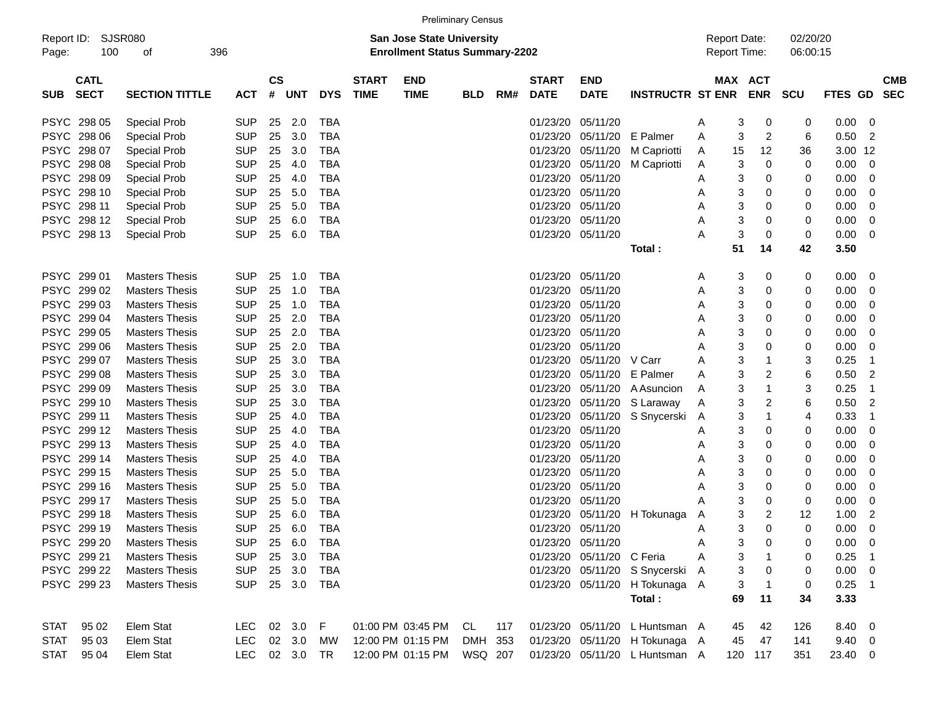|                     |                            |                       |            |                    |               |            |                             |                                                                           | <b>Preliminary Census</b> |     |                             |                           |                                |                                            |    |    |                      |                |                            |                          |
|---------------------|----------------------------|-----------------------|------------|--------------------|---------------|------------|-----------------------------|---------------------------------------------------------------------------|---------------------------|-----|-----------------------------|---------------------------|--------------------------------|--------------------------------------------|----|----|----------------------|----------------|----------------------------|--------------------------|
| Report ID:<br>Page: | 100                        | SJSR080<br>οf         | 396        |                    |               |            |                             | <b>San Jose State University</b><br><b>Enrollment Status Summary-2202</b> |                           |     |                             |                           |                                | <b>Report Date:</b><br><b>Report Time:</b> |    |    | 02/20/20<br>06:00:15 |                |                            |                          |
| <b>SUB</b>          | <b>CATL</b><br><b>SECT</b> | <b>SECTION TITTLE</b> | <b>ACT</b> | $\mathsf{cs}$<br># | UNT           | <b>DYS</b> | <b>START</b><br><b>TIME</b> | <b>END</b><br><b>TIME</b>                                                 | <b>BLD</b>                | RM# | <b>START</b><br><b>DATE</b> | <b>END</b><br><b>DATE</b> | <b>INSTRUCTR ST ENR ENR</b>    | MAX ACT                                    |    |    | <b>SCU</b>           | <b>FTES GD</b> |                            | <b>CMB</b><br><b>SEC</b> |
|                     | PSYC 298 05                | Special Prob          | <b>SUP</b> | 25                 | 2.0           | <b>TBA</b> |                             |                                                                           |                           |     | 01/23/20                    | 05/11/20                  |                                | Α                                          | 3  | 0  | 0                    | 0.00 0         |                            |                          |
|                     | PSYC 298 06                | <b>Special Prob</b>   | <b>SUP</b> | 25                 | 3.0           | <b>TBA</b> |                             |                                                                           |                           |     | 01/23/20                    | 05/11/20                  | E Palmer                       | Α                                          | 3  | 2  | 6                    | 0.50           | $\overline{\phantom{0}}^2$ |                          |
|                     | PSYC 298 07                | <b>Special Prob</b>   | <b>SUP</b> | 25                 | 3.0           | <b>TBA</b> |                             |                                                                           |                           |     | 01/23/20                    | 05/11/20                  | M Capriotti                    | Α                                          | 15 | 12 | 36                   | 3.00 12        |                            |                          |
|                     | PSYC 298 08                | <b>Special Prob</b>   | <b>SUP</b> | 25                 | 4.0           | <b>TBA</b> |                             |                                                                           |                           |     |                             | 01/23/20 05/11/20         | M Capriotti                    | Α                                          | 3  | 0  | 0                    | 0.00           | $\overline{\phantom{0}}$   |                          |
|                     | PSYC 298 09                | <b>Special Prob</b>   | <b>SUP</b> | 25                 | 4.0           | <b>TBA</b> |                             |                                                                           |                           |     |                             | 01/23/20 05/11/20         |                                | A                                          | 3  | 0  | 0                    | 0.00           | - 0                        |                          |
|                     | PSYC 298 10                | Special Prob          | <b>SUP</b> | 25                 | 5.0           | <b>TBA</b> |                             |                                                                           |                           |     |                             | 01/23/20 05/11/20         |                                | Α                                          | 3  | 0  | 0                    | 0.00           | - 0                        |                          |
|                     | PSYC 298 11                | Special Prob          | <b>SUP</b> | 25                 | 5.0           | <b>TBA</b> |                             |                                                                           |                           |     |                             | 01/23/20 05/11/20         |                                | Α                                          | 3  | 0  | 0                    | 0.00           | - 0                        |                          |
|                     | PSYC 298 12                | Special Prob          | <b>SUP</b> | 25                 | 6.0           | <b>TBA</b> |                             |                                                                           |                           |     |                             | 01/23/20 05/11/20         |                                | Α                                          | 3  | 0  | 0                    | 0.00           | 0                          |                          |
|                     | PSYC 298 13                | <b>Special Prob</b>   | <b>SUP</b> | 25                 | 6.0           | <b>TBA</b> |                             |                                                                           |                           |     |                             | 01/23/20 05/11/20         |                                | А                                          | 3  | 0  | 0                    | 0.00           | $\overline{\phantom{0}}$   |                          |
|                     |                            |                       |            |                    |               |            |                             |                                                                           |                           |     |                             |                           | Total:                         |                                            | 51 | 14 | 42                   | 3.50           |                            |                          |
|                     | PSYC 299 01                | <b>Masters Thesis</b> | <b>SUP</b> | 25                 | 1.0           | <b>TBA</b> |                             |                                                                           |                           |     |                             | 01/23/20 05/11/20         |                                | Α                                          | 3  | 0  | 0                    | $0.00 \t 0$    |                            |                          |
|                     | PSYC 299 02                | <b>Masters Thesis</b> | <b>SUP</b> | 25                 | 1.0           | <b>TBA</b> |                             |                                                                           |                           |     |                             | 01/23/20 05/11/20         |                                | Α                                          | 3  | 0  | 0                    | 0.00           | $\overline{\phantom{0}}$   |                          |
|                     | PSYC 299 03                | <b>Masters Thesis</b> | <b>SUP</b> | 25                 | 1.0           | <b>TBA</b> |                             |                                                                           |                           |     |                             | 01/23/20 05/11/20         |                                | Α                                          | 3  | 0  | 0                    | 0.00           | - 0                        |                          |
|                     | PSYC 299 04                | <b>Masters Thesis</b> | <b>SUP</b> | 25                 | 2.0           | <b>TBA</b> |                             |                                                                           |                           |     |                             | 01/23/20 05/11/20         |                                | Α                                          | 3  | 0  | 0                    | 0.00           | - 0                        |                          |
|                     | PSYC 299 05                | <b>Masters Thesis</b> | <b>SUP</b> | 25                 | 2.0           | <b>TBA</b> |                             |                                                                           |                           |     |                             | 01/23/20 05/11/20         |                                | Α                                          | 3  | 0  | 0                    | 0.00           | 0                          |                          |
|                     | PSYC 299 06                | <b>Masters Thesis</b> | <b>SUP</b> | 25                 | 2.0           | <b>TBA</b> |                             |                                                                           |                           |     |                             | 01/23/20 05/11/20         |                                | Α                                          | 3  | 0  | 0                    | 0.00           | - 0                        |                          |
|                     | PSYC 299 07                | <b>Masters Thesis</b> | <b>SUP</b> | 25                 | 3.0           | <b>TBA</b> |                             |                                                                           |                           |     |                             | 01/23/20 05/11/20 V Carr  |                                | Α                                          | 3  |    | 3                    | 0.25           | -1                         |                          |
|                     | PSYC 299 08                | <b>Masters Thesis</b> | <b>SUP</b> | 25                 | 3.0           | <b>TBA</b> |                             |                                                                           |                           |     |                             | 01/23/20 05/11/20         | E Palmer                       | Α                                          | 3  | 2  | 6                    | 0.50           | $\overline{c}$             |                          |
|                     | PSYC 299 09                | <b>Masters Thesis</b> | <b>SUP</b> | 25                 | 3.0           | <b>TBA</b> |                             |                                                                           |                           |     |                             | 01/23/20 05/11/20         | A Asuncion                     | Α                                          | 3  |    | 3                    | 0.25           |                            |                          |
|                     | PSYC 299 10                | <b>Masters Thesis</b> | <b>SUP</b> | 25                 | 3.0           | <b>TBA</b> |                             |                                                                           |                           |     |                             |                           | 01/23/20 05/11/20 S Laraway    | Α                                          | 3  | 2  | 6                    | 0.50           | $\overline{2}$             |                          |
|                     | PSYC 299 11                | <b>Masters Thesis</b> | <b>SUP</b> | 25                 | 4.0           | <b>TBA</b> |                             |                                                                           |                           |     |                             |                           | 01/23/20 05/11/20 S Snycerski  | A                                          | 3  |    | 4                    | 0.33           | -1                         |                          |
|                     | PSYC 299 12                | <b>Masters Thesis</b> | <b>SUP</b> | 25                 | 4.0           | <b>TBA</b> |                             |                                                                           |                           |     |                             | 01/23/20 05/11/20         |                                | Α                                          | 3  | 0  | 0                    | 0.00           | - 0                        |                          |
|                     | PSYC 299 13                | <b>Masters Thesis</b> | <b>SUP</b> | 25                 | 4.0           | <b>TBA</b> |                             |                                                                           |                           |     |                             | 01/23/20 05/11/20         |                                | Α                                          | 3  | 0  | 0                    | 0.00           | - 0                        |                          |
|                     | PSYC 299 14                | <b>Masters Thesis</b> | <b>SUP</b> | 25                 | 4.0           | <b>TBA</b> |                             |                                                                           |                           |     |                             | 01/23/20 05/11/20         |                                | Α                                          | 3  | 0  | 0                    | 0.00           | - 0                        |                          |
|                     | PSYC 299 15                | <b>Masters Thesis</b> | <b>SUP</b> | 25                 | 5.0           | <b>TBA</b> |                             |                                                                           |                           |     |                             | 01/23/20 05/11/20         |                                | Α                                          | 3  | 0  | 0                    | 0.00           | - 0                        |                          |
|                     | PSYC 299 16                | <b>Masters Thesis</b> | <b>SUP</b> | 25                 | 5.0           | <b>TBA</b> |                             |                                                                           |                           |     |                             | 01/23/20 05/11/20         |                                | Α                                          | 3  | 0  | 0                    | 0.00           | 0                          |                          |
|                     | PSYC 299 17                | <b>Masters Thesis</b> | <b>SUP</b> | 25                 | 5.0           | <b>TBA</b> |                             |                                                                           |                           |     |                             | 01/23/20 05/11/20         |                                | А                                          | 3  | 0  | 0                    | 0.00           | 0                          |                          |
|                     | PSYC 299 18                | <b>Masters Thesis</b> | <b>SUP</b> | 25                 | 6.0           | <b>TBA</b> |                             |                                                                           |                           |     |                             | 01/23/20 05/11/20         | H Tokunaga                     | A                                          | 3  | 2  | 12                   | 1.00           | 2                          |                          |
|                     | PSYC 299 19                | <b>Masters Thesis</b> | <b>SUP</b> | 25                 | 6.0           | <b>TBA</b> |                             |                                                                           |                           |     |                             | 01/23/20 05/11/20         |                                | Α                                          | 3  | 0  | 0                    | 0.00           | 0                          |                          |
|                     | PSYC 299 20                | <b>Masters Thesis</b> | <b>SUP</b> |                    | 25 6.0        | TBA        |                             |                                                                           |                           |     |                             | 01/23/20 05/11/20         |                                | A                                          | 3  | 0  | 0                    | $0.00 \t 0$    |                            |                          |
|                     | PSYC 299 21                | <b>Masters Thesis</b> | <b>SUP</b> |                    | 25 3.0        | TBA        |                             |                                                                           |                           |     |                             | 01/23/20 05/11/20 C Feria |                                | Α                                          | 3  |    | 0                    | $0.25$ 1       |                            |                          |
|                     | PSYC 299 22                | <b>Masters Thesis</b> | <b>SUP</b> |                    | 25 3.0        | TBA        |                             |                                                                           |                           |     |                             |                           | 01/23/20 05/11/20 S Snycerski  | A                                          | 3  | 0  | 0                    | $0.00 \t 0$    |                            |                          |
|                     | PSYC 299 23                | <b>Masters Thesis</b> | <b>SUP</b> |                    | 25 3.0 TBA    |            |                             |                                                                           |                           |     |                             |                           | 01/23/20 05/11/20 H Tokunaga A |                                            | 3  |    | 0                    | $0.25$ 1       |                            |                          |
|                     |                            |                       |            |                    |               |            |                             |                                                                           |                           |     |                             |                           | Total:                         |                                            | 69 | 11 | 34                   | 3.33           |                            |                          |
| STAT                | 95 02                      | Elem Stat             |            |                    | LEC 02 3.0 F  |            |                             | 01:00 PM 03:45 PM                                                         | CL.                       | 117 |                             |                           | 01/23/20 05/11/20 L Huntsman A |                                            | 45 | 42 | 126                  | 8.40 0         |                            |                          |
| <b>STAT</b>         | 95 03                      | Elem Stat             |            |                    | LEC 02 3.0 MW |            |                             | 12:00 PM 01:15 PM                                                         | DMH 353                   |     |                             |                           | 01/23/20 05/11/20 H Tokunaga A |                                            | 45 | 47 | 141                  | $9.40 \quad 0$ |                            |                          |

STAT 95 04 Elem Stat LEC 02 3.0 TR 12:00 PM 01:15 PM WSQ 207 01/23/20 05/11/20 L Huntsman A 120 117 351 23.40 0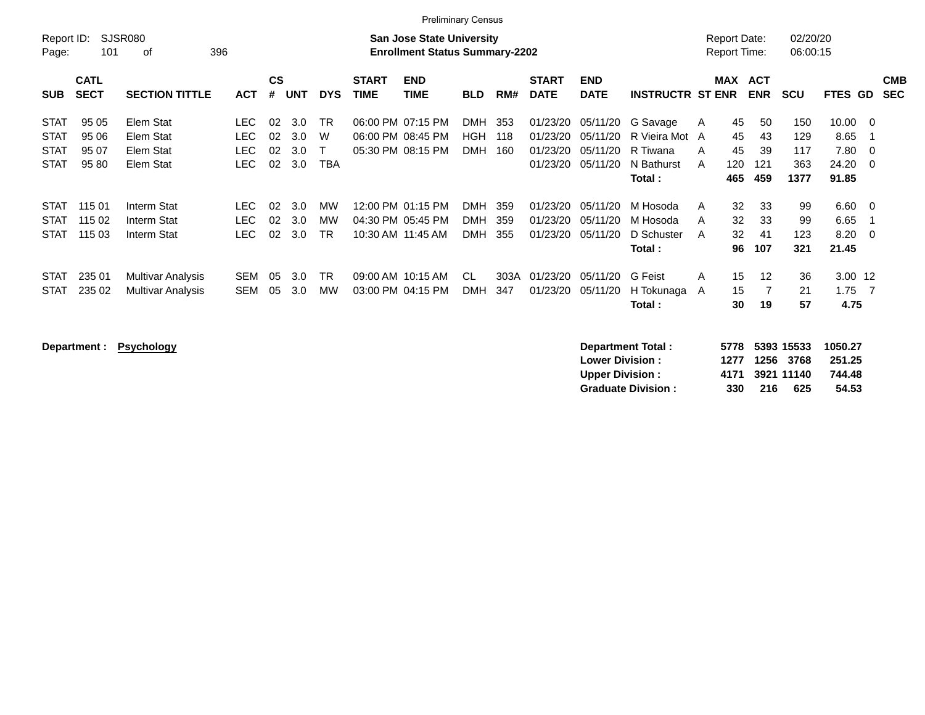| <b>Preliminary Census</b> |  |
|---------------------------|--|
|---------------------------|--|

| Report ID:<br>Page:                                      | 101                              | SJSR080<br>396<br>οf                                 |                                                |                      |                          |                              |                                        | <b>San Jose State University</b><br><b>Enrollment Status Summary-2202</b> |                                        |                   |                                              |                                              |                                                                | <b>Report Date:</b><br><b>Report Time:</b>  |                              | 02/20/20<br>06:00:15             |                                         |                              |
|----------------------------------------------------------|----------------------------------|------------------------------------------------------|------------------------------------------------|----------------------|--------------------------|------------------------------|----------------------------------------|---------------------------------------------------------------------------|----------------------------------------|-------------------|----------------------------------------------|----------------------------------------------|----------------------------------------------------------------|---------------------------------------------|------------------------------|----------------------------------|-----------------------------------------|------------------------------|
| <b>SUB</b>                                               | <b>CATL</b><br><b>SECT</b>       | <b>SECTION TITTLE</b>                                | <b>ACT</b>                                     | <b>CS</b><br>#       | UNT                      | <b>DYS</b>                   | <b>START</b><br><b>TIME</b>            | <b>END</b><br>TIME                                                        | <b>BLD</b>                             | RM#               | <b>START</b><br><b>DATE</b>                  | <b>END</b><br><b>DATE</b>                    | <b>INSTRUCTR ST ENR</b>                                        | MAX                                         | <b>ACT</b><br><b>ENR</b>     | <b>SCU</b>                       | <b>FTES</b><br><b>GD</b>                | <b>CMB</b><br><b>SEC</b>     |
| <b>STAT</b><br><b>STAT</b><br><b>STAT</b><br><b>STAT</b> | 95 05<br>95 06<br>95 07<br>95 80 | Elem Stat<br>Elem Stat<br>Elem Stat<br>Elem Stat     | <b>LEC</b><br><b>LEC</b><br><b>LEC</b><br>LEC. | 02<br>02<br>02<br>02 | 3.0<br>3.0<br>3.0<br>3.0 | <b>TR</b><br>W<br><b>TBA</b> | 06:00 PM 07:15 PM<br>06:00 PM 08:45 PM | 05:30 PM 08:15 PM                                                         | <b>DMH</b><br><b>HGH</b><br><b>DMH</b> | 353<br>118<br>160 | 01/23/20<br>01/23/20<br>01/23/20<br>01/23/20 | 05/11/20<br>05/11/20<br>05/11/20<br>05/11/20 | G Savage<br>R Vieira Mot A<br>R Tiwana<br>N Bathurst<br>Total: | 45<br>A<br>45<br>45<br>A<br>120<br>A<br>465 | 50<br>43<br>39<br>121<br>459 | 150<br>129<br>117<br>363<br>1377 | 10.00<br>8.65<br>7.80<br>24.20<br>91.85 | - 0<br>- 1<br>- 0<br>- 0     |
| <b>STAT</b><br><b>STAT</b><br><b>STAT</b>                | 115 01<br>115 02<br>115 03       | Interm Stat<br>Interm Stat<br>Interm Stat            | <b>LEC</b><br><b>LEC</b><br><b>LEC</b>         | 02<br>02<br>02       | 3.0<br>3.0<br>3.0        | MW<br><b>MW</b><br>TR.       | 04:30 PM 05:45 PM<br>10:30 AM 11:45 AM | 12:00 PM 01:15 PM                                                         | <b>DMH</b><br><b>DMH</b><br><b>DMH</b> | 359<br>359<br>355 | 01/23/20<br>01/23/20<br>01/23/20             | 05/11/20<br>05/11/20<br>05/11/20             | M Hosoda<br>M Hosoda<br>D Schuster<br>Total:                   | 32<br>A<br>32<br>A<br>32<br>A<br>96         | 33<br>33<br>41<br>107        | 99<br>99<br>123<br>321           | 6.60<br>6.65<br>8.20<br>21.45           | $\overline{0}$<br>- 1<br>- 0 |
| <b>STAT</b><br><b>STAT</b>                               | 235 01<br>235 02                 | <b>Multivar Analysis</b><br><b>Multivar Analysis</b> | SEM<br>SEM                                     | 05<br>05             | 3.0<br>3.0               | <b>TR</b><br><b>MW</b>       | 09:00 AM 10:15 AM<br>03:00 PM 04:15 PM |                                                                           | CL.<br><b>DMH</b>                      | 303A<br>347       | 01/23/20<br>01/23/20                         | 05/11/20<br>05/11/20                         | G Feist<br>H Tokunaga<br>Total:                                | 15<br>A<br>15<br>A<br>30                    | 12<br>19                     | 36<br>21<br>57                   | 3.00 12<br>1.75<br>4.75                 | - 7                          |

**Department : Psychology Department Total : 5778 5393 15533 1050.27 Lower Division : 1277 1256 3768 251.25 Upper Division : 4171 3921 11140 744.48 Graduate Division :**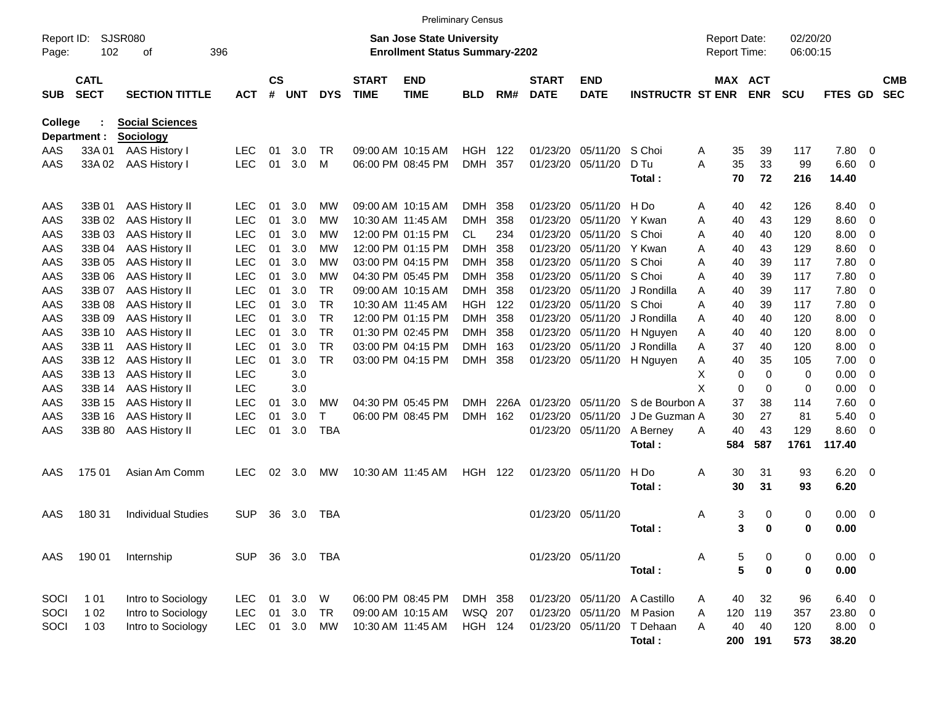|                     |                            |                           |                |                    |            |            |                             | <b>Preliminary Census</b>                                                 |                |       |                             |                           |                                      |                                     |               |                      |                      |                          |                          |
|---------------------|----------------------------|---------------------------|----------------|--------------------|------------|------------|-----------------------------|---------------------------------------------------------------------------|----------------|-------|-----------------------------|---------------------------|--------------------------------------|-------------------------------------|---------------|----------------------|----------------------|--------------------------|--------------------------|
| Report ID:<br>Page: | 102                        | SJSR080<br>оf             | 396            |                    |            |            |                             | <b>San Jose State University</b><br><b>Enrollment Status Summary-2202</b> |                |       |                             |                           |                                      | <b>Report Date:</b><br>Report Time: |               | 02/20/20<br>06:00:15 |                      |                          |                          |
| <b>SUB</b>          | <b>CATL</b><br><b>SECT</b> | <b>SECTION TITTLE</b>     | <b>ACT</b>     | $\mathsf{cs}$<br># | <b>UNT</b> | <b>DYS</b> | <b>START</b><br><b>TIME</b> | <b>END</b><br><b>TIME</b>                                                 | <b>BLD</b>     | RM#   | <b>START</b><br><b>DATE</b> | <b>END</b><br><b>DATE</b> | <b>INSTRUCTR ST ENR</b>              | MAX ACT                             | <b>ENR</b>    | SCU                  | <b>FTES GD</b>       |                          | <b>CMB</b><br><b>SEC</b> |
| <b>College</b>      |                            | <b>Social Sciences</b>    |                |                    |            |            |                             |                                                                           |                |       |                             |                           |                                      |                                     |               |                      |                      |                          |                          |
|                     | Department :               | Sociology                 |                |                    |            |            |                             |                                                                           |                |       |                             |                           |                                      |                                     |               |                      |                      |                          |                          |
| AAS                 | 33A01                      | <b>AAS History I</b>      | <b>LEC</b>     | 01                 | 3.0        | TR.        |                             | 09:00 AM 10:15 AM                                                         | <b>HGH</b>     | - 122 | 01/23/20                    | 05/11/20                  | S Choi                               | 35<br>Α                             | 39            | 117                  | 7.80                 | 0                        |                          |
| AAS                 | 33A 02                     | <b>AAS History I</b>      | LEC            | 01                 | 3.0        | м          |                             | 06:00 PM 08:45 PM                                                         | <b>DMH</b>     | 357   | 01/23/20                    | 05/11/20                  | D Tu<br>Total :                      | 35<br>A<br>70                       | 33<br>72      | 99<br>216            | 6.60<br>14.40        | $\overline{0}$           |                          |
| AAS                 | 33B 01                     | <b>AAS History II</b>     | <b>LEC</b>     | 01                 | 3.0        | МW         |                             | 09:00 AM 10:15 AM                                                         | <b>DMH</b>     | 358   | 01/23/20                    | 05/11/20                  | H Do                                 | 40<br>Α                             | 42            | 126                  | 8.40                 | 0                        |                          |
| AAS                 | 33B 02                     | <b>AAS History II</b>     | <b>LEC</b>     | 01                 | 3.0        | МW         |                             | 10:30 AM 11:45 AM                                                         | DMH            | 358   | 01/23/20                    | 05/11/20                  | Y Kwan                               | Α<br>40                             | 43            | 129                  | 8.60                 | 0                        |                          |
| AAS                 | 33B 03                     | <b>AAS History II</b>     | <b>LEC</b>     | 01                 | 3.0        | МW         |                             | 12:00 PM 01:15 PM                                                         | CL             | 234   | 01/23/20                    | 05/11/20                  | S Choi                               | 40<br>Α                             | 40            | 120                  | 8.00                 | 0                        |                          |
| AAS                 | 33B 04                     | <b>AAS History II</b>     | <b>LEC</b>     | 01                 | 3.0        | МW         |                             | 12:00 PM 01:15 PM                                                         | DMH            | 358   | 01/23/20                    | 05/11/20                  | Y Kwan                               | 40<br>Α                             | 43            | 129                  | 8.60                 | 0                        |                          |
| AAS                 | 33B 05                     | <b>AAS History II</b>     | <b>LEC</b>     | 01                 | 3.0        | мw         |                             | 03:00 PM 04:15 PM                                                         | DMH            | 358   | 01/23/20                    | 05/11/20 S Choi           |                                      | 40<br>A                             | 39            | 117                  | 7.80                 | 0                        |                          |
| AAS                 | 33B 06                     | <b>AAS History II</b>     | <b>LEC</b>     | 01                 | 3.0        | мw         |                             | 04:30 PM 05:45 PM                                                         | DMH            | 358   | 01/23/20                    | 05/11/20                  | S Choi                               | 40<br>Α                             | 39            | 117                  | 7.80                 | 0                        |                          |
| AAS                 | 33B 07                     | <b>AAS History II</b>     | <b>LEC</b>     | 01                 | 3.0        | TR.        |                             | 09:00 AM 10:15 AM                                                         | DMH            | 358   | 01/23/20                    | 05/11/20                  | J Rondilla                           | 40<br>Α                             | 39            | 117                  | 7.80                 | 0                        |                          |
| AAS                 | 33B 08                     | <b>AAS History II</b>     | <b>LEC</b>     | 01                 | 3.0        | <b>TR</b>  |                             | 10:30 AM 11:45 AM                                                         | HGH.           | - 122 | 01/23/20                    | 05/11/20                  | S Choi                               | A<br>40                             | 39            | 117                  | 7.80                 | 0                        |                          |
| AAS                 | 33B 09                     | <b>AAS History II</b>     | <b>LEC</b>     | 01                 | 3.0        | TR.        |                             | 12:00 PM 01:15 PM                                                         | DMH            | 358   | 01/23/20                    | 05/11/20                  | J Rondilla                           | 40<br>Α                             | 40            | 120                  | 8.00                 | 0                        |                          |
| AAS                 | 33B 10                     | <b>AAS History II</b>     | <b>LEC</b>     | 01                 | 3.0        | TR.        |                             | 01:30 PM 02:45 PM                                                         | <b>DMH</b>     | 358   | 01/23/20                    | 05/11/20                  | H Nguyen                             | 40<br>Α                             | 40            | 120                  | 8.00                 | 0                        |                          |
| AAS                 | 33B 11                     | <b>AAS History II</b>     | <b>LEC</b>     | 01                 | 3.0        | <b>TR</b>  |                             | 03:00 PM 04:15 PM                                                         | DMH            | 163   | 01/23/20                    | 05/11/20                  | J Rondilla                           | 37<br>A                             | 40            | 120                  | 8.00                 | 0                        |                          |
| AAS                 | 33B 12                     | <b>AAS History II</b>     | <b>LEC</b>     | 01                 | 3.0        | <b>TR</b>  |                             | 03:00 PM 04:15 PM                                                         | DMH            | 358   |                             | 01/23/20 05/11/20         | H Nguyen                             | 40<br>Α                             | 35            | 105                  | 7.00                 | 0                        |                          |
| AAS                 | 33B 13                     | <b>AAS History II</b>     | <b>LEC</b>     |                    | 3.0        |            |                             |                                                                           |                |       |                             |                           |                                      | х<br>0                              | $\mathbf 0$   | 0                    | 0.00                 | 0                        |                          |
| AAS                 | 33B 14                     | <b>AAS History II</b>     | <b>LEC</b>     |                    | 3.0        |            |                             |                                                                           |                |       |                             |                           |                                      | X<br>0                              | 0             | 0                    | 0.00                 | 0                        |                          |
| AAS                 | 33B 15                     | <b>AAS History II</b>     | <b>LEC</b>     | 01                 | 3.0        | МW         |                             | 04:30 PM 05:45 PM                                                         | <b>DMH</b>     | 226A  | 01/23/20                    | 05/11/20                  | S de Bourbon A                       | 37                                  | 38            | 114                  | 7.60                 | 0                        |                          |
| AAS                 | 33B 16                     | <b>AAS History II</b>     | <b>LEC</b>     | 01                 | 3.0        | т          |                             | 06:00 PM 08:45 PM                                                         | <b>DMH</b>     | 162   | 01/23/20                    | 05/11/20                  | J De Guzman A                        | 30                                  | 27            | 81                   | 5.40                 | 0                        |                          |
| AAS                 | 33B 80                     | <b>AAS History II</b>     | <b>LEC</b>     | 01                 | 3.0        | <b>TBA</b> |                             |                                                                           |                |       |                             | 01/23/20 05/11/20         | A Berney<br>Total:                   | 40<br>Α<br>584                      | 43<br>587     | 129<br>1761          | 8.60<br>117.40       | - 0                      |                          |
| AAS                 | 175 01                     | Asian Am Comm             | <b>LEC</b>     | 02                 | 3.0        | <b>MW</b>  |                             | 10:30 AM 11:45 AM                                                         | <b>HGH 122</b> |       |                             | 01/23/20 05/11/20         | H Do                                 | 30<br>A                             | 31            | 93                   | 6.20                 | $\overline{\phantom{0}}$ |                          |
|                     |                            |                           |                |                    |            |            |                             |                                                                           |                |       |                             |                           | Total:                               | 30                                  | 31            | 93                   | 6.20                 |                          |                          |
| AAS                 | 180 31                     | <b>Individual Studies</b> | <b>SUP</b>     | 36                 | 3.0        | TBA        |                             |                                                                           |                |       |                             | 01/23/20 05/11/20         |                                      | 3<br>Α                              | 0             | 0                    | 0.00                 | $\overline{\phantom{0}}$ |                          |
|                     |                            |                           |                |                    |            |            |                             |                                                                           |                |       |                             |                           | Total :                              | 3                                   | 0             | 0                    | 0.00                 |                          |                          |
| AAS                 | 190 01                     | Internship                | SUP 36 3.0 TBA |                    |            |            |                             |                                                                           |                |       |                             | 01/23/20 05/11/20         |                                      | 5<br>Α                              | 0             | 0                    | $0.00 \t 0$          |                          |                          |
|                     |                            |                           |                |                    |            |            |                             |                                                                           |                |       |                             |                           | Total:                               | 5                                   | $\mathbf 0$   | 0                    | 0.00                 |                          |                          |
| SOCI                | 1 0 1                      | Intro to Sociology        | LEC            |                    | 01 3.0     | W          |                             | 06:00 PM 08:45 PM                                                         | DMH 358        |       |                             |                           | 01/23/20 05/11/20 A Castillo         | 40<br>A                             | 32            | 96                   | $6.40\ 0$            |                          |                          |
| SOCI                | 1 0 2                      | Intro to Sociology        | <b>LEC</b>     | 01                 | 3.0        | TR         |                             | 09:00 AM 10:15 AM                                                         | WSQ 207        |       |                             |                           | 01/23/20 05/11/20 M Pasion           | 120<br>A                            | 119           | 357                  | 23.80 0              |                          |                          |
| SOCI                | 1 0 3                      | Intro to Sociology        | <b>LEC</b>     |                    | 01 3.0     | МW         |                             | 10:30 AM 11:45 AM                                                         | <b>HGH 124</b> |       |                             |                           | 01/23/20 05/11/20 T Dehaan<br>Total: | 40<br>Α                             | 40<br>200 191 | 120<br>573           | $8.00 \t 0$<br>38.20 |                          |                          |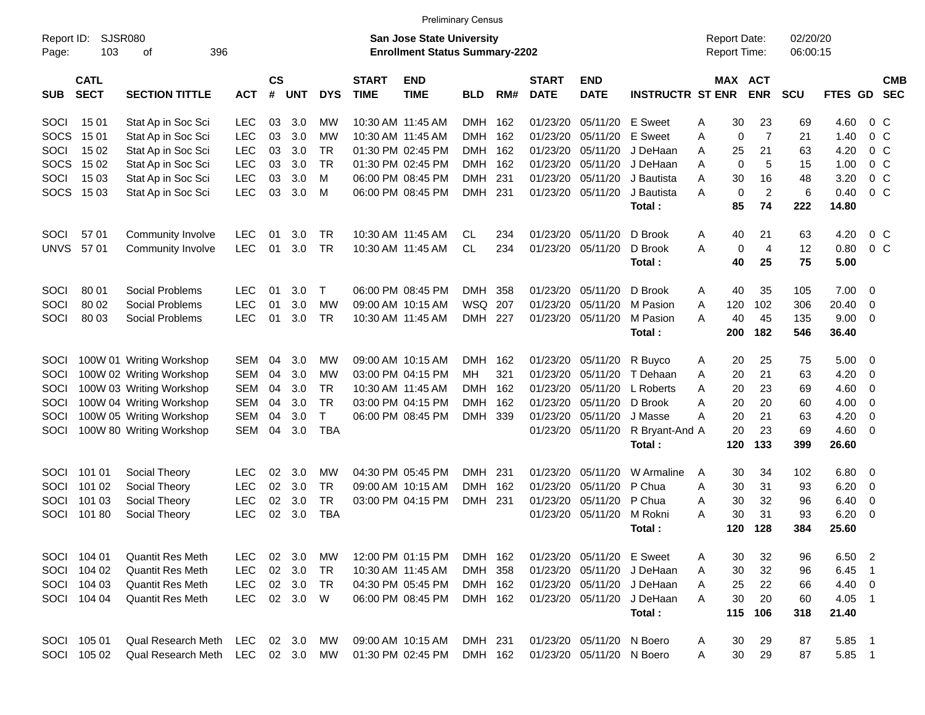SOCI 15 01 Stat Ap in Soc Sci LEC 03 3.0 MW 10:30 AM 11:45 AM DMH 162 01/23/20 05/11/20 E Sweet A 30 23 69 4.60 0 C SOCS 15 01 Stat Ap in Soc Sci LEC 03 3.0 MW 10:30 AM 11:45 AM DMH 162 01/23/20 05/11/20 E Sweet A 0 7 21 1.40 0 C SOCI 15 02 Stat Ap in Soc Sci LEC 03 3.0 TR 01:30 PM 02:45 PM DMH 162 01/23/20 05/11/20 J DeHaan A 25 21 63 4.20 0 C SOCS 15 02 Stat Ap in Soc Sci LEC 03 3.0 TR 01:30 PM 02:45 PM DMH 162 01/23/20 05/11/20 J DeHaan A 0 5 15 1.00 0 C SOCI 15 03 Stat Ap in Soc Sci LEC 03 3.0 M 06:00 PM 08:45 PM DMH 231 01/23/20 05/11/20 J Bautista A 30 16 48 3.20 0 C SOCS 15 03 Stat Ap in Soc Sci LEC 03 3.0 M 06:00 PM 08:45 PM DMH 231 01/23/20 05/11/20 J Bautista A 0 2 6 0.40 0 C **Total : 85 74 222 14.80** SOCI 57 01 Community Involve LEC 01 3.0 TR 10:30 AM 11:45 AM CL 234 01/23/20 05/11/20 D Brook A 40 21 63 4.20 0 C UNVS 57 01 Community Involve LEC 01 3.0 TR 10:30 AM 11:45 AM CL 234 01/23/20 05/11/20 D Brook A 0 4 12 0.80 0 C **Total : 40 25 75 5.00** SOCI 80 01 Social Problems LEC 01 3.0 T 06:00 PM 08:45 PM DMH 358 01/23/20 05/11/20 D Brook A 40 35 105 7.00 0 SOCI 80 02 Social Problems LEC 01 3.0 MW 09:00 AM 10:15 AM WSQ 207 01/23/20 05/11/20 M Pasion A 120 102 306 20.40 0 SOCI 80 03 Social Problems LEC 01 3.0 TR 10:30 AM 11:45 AM DMH 227 01/23/20 05/11/20 M Pasion A 40 45 135 9.00 0 **Total : 200 182 546 36.40** SOCI 100W 01 Writing Workshop SEM 04 3.0 MW 09:00 AM 10:15 AM DMH 162 01/23/20 05/11/20 R Buyco A 20 25 75 5.00 0 SOCI 100W 02 Writing Workshop SEM 04 3.0 MW 03:00 PM 04:15 PM MH 321 01/23/20 05/11/20 T Dehaan A 20 21 63 4.20 0 SOCI 100W 03 Writing Workshop SEM 04 3.0 TR 10:30 AM 11:45 AM DMH 162 01/23/20 05/11/20 L Roberts A 20 23 69 4.60 0 SOCI 100W 04 Writing Workshop SEM 04 3.0 TR 03:00 PM 04:15 PM DMH 162 01/23/20 05/11/20 D Brook A 20 20 60 4.00 0 SOCI 100W 05 Writing Workshop SEM 04 3.0 T 06:00 PM 08:45 PM DMH 339 01/23/20 05/11/20 J Masse A 20 21 63 4.20 0 SOCI 100W 80 Writing Workshop SEM 04 3.0 TBA 00 00 00 01/23/20 05/11/20 R Bryant-And A 20 23 69 4.60 0 **Total : 120 133 399 26.60** SOCI 101 01 Social Theory LEC 02 3.0 MW 04:30 PM 05:45 PM DMH 231 01/23/20 05/11/20 W Armaline A 30 34 102 6.80 0 SOCI 101 02 Social Theory LEC 02 3.0 TR 09:00 AM 10:15 AM DMH 162 01/23/20 05/11/20 P Chua A 30 31 93 6.20 0 SOCI 101 03 Social Theory LEC 02 3.0 TR 03:00 PM 04:15 PM DMH 231 01/23/20 05/11/20 P Chua A 30 32 96 6.40 0 SOCI 101 80 Social Theory LEC 02 3.0 TBA 01/23/20 05/11/20 M Rokni A 30 31 93 6.20 0 **Total : 120 128 384 25.60** SOCI 104 01 Quantit Res Meth LEC 02 3.0 MW 12:00 PM 01:15 PM DMH 162 01/23/20 05/11/20 E Sweet A 30 32 96 6.50 2 SOCI 104 02 Quantit Res Meth LEC 02 3.0 TR 10:30 AM 11:45 AM DMH 358 01/23/20 05/11/20 J DeHaan A 30 32 96 6.45 1 SOCI 104 03 Quantit Res Meth LEC 02 3.0 TR 04:30 PM 05:45 PM DMH 162 01/23/20 05/11/20 J DeHaan A 25 22 66 4.40 0 SOCI 104 04 Quantit Res Meth LEC 02 3.0 W 06:00 PM 08:45 PM DMH 162 01/23/20 05/11/20 J DeHaan A 30 20 60 4.05 1 **Total : 115 106 318 21.40** SOCI 105 01 Qual Research Meth LEC 02 3.0 MW 09:00 AM 10:15 AM DMH 231 01/23/20 05/11/20 N Boero A 30 29 87 5.85 1 Report ID: SJSR080 **San Jose State University San Jose State University** Report Date: 02/20/20 Page: 103 of 396 **Enrollment Status Summary-2202** Report Time: 06:00:15 **CATL CS START END START END MAX ACT CMB** SUB SECT SECTION TITTLE ACT # UNT DYS TIME TIME BLD RM# DATE DATE INSTRUCTR ST ENR ENR SCU FTES GD SEC

Preliminary Census

SOCI 105 02 Qual Research Meth LEC 02 3.0 MW 01:30 PM 02:45 PM DMH 162 01/23/20 05/11/20 N Boero A 30 29 87 5.85 1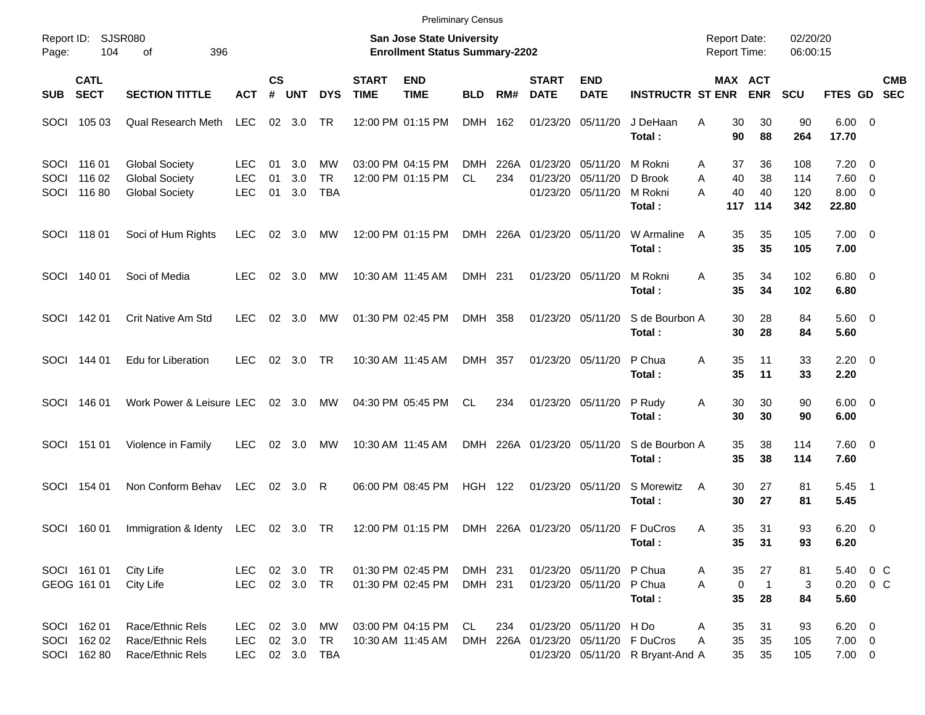|                      |                                           |                                                                         |                                        |                |                     |                               |                             |                                                                           | <b>Preliminary Census</b> |             |                                  |                                               |                                                                     |                                            |                          |                          |                                              |            |
|----------------------|-------------------------------------------|-------------------------------------------------------------------------|----------------------------------------|----------------|---------------------|-------------------------------|-----------------------------|---------------------------------------------------------------------------|---------------------------|-------------|----------------------------------|-----------------------------------------------|---------------------------------------------------------------------|--------------------------------------------|--------------------------|--------------------------|----------------------------------------------|------------|
| Report ID:<br>Page:  | 104                                       | SJSR080<br>396<br>оf                                                    |                                        |                |                     |                               |                             | <b>San Jose State University</b><br><b>Enrollment Status Summary-2202</b> |                           |             |                                  |                                               |                                                                     | <b>Report Date:</b><br><b>Report Time:</b> |                          | 02/20/20<br>06:00:15     |                                              |            |
| <b>SUB</b>           | <b>CATL</b><br><b>SECT</b>                | <b>SECTION TITTLE</b>                                                   | <b>ACT</b>                             | <b>CS</b><br># | UNT                 | <b>DYS</b>                    | <b>START</b><br><b>TIME</b> | <b>END</b><br><b>TIME</b>                                                 | <b>BLD</b>                | RM#         | <b>START</b><br><b>DATE</b>      | <b>END</b><br><b>DATE</b>                     | <b>INSTRUCTR ST ENR</b>                                             |                                            | MAX ACT<br><b>ENR</b>    | <b>SCU</b>               | FTES GD SEC                                  | <b>CMB</b> |
| SOCI                 | 105 03                                    | Qual Research Meth                                                      | LEC                                    |                | $02 \quad 3.0$      | TR.                           |                             | 12:00 PM 01:15 PM                                                         | DMH 162                   |             | 01/23/20                         | 05/11/20                                      | J DeHaan<br>Total:                                                  | 30<br>A<br>90                              | 30<br>88                 | 90<br>264                | $6.00 \quad 0$<br>17.70                      |            |
| SOCI<br>SOCI<br>SOCI | 116 01<br>116 02<br>11680                 | <b>Global Society</b><br><b>Global Society</b><br><b>Global Society</b> | LEC<br><b>LEC</b><br><b>LEC</b>        | 01<br>01<br>01 | 3.0<br>3.0<br>3.0   | МW<br><b>TR</b><br><b>TBA</b> |                             | 03:00 PM 04:15 PM<br>12:00 PM 01:15 PM                                    | <b>DMH</b><br><b>CL</b>   | 226A<br>234 | 01/23/20<br>01/23/20<br>01/23/20 | 05/11/20<br>05/11/20<br>05/11/20              | M Rokni<br>D Brook<br>M Rokni<br>Total:                             | 37<br>A<br>40<br>A<br>40<br>A<br>117       | 36<br>38<br>40<br>114    | 108<br>114<br>120<br>342 | $7.20 \ 0$<br>7.60 0<br>$8.00 \t 0$<br>22.80 |            |
| SOCI                 | 11801                                     | Soci of Hum Rights                                                      | <b>LEC</b>                             | 02             | 3.0                 | MW                            |                             | 12:00 PM 01:15 PM                                                         |                           |             | DMH 226A 01/23/20 05/11/20       |                                               | W Armaline<br>Total:                                                | 35<br>A<br>35                              | 35<br>35                 | 105<br>105               | $7.00 \t 0$<br>7.00                          |            |
| SOCI                 | 140 01                                    | Soci of Media                                                           | <b>LEC</b>                             | 02             | 3.0                 | MW                            |                             | 10:30 AM 11:45 AM                                                         | DMH 231                   |             |                                  | 01/23/20 05/11/20                             | M Rokni<br>Total:                                                   | 35<br>A<br>35                              | 34<br>34                 | 102<br>102               | $6.80$ 0<br>6.80                             |            |
|                      | SOCI 142 01                               | Crit Native Am Std                                                      | <b>LEC</b>                             |                | $02 \quad 3.0$      | MW                            |                             | 01:30 PM 02:45 PM                                                         | DMH 358                   |             |                                  | 01/23/20 05/11/20                             | S de Bourbon A<br>Total:                                            | 30<br>30                                   | 28<br>28                 | 84<br>84                 | $5.60$ 0<br>5.60                             |            |
|                      | SOCI 144 01                               | Edu for Liberation                                                      | <b>LEC</b>                             |                | $02 \quad 3.0$      | TR                            |                             | 10:30 AM 11:45 AM                                                         | DMH 357                   |             |                                  | 01/23/20 05/11/20                             | P Chua<br>Total:                                                    | 35<br>A<br>35                              | 11<br>11                 | 33<br>33                 | $2.20 \t 0$<br>2.20                          |            |
| SOCI                 | 146 01                                    | Work Power & Leisure LEC                                                |                                        |                | $02 \quad 3.0$      | MW                            |                             | 04:30 PM 05:45 PM                                                         | CL.                       | 234         |                                  | 01/23/20 05/11/20                             | P Rudy<br>Total:                                                    | 30<br>Α<br>30                              | 30<br>30                 | 90<br>90                 | $6.00 \quad 0$<br>6.00                       |            |
| SOCI                 | 151 01                                    | Violence in Family                                                      | <b>LEC</b>                             |                | $02 \quad 3.0$      | MW                            |                             | 10:30 AM 11:45 AM                                                         |                           |             | DMH 226A 01/23/20 05/11/20       |                                               | S de Bourbon A<br>Total:                                            | 35<br>35                                   | 38<br>38                 | 114<br>114               | $7.60 \t 0$<br>7.60                          |            |
| SOCI                 | 154 01                                    | Non Conform Behav                                                       | LEC                                    | 02             | $3.0$ R             |                               |                             | 06:00 PM 08:45 PM                                                         | <b>HGH 122</b>            |             |                                  | 01/23/20 05/11/20                             | S Morewitz<br>Total:                                                | 30<br>A<br>30                              | 27<br>27                 | 81<br>81                 | $5.45$ 1<br>5.45                             |            |
| SOCI                 | 160 01                                    | Immigration & Identy LEC                                                |                                        |                | 02 3.0 TR           |                               |                             | 12:00 PM 01:15 PM                                                         |                           |             |                                  |                                               | DMH 226A 01/23/20 05/11/20 F DuCros<br>Total:                       | 35<br>Α<br>35                              | 31<br>31                 | 93<br>93                 | $6.20 \quad 0$<br>6.20                       |            |
|                      | SOCI 161 01<br>GEOG 161 01                | City Life<br>City Life                                                  | LEC<br><b>LEC</b>                      |                | 02 3.0<br>02 3.0 TR | TR                            |                             | 01:30 PM 02:45 PM<br>01:30 PM 02:45 PM                                    | DMH 231<br>DMH 231        |             |                                  | 01/23/20 05/11/20 P Chua<br>01/23/20 05/11/20 | P Chua<br>Total:                                                    | 35<br>A<br>$\pmb{0}$<br>Α<br>35            | 27<br>$\mathbf{1}$<br>28 | 81<br>$\sqrt{3}$<br>84   | 5.40 0 C<br>$0.20 \t 0 C$<br>5.60            |            |
|                      | SOCI 162 01<br>SOCI 162 02<br>SOCI 162 80 | Race/Ethnic Rels<br>Race/Ethnic Rels<br>Race/Ethnic Rels                | <b>LEC</b><br><b>LEC</b><br><b>LEC</b> |                | 02 3.0<br>02 3.0    | <b>MW</b><br>TR<br>02 3.0 TBA |                             | 03:00 PM 04:15 PM<br>10:30 AM 11:45 AM                                    | CL<br>DMH                 | 234         |                                  | 01/23/20 05/11/20 H Do                        | 226A 01/23/20 05/11/20 F DuCros<br>01/23/20 05/11/20 R Bryant-And A | 35<br>Α<br>35<br>A<br>35                   | 31<br>35<br>35           | 93<br>105<br>105         | $6.20\ 0$<br>$7.00 \t 0$<br>$7.00 \t 0$      |            |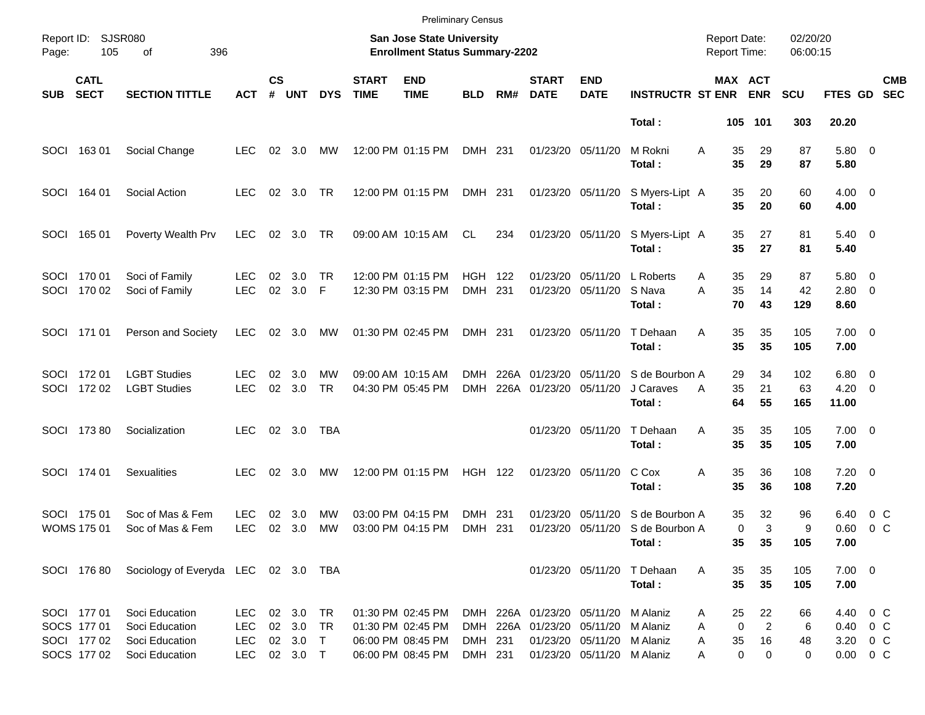|            |                                                          |                                                                      |                                                      |                    |                                          |                        |                             | <b>Preliminary Census</b>                                                        |                    |          |                                                 |                                                          |                                            |                                     |                                                                 |                      |                                                   |                           |                          |
|------------|----------------------------------------------------------|----------------------------------------------------------------------|------------------------------------------------------|--------------------|------------------------------------------|------------------------|-----------------------------|----------------------------------------------------------------------------------|--------------------|----------|-------------------------------------------------|----------------------------------------------------------|--------------------------------------------|-------------------------------------|-----------------------------------------------------------------|----------------------|---------------------------------------------------|---------------------------|--------------------------|
| Page:      | Report ID: SJSR080<br>105                                | 396<br>οf                                                            |                                                      |                    |                                          |                        |                             | San Jose State University<br><b>Enrollment Status Summary-2202</b>               |                    |          |                                                 |                                                          |                                            | <b>Report Date:</b><br>Report Time: |                                                                 | 02/20/20<br>06:00:15 |                                                   |                           |                          |
| <b>SUB</b> | <b>CATL</b><br><b>SECT</b>                               | <b>SECTION TITTLE</b>                                                | ACT                                                  | $\mathsf{cs}$<br># | <b>UNT</b>                               | <b>DYS</b>             | <b>START</b><br><b>TIME</b> | <b>END</b><br><b>TIME</b>                                                        | <b>BLD</b>         | RM#      | <b>START</b><br><b>DATE</b>                     | <b>END</b><br><b>DATE</b>                                | <b>INSTRUCTR ST ENR</b>                    |                                     | MAX ACT<br><b>ENR</b>                                           | <b>SCU</b>           | <b>FTES GD</b>                                    |                           | <b>CMB</b><br><b>SEC</b> |
|            |                                                          |                                                                      |                                                      |                    |                                          |                        |                             |                                                                                  |                    |          |                                                 |                                                          | Total:                                     | 105                                 | 101                                                             | 303                  | 20.20                                             |                           |                          |
|            | SOCI 163 01                                              | Social Change                                                        | <b>LEC</b>                                           | 02                 | 3.0                                      | МW                     |                             | 12:00 PM 01:15 PM                                                                | DMH 231            |          |                                                 | 01/23/20 05/11/20                                        | M Rokni<br>Total:                          | A                                   | 29<br>35<br>35<br>29                                            | 87<br>87             | 5.80 0<br>5.80                                    |                           |                          |
|            | SOCI 164 01                                              | Social Action                                                        | LEC.                                                 | 02                 | 3.0                                      | <b>TR</b>              |                             | 12:00 PM 01:15 PM                                                                | DMH 231            |          |                                                 | 01/23/20 05/11/20                                        | S Myers-Lipt A<br>Total:                   |                                     | 20<br>35<br>35<br>20                                            | 60<br>60             | $4.00 \ 0$<br>4.00                                |                           |                          |
| SOCI       | 165 01                                                   | Poverty Wealth Prv                                                   | LEC.                                                 | 02                 | 3.0                                      | TR                     |                             | 09:00 AM 10:15 AM                                                                | CL                 | 234      |                                                 | 01/23/20 05/11/20                                        | S Myers-Lipt A<br>Total:                   |                                     | 35<br>27<br>35<br>27                                            | 81<br>81             | $5.40 \ 0$<br>5.40                                |                           |                          |
|            | SOCI 170 01<br>SOCI 170 02                               | Soci of Family<br>Soci of Family                                     | LEC.<br><b>LEC</b>                                   | 02<br>02           | 3.0<br>3.0                               | TR.<br>F               |                             | 12:00 PM 01:15 PM<br>12:30 PM 03:15 PM                                           | HGH.<br>DMH 231    | 122      | 01/23/20                                        | 05/11/20<br>01/23/20 05/11/20                            | L Roberts<br>S Nava<br>Total:              | Α<br>A                              | 35<br>29<br>35<br>14<br>70<br>43                                | 87<br>42<br>129      | 5.80 0<br>$2.80 \t 0$<br>8.60                     |                           |                          |
|            | SOCI 171 01                                              | Person and Society                                                   | <b>LEC</b>                                           | 02                 | 3.0                                      | МW                     |                             | 01:30 PM 02:45 PM                                                                | DMH 231            |          |                                                 | 01/23/20 05/11/20                                        | T Dehaan<br>Total:                         | Α                                   | 35<br>35<br>35<br>35                                            | 105<br>105           | $7.00 \t 0$<br>7.00                               |                           |                          |
|            | SOCI 172 01<br>SOCI 172 02                               | <b>LGBT Studies</b><br><b>LGBT Studies</b>                           | LEC<br><b>LEC</b>                                    | 02<br>02           | 3.0<br>3.0                               | <b>MW</b><br><b>TR</b> |                             | 09:00 AM 10:15 AM<br>04:30 PM 05:45 PM                                           | DMH<br><b>DMH</b>  | 226A     | 01/23/20<br>226A 01/23/20 05/11/20              | 05/11/20                                                 | S de Bourbon A<br>J Caraves<br>Total:      | Α                                   | 34<br>29<br>35<br>21<br>64<br>55                                | 102<br>63<br>165     | $6.80$ 0<br>$4.20 \ 0$<br>11.00                   |                           |                          |
|            | SOCI 173 80                                              | Socialization                                                        | LEC.                                                 |                    | 02 3.0                                   | TBA                    |                             |                                                                                  |                    |          |                                                 | 01/23/20 05/11/20                                        | T Dehaan<br>Total:                         | A                                   | 35<br>35<br>35<br>35                                            | 105<br>105           | $7.00 \t 0$<br>7.00                               |                           |                          |
|            | SOCI 174 01                                              | <b>Sexualities</b>                                                   | LEC.                                                 |                    | $02 \quad 3.0$                           | МW                     |                             | 12:00 PM 01:15 PM                                                                | <b>HGH 122</b>     |          |                                                 | 01/23/20 05/11/20                                        | C Cox<br>Total:                            | A                                   | 35<br>36<br>35<br>36                                            | 108<br>108           | $7.20 \t 0$<br>7.20                               |                           |                          |
|            | SOCI 175 01<br><b>WOMS 175 01</b>                        | Soc of Mas & Fem<br>Soc of Mas & Fem                                 | LEC<br><b>LEC</b>                                    | 02<br>02           | 3.0<br>3.0                               | <b>MW</b><br>MW        |                             | 03:00 PM 04:15 PM<br>03:00 PM 04:15 PM                                           | DMH<br>DMH 231     | -231     | 01/23/20                                        | 05/11/20<br>01/23/20 05/11/20                            | S de Bourbon A<br>S de Bourbon A<br>Total: |                                     | 32<br>35<br>0<br>3<br>35<br>35                                  | 96<br>9<br>105       | 6.40<br>0.60<br>7.00                              | $0\,$ C<br>0 <sup>o</sup> |                          |
|            | SOCI 176 80                                              | Sociology of Everyda LEC 02 3.0 TBA                                  |                                                      |                    |                                          |                        |                             |                                                                                  |                    |          |                                                 | 01/23/20 05/11/20                                        | T Dehaan<br>Total:                         | A                                   | 35<br>35<br>35<br>35                                            | 105<br>105           | $7.00 \t 0$<br>7.00                               |                           |                          |
|            | SOCI 177 01<br>SOCS 177 01<br>SOCI 177 02<br>SOCS 177 02 | Soci Education<br>Soci Education<br>Soci Education<br>Soci Education | <b>LEC</b><br><b>LEC</b><br><b>LEC</b><br><b>LEC</b> |                    | 02 3.0<br>02 3.0<br>02 3.0 T<br>02 3.0 T | TR<br>TR               |                             | 01:30 PM 02:45 PM<br>01:30 PM 02:45 PM<br>06:00 PM 08:45 PM<br>06:00 PM 08:45 PM | DMH 231<br>DMH 231 | DMH 226A | DMH 226A 01/23/20 05/11/20<br>01/23/20 05/11/20 | 01/23/20 05/11/20 M Alaniz<br>01/23/20 05/11/20 M Alaniz | M Alaniz<br>M Alaniz                       | Α<br>Α<br>A<br>Α                    | 25<br>22<br>$\overline{c}$<br>0<br>35<br>16<br>$\mathbf 0$<br>0 | 66<br>6<br>48<br>0   | 4.40 0 C<br>0.40 0 C<br>3.20 0 C<br>$0.00 \t 0 C$ |                           |                          |
|            |                                                          |                                                                      |                                                      |                    |                                          |                        |                             |                                                                                  |                    |          |                                                 |                                                          |                                            |                                     |                                                                 |                      |                                                   |                           |                          |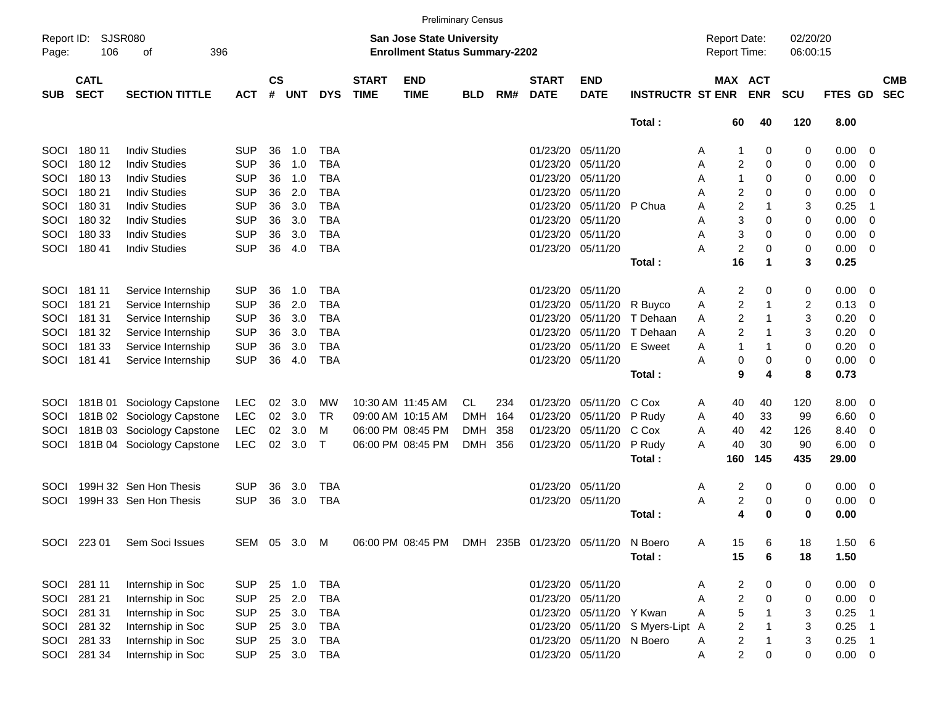|                     |                            |                            |            |                    |              |            |                             |                                                                    | <b>Preliminary Census</b> |     |                             |                                    |                                |                                     |                         |                       |                      |             |                         |                          |
|---------------------|----------------------------|----------------------------|------------|--------------------|--------------|------------|-----------------------------|--------------------------------------------------------------------|---------------------------|-----|-----------------------------|------------------------------------|--------------------------------|-------------------------------------|-------------------------|-----------------------|----------------------|-------------|-------------------------|--------------------------|
| Report ID:<br>Page: | SJSR080<br>106             | 396<br>оf                  |            |                    |              |            |                             | San Jose State University<br><b>Enrollment Status Summary-2202</b> |                           |     |                             |                                    |                                | <b>Report Date:</b><br>Report Time: |                         |                       | 02/20/20<br>06:00:15 |             |                         |                          |
| <b>SUB</b>          | <b>CATL</b><br><b>SECT</b> | <b>SECTION TITTLE</b>      | <b>ACT</b> | $\mathsf{cs}$<br># | <b>UNT</b>   | <b>DYS</b> | <b>START</b><br><b>TIME</b> | <b>END</b><br><b>TIME</b>                                          | <b>BLD</b>                | RM# | <b>START</b><br><b>DATE</b> | <b>END</b><br><b>DATE</b>          | <b>INSTRUCTR ST ENR</b>        |                                     |                         | MAX ACT<br><b>ENR</b> | <b>SCU</b>           | FTES GD     |                         | <b>CMB</b><br><b>SEC</b> |
|                     |                            |                            |            |                    |              |            |                             |                                                                    |                           |     |                             |                                    | Total:                         |                                     | 60                      | 40                    | 120                  | 8.00        |                         |                          |
| SOCI                | 180 11                     | <b>Indiv Studies</b>       | <b>SUP</b> | 36                 | 1.0          | <b>TBA</b> |                             |                                                                    |                           |     | 01/23/20                    | 05/11/20                           |                                | Α                                   |                         | 0                     | 0                    | 0.00        | 0                       |                          |
| SOCI                | 180 12                     | <b>Indiv Studies</b>       | <b>SUP</b> | 36                 | 1.0          | <b>TBA</b> |                             |                                                                    |                           |     | 01/23/20                    | 05/11/20                           |                                | Α                                   | 2                       | 0                     | 0                    | 0.00        | 0                       |                          |
| SOCI                | 180 13                     | <b>Indiv Studies</b>       | <b>SUP</b> | 36                 | 1.0          | <b>TBA</b> |                             |                                                                    |                           |     | 01/23/20                    | 05/11/20                           |                                | A                                   | 1                       | 0                     | 0                    | 0.00        | 0                       |                          |
| SOCI                | 180 21                     | <b>Indiv Studies</b>       | <b>SUP</b> | 36                 | 2.0          | <b>TBA</b> |                             |                                                                    |                           |     | 01/23/20                    | 05/11/20                           |                                | A                                   | 2                       | 0                     | 0                    | 0.00        | 0                       |                          |
| SOCI                | 180 31                     | <b>Indiv Studies</b>       | <b>SUP</b> | 36                 | 3.0          | <b>TBA</b> |                             |                                                                    |                           |     | 01/23/20                    | 05/11/20                           | P Chua                         | A                                   | $\overline{\mathbf{c}}$ |                       | 3                    | 0.25        | $\overline{\mathbf{1}}$ |                          |
| SOCI                | 180 32                     | <b>Indiv Studies</b>       | <b>SUP</b> | 36                 | 3.0          | <b>TBA</b> |                             |                                                                    |                           |     | 01/23/20                    | 05/11/20                           |                                | A                                   | 3                       | 0                     | 0                    | 0.00        | 0                       |                          |
| SOCI                | 180 33                     | <b>Indiv Studies</b>       | <b>SUP</b> | 36                 | 3.0          | TBA        |                             |                                                                    |                           |     | 01/23/20                    | 05/11/20                           |                                | Α                                   | 3                       | 0                     | 0                    | 0.00        | 0                       |                          |
| SOCI                | 180 41                     | <b>Indiv Studies</b>       | <b>SUP</b> | 36                 | 4.0          | <b>TBA</b> |                             |                                                                    |                           |     |                             | 01/23/20 05/11/20                  |                                | А                                   | $\boldsymbol{2}$        | 0                     | 0                    | 0.00        | 0                       |                          |
|                     |                            |                            |            |                    |              |            |                             |                                                                    |                           |     |                             |                                    | Total:                         |                                     | 16                      | 1                     | 3                    | 0.25        |                         |                          |
|                     |                            |                            |            |                    |              |            |                             |                                                                    |                           |     |                             |                                    |                                |                                     |                         |                       |                      |             |                         |                          |
| SOCI                | 181 11                     | Service Internship         | <b>SUP</b> | 36                 | 1.0          | <b>TBA</b> |                             |                                                                    |                           |     |                             | 01/23/20 05/11/20                  |                                | Α                                   | 2                       | 0                     | 0                    | 0.00        | $\overline{0}$          |                          |
| SOCI                | 181 21                     | Service Internship         | <b>SUP</b> | 36                 | 2.0          | <b>TBA</b> |                             |                                                                    |                           |     | 01/23/20                    | 05/11/20                           | R Buyco                        | Α                                   | 2                       |                       | 2                    | 0.13        | 0                       |                          |
| SOCI                | 181 31                     | Service Internship         | <b>SUP</b> | 36                 | 3.0          | <b>TBA</b> |                             |                                                                    |                           |     | 01/23/20                    | 05/11/20                           | T Dehaan                       | Α                                   | 2                       |                       | 3                    | 0.20        | 0                       |                          |
| SOCI                | 181 32                     | Service Internship         | <b>SUP</b> | 36                 | 3.0          | <b>TBA</b> |                             |                                                                    |                           |     |                             |                                    | 01/23/20 05/11/20 T Dehaan     | A                                   | 2                       |                       | 3                    | 0.20        | 0                       |                          |
| SOCI                | 181 33                     | Service Internship         | <b>SUP</b> | 36                 | 3.0          | <b>TBA</b> |                             |                                                                    |                           |     |                             | 01/23/20 05/11/20                  | E Sweet                        | A                                   | 1                       |                       | 0                    | 0.20        | 0                       |                          |
| SOCI                | 18141                      | Service Internship         | <b>SUP</b> | 36                 | 4.0          | <b>TBA</b> |                             |                                                                    |                           |     |                             | 01/23/20 05/11/20                  |                                | Α                                   | 0                       | 0                     | 0                    | 0.00        | $\overline{\mathbf{0}}$ |                          |
|                     |                            |                            |            |                    |              |            |                             |                                                                    |                           |     |                             |                                    | Total:                         |                                     | 9                       | 4                     | 8                    | 0.73        |                         |                          |
|                     |                            |                            |            |                    |              |            |                             |                                                                    |                           |     |                             |                                    |                                |                                     |                         |                       |                      |             |                         |                          |
| <b>SOCI</b>         |                            | 181B 01 Sociology Capstone | LEC        | 02                 | 3.0          | МW         |                             | 10:30 AM 11:45 AM                                                  | CL                        | 234 | 01/23/20                    | 05/11/20                           | C Cox                          | Α                                   | 40                      | 40                    | 120                  | 8.00        | $\overline{0}$          |                          |
| <b>SOCI</b>         |                            | 181B 02 Sociology Capstone | <b>LEC</b> | 02                 | 3.0          | TR.        |                             | 09:00 AM 10:15 AM                                                  | <b>DMH</b>                | 164 | 01/23/20                    | 05/11/20                           | P Rudy                         | Α                                   | 40                      | 33                    | 99                   | 6.60        | 0                       |                          |
| SOCI                |                            | 181B 03 Sociology Capstone | <b>LEC</b> | 02                 | 3.0          | м          |                             | 06:00 PM 08:45 PM                                                  | <b>DMH</b>                | 358 | 01/23/20                    | 05/11/20                           | C Cox                          | A                                   | 40                      | 42                    | 126                  | 8.40        | 0                       |                          |
| SOCI                |                            | 181B 04 Sociology Capstone | <b>LEC</b> | 02                 | 3.0          | Τ          |                             | 06:00 PM 08:45 PM                                                  | <b>DMH</b>                | 356 |                             | 01/23/20 05/11/20                  | P Rudy                         | A                                   | 40                      | 30                    | 90                   | 6.00        | 0                       |                          |
|                     |                            |                            |            |                    |              |            |                             |                                                                    |                           |     |                             |                                    | Total:                         |                                     | 160                     | 145                   | 435                  | 29.00       |                         |                          |
| SOCI                |                            | 199H 32 Sen Hon Thesis     | <b>SUP</b> | 36                 | 3.0          | <b>TBA</b> |                             |                                                                    |                           |     |                             | 01/23/20 05/11/20                  |                                | Α                                   | 2                       | 0                     | 0                    | 0.00        | $\overline{\mathbf{0}}$ |                          |
| SOCI                |                            | 199H 33 Sen Hon Thesis     | <b>SUP</b> | 36                 | 3.0          | <b>TBA</b> |                             |                                                                    |                           |     |                             | 01/23/20 05/11/20                  |                                | Α                                   | 2                       | 0                     | 0                    | 0.00        | $\overline{\mathbf{0}}$ |                          |
|                     |                            |                            |            |                    |              |            |                             |                                                                    |                           |     |                             |                                    | Total:                         |                                     | 4                       | 0                     | 0                    | 0.00        |                         |                          |
|                     |                            |                            |            |                    |              |            |                             |                                                                    |                           |     |                             |                                    |                                |                                     |                         |                       |                      |             |                         |                          |
|                     | SOCI 223 01                | Sem Soci Issues            |            |                    | SEM 05 3.0 M |            |                             | 06:00 PM 08:45 PM                                                  |                           |     |                             | DMH 235B 01/23/20 05/11/20 N Boero |                                | A                                   | 15                      | 6                     | 18                   | $1.50\ 6$   |                         |                          |
|                     |                            |                            |            |                    |              |            |                             |                                                                    |                           |     |                             |                                    | Total:                         |                                     | 15                      | 6                     | 18                   | 1.50        |                         |                          |
|                     | SOCI 281 11                | Internship in Soc          | <b>SUP</b> |                    | 25 1.0       | <b>TBA</b> |                             |                                                                    |                           |     |                             | 01/23/20 05/11/20                  |                                | Α                                   | 2                       | 0                     | 0                    | $0.00 \t 0$ |                         |                          |
|                     | SOCI 281 21                | Internship in Soc          | <b>SUP</b> |                    | 25 2.0       | <b>TBA</b> |                             |                                                                    |                           |     |                             | 01/23/20 05/11/20                  |                                | A                                   | $\overline{c}$          | $\Omega$              | 0                    | $0.00 \t 0$ |                         |                          |
|                     | SOCI 281 31                | Internship in Soc          | <b>SUP</b> |                    | 25 3.0       | TBA        |                             |                                                                    |                           |     |                             | 01/23/20 05/11/20 Y Kwan           |                                | Α                                   | 5                       |                       | 3                    | 0.25        | - 1                     |                          |
|                     | SOCI 281 32                | Internship in Soc          | <b>SUP</b> |                    | 25 3.0       | TBA        |                             |                                                                    |                           |     |                             |                                    | 01/23/20 05/11/20 S Myers-Lipt | A                                   | $\overline{c}$          |                       | 3                    | 0.25        | - 1                     |                          |
|                     | SOCI 281 33                | Internship in Soc          | <b>SUP</b> |                    | 25 3.0       | <b>TBA</b> |                             |                                                                    |                           |     |                             | 01/23/20 05/11/20 N Boero          |                                | A                                   | $\overline{\mathbf{c}}$ |                       | 3                    | $0.25$ 1    |                         |                          |
|                     | SOCI 281 34                | Internship in Soc          | <b>SUP</b> |                    | 25 3.0       | TBA        |                             |                                                                    |                           |     |                             | 01/23/20 05/11/20                  |                                | A                                   | $\overline{c}$          | 0                     | 0                    | $0.00 \t 0$ |                         |                          |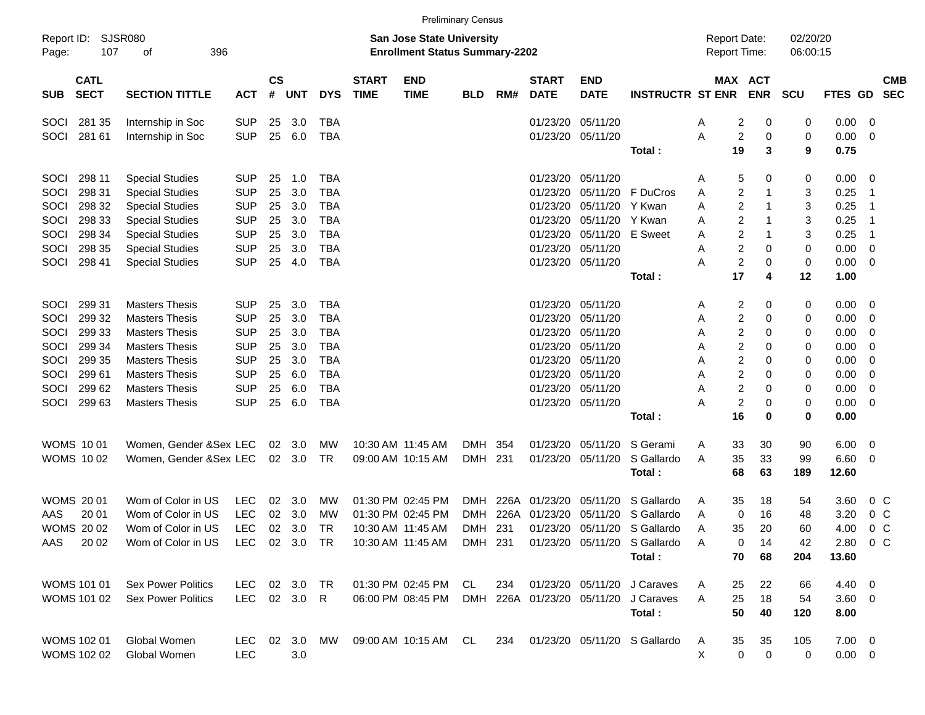|                     |                            |                             |               |                    |            |            |                             | <b>Preliminary Census</b>                                                 |            |      |                             |                           |                                                        |   |                                     |            |                      |                |                          |                          |
|---------------------|----------------------------|-----------------------------|---------------|--------------------|------------|------------|-----------------------------|---------------------------------------------------------------------------|------------|------|-----------------------------|---------------------------|--------------------------------------------------------|---|-------------------------------------|------------|----------------------|----------------|--------------------------|--------------------------|
| Report ID:<br>Page: | 107                        | <b>SJSR080</b><br>396<br>of |               |                    |            |            |                             | <b>San Jose State University</b><br><b>Enrollment Status Summary-2202</b> |            |      |                             |                           |                                                        |   | <b>Report Date:</b><br>Report Time: |            | 02/20/20<br>06:00:15 |                |                          |                          |
| <b>SUB</b>          | <b>CATL</b><br><b>SECT</b> | <b>SECTION TITTLE</b>       | <b>ACT</b>    | $\mathsf{cs}$<br># | <b>UNT</b> | <b>DYS</b> | <b>START</b><br><b>TIME</b> | <b>END</b><br><b>TIME</b>                                                 | <b>BLD</b> | RM#  | <b>START</b><br><b>DATE</b> | <b>END</b><br><b>DATE</b> | <b>INSTRUCTR ST ENR</b>                                |   | MAX ACT                             | <b>ENR</b> | <b>SCU</b>           | FTES GD        |                          | <b>CMB</b><br><b>SEC</b> |
| SOCI                | 281 35                     | Internship in Soc           | <b>SUP</b>    | 25                 | 3.0        | <b>TBA</b> |                             |                                                                           |            |      | 01/23/20                    | 05/11/20                  |                                                        | A | 2                                   | 0          | 0                    | 0.00           | $\overline{\mathbf{0}}$  |                          |
| SOCI                | 281 61                     | Internship in Soc           | <b>SUP</b>    | 25                 | 6.0        | <b>TBA</b> |                             |                                                                           |            |      | 01/23/20                    | 05/11/20                  |                                                        | A | $\overline{c}$                      | 0          | 0                    | 0.00           | $\overline{\mathbf{0}}$  |                          |
|                     |                            |                             |               |                    |            |            |                             |                                                                           |            |      |                             |                           | Total:                                                 |   | 19                                  | 3          | 9                    | 0.75           |                          |                          |
| SOCI                | 298 11                     | <b>Special Studies</b>      | <b>SUP</b>    | 25                 | 1.0        | <b>TBA</b> |                             |                                                                           |            |      | 01/23/20                    | 05/11/20                  |                                                        | A | 5                                   | 0          | 0                    | 0.00           | $\overline{\mathbf{0}}$  |                          |
| SOCI                | 298 31                     | <b>Special Studies</b>      | <b>SUP</b>    | 25                 | 3.0        | <b>TBA</b> |                             |                                                                           |            |      | 01/23/20                    | 05/11/20                  | F DuCros                                               | A | $\overline{c}$                      | -1         | 3                    | 0.25           | -1                       |                          |
| SOCI                | 298 32                     | <b>Special Studies</b>      | <b>SUP</b>    | 25                 | 3.0        | <b>TBA</b> |                             |                                                                           |            |      | 01/23/20                    | 05/11/20                  | Y Kwan                                                 | A | $\overline{2}$                      | -1         | 3                    | 0.25           | $\overline{\phantom{1}}$ |                          |
| SOCI                | 298 33                     | <b>Special Studies</b>      | <b>SUP</b>    | 25                 | 3.0        | <b>TBA</b> |                             |                                                                           |            |      | 01/23/20                    | 05/11/20                  | Y Kwan                                                 | A | $\overline{2}$                      | -1         | 3                    | 0.25           | $\overline{\phantom{1}}$ |                          |
| SOCI                | 298 34                     | <b>Special Studies</b>      | <b>SUP</b>    | 25                 | 3.0        | <b>TBA</b> |                             |                                                                           |            |      | 01/23/20                    | 05/11/20                  | <b>E</b> Sweet                                         | A | $\overline{c}$                      | -1         | 3                    | 0.25           | $\overline{\phantom{1}}$ |                          |
| SOCI                | 298 35                     | <b>Special Studies</b>      | <b>SUP</b>    | 25                 | 3.0        | <b>TBA</b> |                             |                                                                           |            |      | 01/23/20                    | 05/11/20                  |                                                        | A | $\overline{2}$                      | 0          | 0                    | 0.00           | $\overline{\mathbf{0}}$  |                          |
| SOCI                | 298 41                     | <b>Special Studies</b>      | <b>SUP</b>    | 25                 | 4.0        | <b>TBA</b> |                             |                                                                           |            |      | 01/23/20                    | 05/11/20                  |                                                        | Α | $\overline{c}$                      | 0          | 0                    | 0.00           | $\overline{\mathbf{0}}$  |                          |
|                     |                            |                             |               |                    |            |            |                             |                                                                           |            |      |                             |                           | Total:                                                 |   | 17                                  | 4          | 12                   | 1.00           |                          |                          |
| SOCI                | 299 31                     | <b>Masters Thesis</b>       | <b>SUP</b>    | 25                 | 3.0        | <b>TBA</b> |                             |                                                                           |            |      | 01/23/20                    | 05/11/20                  |                                                        | A | $\overline{c}$                      | 0          | 0                    | 0.00           | $\overline{\mathbf{0}}$  |                          |
| SOCI                | 299 32                     | <b>Masters Thesis</b>       | <b>SUP</b>    | 25                 | 3.0        | <b>TBA</b> |                             |                                                                           |            |      | 01/23/20                    | 05/11/20                  |                                                        | A | $\overline{c}$                      | 0          | 0                    | 0.00           | $\mathbf 0$              |                          |
| SOCI                | 299 33                     | <b>Masters Thesis</b>       | <b>SUP</b>    | 25                 | 3.0        | <b>TBA</b> |                             |                                                                           |            |      | 01/23/20                    | 05/11/20                  |                                                        | A | $\overline{c}$                      | 0          | 0                    | 0.00           | - 0                      |                          |
| SOCI                | 299 34                     | <b>Masters Thesis</b>       | <b>SUP</b>    | 25                 | 3.0        | <b>TBA</b> |                             |                                                                           |            |      | 01/23/20                    | 05/11/20                  |                                                        | Α | $\overline{2}$                      | 0          | 0                    | 0.00           | - 0                      |                          |
| SOCI                | 299 35                     | <b>Masters Thesis</b>       | <b>SUP</b>    | 25                 | 3.0        | <b>TBA</b> |                             |                                                                           |            |      | 01/23/20                    | 05/11/20                  |                                                        | Α | $\overline{c}$                      | 0          | 0                    | 0.00           | $\overline{0}$           |                          |
| SOCI                | 299 61                     | <b>Masters Thesis</b>       | <b>SUP</b>    | 25                 | 6.0        | <b>TBA</b> |                             |                                                                           |            |      | 01/23/20                    | 05/11/20                  |                                                        | A | $\overline{c}$                      | 0          | 0                    | 0.00           | 0                        |                          |
| SOCI                | 299 62                     | <b>Masters Thesis</b>       | <b>SUP</b>    | 25                 | 6.0        | <b>TBA</b> |                             |                                                                           |            |      | 01/23/20                    | 05/11/20                  |                                                        | Α | $\overline{c}$                      | 0          | 0                    | 0.00           | $\overline{\mathbf{0}}$  |                          |
| SOCI                | 299 63                     | <b>Masters Thesis</b>       | <b>SUP</b>    | 25                 | 6.0        | <b>TBA</b> |                             |                                                                           |            |      | 01/23/20                    | 05/11/20                  |                                                        | А | $\overline{c}$                      | 0          | 0                    | 0.00           | $\overline{\mathbf{0}}$  |                          |
|                     |                            |                             |               |                    |            |            |                             |                                                                           |            |      |                             |                           | Total:                                                 |   | 16                                  | $\bf{0}$   | 0                    | 0.00           |                          |                          |
|                     | <b>WOMS 1001</b>           | Women, Gender & Sex LEC     |               | 02                 | 3.0        | MW         |                             | 10:30 AM 11:45 AM                                                         | DMH        | 354  | 01/23/20                    | 05/11/20                  | S Gerami                                               | A | 33                                  | 30         | 90                   | 6.00           | $\overline{\mathbf{0}}$  |                          |
|                     | <b>WOMS 1002</b>           | Women, Gender &Sex LEC      |               | $02\,$             | 3.0        | <b>TR</b>  |                             | 09:00 AM 10:15 AM                                                         | DMH        | 231  | 01/23/20                    | 05/11/20                  | S Gallardo                                             | A | 35                                  | 33         | 99                   | 6.60           | $\overline{\mathbf{0}}$  |                          |
|                     |                            |                             |               |                    |            |            |                             |                                                                           |            |      |                             |                           | Total:                                                 |   | 68                                  | 63         | 189                  | 12.60          |                          |                          |
|                     | <b>WOMS 2001</b>           | Wom of Color in US          | <b>LEC</b>    | 02                 | 3.0        | MW         |                             | 01:30 PM 02:45 PM                                                         | <b>DMH</b> |      | 226A 01/23/20               | 05/11/20                  | S Gallardo                                             | A | 35                                  | 18         | 54                   | 3.60           | $0\,C$                   |                          |
| AAS                 | 20 01                      | Wom of Color in US          | <b>LEC</b>    | 02                 | 3.0        | МW         |                             | 01:30 PM 02:45 PM                                                         | <b>DMH</b> | 226A | 01/23/20                    | 05/11/20                  | S Gallardo                                             | A | 0                                   | 16         | 48                   | 3.20           | $0\,C$                   |                          |
|                     | <b>WOMS 2002</b>           | Wom of Color in US          | <b>LEC</b>    | 02                 | 3.0        | <b>TR</b>  |                             | 10:30 AM 11:45 AM                                                         | DMH        | 231  | 01/23/20                    | 05/11/20                  | S Gallardo                                             | A | 35                                  | 20         | 60                   | 4.00           | 0 <sup>C</sup>           |                          |
| AAS                 | 20 02                      | Wom of Color in US          | LEC 02 3.0 TR |                    |            |            |                             |                                                                           |            |      |                             |                           | 10:30 AM 11:45 AM DMH 231 01/23/20 05/11/20 S Gallardo | A | 0                                   | 14         | 42                   | 2.80 0 C       |                          |                          |
|                     |                            |                             |               |                    |            |            |                             |                                                                           |            |      |                             |                           | Total:                                                 |   | 70                                  | 68         | 204                  | 13.60          |                          |                          |
|                     | WOMS 101 01                | <b>Sex Power Politics</b>   | LEC           |                    | 02 3.0     | TR         |                             | 01:30 PM 02:45 PM                                                         | CL         | 234  | 01/23/20 05/11/20           |                           | J Caraves                                              | A | 25                                  | 22         | 66                   | $4.40 \quad 0$ |                          |                          |
|                     | WOMS 101 02                | <b>Sex Power Politics</b>   | LEC           |                    | 02 3.0     | R.         |                             | 06:00 PM 08:45 PM                                                         |            |      | DMH 226A 01/23/20 05/11/20  |                           | J Caraves                                              | A | 25                                  | 18         | 54                   | $3.60 \ 0$     |                          |                          |
|                     |                            |                             |               |                    |            |            |                             |                                                                           |            |      |                             |                           | Total:                                                 |   | 50                                  | 40         | 120                  | 8.00           |                          |                          |
|                     | WOMS 102 01                | Global Women                | LEC           | 02                 | 3.0        | MW         |                             | 09:00 AM 10:15 AM CL                                                      |            | 234  |                             |                           | 01/23/20 05/11/20 S Gallardo                           | A | 35                                  | 35         | 105                  | $7.00 \t 0$    |                          |                          |
|                     | WOMS 102 02                | Global Women                | <b>LEC</b>    |                    | 3.0        |            |                             |                                                                           |            |      |                             |                           |                                                        | Χ | $\mathbf 0$                         | 0          | 0                    | $0.00 \t 0$    |                          |                          |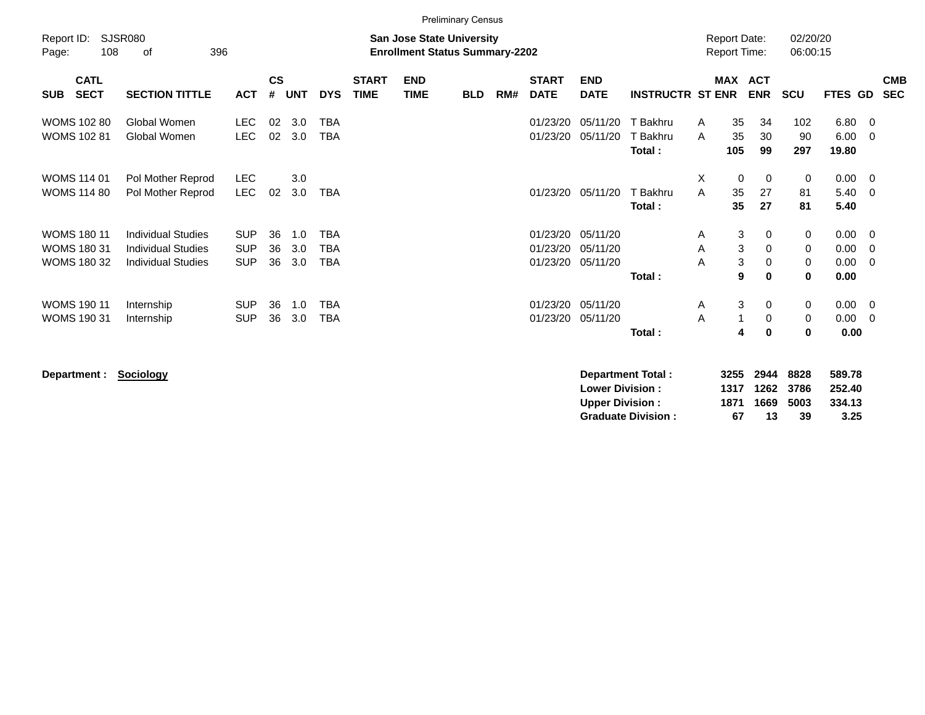|                                                                | <b>Preliminary Census</b><br><b>Report Date:</b>                                                                |                                        |                    |                   |                                        |                             |                           |            |     |                                  |                                  |                                |                           |                                                          |                            |                              |                                                 |
|----------------------------------------------------------------|-----------------------------------------------------------------------------------------------------------------|----------------------------------------|--------------------|-------------------|----------------------------------------|-----------------------------|---------------------------|------------|-----|----------------------------------|----------------------------------|--------------------------------|---------------------------|----------------------------------------------------------|----------------------------|------------------------------|-------------------------------------------------|
| Report ID:<br>Page:                                            | <b>SJSR080</b><br><b>San Jose State University</b><br>108<br>396<br><b>Enrollment Status Summary-2202</b><br>оf |                                        |                    |                   |                                        |                             |                           |            |     |                                  |                                  |                                |                           |                                                          | 02/20/20<br>06:00:15       |                              |                                                 |
| <b>CATL</b><br><b>SECT</b><br><b>SUB</b>                       | <b>SECTION TITTLE</b>                                                                                           | <b>ACT</b>                             | $\mathsf{cs}$<br># | <b>UNT</b>        | <b>DYS</b>                             | <b>START</b><br><b>TIME</b> | <b>END</b><br><b>TIME</b> | <b>BLD</b> | RM# | <b>START</b><br><b>DATE</b>      | <b>END</b><br><b>DATE</b>        | <b>INSTRUCTR ST ENR</b>        |                           | MAX ACT<br><b>ENR</b>                                    | <b>SCU</b>                 | <b>FTES GD</b>               | <b>CMB</b><br><b>SEC</b>                        |
| <b>WOMS 102 80</b><br><b>WOMS 102 81</b>                       | Global Women<br>Global Women                                                                                    | <b>LEC</b><br><b>LEC</b>               | 02<br>02           | 3.0<br>3.0        | <b>TBA</b><br><b>TBA</b>               |                             |                           |            |     | 01/23/20<br>01/23/20             | 05/11/20<br>05/11/20             | T Bakhru<br>T Bakhru<br>Total: | 35<br>A<br>35<br>A<br>105 | 34<br>30<br>99                                           | 102<br>90<br>297           | 6.80<br>6.00<br>19.80        | $\overline{0}$<br>$\mathbf{0}$                  |
| <b>WOMS 114 01</b><br><b>WOMS 114 80</b>                       | Pol Mother Reprod<br>Pol Mother Reprod                                                                          | LEC<br><b>LEC</b>                      | 02                 | 3.0<br>3.0        | <b>TBA</b>                             |                             |                           |            |     | 01/23/20                         | 05/11/20                         | T Bakhru<br>Total:             | X<br>35<br>A<br>35        | 0<br>0<br>27<br>27                                       | 0<br>81<br>81              | 0.00<br>5.40<br>5.40         | $\overline{0}$<br>$\overline{0}$                |
| <b>WOMS 180 11</b><br><b>WOMS 180 31</b><br><b>WOMS 180 32</b> | <b>Individual Studies</b><br><b>Individual Studies</b><br><b>Individual Studies</b>                             | <b>SUP</b><br><b>SUP</b><br><b>SUP</b> | 36<br>36<br>36     | 1.0<br>3.0<br>3.0 | <b>TBA</b><br><b>TBA</b><br><b>TBA</b> |                             |                           |            |     | 01/23/20<br>01/23/20<br>01/23/20 | 05/11/20<br>05/11/20<br>05/11/20 | Total:                         | A<br>A<br>A               | 3<br>0<br>3<br>0<br>$\mathfrak{S}$<br>0<br>9<br>$\bf{0}$ | 0<br>0<br>0<br>$\mathbf 0$ | 0.00<br>0.00<br>0.00<br>0.00 | $\overline{0}$<br>$\mathbf 0$<br>$\overline{0}$ |
| <b>WOMS 190 11</b><br><b>WOMS 190 31</b>                       | Internship<br>Internship                                                                                        | <b>SUP</b><br><b>SUP</b>               | 36<br>36           | 1.0<br>3.0        | <b>TBA</b><br><b>TBA</b>               |                             |                           |            |     | 01/23/20<br>01/23/20             | 05/11/20<br>05/11/20             | Total:                         | A<br>$\overline{1}$<br>A  | 3<br>0<br>0<br>0<br>4                                    | 0<br>0<br>$\mathbf 0$      | 0.00<br>0.00<br>0.00         | $\overline{0}$<br>$\mathbf{0}$                  |

**Department : Sociology Department Total : 3255 2944 8828 589.78 Lower Division : 1317 1262 3786 252.40 Upper Division : 1871 1669 5003 334.13<br>
Graduate Division : 67 13 39 3.25 Graduate Division : 67 13 39 3.25**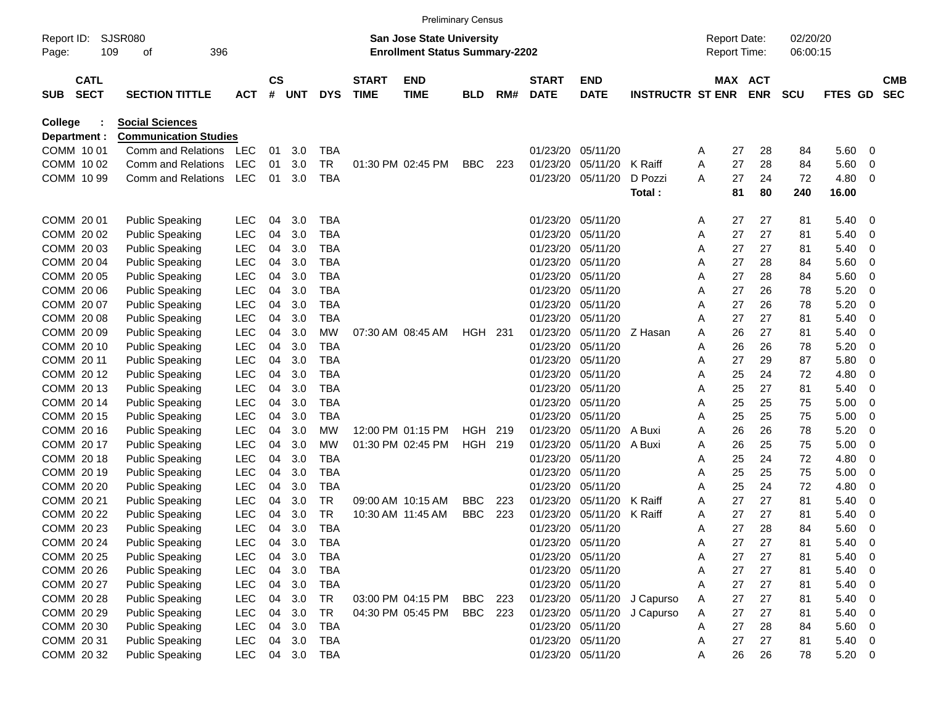|                     |                            |                              |            |                |            |            |                             | <b>Preliminary Census</b>                                                 |            |     |                             |                           |                         |                                            |    |                       |                      |         |     |                          |
|---------------------|----------------------------|------------------------------|------------|----------------|------------|------------|-----------------------------|---------------------------------------------------------------------------|------------|-----|-----------------------------|---------------------------|-------------------------|--------------------------------------------|----|-----------------------|----------------------|---------|-----|--------------------------|
| Report ID:<br>Page: | 109                        | SJSR080<br>396<br>οf         |            |                |            |            |                             | <b>San Jose State University</b><br><b>Enrollment Status Summary-2202</b> |            |     |                             |                           |                         | <b>Report Date:</b><br><b>Report Time:</b> |    |                       | 02/20/20<br>06:00:15 |         |     |                          |
| <b>SUB</b>          | <b>CATL</b><br><b>SECT</b> | <b>SECTION TITTLE</b>        | <b>ACT</b> | <b>CS</b><br># | <b>UNT</b> | <b>DYS</b> | <b>START</b><br><b>TIME</b> | <b>END</b><br><b>TIME</b>                                                 | <b>BLD</b> | RM# | <b>START</b><br><b>DATE</b> | <b>END</b><br><b>DATE</b> | <b>INSTRUCTR ST ENR</b> |                                            |    | MAX ACT<br><b>ENR</b> | <b>SCU</b>           | FTES GD |     | <b>CMB</b><br><b>SEC</b> |
| College             |                            | <b>Social Sciences</b>       |            |                |            |            |                             |                                                                           |            |     |                             |                           |                         |                                            |    |                       |                      |         |     |                          |
| Department :        |                            | <b>Communication Studies</b> |            |                |            |            |                             |                                                                           |            |     |                             |                           |                         |                                            |    |                       |                      |         |     |                          |
| COMM 1001           |                            | Comm and Relations           | <b>LEC</b> | 01             | 3.0        | TBA        |                             |                                                                           |            |     | 01/23/20                    | 05/11/20                  |                         | Α                                          | 27 | 28                    | 84                   | 5.60    | 0   |                          |
| COMM 10 02          |                            | Comm and Relations           | <b>LEC</b> | 01             | 3.0        | TR         |                             | 01:30 PM 02:45 PM                                                         | <b>BBC</b> | 223 | 01/23/20                    | 05/11/20                  | K Raiff                 | Α                                          | 27 | 28                    | 84                   | 5.60    | 0   |                          |
| COMM 10 99          |                            | Comm and Relations           | <b>LEC</b> | 01             | 3.0        | <b>TBA</b> |                             |                                                                           |            |     | 01/23/20                    | 05/11/20                  | D Pozzi                 | A                                          | 27 | 24                    | 72                   | 4.80    | 0   |                          |
|                     |                            |                              |            |                |            |            |                             |                                                                           |            |     |                             |                           | Total:                  |                                            | 81 | 80                    | 240                  | 16.00   |     |                          |
| COMM 20 01          |                            | <b>Public Speaking</b>       | <b>LEC</b> | 04             | 3.0        | <b>TBA</b> |                             |                                                                           |            |     | 01/23/20                    | 05/11/20                  |                         | A                                          | 27 | 27                    | 81                   | 5.40    | 0   |                          |
| COMM 2002           |                            | <b>Public Speaking</b>       | <b>LEC</b> | 04             | 3.0        | <b>TBA</b> |                             |                                                                           |            |     | 01/23/20                    | 05/11/20                  |                         | Α                                          | 27 | 27                    | 81                   | 5.40    | 0   |                          |
| COMM 2003           |                            | <b>Public Speaking</b>       | <b>LEC</b> | 04             | 3.0        | <b>TBA</b> |                             |                                                                           |            |     | 01/23/20                    | 05/11/20                  |                         | Α                                          | 27 | 27                    | 81                   | 5.40    | 0   |                          |
| COMM 2004           |                            | <b>Public Speaking</b>       | <b>LEC</b> | 04             | 3.0        | <b>TBA</b> |                             |                                                                           |            |     | 01/23/20                    | 05/11/20                  |                         | Α                                          | 27 | 28                    | 84                   | 5.60    | 0   |                          |
| COMM 20 05          |                            | <b>Public Speaking</b>       | <b>LEC</b> | 04             | 3.0        | <b>TBA</b> |                             |                                                                           |            |     | 01/23/20                    | 05/11/20                  |                         | Α                                          | 27 | 28                    | 84                   | 5.60    | 0   |                          |
| COMM 20 06          |                            | <b>Public Speaking</b>       | <b>LEC</b> | 04             | 3.0        | <b>TBA</b> |                             |                                                                           |            |     | 01/23/20                    | 05/11/20                  |                         | Α                                          | 27 | 26                    | 78                   | 5.20    | 0   |                          |
| COMM 2007           |                            | <b>Public Speaking</b>       | <b>LEC</b> | 04             | 3.0        | <b>TBA</b> |                             |                                                                           |            |     | 01/23/20                    | 05/11/20                  |                         | Α                                          | 27 | 26                    | 78                   | 5.20    | 0   |                          |
| COMM 2008           |                            | <b>Public Speaking</b>       | <b>LEC</b> | 04             | 3.0        | <b>TBA</b> |                             |                                                                           |            |     | 01/23/20                    | 05/11/20                  |                         | Α                                          | 27 | 27                    | 81                   | 5.40    | 0   |                          |
| COMM 20 09          |                            | <b>Public Speaking</b>       | <b>LEC</b> | 04             | 3.0        | MW         |                             | 07:30 AM 08:45 AM                                                         | HGH 231    |     | 01/23/20                    | 05/11/20                  | Z Hasan                 | Α                                          | 26 | 27                    | 81                   | 5.40    | 0   |                          |
| COMM 20 10          |                            | <b>Public Speaking</b>       | <b>LEC</b> | 04             | 3.0        | <b>TBA</b> |                             |                                                                           |            |     | 01/23/20                    | 05/11/20                  |                         | Α                                          | 26 | 26                    | 78                   | 5.20    | 0   |                          |
| COMM 20 11          |                            | <b>Public Speaking</b>       | <b>LEC</b> | 04             | 3.0        | <b>TBA</b> |                             |                                                                           |            |     | 01/23/20                    | 05/11/20                  |                         | Α                                          | 27 | 29                    | 87                   | 5.80    | 0   |                          |
| COMM 2012           |                            | <b>Public Speaking</b>       | <b>LEC</b> | 04             | 3.0        | <b>TBA</b> |                             |                                                                           |            |     | 01/23/20                    | 05/11/20                  |                         | Α                                          | 25 | 24                    | 72                   | 4.80    | 0   |                          |
| COMM 2013           |                            | <b>Public Speaking</b>       | <b>LEC</b> | 04             | 3.0        | TBA        |                             |                                                                           |            |     | 01/23/20                    | 05/11/20                  |                         | Α                                          | 25 | 27                    | 81                   | 5.40    | 0   |                          |
| COMM 2014           |                            | <b>Public Speaking</b>       | <b>LEC</b> | 04             | 3.0        | <b>TBA</b> |                             |                                                                           |            |     | 01/23/20                    | 05/11/20                  |                         | Α                                          | 25 | 25                    | 75                   | 5.00    | 0   |                          |
| COMM 2015           |                            | <b>Public Speaking</b>       | <b>LEC</b> | 04             | 3.0        | <b>TBA</b> |                             |                                                                           |            |     | 01/23/20                    | 05/11/20                  |                         | Α                                          | 25 | 25                    | 75                   | 5.00    | 0   |                          |
| COMM 2016           |                            | <b>Public Speaking</b>       | <b>LEC</b> | 04             | 3.0        | MW         |                             | 12:00 PM 01:15 PM                                                         | HGH        | 219 | 01/23/20                    | 05/11/20                  | A Buxi                  | Α                                          | 26 | 26                    | 78                   | 5.20    | 0   |                          |
| COMM 2017           |                            | <b>Public Speaking</b>       | <b>LEC</b> | 04             | 3.0        | MW         |                             | 01:30 PM 02:45 PM                                                         | HGH        | 219 | 01/23/20                    | 05/11/20                  | A Buxi                  | Α                                          | 26 | 25                    | 75                   | 5.00    | 0   |                          |
| COMM 2018           |                            | <b>Public Speaking</b>       | <b>LEC</b> | 04             | 3.0        | <b>TBA</b> |                             |                                                                           |            |     | 01/23/20                    | 05/11/20                  |                         | Α                                          | 25 | 24                    | 72                   | 4.80    | 0   |                          |
| COMM 20 19          |                            | <b>Public Speaking</b>       | <b>LEC</b> | 04             | 3.0        | <b>TBA</b> |                             |                                                                           |            |     | 01/23/20                    | 05/11/20                  |                         | Α                                          | 25 | 25                    | 75                   | 5.00    | 0   |                          |
| COMM 20 20          |                            | <b>Public Speaking</b>       | <b>LEC</b> | 04             | 3.0        | <b>TBA</b> |                             |                                                                           |            |     | 01/23/20                    | 05/11/20                  |                         | Α                                          | 25 | 24                    | 72                   | 4.80    | 0   |                          |
| COMM 20 21          |                            | <b>Public Speaking</b>       | <b>LEC</b> | 04             | 3.0        | TR         |                             | 09:00 AM 10:15 AM                                                         | <b>BBC</b> | 223 | 01/23/20                    | 05/11/20                  | K Raiff                 | Α                                          | 27 | 27                    | 81                   | 5.40    | 0   |                          |
| COMM 20 22          |                            | <b>Public Speaking</b>       | <b>LEC</b> | 04             | 3.0        | TR         |                             | 10:30 AM 11:45 AM                                                         | <b>BBC</b> | 223 | 01/23/20                    | 05/11/20                  | K Raiff                 | Α                                          | 27 | 27                    | 81                   | 5.40    | 0   |                          |
| COMM 20 23          |                            | <b>Public Speaking</b>       | <b>LEC</b> | 04             | 3.0        | TBA        |                             |                                                                           |            |     | 01/23/20                    | 05/11/20                  |                         | Α                                          | 27 | 28                    | 84                   | 5.60    | 0   |                          |
| COMM 20 24          |                            | <b>Public Speaking</b>       | <b>LEC</b> | 04             | 3.0        | <b>TBA</b> |                             |                                                                           |            |     | 01/23/20                    | 05/11/20                  |                         | Α                                          | 27 | 27                    | 81                   | 5.40    | 0   |                          |
| COMM 20 25          |                            | <b>Public Speaking</b>       | <b>LEC</b> | 04             | 3.0        | <b>TBA</b> |                             |                                                                           |            |     | 01/23/20                    | 05/11/20                  |                         | Α                                          | 27 | 27                    | 81                   | 5.40    | 0   |                          |
| COMM 20 26          |                            | <b>Public Speaking</b>       | <b>LEC</b> | 04             | 3.0        | <b>TBA</b> |                             |                                                                           |            |     | 01/23/20                    | 05/11/20                  |                         | Α                                          | 27 | 27                    | 81                   | 5.40    | 0   |                          |
| COMM 20 27          |                            | <b>Public Speaking</b>       | <b>LEC</b> | 04             | 3.0        | <b>TBA</b> |                             |                                                                           |            |     | 01/23/20                    | 05/11/20                  |                         | Α                                          | 27 | 27                    | 81                   | 5.40    | 0   |                          |
| COMM 20 28          |                            | <b>Public Speaking</b>       | <b>LEC</b> | 04             | 3.0        | <b>TR</b>  |                             | 03:00 PM 04:15 PM                                                         | BBC        | 223 | 01/23/20                    | 05/11/20                  | J Capurso               | Α                                          | 27 | 27                    | 81                   | 5.40    | 0   |                          |
| COMM 20 29          |                            | <b>Public Speaking</b>       | <b>LEC</b> | 04             | 3.0        | <b>TR</b>  |                             | 04:30 PM 05:45 PM                                                         | BBC        | 223 | 01/23/20                    | 05/11/20                  | J Capurso               | Α                                          | 27 | 27                    | 81                   | 5.40    | 0   |                          |
| COMM 20 30          |                            | <b>Public Speaking</b>       | <b>LEC</b> | 04             | 3.0        | TBA        |                             |                                                                           |            |     | 01/23/20                    | 05/11/20                  |                         | Α                                          | 27 | 28                    | 84                   | 5.60    | 0   |                          |
| COMM 20 31          |                            | <b>Public Speaking</b>       | <b>LEC</b> |                | 04 3.0     | <b>TBA</b> |                             |                                                                           |            |     | 01/23/20                    | 05/11/20                  |                         | Α                                          | 27 | 27                    | 81                   | 5.40    | - 0 |                          |
| COMM 20 32          |                            | <b>Public Speaking</b>       | <b>LEC</b> |                | 04 3.0     | <b>TBA</b> |                             |                                                                           |            |     | 01/23/20 05/11/20           |                           |                         | A                                          | 26 | 26                    | 78                   | 5.20    | 0   |                          |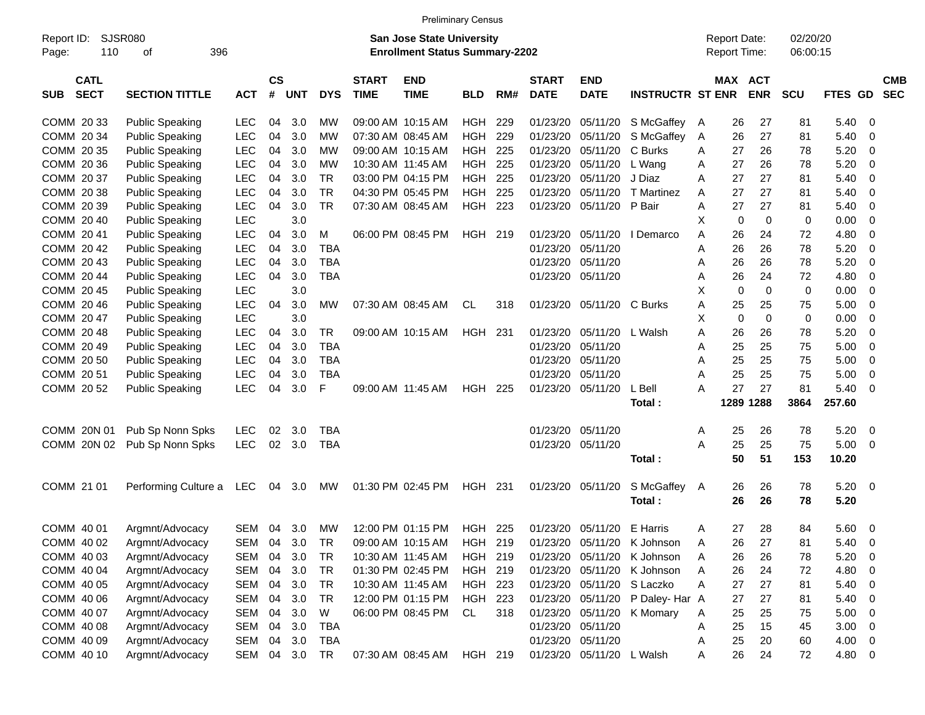|                            |                        |            |               |     |            |              | <b>Preliminary Census</b>             |                |     |              |                           |                         |                     |                         |            |                |            |  |
|----------------------------|------------------------|------------|---------------|-----|------------|--------------|---------------------------------------|----------------|-----|--------------|---------------------------|-------------------------|---------------------|-------------------------|------------|----------------|------------|--|
| Report ID:                 | <b>SJSR080</b>         |            |               |     |            |              | <b>San Jose State University</b>      |                |     |              |                           |                         | <b>Report Date:</b> |                         | 02/20/20   |                |            |  |
| 110<br>Page:               | 396<br>оf              |            |               |     |            |              | <b>Enrollment Status Summary-2202</b> |                |     |              |                           |                         | <b>Report Time:</b> |                         | 06:00:15   |                |            |  |
|                            |                        |            |               |     |            |              |                                       |                |     |              |                           |                         |                     |                         |            |                |            |  |
| <b>CATL</b><br><b>SECT</b> |                        |            | $\mathsf{cs}$ |     |            | <b>START</b> | <b>END</b>                            |                |     | <b>START</b> | <b>END</b>                |                         |                     | MAX ACT                 |            | <b>FTES GD</b> | <b>CMB</b> |  |
| <b>SUB</b>                 | <b>SECTION TITTLE</b>  | <b>ACT</b> | #             | UNT | <b>DYS</b> | <b>TIME</b>  | <b>TIME</b>                           | <b>BLD</b>     | RM# | <b>DATE</b>  | <b>DATE</b>               | <b>INSTRUCTR ST ENR</b> |                     | <b>ENR</b>              | <b>SCU</b> |                | <b>SEC</b> |  |
| COMM 20 33                 | <b>Public Speaking</b> | <b>LEC</b> | 04            | 3.0 | МW         |              | 09:00 AM 10:15 AM                     | <b>HGH</b>     | 229 | 01/23/20     | 05/11/20                  | S McGaffey              | 26<br>A             | 27                      | 81         | 5.40           | 0          |  |
| COMM 20 34                 | <b>Public Speaking</b> | <b>LEC</b> | 04            | 3.0 | МW         |              | 07:30 AM 08:45 AM                     | HGH            | 229 | 01/23/20     | 05/11/20                  | S McGaffey              | 26<br>A             | 27                      | 81         | 5.40           | 0          |  |
| COMM 20 35                 | <b>Public Speaking</b> | <b>LEC</b> | 04            | 3.0 | МW         |              | 09:00 AM 10:15 AM                     | HGH            | 225 | 01/23/20     | 05/11/20                  | C Burks                 | 27<br>A             | 26                      | 78         | 5.20           | 0          |  |
| COMM 20 36                 | <b>Public Speaking</b> | <b>LEC</b> | 04            | 3.0 | МW         |              | 10:30 AM 11:45 AM                     | HGH            | 225 | 01/23/20     | 05/11/20                  | L Wang                  | 27<br>A             | 26                      | 78         | 5.20           | 0          |  |
| COMM 20 37                 | <b>Public Speaking</b> | <b>LEC</b> | 04            | 3.0 | TR         |              | 03:00 PM 04:15 PM                     | HGH            | 225 | 01/23/20     | 05/11/20                  | J Diaz                  | 27<br>Α             | 27                      | 81         | 5.40           | 0          |  |
| COMM 20 38                 | <b>Public Speaking</b> | <b>LEC</b> | 04            | 3.0 | <b>TR</b>  |              | 04:30 PM 05:45 PM                     | HGH            | 225 | 01/23/20     | 05/11/20                  | T Martinez              | 27<br>A             | 27                      | 81         | 5.40           | 0          |  |
| COMM 20 39                 | <b>Public Speaking</b> | <b>LEC</b> | 04            | 3.0 | TR         |              | 07:30 AM 08:45 AM                     | <b>HGH</b>     | 223 | 01/23/20     | 05/11/20                  | P Bair                  | 27<br>A             | 27                      | 81         | 5.40           | 0          |  |
| COMM 20 40                 | <b>Public Speaking</b> | <b>LEC</b> |               | 3.0 |            |              |                                       |                |     |              |                           |                         | Χ                   | 0<br>0                  | 0          | 0.00           | 0          |  |
| COMM 2041                  | <b>Public Speaking</b> | <b>LEC</b> | 04            | 3.0 | M          |              | 06:00 PM 08:45 PM                     | <b>HGH 219</b> |     | 01/23/20     | 05/11/20                  | I Demarco               | 26<br>Α             | 24                      | 72         | 4.80           | 0          |  |
| COMM 20 42                 | <b>Public Speaking</b> | <b>LEC</b> | 04            | 3.0 | <b>TBA</b> |              |                                       |                |     | 01/23/20     | 05/11/20                  |                         | 26<br>Α             | 26                      | 78         | 5.20           | 0          |  |
| COMM 2043                  | <b>Public Speaking</b> | <b>LEC</b> | 04            | 3.0 | <b>TBA</b> |              |                                       |                |     | 01/23/20     | 05/11/20                  |                         | 26<br>Α             | 26                      | 78         | 5.20           | 0          |  |
| COMM 20 44                 | <b>Public Speaking</b> | <b>LEC</b> | 04            | 3.0 | <b>TBA</b> |              |                                       |                |     | 01/23/20     | 05/11/20                  |                         | 26<br>Α             | 24                      | 72         | 4.80           | 0          |  |
| COMM 20 45                 | <b>Public Speaking</b> | <b>LEC</b> |               | 3.0 |            |              |                                       |                |     |              |                           |                         | х                   | $\mathbf 0$<br>0        | 0          | 0.00           | 0          |  |
| COMM 2046                  | <b>Public Speaking</b> | <b>LEC</b> | 04            | 3.0 | МW         |              | 07:30 AM 08:45 AM                     | CL             | 318 | 01/23/20     | 05/11/20 C Burks          |                         | Α<br>25             | 25                      | 75         | 5.00           | 0          |  |
| COMM 2047                  | <b>Public Speaking</b> | <b>LEC</b> |               | 3.0 |            |              |                                       |                |     |              |                           |                         | X                   | $\mathbf 0$<br>$\Omega$ | 0          | 0.00           | 0          |  |
| COMM 2048                  | <b>Public Speaking</b> | <b>LEC</b> | 04            | 3.0 | TR         |              | 09:00 AM 10:15 AM                     | HGH            | 231 | 01/23/20     | 05/11/20                  | L Walsh                 | 26<br>A             | 26                      | 78         | 5.20           | 0          |  |
| COMM 2049                  | <b>Public Speaking</b> | <b>LEC</b> | 04            | 3.0 | <b>TBA</b> |              |                                       |                |     | 01/23/20     | 05/11/20                  |                         | 25<br>Α             | 25                      | 75         | 5.00           | 0          |  |
| COMM 20 50                 | <b>Public Speaking</b> | <b>LEC</b> | 04            | 3.0 | <b>TBA</b> |              |                                       |                |     | 01/23/20     | 05/11/20                  |                         | 25<br>Α             | 25                      | 75         | 5.00           | 0          |  |
| COMM 20 51                 | <b>Public Speaking</b> | <b>LEC</b> | 04            | 3.0 | <b>TBA</b> |              |                                       |                |     | 01/23/20     | 05/11/20                  |                         | 25<br>A             | 25                      | 75         | 5.00           | 0          |  |
| COMM 20 52                 | <b>Public Speaking</b> | <b>LEC</b> | 04            | 3.0 | F          |              | 09:00 AM 11:45 AM                     | HGH            | 225 | 01/23/20     | 05/11/20                  | L Bell                  | 27<br>А             | 27                      | 81         | 5.40           | 0          |  |
|                            |                        |            |               |     |            |              |                                       |                |     |              |                           | Total:                  |                     | 1289 1288               | 3864       | 257.60         |            |  |
|                            |                        |            |               |     |            |              |                                       |                |     |              |                           |                         |                     |                         |            |                |            |  |
| COMM 20N 01                | Pub Sp Nonn Spks       | <b>LEC</b> | 02            | 3.0 | <b>TBA</b> |              |                                       |                |     | 01/23/20     | 05/11/20                  |                         | 25<br>A             | 26                      | 78         | 5.20           | 0          |  |
| COMM 20N 02                | Pub Sp Nonn Spks       | <b>LEC</b> | 02            | 3.0 | <b>TBA</b> |              |                                       |                |     | 01/23/20     | 05/11/20                  |                         | 25<br>A             | 25                      | 75         | 5.00           | 0          |  |
|                            |                        |            |               |     |            |              |                                       |                |     |              |                           | Total:                  | 50                  | 51                      | 153        | 10.20          |            |  |
|                            |                        |            |               |     |            |              |                                       |                |     |              |                           |                         |                     |                         |            |                |            |  |
| COMM 21 01                 | Performing Culture a   | LEC        | 04            | 3.0 | МW         |              | 01:30 PM 02:45 PM                     | HGH 231        |     | 01/23/20     | 05/11/20                  | S McGaffey              | 26<br>A             | 26                      | 78         | 5.20           | 0          |  |
|                            |                        |            |               |     |            |              |                                       |                |     |              |                           | Total:                  | 26                  | 26                      | 78         | 5.20           |            |  |
|                            |                        |            |               |     |            |              |                                       |                |     |              |                           |                         |                     |                         |            |                |            |  |
| COMM 40 01                 | Argmnt/Advocacy        | <b>SEM</b> | 04            | 3.0 | MW         |              | 12:00 PM 01:15 PM                     | <b>HGH 225</b> |     | 01/23/20     | 05/11/20                  | E Harris                | 27<br>A             | 28                      | 84         | 5.60           | 0          |  |
| COMM 40 02                 | Argmnt/Advocacy        | <b>SEM</b> | 04            | 3.0 | TR         |              | 09:00 AM 10:15 AM                     | HGH 219        |     | 01/23/20     | 05/11/20                  | K Johnson               | 26<br>A             | 27                      | 81         | 5.40           | 0          |  |
| COMM 40 03                 | Argmnt/Advocacy        | SEM        | 04            | 3.0 | TR         |              | 10:30 AM 11:45 AM                     | HGH 219        |     | 01/23/20     | 05/11/20                  | K Johnson               | 26<br>A             | 26                      | 78         | 5.20           | 0          |  |
| COMM 40 04                 | Argmnt/Advocacy        | SEM        | 04            | 3.0 | <b>TR</b>  |              | 01:30 PM 02:45 PM                     | HGH 219        |     | 01/23/20     | 05/11/20                  | K Johnson               | 26<br>A             | 24                      | 72         | 4.80           | 0          |  |
| COMM 40 05                 | Argmnt/Advocacy        | SEM        | 04            | 3.0 | <b>TR</b>  |              | 10:30 AM 11:45 AM                     | HGH 223        |     | 01/23/20     | 05/11/20                  | S Laczko                | 27<br>A             | 27                      | 81         | 5.40           | 0          |  |
| COMM 40 06                 | Argmnt/Advocacy        | SEM        | 04            | 3.0 | <b>TR</b>  |              | 12:00 PM 01:15 PM                     | HGH            | 223 | 01/23/20     | 05/11/20                  | P Daley- Har A          | 27                  | 27                      | 81         | 5.40           | 0          |  |
| COMM 40 07                 | Argmnt/Advocacy        | SEM        | 04            | 3.0 | W          |              | 06:00 PM 08:45 PM                     | CL             | 318 | 01/23/20     | 05/11/20                  | K Momary                | 25<br>A             | 25                      | 75         | 5.00           | 0          |  |
| COMM 40 08                 | Argmnt/Advocacy        | SEM        | 04            | 3.0 | <b>TBA</b> |              |                                       |                |     | 01/23/20     | 05/11/20                  |                         | 25<br>A             | 15                      | 45         | 3.00           | 0          |  |
| COMM 40 09                 | Argmnt/Advocacy        | SEM        | 04            | 3.0 | <b>TBA</b> |              |                                       |                |     | 01/23/20     | 05/11/20                  |                         | 25<br>A             | 20                      | 60         | 4.00           | 0          |  |
| COMM 40 10                 | Argmnt/Advocacy        | SEM 04 3.0 |               |     | <b>TR</b>  |              | 07:30 AM 08:45 AM                     | HGH 219        |     |              | 01/23/20 05/11/20 L Walsh |                         | 26<br>A             | 24                      | 72         | 4.80           | 0          |  |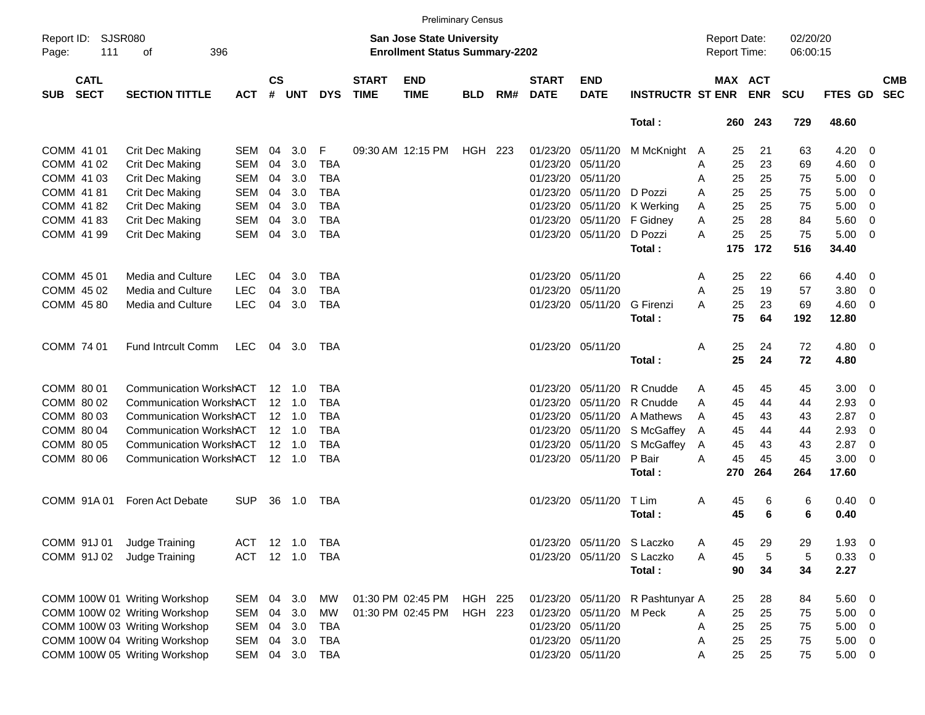|                                          |                                |            |                    |                |            |                             | <b>Preliminary Census</b>                                                 |            |     |                             |                           |                         |   |                                     |            |                      |                |                          |                          |
|------------------------------------------|--------------------------------|------------|--------------------|----------------|------------|-----------------------------|---------------------------------------------------------------------------|------------|-----|-----------------------------|---------------------------|-------------------------|---|-------------------------------------|------------|----------------------|----------------|--------------------------|--------------------------|
| SJSR080<br>Report ID:<br>111<br>Page:    | 396<br>οf                      |            |                    |                |            |                             | <b>San Jose State University</b><br><b>Enrollment Status Summary-2202</b> |            |     |                             |                           |                         |   | <b>Report Date:</b><br>Report Time: |            | 02/20/20<br>06:00:15 |                |                          |                          |
| <b>CATL</b><br><b>SECT</b><br><b>SUB</b> | <b>SECTION TITTLE</b>          | <b>ACT</b> | $\mathsf{cs}$<br># | <b>UNT</b>     | <b>DYS</b> | <b>START</b><br><b>TIME</b> | <b>END</b><br><b>TIME</b>                                                 | <b>BLD</b> | RM# | <b>START</b><br><b>DATE</b> | <b>END</b><br><b>DATE</b> | <b>INSTRUCTR ST ENR</b> |   | <b>MAX ACT</b>                      | <b>ENR</b> | <b>SCU</b>           | <b>FTES GD</b> |                          | <b>CMB</b><br><b>SEC</b> |
|                                          |                                |            |                    |                |            |                             |                                                                           |            |     |                             |                           | Total:                  |   | 260                                 | 243        | 729                  | 48.60          |                          |                          |
| COMM 41 01                               | <b>Crit Dec Making</b>         | <b>SEM</b> | 04                 | 3.0            | F          |                             | 09:30 AM 12:15 PM                                                         | HGH 223    |     | 01/23/20                    | 05/11/20                  | M McKnight A            |   | 25                                  | 21         | 63                   | 4.20           | - 0                      |                          |
| COMM 41 02                               | <b>Crit Dec Making</b>         | <b>SEM</b> | 04                 | 3.0            | <b>TBA</b> |                             |                                                                           |            |     | 01/23/20                    | 05/11/20                  |                         | Α | 25                                  | 23         | 69                   | 4.60           | $\overline{\mathbf{0}}$  |                          |
| COMM 41 03                               | <b>Crit Dec Making</b>         | <b>SEM</b> | 04                 | 3.0            | <b>TBA</b> |                             |                                                                           |            |     | 01/23/20                    | 05/11/20                  |                         | A | 25                                  | 25         | 75                   | 5.00           | $\overline{\mathbf{0}}$  |                          |
| COMM 41 81                               | <b>Crit Dec Making</b>         | <b>SEM</b> | 04                 | 3.0            | <b>TBA</b> |                             |                                                                           |            |     | 01/23/20                    | 05/11/20                  | D Pozzi                 | A | 25                                  | 25         | 75                   | 5.00           | $\overline{\mathbf{0}}$  |                          |
| COMM 41 82                               | <b>Crit Dec Making</b>         | <b>SEM</b> | 04                 | 3.0            | <b>TBA</b> |                             |                                                                           |            |     | 01/23/20                    | 05/11/20                  | K Werking               | A | 25                                  | 25         | 75                   | 5.00           | $\overline{\mathbf{0}}$  |                          |
| COMM 41 83                               | <b>Crit Dec Making</b>         | <b>SEM</b> | 04                 | 3.0            | <b>TBA</b> |                             |                                                                           |            |     | 01/23/20                    | 05/11/20                  | F Gidney                | A | 25                                  | 28         | 84                   | 5.60           | $\overline{\mathbf{0}}$  |                          |
| COMM 41 99                               | Crit Dec Making                | <b>SEM</b> | 04                 | 3.0            | <b>TBA</b> |                             |                                                                           |            |     | 01/23/20                    | 05/11/20                  | D Pozzi                 | A | 25                                  | 25         | 75                   | 5.00           | $\overline{\mathbf{0}}$  |                          |
|                                          |                                |            |                    |                |            |                             |                                                                           |            |     |                             |                           | Total:                  |   | 175                                 | 172        | 516                  | 34.40          |                          |                          |
| COMM 45 01                               | Media and Culture              | <b>LEC</b> | 04                 | 3.0            | <b>TBA</b> |                             |                                                                           |            |     | 01/23/20                    | 05/11/20                  |                         | A | 25                                  | 22         | 66                   | 4.40           | - 0                      |                          |
| COMM 45 02                               | <b>Media and Culture</b>       | <b>LEC</b> | 04                 | 3.0            | <b>TBA</b> |                             |                                                                           |            |     | 01/23/20                    | 05/11/20                  |                         | A | 25                                  | 19         | 57                   | 3.80           | $\overline{0}$           |                          |
| COMM 45 80                               | Media and Culture              | <b>LEC</b> | 04                 | 3.0            | <b>TBA</b> |                             |                                                                           |            |     | 01/23/20                    | 05/11/20                  | G Firenzi               | A | 25                                  | 23         | 69                   | 4.60           | $\overline{\mathbf{0}}$  |                          |
|                                          |                                |            |                    |                |            |                             |                                                                           |            |     |                             |                           | Total:                  |   | 75                                  | 64         | 192                  | 12.80          |                          |                          |
| COMM 74 01                               | Fund Intrcult Comm             | LEC        | 04                 | 3.0            | TBA        |                             |                                                                           |            |     | 01/23/20 05/11/20           |                           |                         | A | 25                                  | 24         | 72                   | 4.80           | $\overline{\phantom{0}}$ |                          |
|                                          |                                |            |                    |                |            |                             |                                                                           |            |     |                             |                           | Total:                  |   | 25                                  | 24         | 72                   | 4.80           |                          |                          |
| COMM 80 01                               | <b>Communication WorkshACT</b> |            | $12 \overline{ }$  | 1.0            | TBA        |                             |                                                                           |            |     | 01/23/20                    | 05/11/20                  | R Cnudde                | A | 45                                  | 45         | 45                   | 3.00           | $\overline{\mathbf{0}}$  |                          |
| COMM 80 02                               | <b>Communication WorkshACT</b> |            | 12                 | 1.0            | <b>TBA</b> |                             |                                                                           |            |     | 01/23/20                    | 05/11/20                  | R Cnudde                | A | 45                                  | 44         | 44                   | 2.93           | $\overline{\mathbf{0}}$  |                          |
| COMM 80 03                               | <b>Communication WorkshACT</b> |            | 12                 | $-1.0$         | <b>TBA</b> |                             |                                                                           |            |     | 01/23/20                    | 05/11/20                  | A Mathews               | A | 45                                  | 43         | 43                   | 2.87           | 0                        |                          |
| COMM 80 04                               | <b>Communication WorkshACT</b> |            |                    | $12 \quad 1.0$ | <b>TBA</b> |                             |                                                                           |            |     | 01/23/20                    | 05/11/20                  | S McGaffey              | A | 45                                  | 44         | 44                   | 2.93           | $\overline{0}$           |                          |
| COMM 80 05                               | <b>Communication WorkshACT</b> |            |                    | $12 \quad 1.0$ | <b>TBA</b> |                             |                                                                           |            |     | 01/23/20                    | 05/11/20                  | S McGaffey              | Α | 45                                  | 43         | 43                   | 2.87           | $\overline{0}$           |                          |
| COMM 80 06                               | <b>Communication WorkshACT</b> |            |                    | $12 \quad 1.0$ | <b>TBA</b> |                             |                                                                           |            |     | 01/23/20                    | 05/11/20                  | P Bair                  | A | 45                                  | 45         | 45                   | 3.00           | $\overline{\mathbf{0}}$  |                          |
|                                          |                                |            |                    |                |            |                             |                                                                           |            |     |                             |                           | Total:                  |   | 270                                 | 264        | 264                  | 17.60          |                          |                          |
| COMM 91A 01                              | Foren Act Debate               | <b>SUP</b> | 36                 | 1.0            | <b>TBA</b> |                             |                                                                           |            |     | 01/23/20                    | 05/11/20                  | T Lim                   | A | 45                                  | 6          | 6                    | 0.40           | $\overline{\mathbf{0}}$  |                          |
|                                          |                                |            |                    |                |            |                             |                                                                           |            |     |                             |                           | Total:                  |   | 45                                  | 6          | 6                    | 0.40           |                          |                          |
| COMM 91J 01                              | Judge Training                 | ACT        |                    | 12 1.0         | TBA        |                             |                                                                           |            |     |                             | 01/23/20 05/11/20         | S Laczko                | Α | 45                                  | 29         | 29                   | 1.93           | $\overline{\phantom{0}}$ |                          |
| COMM 91J 02                              | Judge Training                 | <b>ACT</b> |                    | $12$ 1.0       | TBA        |                             |                                                                           |            |     |                             | 01/23/20 05/11/20         | S Laczko                | A | 45                                  | 5          | $\mathbf 5$          | 0.33 0         |                          |                          |
|                                          |                                |            |                    |                |            |                             |                                                                           |            |     |                             |                           | Total:                  |   | 90                                  | 34         | 34                   | 2.27           |                          |                          |
|                                          | COMM 100W 01 Writing Workshop  | SEM        | 04                 | 3.0            | MW         |                             | 01:30 PM 02:45 PM                                                         | HGH 225    |     |                             | 01/23/20 05/11/20         | R Pashtunyar A          |   | 25                                  | 28         | 84                   | 5.60 0         |                          |                          |
|                                          | COMM 100W 02 Writing Workshop  | SEM 04 3.0 |                    |                | MW         |                             | 01:30 PM 02:45 PM                                                         | HGH 223    |     |                             | 01/23/20 05/11/20         | M Peck                  | Α | 25                                  | 25         | 75                   | $5.00 \t 0$    |                          |                          |
|                                          | COMM 100W 03 Writing Workshop  | SEM 04 3.0 |                    |                | TBA        |                             |                                                                           |            |     |                             | 01/23/20 05/11/20         |                         | A | 25                                  | 25         | 75                   | $5.00 \t 0$    |                          |                          |
|                                          | COMM 100W 04 Writing Workshop  | SEM        |                    | 04 3.0         | TBA        |                             |                                                                           |            |     |                             | 01/23/20 05/11/20         |                         | A | 25                                  | 25         | 75                   | $5.00 \t 0$    |                          |                          |
|                                          | COMM 100W 05 Writing Workshop  | SEM 04 3.0 |                    |                | TBA        |                             |                                                                           |            |     |                             | 01/23/20 05/11/20         |                         | A | 25                                  | 25         | 75                   | $5.00 \t 0$    |                          |                          |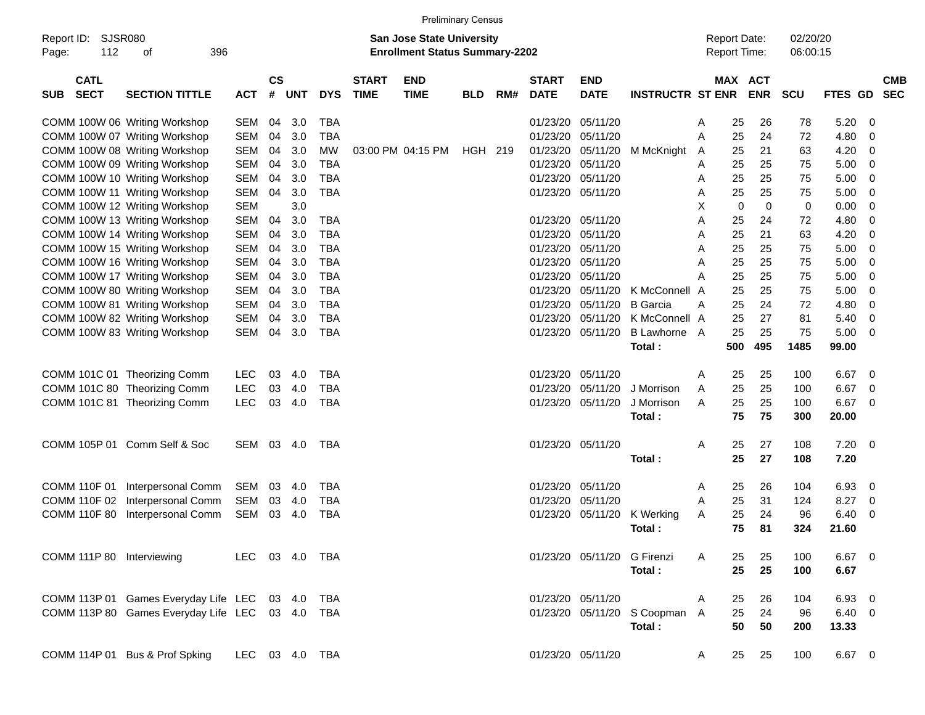|                                          |                                                 |                |                |            |            |                             |                                                                           | <b>Preliminary Census</b> |     |                             |                           |                               |                                            |                       |                      |           |                          |                          |
|------------------------------------------|-------------------------------------------------|----------------|----------------|------------|------------|-----------------------------|---------------------------------------------------------------------------|---------------------------|-----|-----------------------------|---------------------------|-------------------------------|--------------------------------------------|-----------------------|----------------------|-----------|--------------------------|--------------------------|
| Report ID: SJSR080<br>112<br>Page:       | 396<br>оf                                       |                |                |            |            |                             | <b>San Jose State University</b><br><b>Enrollment Status Summary-2202</b> |                           |     |                             |                           |                               | <b>Report Date:</b><br><b>Report Time:</b> |                       | 02/20/20<br>06:00:15 |           |                          |                          |
| <b>CATL</b><br><b>SECT</b><br><b>SUB</b> | <b>SECTION TITTLE</b>                           | <b>ACT</b>     | <b>CS</b><br># | <b>UNT</b> | <b>DYS</b> | <b>START</b><br><b>TIME</b> | <b>END</b><br><b>TIME</b>                                                 | <b>BLD</b>                | RM# | <b>START</b><br><b>DATE</b> | <b>END</b><br><b>DATE</b> | <b>INSTRUCTR ST ENR</b>       |                                            | MAX ACT<br><b>ENR</b> | <b>SCU</b>           | FTES GD   |                          | <b>CMB</b><br><b>SEC</b> |
|                                          | COMM 100W 06 Writing Workshop                   | SEM            | 04             | 3.0        | <b>TBA</b> |                             |                                                                           |                           |     | 01/23/20                    | 05/11/20                  |                               | Α                                          | 25<br>26              | 78                   | 5.20      | - 0                      |                          |
|                                          | COMM 100W 07 Writing Workshop                   | <b>SEM</b>     | 04             | 3.0        | <b>TBA</b> |                             |                                                                           |                           |     | 01/23/20                    | 05/11/20                  |                               | Α                                          | 25<br>24              | 72                   | 4.80      | - 0                      |                          |
|                                          | COMM 100W 08 Writing Workshop                   | <b>SEM</b>     | 04             | 3.0        | МW         |                             | 03:00 PM 04:15 PM                                                         | HGH 219                   |     | 01/23/20                    | 05/11/20                  | M McKnight                    | A                                          | 21<br>25              | 63                   | 4.20      | - 0                      |                          |
|                                          | COMM 100W 09 Writing Workshop                   | <b>SEM</b>     | 04             | 3.0        | <b>TBA</b> |                             |                                                                           |                           |     | 01/23/20                    | 05/11/20                  |                               | Α                                          | 25<br>25              | 75                   | 5.00      | - 0                      |                          |
|                                          | COMM 100W 10 Writing Workshop                   | <b>SEM</b>     | 04             | 3.0        | <b>TBA</b> |                             |                                                                           |                           |     | 01/23/20                    | 05/11/20                  |                               | Α                                          | 25<br>25              | 75                   | 5.00      | - 0                      |                          |
|                                          | COMM 100W 11 Writing Workshop                   | <b>SEM</b>     | 04             | 3.0        | <b>TBA</b> |                             |                                                                           |                           |     | 01/23/20                    | 05/11/20                  |                               | Α                                          | 25<br>25              | 75                   | 5.00      | - 0                      |                          |
|                                          | COMM 100W 12 Writing Workshop                   | <b>SEM</b>     |                | 3.0        |            |                             |                                                                           |                           |     |                             |                           |                               | X                                          | 0                     | 0<br>0               | 0.00      | - 0                      |                          |
|                                          | COMM 100W 13 Writing Workshop                   | <b>SEM</b>     | 04             | 3.0        | <b>TBA</b> |                             |                                                                           |                           |     | 01/23/20                    | 05/11/20                  |                               | Α                                          | 25<br>24              | 72                   | 4.80      | - 0                      |                          |
|                                          | COMM 100W 14 Writing Workshop                   | <b>SEM</b>     | 04             | 3.0        | <b>TBA</b> |                             |                                                                           |                           |     | 01/23/20                    | 05/11/20                  |                               | Α                                          | 25<br>21              | 63                   | 4.20      | - 0                      |                          |
|                                          | COMM 100W 15 Writing Workshop                   | <b>SEM</b>     | 04             | 3.0        | <b>TBA</b> |                             |                                                                           |                           |     | 01/23/20                    | 05/11/20                  |                               | Α                                          | 25<br>25              | 75                   | 5.00      | - 0                      |                          |
|                                          | COMM 100W 16 Writing Workshop                   | <b>SEM</b>     | 04             | 3.0        | <b>TBA</b> |                             |                                                                           |                           |     | 01/23/20                    | 05/11/20                  |                               | A                                          | 25<br>25              | 75                   | 5.00      | - 0                      |                          |
|                                          | COMM 100W 17 Writing Workshop                   | <b>SEM</b>     | 04             | 3.0        | <b>TBA</b> |                             |                                                                           |                           |     | 01/23/20                    | 05/11/20                  |                               | Α                                          | 25<br>25              | 75                   | 5.00      | - 0                      |                          |
|                                          | COMM 100W 80 Writing Workshop                   | <b>SEM</b>     | 04             | 3.0        | <b>TBA</b> |                             |                                                                           |                           |     | 01/23/20                    | 05/11/20                  | K McConnell                   | A                                          | 25<br>25              | 75                   | 5.00      | - 0                      |                          |
|                                          | COMM 100W 81 Writing Workshop                   | <b>SEM</b>     | 04             | 3.0        | <b>TBA</b> |                             |                                                                           |                           |     | 01/23/20                    | 05/11/20                  | <b>B</b> Garcia               | Α                                          | 25<br>24              | 72                   | 4.80      | - 0                      |                          |
|                                          | COMM 100W 82 Writing Workshop                   | <b>SEM</b>     | 04             | 3.0        | <b>TBA</b> |                             |                                                                           |                           |     | 01/23/20                    | 05/11/20                  | K McConnell A                 |                                            | 25<br>27              | 81                   | 5.40      | $\overline{0}$           |                          |
|                                          | COMM 100W 83 Writing Workshop                   | SEM            | 04             | 3.0        | <b>TBA</b> |                             |                                                                           |                           |     | 01/23/20                    | 05/11/20                  | <b>B Lawhorne</b>             | A                                          | 25<br>25              | 75                   | 5.00      | - 0                      |                          |
|                                          |                                                 |                |                |            |            |                             |                                                                           |                           |     |                             |                           | Total:                        | 500                                        | 495                   | 1485                 | 99.00     |                          |                          |
|                                          | COMM 101C 01 Theorizing Comm                    | <b>LEC</b>     | 03             | 4.0        | <b>TBA</b> |                             |                                                                           |                           |     | 01/23/20                    | 05/11/20                  |                               | Α                                          | 25<br>25              | 100                  | 6.67      | $\overline{\phantom{0}}$ |                          |
|                                          | COMM 101C 80 Theorizing Comm                    | <b>LEC</b>     | 03             | 4.0        | <b>TBA</b> |                             |                                                                           |                           |     | 01/23/20                    | 05/11/20                  | J Morrison                    | A                                          | 25<br>25              | 100                  | 6.67      | - 0                      |                          |
|                                          | COMM 101C 81 Theorizing Comm                    | <b>LEC</b>     | 03             | 4.0        | <b>TBA</b> |                             |                                                                           |                           |     | 01/23/20                    | 05/11/20                  | J Morrison                    | A                                          | 25<br>25              | 100                  | 6.67      | - 0                      |                          |
|                                          |                                                 |                |                |            |            |                             |                                                                           |                           |     |                             |                           | Total:                        |                                            | 75<br>75              | 300                  | 20.00     |                          |                          |
|                                          | COMM 105P 01 Comm Self & Soc                    | <b>SEM</b>     | 03             | 4.0        | TBA        |                             |                                                                           |                           |     |                             | 01/23/20 05/11/20         |                               | Α                                          | 25<br>27              | 108                  | 7.20      | $\overline{\phantom{0}}$ |                          |
|                                          |                                                 |                |                |            |            |                             |                                                                           |                           |     |                             |                           | Total:                        |                                            | 25<br>27              | 108                  | 7.20      |                          |                          |
| <b>COMM 110F 01</b>                      | Interpersonal Comm                              | SEM            | 03             | 4.0        | <b>TBA</b> |                             |                                                                           |                           |     | 01/23/20                    | 05/11/20                  |                               | A                                          | 26<br>25              | 104                  | 6.93      | $\overline{\mathbf{0}}$  |                          |
| COMM 110F 02                             | Interpersonal Comm                              | SEM            | 03             | -4.0       | <b>TBA</b> |                             |                                                                           |                           |     | 01/23/20                    | 05/11/20                  |                               | A                                          | 25<br>31              | 124                  | 8.27      | $\overline{\mathbf{0}}$  |                          |
| <b>COMM 110F 80</b>                      | Interpersonal Comm                              | <b>SEM</b>     | 03             | 4.0        | <b>TBA</b> |                             |                                                                           |                           |     | 01/23/20                    | 05/11/20                  | K Werking                     | A                                          | 25<br>24              | 96                   | 6.40      | 0                        |                          |
|                                          |                                                 |                |                |            |            |                             |                                                                           |                           |     |                             |                           | Total:                        |                                            | 75<br>81              | 324                  | 21.60     |                          |                          |
| COMM 111P 80 Interviewing                |                                                 | LEC 03 4.0 TBA |                |            |            |                             |                                                                           |                           |     |                             |                           | 01/23/20 05/11/20 G Firenzi   | A                                          | 25<br>25              | 100                  | $6.67$ 0  |                          |                          |
|                                          |                                                 |                |                |            |            |                             |                                                                           |                           |     |                             |                           | Total:                        |                                            | 25<br>25              | 100                  | 6.67      |                          |                          |
|                                          |                                                 |                |                |            |            |                             |                                                                           |                           |     |                             |                           |                               |                                            |                       |                      |           |                          |                          |
|                                          | COMM 113P 01 Games Everyday Life LEC 03 4.0     |                |                |            | TBA        |                             |                                                                           |                           |     |                             | 01/23/20 05/11/20         |                               | A                                          | 25<br>26              | 104                  | 6.93 0    |                          |                          |
|                                          | COMM 113P 80 Games Everyday Life LEC 03 4.0 TBA |                |                |            |            |                             |                                                                           |                           |     |                             |                           | 01/23/20 05/11/20 S Coopman A |                                            | 25<br>24              | 96                   | $6.40\ 0$ |                          |                          |
|                                          |                                                 |                |                |            |            |                             |                                                                           |                           |     |                             |                           | Total:                        |                                            | 50<br>50              | 200                  | 13.33     |                          |                          |
|                                          | COMM 114P 01 Bus & Prof Spking                  | LEC 03 4.0 TBA |                |            |            |                             |                                                                           |                           |     |                             | 01/23/20 05/11/20         |                               | A                                          | 25<br>25              | 100                  | 6.67 0    |                          |                          |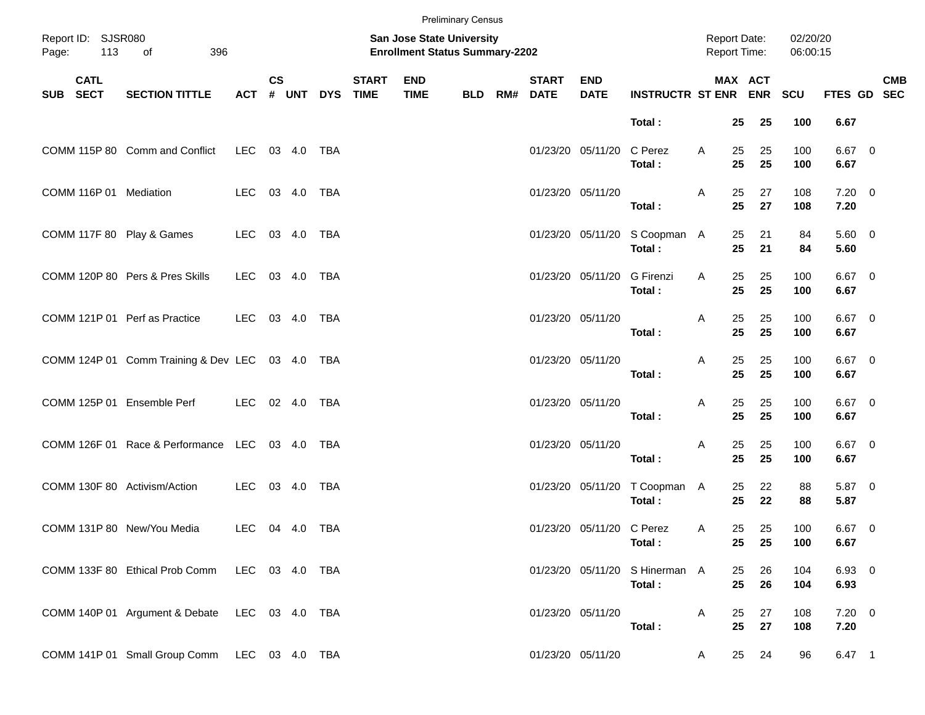|          |                           |                                                 |                |               |        |            |                             |                                                                    | <b>Preliminary Census</b> |     |                             |                           |                                          |                     |                      |                      |                    |            |
|----------|---------------------------|-------------------------------------------------|----------------|---------------|--------|------------|-----------------------------|--------------------------------------------------------------------|---------------------------|-----|-----------------------------|---------------------------|------------------------------------------|---------------------|----------------------|----------------------|--------------------|------------|
| Page:    | Report ID: SJSR080<br>113 | of<br>396                                       |                |               |        |            |                             | San Jose State University<br><b>Enrollment Status Summary-2202</b> |                           |     |                             |                           |                                          | <b>Report Date:</b> | Report Time:         | 02/20/20<br>06:00:15 |                    |            |
| SUB SECT | <b>CATL</b>               | <b>SECTION TITTLE</b>                           | <b>ACT</b>     | $\mathsf{cs}$ | # UNT  | <b>DYS</b> | <b>START</b><br><b>TIME</b> | <b>END</b><br><b>TIME</b>                                          | <b>BLD</b>                | RM# | <b>START</b><br><b>DATE</b> | <b>END</b><br><b>DATE</b> | <b>INSTRUCTR ST ENR ENR</b>              |                     | MAX ACT              | <b>SCU</b>           | FTES GD SEC        | <b>CMB</b> |
|          |                           |                                                 |                |               |        |            |                             |                                                                    |                           |     |                             |                           | Total:                                   |                     | 25<br>25             | 100                  | 6.67               |            |
|          |                           | COMM 115P 80 Comm and Conflict                  | LEC 03 4.0 TBA |               |        |            |                             |                                                                    |                           |     |                             | 01/23/20 05/11/20         | C Perez<br>Total:                        | A                   | 25<br>25<br>25<br>25 | 100<br>100           | $6.67$ 0<br>6.67   |            |
|          |                           | COMM 116P 01 Mediation                          | LEC            |               | 03 4.0 | TBA        |                             |                                                                    |                           |     |                             | 01/23/20 05/11/20         | Total:                                   | A                   | 25<br>27<br>25<br>27 | 108<br>108           | $7.20 \ 0$<br>7.20 |            |
|          |                           | COMM 117F 80 Play & Games                       | LEC.           |               | 03 4.0 | TBA        |                             |                                                                    |                           |     |                             |                           | 01/23/20 05/11/20 S Coopman A<br>Total:  |                     | 25<br>21<br>25<br>21 | 84<br>84             | $5.60\ 0$<br>5.60  |            |
|          |                           | COMM 120P 80 Pers & Pres Skills                 | LEC            |               | 03 4.0 | TBA        |                             |                                                                    |                           |     |                             | 01/23/20 05/11/20         | G Firenzi<br>Total:                      | A                   | 25<br>25<br>25<br>25 | 100<br>100           | $6.67$ 0<br>6.67   |            |
|          |                           | COMM 121P 01 Perf as Practice                   | LEC            |               | 03 4.0 | TBA        |                             |                                                                    |                           |     |                             | 01/23/20 05/11/20         | Total:                                   | A                   | 25<br>25<br>25<br>25 | 100<br>100           | $6.67$ 0<br>6.67   |            |
|          |                           | COMM 124P 01 Comm Training & Dev LEC 03 4.0 TBA |                |               |        |            |                             |                                                                    |                           |     |                             | 01/23/20 05/11/20         | Total:                                   | A                   | 25<br>25<br>25<br>25 | 100<br>100           | $6.67$ 0<br>6.67   |            |
|          |                           | COMM 125P 01 Ensemble Perf                      | LEC 02 4.0     |               |        | TBA        |                             |                                                                    |                           |     |                             | 01/23/20 05/11/20         | Total:                                   | A                   | 25<br>25<br>25<br>25 | 100<br>100           | $6.67$ 0<br>6.67   |            |
|          |                           | COMM 126F 01 Race & Performance LEC 03 4.0 TBA  |                |               |        |            |                             |                                                                    |                           |     |                             | 01/23/20 05/11/20         | Total:                                   | Α                   | 25<br>25<br>25<br>25 | 100<br>100           | $6.67$ 0<br>6.67   |            |
|          |                           | COMM 130F 80 Activism/Action                    | LEC            |               | 03 4.0 | TBA        |                             |                                                                    |                           |     |                             |                           | 01/23/20 05/11/20 T Coopman A<br>Total:  |                     | 25<br>22<br>25<br>22 | 88<br>88             | 5.87 0<br>5.87     |            |
|          |                           | COMM 131P 80 New/You Media                      | LEC.           |               | 04 4.0 | TBA        |                             |                                                                    |                           |     |                             | 01/23/20 05/11/20 C Perez | Total:                                   | A                   | 25<br>25<br>25 25    | 100<br>100           | $6.67$ 0<br>6.67   |            |
|          |                           | COMM 133F 80 Ethical Prob Comm                  | LEC 03 4.0 TBA |               |        |            |                             |                                                                    |                           |     |                             |                           | 01/23/20 05/11/20 S Hinerman A<br>Total: |                     | 26<br>25<br>25<br>26 | 104<br>104           | 6.93 0<br>6.93     |            |
|          |                           | COMM 140P 01 Argument & Debate LEC 03 4.0 TBA   |                |               |        |            |                             |                                                                    |                           |     |                             | 01/23/20 05/11/20         | Total:                                   | A                   | 25<br>27<br>25<br>27 | 108<br>108           | $7.20 \ 0$<br>7.20 |            |
|          |                           | COMM 141P 01 Small Group Comm LEC 03 4.0 TBA    |                |               |        |            |                             |                                                                    |                           |     |                             | 01/23/20 05/11/20         |                                          | A                   | 25 24                | 96                   | $6.47$ 1           |            |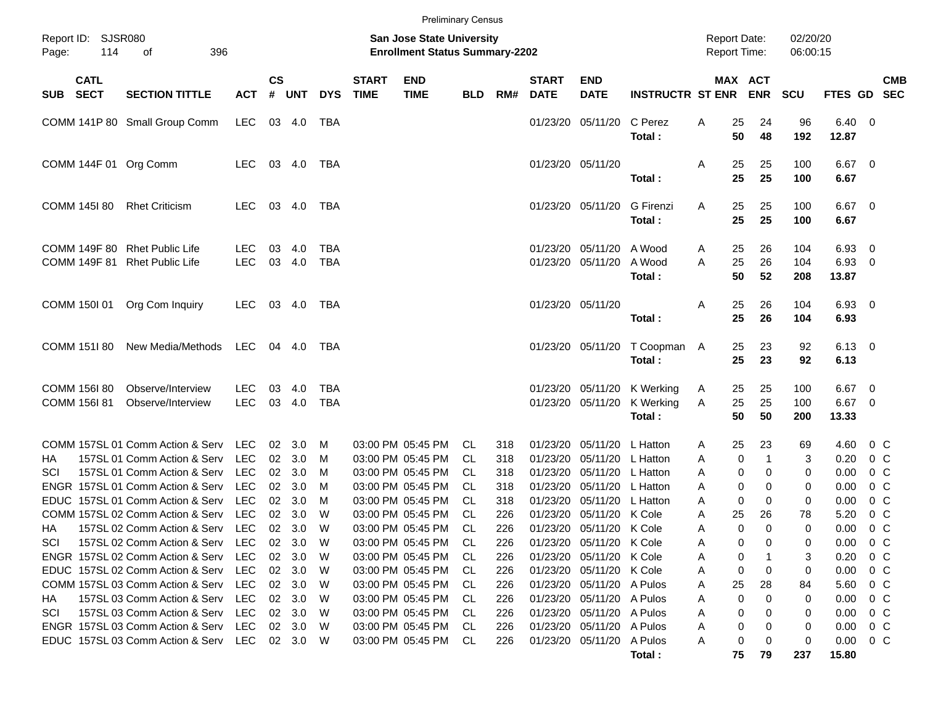|                                            |                                                                      |                          |                    |                  |                   |                             | <b>Preliminary Census</b>                                                 |            |            |                             |                                                      |                                  |        |                |                                            |                      |                             |                |            |
|--------------------------------------------|----------------------------------------------------------------------|--------------------------|--------------------|------------------|-------------------|-----------------------------|---------------------------------------------------------------------------|------------|------------|-----------------------------|------------------------------------------------------|----------------------------------|--------|----------------|--------------------------------------------|----------------------|-----------------------------|----------------|------------|
| Report ID: SJSR080<br>Page:<br>114         | 396<br>οf                                                            |                          |                    |                  |                   |                             | <b>San Jose State University</b><br><b>Enrollment Status Summary-2202</b> |            |            |                             |                                                      |                                  |        |                | <b>Report Date:</b><br><b>Report Time:</b> | 02/20/20<br>06:00:15 |                             |                |            |
| <b>CATL</b><br><b>SECT</b><br>SUB          | <b>SECTION TITTLE</b>                                                | <b>ACT</b>               | $\mathsf{cs}$<br># | <b>UNT</b>       | <b>DYS</b>        | <b>START</b><br><b>TIME</b> | <b>END</b><br><b>TIME</b>                                                 | <b>BLD</b> | RM#        | <b>START</b><br><b>DATE</b> | <b>END</b><br><b>DATE</b>                            | <b>INSTRUCTR ST ENR</b>          |        |                | MAX ACT<br><b>ENR</b>                      | <b>SCU</b>           | FTES GD SEC                 |                | <b>CMB</b> |
|                                            | COMM 141P 80 Small Group Comm                                        | <b>LEC</b>               |                    | 03 4.0           | TBA               |                             |                                                                           |            |            |                             | 01/23/20 05/11/20                                    | C Perez<br>Total:                | Α      | 25<br>50       | 24<br>48                                   | 96<br>192            | $6.40 \quad 0$<br>12.87     |                |            |
| COMM 144F 01 Org Comm                      |                                                                      | LEC.                     |                    | 03 4.0           | TBA               |                             |                                                                           |            |            | 01/23/20 05/11/20           |                                                      | Total:                           | Α      | 25<br>25       | 25<br>25                                   | 100<br>100           | $6.67$ 0<br>6.67            |                |            |
| COMM 145180                                | <b>Rhet Criticism</b>                                                | <b>LEC</b>               |                    | 03 4.0           | TBA               |                             |                                                                           |            |            |                             | 01/23/20 05/11/20                                    | G Firenzi<br>Total:              | Α      | 25<br>25       | 25<br>25                                   | 100<br>100           | $6.67$ 0<br>6.67            |                |            |
| <b>COMM 149F 80</b><br><b>COMM 149F 81</b> | <b>Rhet Public Life</b><br><b>Rhet Public Life</b>                   | <b>LEC</b><br><b>LEC</b> | 03<br>03           | 4.0<br>4.0       | TBA<br><b>TBA</b> |                             |                                                                           |            |            | 01/23/20                    | 05/11/20<br>01/23/20 05/11/20                        | A Wood<br>A Wood<br>Total:       | A<br>A | 25<br>25<br>50 | 26<br>26<br>52                             | 104<br>104<br>208    | 6.93 0<br>6.93 0<br>13.87   |                |            |
| COMM 150I 01                               | Org Com Inquiry                                                      | <b>LEC</b>               |                    | 03 4.0           | TBA               |                             |                                                                           |            |            | 01/23/20 05/11/20           |                                                      | Total:                           | Α      | 25<br>25       | 26<br>26                                   | 104<br>104           | 6.93 0<br>6.93              |                |            |
| COMM 151I 80                               | New Media/Methods                                                    | LEC                      |                    | 04 4.0           | TBA               |                             |                                                                           |            |            |                             | 01/23/20 05/11/20                                    | T Coopman<br>Total:              | A      | 25<br>25       | 23<br>23                                   | 92<br>92             | $6.13 \quad 0$<br>6.13      |                |            |
| COMM 156I 80<br><b>COMM 156I 81</b>        | Observe/Interview<br>Observe/Interview                               | <b>LEC</b><br><b>LEC</b> | 03<br>03           | 4.0<br>4.0       | TBA<br><b>TBA</b> |                             |                                                                           |            |            | 01/23/20                    | 05/11/20<br>01/23/20 05/11/20                        | K Werking<br>K Werking<br>Total: | A<br>A | 25<br>25<br>50 | 25<br>25<br>50                             | 100<br>100<br>200    | $6.67$ 0<br>6.67 0<br>13.33 |                |            |
|                                            | COMM 157SL 01 Comm Action & Serv                                     | <b>LEC</b>               | 02                 | 3.0              | м                 |                             | 03:00 PM 05:45 PM                                                         | CL.        | 318        | 01/23/20                    | 05/11/20                                             | L Hatton                         | A      | 25             | 23                                         | 69                   | 4.60                        | $0\,$ C        |            |
| ΗA                                         | 157SL 01 Comm Action & Serv                                          | <b>LEC</b>               | 02                 | 3.0              | M                 |                             | 03:00 PM 05:45 PM                                                         | CL.        | 318        | 01/23/20                    | 05/11/20                                             | L Hatton                         | Α      | 0              | $\mathbf{1}$                               | 3                    | 0.20                        | 0 <sup>C</sup> |            |
| SCI                                        | 157SL 01 Comm Action & Serv                                          | <b>LEC</b>               | 02                 | 3.0              | M                 |                             | 03:00 PM 05:45 PM                                                         | CL.        | 318        | 01/23/20                    | 05/11/20                                             | L Hatton                         | A      | 0              | 0                                          | 0                    | 0.00                        | 0 <sup>C</sup> |            |
|                                            | ENGR 157SL 01 Comm Action & Serv                                     | <b>LEC</b>               | 02                 | 3.0              | M                 |                             | 03:00 PM 05:45 PM                                                         | CL.        | 318        | 01/23/20                    | 05/11/20                                             | L Hatton                         | A      | 0              | 0                                          | 0                    | 0.00                        | 0 <sup>C</sup> |            |
|                                            | EDUC 157SL 01 Comm Action & Serv<br>COMM 157SL 02 Comm Action & Serv | <b>LEC</b>               | 02                 | 3.0              | M                 |                             | 03:00 PM 05:45 PM                                                         | CL.        | 318        | 01/23/20                    | 05/11/20                                             | L Hatton                         | A      | $\mathbf 0$    | $\mathbf 0$                                | 0                    | 0.00                        | 0 <sup>C</sup> |            |
|                                            | 157SL 02 Comm Action & Serv                                          | <b>LEC</b>               | 02                 | 3.0<br>02 3.0    | W<br>W            |                             | 03:00 PM 05:45 PM                                                         | CL.        | 226        | 01/23/20                    | 05/11/20                                             | K Cole                           | А      | 25<br>0        | 26<br>$\Omega$                             | 78<br>0              | 5.20                        | 0 <sup>C</sup> |            |
| ΗA                                         |                                                                      | LEC                      |                    |                  |                   |                             | 03:00 PM 05:45 PM                                                         | <b>CL</b>  | 226        |                             | 01/23/20 05/11/20 K Cole                             |                                  | A      | 0              | 0                                          | 0                    | 0.00                        | $0\,C$         |            |
| SCI                                        | 157SL 02 Comm Action & Serv LEC<br>ENGR 157SL 02 Comm Action & Serv  |                          |                    | 02 3.0           | W                 |                             | 03:00 PM 05:45 PM                                                         | CL         | 226        |                             | 01/23/20 05/11/20 K Cole                             |                                  | A      |                |                                            |                      | $0.00 \t 0 C$               | 0 C            |            |
|                                            | EDUC 157SL 02 Comm Action & Serv                                     | <b>LEC</b><br>LEC        |                    | 02 3.0<br>02 3.0 | W<br>W            |                             | 03:00 PM 05:45 PM<br>03:00 PM 05:45 PM                                    | CL.<br>CL. | 226<br>226 |                             | 01/23/20 05/11/20 K Cole<br>01/23/20 05/11/20 K Cole |                                  | A      | 0<br>0         | 0                                          | 3<br>0               | 0.20<br>0.00                | $0\,$ C        |            |
|                                            | COMM 157SL 03 Comm Action & Serv                                     | LEC                      |                    | 02 3.0           | W                 |                             | 03:00 PM 05:45 PM                                                         | CL.        | 226        |                             | 01/23/20 05/11/20 A Pulos                            |                                  | Α<br>Α | 25             | 28                                         | 84                   | 5.60                        | 0 C            |            |
| HA                                         | 157SL 03 Comm Action & Serv                                          | LEC                      |                    | 02 3.0           | W                 |                             | 03:00 PM 05:45 PM                                                         | CL.        | 226        |                             | 01/23/20 05/11/20 A Pulos                            |                                  | Α      | 0              | $\Omega$                                   | 0                    | 0.00                        | $0\,$ C        |            |
| SCI                                        | 157SL 03 Comm Action & Serv                                          | LEC                      |                    | 02 3.0           | W                 |                             | 03:00 PM 05:45 PM                                                         | CL.        | 226        |                             | 01/23/20 05/11/20 A Pulos                            |                                  | Α      | 0              | 0                                          | 0                    | 0.00                        | $0\,$ C        |            |
|                                            | ENGR 157SL 03 Comm Action & Serv                                     | LEC                      |                    | 02 3.0           | W                 |                             | 03:00 PM 05:45 PM                                                         | -CL        | 226        |                             | 01/23/20 05/11/20 A Pulos                            |                                  | Α      | 0              | 0                                          | 0                    | 0.00                        | $0\,$ C        |            |
|                                            | EDUC 157SL 03 Comm Action & Serv LEC                                 |                          |                    | 02 3.0 W         |                   |                             | 03:00 PM 05:45 PM                                                         | CL         | 226        |                             | 01/23/20 05/11/20 A Pulos                            |                                  | Α      | 0              | 0                                          | 0                    | $0.00\,$                    | $0\,$ C        |            |
|                                            |                                                                      |                          |                    |                  |                   |                             |                                                                           |            |            |                             |                                                      | Total:                           |        | 75             | 79                                         | 237                  | 15.80                       |                |            |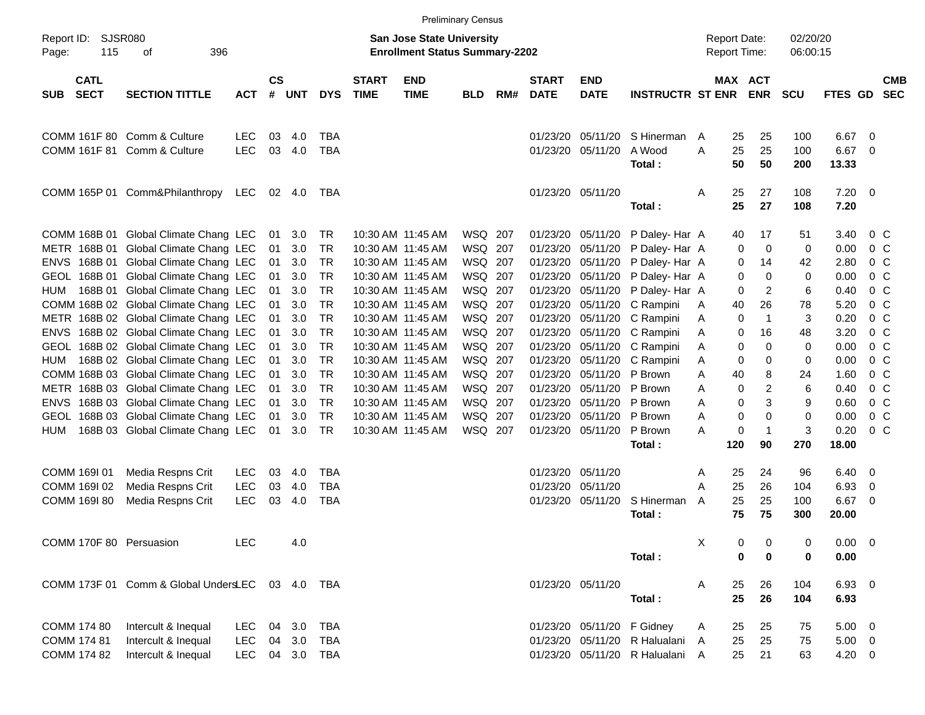|                     |                            |                                                                           |            |                    |            |                        |                             |                                                                           | <b>Preliminary Census</b> |     |                             |                            |                                 |        |          |                                            |                      |               |     |                                  |
|---------------------|----------------------------|---------------------------------------------------------------------------|------------|--------------------|------------|------------------------|-----------------------------|---------------------------------------------------------------------------|---------------------------|-----|-----------------------------|----------------------------|---------------------------------|--------|----------|--------------------------------------------|----------------------|---------------|-----|----------------------------------|
| Report ID:<br>Page: | <b>SJSR080</b><br>115      | 396<br>οf                                                                 |            |                    |            |                        |                             | <b>San Jose State University</b><br><b>Enrollment Status Summary-2202</b> |                           |     |                             |                            |                                 |        |          | <b>Report Date:</b><br><b>Report Time:</b> | 02/20/20<br>06:00:15 |               |     |                                  |
| <b>SUB</b>          | <b>CATL</b><br><b>SECT</b> | <b>SECTION TITTLE</b>                                                     | <b>ACT</b> | $\mathsf{cs}$<br># | <b>UNT</b> | <b>DYS</b>             | <b>START</b><br><b>TIME</b> | <b>END</b><br><b>TIME</b>                                                 | <b>BLD</b>                | RM# | <b>START</b><br><b>DATE</b> | <b>END</b><br><b>DATE</b>  | <b>INSTRUCTR ST ENR</b>         |        |          | MAX ACT<br><b>ENR</b>                      | <b>SCU</b>           | FTES GD       |     | <b>CMB</b><br><b>SEC</b>         |
|                     |                            | COMM 161F 80 Comm & Culture                                               | <b>LEC</b> | 03                 | 4.0        | TBA                    |                             |                                                                           |                           |     | 01/23/20                    | 05/11/20                   | S Hinerman                      | A      | 25       | 25                                         | 100                  | 6.67          | - 0 |                                  |
|                     |                            | COMM 161F 81 Comm & Culture                                               | <b>LEC</b> | 03                 | 4.0        | <b>TBA</b>             |                             |                                                                           |                           |     | 01/23/20                    | 05/11/20                   | A Wood<br>Total:                | A      | 25<br>50 | 25<br>50                                   | 100<br>200           | 6.67<br>13.33 | - 0 |                                  |
|                     |                            | COMM 165P 01 Comm&Philanthropy                                            | <b>LEC</b> |                    | 02 4.0     | TBA                    |                             |                                                                           |                           |     | 01/23/20 05/11/20           |                            | Total:                          | A      | 25<br>25 | 27<br>27                                   | 108<br>108           | 7.20<br>7.20  | - 0 |                                  |
|                     |                            | COMM 168B 01 Global Climate Chang LEC                                     |            | 01                 | 3.0        | <b>TR</b>              |                             | 10:30 AM 11:45 AM                                                         | WSQ 207                   |     | 01/23/20                    | 05/11/20                   | P Daley- Har A                  |        | 40       | 17                                         | 51                   | 3.40          |     | $0\,C$                           |
|                     |                            | METR 168B 01 Global Climate Chang LEC                                     |            | 01                 | 3.0        | <b>TR</b>              |                             | 10:30 AM 11:45 AM                                                         | WSQ 207                   |     | 01/23/20                    | 05/11/20                   | P Daley- Har A                  |        | 0        | $\mathbf 0$                                | 0                    | 0.00          |     | 0 <sup>C</sup>                   |
| <b>ENVS</b>         |                            | 168B 01 Global Climate Chang LEC                                          |            | 01                 | 3.0        | <b>TR</b>              |                             | 10:30 AM 11:45 AM                                                         | WSQ 207                   |     | 01/23/20                    | 05/11/20                   | P Daley- Har A                  |        | 0        | 14                                         | 42                   | 2.80          |     | 0 <sup>C</sup>                   |
|                     |                            | GEOL 168B 01 Global Climate Chang LEC                                     |            | 01                 | 3.0        | <b>TR</b>              |                             | 10:30 AM 11:45 AM                                                         | WSQ 207                   |     | 01/23/20                    | 05/11/20                   | P Daley- Har A                  |        | 0        | $\mathbf 0$                                | $\Omega$             | 0.00          |     | 0 <sup>C</sup>                   |
| HUM                 |                            | 168B 01 Global Climate Chang LEC                                          |            | 01                 | 3.0        | <b>TR</b>              |                             | 10:30 AM 11:45 AM                                                         | WSQ 207                   |     | 01/23/20                    | 05/11/20                   | P Daley- Har A                  |        | 0        | $\overline{2}$                             | 6                    | 0.40          |     | $0\,C$                           |
|                     |                            | COMM 168B 02 Global Climate Chang LEC                                     |            | 01                 | 3.0        | <b>TR</b>              |                             | 10:30 AM 11:45 AM                                                         | WSQ 207                   |     | 01/23/20                    | 05/11/20                   | C Rampini                       | A      | 40       | 26                                         | 78                   | 5.20          |     | 0 <sup>o</sup>                   |
|                     |                            | METR 168B 02 Global Climate Chang LEC                                     |            | 01                 | 3.0        | <b>TR</b>              |                             | 10:30 AM 11:45 AM                                                         | WSQ 207                   |     | 01/23/20                    | 05/11/20                   | C Rampini                       | A      | 0        | $\overline{1}$                             | 3                    | 0.20          |     | 0 <sup>C</sup>                   |
| <b>ENVS</b>         |                            | 168B 02 Global Climate Chang LEC<br>GEOL 168B 02 Global Climate Chang LEC |            | 01                 | 3.0<br>3.0 | <b>TR</b><br><b>TR</b> |                             | 10:30 AM 11:45 AM<br>10:30 AM 11:45 AM                                    | WSQ 207                   |     | 01/23/20                    | 05/11/20                   | C Rampini                       | A      | 0        | 16                                         | 48                   | 3.20          |     | 0 <sup>C</sup>                   |
|                     |                            |                                                                           |            | 01                 | 3.0        |                        |                             |                                                                           | WSQ 207                   |     | 01/23/20                    | 05/11/20                   | C Rampini<br>C Rampini          | A      | 0        | 0                                          | 0<br>$\mathbf 0$     | 0.00          |     | 0 <sup>o</sup>                   |
| HUM                 |                            | 168B 02 Global Climate Chang LEC<br>COMM 168B 03 Global Climate Chang LEC |            | 01<br>01           | 3.0        | <b>TR</b><br><b>TR</b> |                             | 10:30 AM 11:45 AM<br>10:30 AM 11:45 AM                                    | WSQ 207<br>WSQ 207        |     | 01/23/20<br>01/23/20        | 05/11/20<br>05/11/20       | P Brown                         | A<br>A | 0<br>40  | 0<br>8                                     | 24                   | 0.00<br>1.60  |     | 0 <sup>C</sup><br>0 <sup>C</sup> |
|                     |                            | METR 168B 03 Global Climate Chang LEC                                     |            | 01                 | 3.0        | <b>TR</b>              |                             | 10:30 AM 11:45 AM                                                         | WSQ 207                   |     | 01/23/20                    | 05/11/20                   | P Brown                         | A      | 0        | $\overline{2}$                             | 6                    | 0.40          |     | 0 <sup>o</sup>                   |
| <b>ENVS</b>         |                            | 168B 03 Global Climate Chang LEC                                          |            | 01                 | 3.0        | <b>TR</b>              |                             | 10:30 AM 11:45 AM                                                         | WSQ 207                   |     | 01/23/20                    | 05/11/20                   | P Brown                         | A      | 0        | 3                                          | 9                    | 0.60          |     | 0 <sup>C</sup>                   |
|                     |                            | GEOL 168B 03 Global Climate Chang LEC                                     |            | 01                 | 3.0        | <b>TR</b>              |                             | 10:30 AM 11:45 AM                                                         | WSQ 207                   |     | 01/23/20                    | 05/11/20                   | P Brown                         | A      | 0        | $\pmb{0}$                                  | $\mathbf 0$          | 0.00          |     | 0 <sup>C</sup>                   |
| HUM                 |                            | 168B 03 Global Climate Chang LEC                                          |            | 01                 | 3.0        | <b>TR</b>              |                             | 10:30 AM 11:45 AM                                                         | WSQ 207                   |     | 01/23/20                    | 05/11/20                   | P Brown                         | A      | 0        | $\overline{1}$                             | 3                    | 0.20          |     | 0 C                              |
|                     |                            |                                                                           |            |                    |            |                        |                             |                                                                           |                           |     |                             |                            | Total:                          |        | 120      | 90                                         | 270                  | 18.00         |     |                                  |
| COMM 169I 01        |                            | Media Respns Crit                                                         | <b>LEC</b> | 03                 | 4.0        | <b>TBA</b>             |                             |                                                                           |                           |     | 01/23/20                    | 05/11/20                   |                                 | Α      | 25       | 24                                         | 96                   | 6.40          | - 0 |                                  |
| COMM 169I 02        |                            | Media Respns Crit                                                         | <b>LEC</b> | 03                 | 4.0        | <b>TBA</b>             |                             |                                                                           |                           |     | 01/23/20                    | 05/11/20                   |                                 | A      | 25       | 26                                         | 104                  | 6.93          | 0   |                                  |
| COMM 169I 80        |                            | Media Respns Crit                                                         | LEC        | 03                 | 4.0        | <b>TBA</b>             |                             |                                                                           |                           |     | 01/23/20                    | 05/11/20                   | S Hinerman A                    |        | 25       | 25                                         | 100                  | 6.67          | 0   |                                  |
|                     |                            |                                                                           |            |                    |            |                        |                             |                                                                           |                           |     |                             |                            | Total:                          |        | 75       | 75                                         | 300                  | 20.00         |     |                                  |
|                     |                            | COMM 170F 80 Persuasion                                                   | LEC        |                    | 4.0        |                        |                             |                                                                           |                           |     |                             |                            |                                 | X      | 0        | 0                                          | 0                    | $0.00 \t 0$   |     |                                  |
|                     |                            |                                                                           |            |                    |            |                        |                             |                                                                           |                           |     |                             |                            | Total:                          |        | 0        | 0                                          | 0                    | 0.00          |     |                                  |
|                     |                            | COMM 173F 01 Comm & Global UndersLEC 03 4.0                               |            |                    |            | TBA                    |                             |                                                                           |                           |     |                             | 01/23/20 05/11/20          |                                 | A      | 25       | 26                                         | 104                  | 6.93 0        |     |                                  |
|                     |                            |                                                                           |            |                    |            |                        |                             |                                                                           |                           |     |                             |                            | Total:                          |        | 25       | 26                                         | 104                  | 6.93          |     |                                  |
| COMM 174 80         |                            | Intercult & Inequal                                                       | <b>LEC</b> | 04                 | 3.0        | <b>TBA</b>             |                             |                                                                           |                           |     |                             | 01/23/20 05/11/20 F Gidney |                                 | A      | 25       | 25                                         | 75                   | $5.00 \t 0$   |     |                                  |
| COMM 174 81         |                            | Intercult & Inequal                                                       | <b>LEC</b> |                    | 04 3.0     | TBA                    |                             |                                                                           |                           |     |                             |                            | 01/23/20 05/11/20 R Halualani A |        | 25       | 25                                         | 75                   | $5.00 \t 0$   |     |                                  |
| COMM 174 82         |                            | Intercult & Inequal                                                       | <b>LEC</b> |                    | 04 3.0 TBA |                        |                             |                                                                           |                           |     |                             |                            | 01/23/20 05/11/20 R Halualani A |        | 25       | 21                                         | 63                   | 4.20 0        |     |                                  |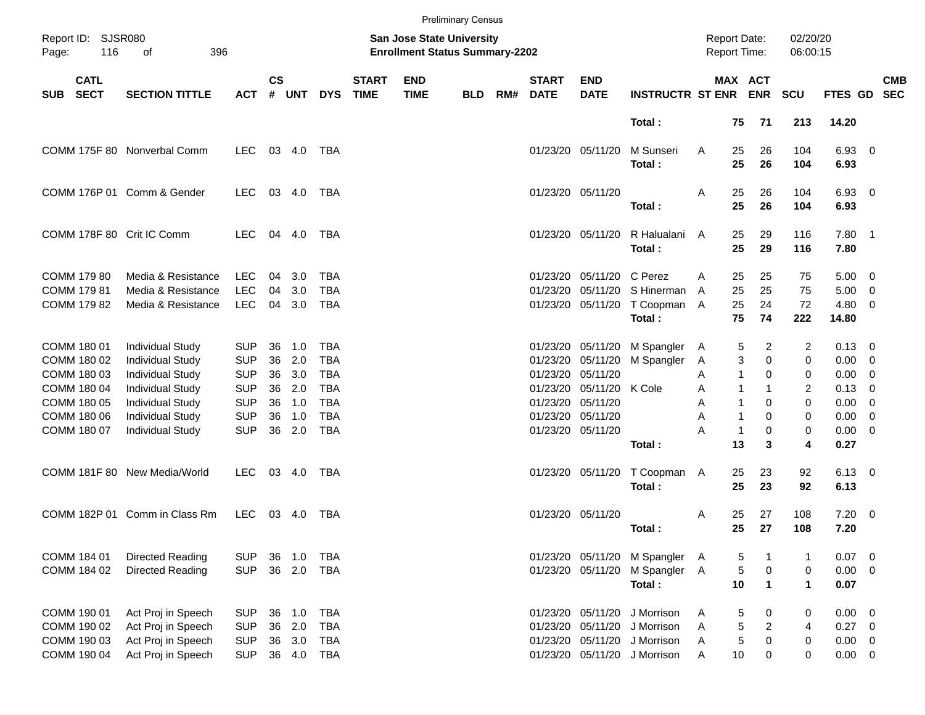|             |                                           |                                                                               |                                        |                    |                   |                                        |                             |                                                                           | <b>Preliminary Census</b> |     |                                  |                                           |                                        |             |                                            |                                          |                                          |                             |                                                            |            |
|-------------|-------------------------------------------|-------------------------------------------------------------------------------|----------------------------------------|--------------------|-------------------|----------------------------------------|-----------------------------|---------------------------------------------------------------------------|---------------------------|-----|----------------------------------|-------------------------------------------|----------------------------------------|-------------|--------------------------------------------|------------------------------------------|------------------------------------------|-----------------------------|------------------------------------------------------------|------------|
| Page:       | Report ID: SJSR080<br>116                 | 396<br>οf                                                                     |                                        |                    |                   |                                        |                             | <b>San Jose State University</b><br><b>Enrollment Status Summary-2202</b> |                           |     |                                  |                                           |                                        |             | <b>Report Date:</b><br><b>Report Time:</b> |                                          | 02/20/20<br>06:00:15                     |                             |                                                            |            |
| <b>SUB</b>  | <b>CATL</b><br><b>SECT</b>                | <b>SECTION TITTLE</b>                                                         | <b>ACT</b>                             | $\mathsf{cs}$<br># | <b>UNT</b>        | <b>DYS</b>                             | <b>START</b><br><b>TIME</b> | <b>END</b><br><b>TIME</b>                                                 | <b>BLD</b>                | RM# | <b>START</b><br><b>DATE</b>      | <b>END</b><br><b>DATE</b>                 | <b>INSTRUCTR ST ENR</b>                |             | <b>MAX ACT</b>                             | <b>ENR</b>                               | <b>SCU</b>                               | FTES GD SEC                 |                                                            | <b>CMB</b> |
|             |                                           |                                                                               |                                        |                    |                   |                                        |                             |                                                                           |                           |     |                                  |                                           | Total:                                 |             | 75                                         | 71                                       | 213                                      | 14.20                       |                                                            |            |
|             |                                           | COMM 175F 80 Nonverbal Comm                                                   | LEC.                                   |                    | 03 4.0            | TBA                                    |                             |                                                                           |                           |     | 01/23/20 05/11/20                |                                           | M Sunseri<br>Total:                    | A           | 25<br>25                                   | 26<br>26                                 | 104<br>104                               | 6.93 0<br>6.93              |                                                            |            |
|             |                                           | COMM 176P 01 Comm & Gender                                                    | <b>LEC</b>                             |                    | 03 4.0            | TBA                                    |                             |                                                                           |                           |     | 01/23/20 05/11/20                |                                           | Total:                                 | A           | 25<br>25                                   | 26<br>26                                 | 104<br>104                               | $6.93$ 0<br>6.93            |                                                            |            |
|             |                                           | COMM 178F 80 Crit IC Comm                                                     | <b>LEC</b>                             |                    | 04 4.0            | TBA                                    |                             |                                                                           |                           |     | 01/23/20 05/11/20                |                                           | R Halualani A<br>Total:                |             | 25<br>25                                   | 29<br>29                                 | 116<br>116                               | $7.80$ 1<br>7.80            |                                                            |            |
| COMM 179 81 | COMM 179 80<br>COMM 179 82                | Media & Resistance<br>Media & Resistance<br>Media & Resistance                | <b>LEC</b><br><b>LEC</b><br><b>LEC</b> | 04<br>04<br>04     | 3.0<br>3.0<br>3.0 | <b>TBA</b><br><b>TBA</b><br><b>TBA</b> |                             |                                                                           |                           |     | 01/23/20<br>01/23/20             | 05/11/20<br>05/11/20<br>01/23/20 05/11/20 | C Perez<br>S Hinerman<br>T Coopman     | A<br>A<br>A | 25<br>25<br>25                             | 25<br>25<br>24                           | 75<br>75<br>72                           | $5.00 \t 0$<br>5.00<br>4.80 | $\overline{\phantom{0}}$<br>$\overline{\phantom{0}}$       |            |
| COMM 180 01 |                                           | <b>Individual Study</b>                                                       | <b>SUP</b>                             | 36                 | 1.0               | <b>TBA</b>                             |                             |                                                                           |                           |     | 01/23/20                         | 05/11/20                                  | Total:<br>M Spangler                   | A           | 75<br>5                                    | 74<br>2                                  | 222<br>2                                 | 14.80<br>$0.13 \quad 0$     |                                                            |            |
|             | COMM 180 02<br>COMM 180 03                | <b>Individual Study</b><br><b>Individual Study</b>                            | <b>SUP</b><br><b>SUP</b>               | 36<br>36           | 2.0<br>3.0        | <b>TBA</b><br><b>TBA</b>               |                             |                                                                           |                           |     | 01/23/20<br>01/23/20             | 05/11/20<br>05/11/20                      | M Spangler                             | A<br>A      | 3<br>1                                     | 0<br>0                                   | 0<br>0                                   | 0.00<br>0.00                | $\overline{\phantom{0}}$<br>- 0                            |            |
|             | COMM 180 04<br>COMM 180 05<br>COMM 180 06 | <b>Individual Study</b><br><b>Individual Study</b><br><b>Individual Study</b> | <b>SUP</b><br><b>SUP</b><br><b>SUP</b> | 36<br>36<br>36     | 2.0<br>1.0<br>1.0 | <b>TBA</b><br><b>TBA</b><br><b>TBA</b> |                             |                                                                           |                           |     | 01/23/20<br>01/23/20<br>01/23/20 | 05/11/20<br>05/11/20<br>05/11/20          | K Cole                                 | A<br>A<br>А | 1<br>1<br>1                                | 1<br>0<br>$\Omega$                       | 2<br>0<br>0                              | 0.13<br>0.00<br>0.00        | - 0<br>$\overline{\mathbf{0}}$<br>$\overline{\phantom{0}}$ |            |
|             | COMM 180 07                               | <b>Individual Study</b>                                                       | <b>SUP</b>                             | 36                 | 2.0               | <b>TBA</b>                             |                             |                                                                           |                           |     | 01/23/20 05/11/20                |                                           | Total:                                 | А           | 1<br>13                                    | 0<br>3                                   | 0<br>4                                   | 0.00 0<br>0.27              |                                                            |            |
|             |                                           | COMM 181F 80 New Media/World                                                  | <b>LEC</b>                             |                    | 03 4.0            | TBA                                    |                             |                                                                           |                           |     | 01/23/20 05/11/20                |                                           | T Coopman<br>Total:                    | A           | 25<br>25                                   | 23<br>23                                 | 92<br>92                                 | $6.13 \quad 0$<br>6.13      |                                                            |            |
|             |                                           | COMM 182P 01 Comm in Class Rm                                                 | <b>LEC</b>                             |                    | 03 4.0            | TBA                                    |                             |                                                                           |                           |     | 01/23/20 05/11/20                |                                           | Total :                                | A           | 25<br>25                                   | 27<br>27                                 | 108<br>108                               | $7.20 \t 0$<br>7.20         |                                                            |            |
| COMM 184 01 | COMM 184 02                               | <b>Directed Reading</b><br><b>Directed Reading</b>                            | <b>SUP</b><br><b>SUP</b>               | 36                 | 1.0<br>36 2.0     | <b>TBA</b><br>TBA                      |                             |                                                                           |                           |     | 01/23/20 05/11/20                | 01/23/20 05/11/20                         | M Spangler A<br>M Spangler A<br>Total: |             | 5<br>5<br>10                               | $\mathbf 1$<br>$\pmb{0}$<br>$\mathbf{1}$ | $\mathbf 1$<br>$\pmb{0}$<br>$\mathbf{1}$ | 0.07<br>0.00<br>0.07        | $\overline{\phantom{0}}$<br>- 0                            |            |
| COMM 190 01 | COMM 190 02                               | Act Proj in Speech<br>Act Proj in Speech                                      | <b>SUP</b><br><b>SUP</b>               | 36<br>36           | 1.0<br>2.0        | <b>TBA</b><br><b>TBA</b>               |                             |                                                                           |                           |     | 01/23/20<br>01/23/20             | 05/11/20<br>05/11/20                      | J Morrison<br>J Morrison               | Α<br>Α      | 5<br>5                                     | 0<br>2                                   | 0<br>4                                   | 0.00<br>0.27                | $\overline{\phantom{0}}$<br>$\overline{\mathbf{0}}$        |            |
|             | COMM 190 03<br>COMM 190 04                | Act Proj in Speech<br>Act Proj in Speech                                      | <b>SUP</b><br><b>SUP</b>               | 36                 | 3.0<br>36 4.0     | <b>TBA</b><br><b>TBA</b>               |                             |                                                                           |                           |     |                                  | 01/23/20 05/11/20<br>01/23/20 05/11/20    | J Morrison<br>J Morrison               | Α<br>Α      | 5<br>10                                    | 0<br>0                                   | $\pmb{0}$<br>0                           | 0.00<br>$0.00 \t 0$         | $\overline{\mathbf{0}}$                                    |            |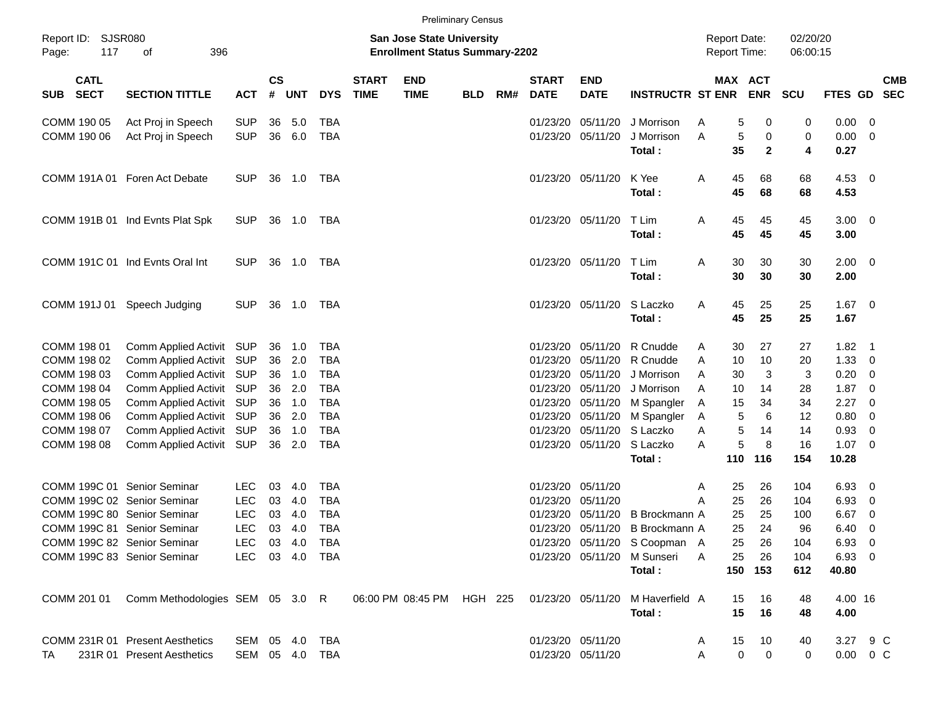|            |                            |                                                               |                              |                    |            |            |                             |                                                                           | <b>Preliminary Census</b> |     |                             |                                        |                                            |                                     |                   |                       |                      |                           |                            |                          |
|------------|----------------------------|---------------------------------------------------------------|------------------------------|--------------------|------------|------------|-----------------------------|---------------------------------------------------------------------------|---------------------------|-----|-----------------------------|----------------------------------------|--------------------------------------------|-------------------------------------|-------------------|-----------------------|----------------------|---------------------------|----------------------------|--------------------------|
| Page:      | Report ID: SJSR080<br>117  | 396<br>οf                                                     |                              |                    |            |            |                             | <b>San Jose State University</b><br><b>Enrollment Status Summary-2202</b> |                           |     |                             |                                        |                                            | <b>Report Date:</b><br>Report Time: |                   |                       | 02/20/20<br>06:00:15 |                           |                            |                          |
| <b>SUB</b> | <b>CATL</b><br><b>SECT</b> | <b>SECTION TITTLE</b>                                         | <b>ACT</b>                   | $\mathsf{cs}$<br># | <b>UNT</b> | <b>DYS</b> | <b>START</b><br><b>TIME</b> | <b>END</b><br><b>TIME</b>                                                 | <b>BLD</b>                | RM# | <b>START</b><br><b>DATE</b> | <b>END</b><br><b>DATE</b>              | <b>INSTRUCTR ST ENR</b>                    |                                     |                   | MAX ACT<br><b>ENR</b> | <b>SCU</b>           | FTES GD                   |                            | <b>CMB</b><br><b>SEC</b> |
|            | COMM 190 05                | Act Proj in Speech                                            | <b>SUP</b>                   | 36                 | 5.0        | <b>TBA</b> |                             |                                                                           |                           |     | 01/23/20                    | 05/11/20                               | J Morrison                                 | A                                   | 5                 | 0                     | 0                    | 0.00                      | $\overline{\phantom{0}}$   |                          |
|            | COMM 190 06                | Act Proj in Speech                                            | <b>SUP</b>                   | 36                 | 6.0        | <b>TBA</b> |                             |                                                                           |                           |     | 01/23/20                    | 05/11/20                               | J Morrison<br>Total:                       | Α                                   | 5<br>35           | 0<br>$\mathbf{2}$     | 0<br>4               | 0.00<br>0.27              | $\overline{\phantom{0}}$   |                          |
|            |                            | COMM 191A 01 Foren Act Debate                                 | <b>SUP</b>                   | 36                 | 1.0        | TBA        |                             |                                                                           |                           |     |                             | 01/23/20 05/11/20                      | K Yee<br>Total:                            | A                                   | 45<br>45          | 68<br>68              | 68<br>68             | $4.53$ 0<br>4.53          |                            |                          |
|            |                            | COMM 191B 01 Ind Evnts Plat Spk                               | <b>SUP</b>                   | 36                 | 1.0        | TBA        |                             |                                                                           |                           |     |                             | 01/23/20 05/11/20                      | T Lim<br>Total:                            | Α                                   | 45<br>45          | 45<br>45              | 45<br>45             | $3.00 \ 0$<br>3.00        |                            |                          |
|            |                            | COMM 191C 01 Ind Evnts Oral Int                               | <b>SUP</b>                   | 36                 | 1.0        | TBA        |                             |                                                                           |                           |     |                             | 01/23/20 05/11/20                      | T Lim<br>Total:                            | Α                                   | 30<br>30          | 30<br>30              | 30<br>30             | $2.00 \t 0$<br>2.00       |                            |                          |
|            |                            | COMM 191J 01 Speech Judging                                   | <b>SUP</b>                   | 36                 | 1.0        | TBA        |                             |                                                                           |                           |     |                             | 01/23/20 05/11/20                      | S Laczko<br>Total:                         | Α                                   | 45<br>45          | 25<br>25              | 25<br>25             | $1.67$ 0<br>1.67          |                            |                          |
|            | COMM 198 01                | Comm Applied Activit                                          | SUP                          | 36                 | 1.0        | <b>TBA</b> |                             |                                                                           |                           |     | 01/23/20                    | 05/11/20                               | R Cnudde                                   | A                                   | 30                | 27                    | 27                   | 1.82                      | $\overline{\phantom{0}}$ 1 |                          |
|            | COMM 198 02                | Comm Applied Activit                                          | <b>SUP</b>                   | 36                 | 2.0        | <b>TBA</b> |                             |                                                                           |                           |     | 01/23/20                    | 05/11/20                               | R Cnudde                                   | A                                   | 10                | 10                    | 20                   | 1.33                      | $\overline{\phantom{0}}$   |                          |
|            | COMM 198 03                | Comm Applied Activit                                          | <b>SUP</b>                   | 36                 | 1.0        | <b>TBA</b> |                             |                                                                           |                           |     | 01/23/20                    | 05/11/20                               | J Morrison                                 | A                                   | 30                | 3                     | 3                    | 0.20                      | $\overline{\mathbf{0}}$    |                          |
|            | COMM 198 04                | Comm Applied Activit                                          | <b>SUP</b>                   | 36                 | 2.0        | <b>TBA</b> |                             |                                                                           |                           |     | 01/23/20                    | 05/11/20                               | J Morrison                                 | A                                   | 10                | 14                    | 28                   | 1.87                      | $\overline{\mathbf{0}}$    |                          |
|            | COMM 198 05                | Comm Applied Activit                                          | <b>SUP</b>                   | 36                 | 1.0        | <b>TBA</b> |                             |                                                                           |                           |     | 01/23/20                    | 05/11/20                               | M Spangler                                 | Α                                   | 15                | 34                    | 34                   | 2.27                      | $\overline{0}$             |                          |
|            | COMM 198 06                | Comm Applied Activit                                          | <b>SUP</b>                   | 36                 | 2.0        | <b>TBA</b> |                             |                                                                           |                           |     | 01/23/20                    | 05/11/20                               | M Spangler                                 | A                                   | $\sqrt{5}$        | 6                     | 12                   | 0.80                      | $\overline{0}$             |                          |
|            | COMM 198 07                | Comm Applied Activit                                          | SUP                          |                    | 36 1.0     | <b>TBA</b> |                             |                                                                           |                           |     | 01/23/20                    | 05/11/20                               | S Laczko                                   | A                                   | $\sqrt{5}$        | 14                    | 14                   | 0.93                      | $\overline{\mathbf{0}}$    |                          |
|            | COMM 198 08                | Comm Applied Activit                                          | <b>SUP</b>                   |                    | 36 2.0     | <b>TBA</b> |                             |                                                                           |                           |     |                             | 01/23/20 05/11/20                      | S Laczko<br>Total:                         | A                                   | 5<br>110          | 8<br>116              | 16<br>154            | $1.07 \t 0$<br>10.28      |                            |                          |
|            |                            | COMM 199C 01 Senior Seminar                                   | <b>LEC</b>                   | 03                 | 4.0        | <b>TBA</b> |                             |                                                                           |                           |     |                             | 01/23/20 05/11/20                      |                                            | Α                                   | 25                | 26                    | 104                  | 6.93                      | $\overline{\mathbf{0}}$    |                          |
|            |                            | COMM 199C 02 Senior Seminar                                   | <b>LEC</b>                   | 03                 | 4.0        | <b>TBA</b> |                             |                                                                           |                           |     | 01/23/20                    | 05/11/20                               |                                            | A                                   | 25                | 26                    | 104                  | 6.93                      | $\overline{\mathbf{0}}$    |                          |
|            |                            | COMM 199C 80 Senior Seminar                                   | <b>LEC</b>                   | 03                 | 4.0        | <b>TBA</b> |                             |                                                                           |                           |     | 01/23/20                    | 05/11/20                               | B Brockmann A                              |                                     | 25                | 25                    | 100                  | 6.67                      | $\overline{\mathbf{0}}$    |                          |
|            |                            | COMM 199C 81 Senior Seminar                                   | <b>LEC</b>                   | 03                 | 4.0        | <b>TBA</b> |                             |                                                                           |                           |     |                             |                                        | 01/23/20 05/11/20 B Brockmann A            |                                     | 25                | 24                    | 96                   | 6.40                      | $\overline{\mathbf{0}}$    |                          |
|            |                            | COMM 199C 82 Senior Seminar                                   | LEC.                         |                    | 03 4.0     | TBA        |                             |                                                                           |                           |     |                             |                                        | 01/23/20 05/11/20 S Coopman A              |                                     | 25                | 26                    | 104                  | 6.93 0                    |                            |                          |
|            |                            | COMM 199C 83 Senior Seminar                                   | LEC 03 4.0                   |                    |            | TBA        |                             |                                                                           |                           |     |                             |                                        | 01/23/20 05/11/20 M Sunseri                | A                                   | 25                | 26                    | 104                  | $6.93$ 0                  |                            |                          |
|            |                            |                                                               |                              |                    |            |            |                             |                                                                           |                           |     |                             |                                        | Total:                                     |                                     |                   | 150 153               | 612                  | 40.80                     |                            |                          |
|            | COMM 201 01                | Comm Methodologies SEM 05 3.0 R                               |                              |                    |            |            |                             | 06:00 PM 08:45 PM HGH 225                                                 |                           |     |                             |                                        | 01/23/20 05/11/20 M Haverfield A<br>Total: |                                     | 15<br>15          | 16<br>16              | 48<br>48             | 4.00 16<br>4.00           |                            |                          |
|            |                            |                                                               |                              |                    |            |            |                             |                                                                           |                           |     |                             |                                        |                                            |                                     |                   |                       |                      |                           |                            |                          |
| TA         |                            | COMM 231R 01 Present Aesthetics<br>231R 01 Present Aesthetics | SEM 05 4.0<br>SEM 05 4.0 TBA |                    |            | TBA        |                             |                                                                           |                           |     |                             | 01/23/20 05/11/20<br>01/23/20 05/11/20 |                                            | A<br>A                              | 15<br>$\mathbf 0$ | 10<br>$\mathbf 0$     | 40<br>0              | 3.27 9 C<br>$0.00 \t 0 C$ |                            |                          |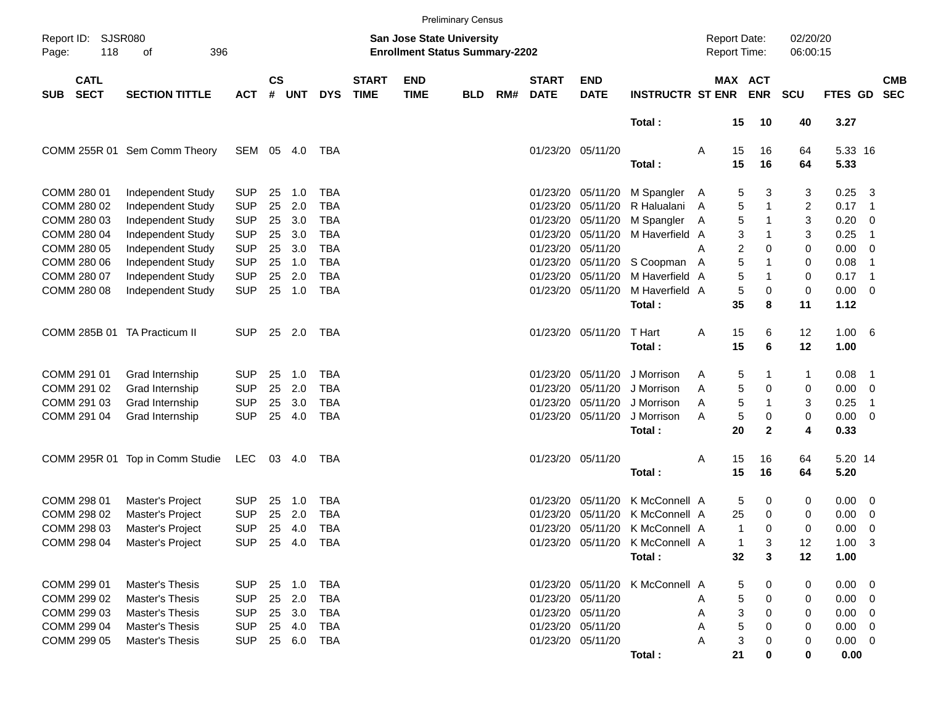|                                          |                                 |            |                    |            |            |                             |                                                                           | <b>Preliminary Census</b> |     |                             |                           |                                 |                                     |              |              |                         |         |                |                          |
|------------------------------------------|---------------------------------|------------|--------------------|------------|------------|-----------------------------|---------------------------------------------------------------------------|---------------------------|-----|-----------------------------|---------------------------|---------------------------------|-------------------------------------|--------------|--------------|-------------------------|---------|----------------|--------------------------|
| Report ID:<br>118<br>Page:               | <b>SJSR080</b><br>396<br>οf     |            |                    |            |            |                             | <b>San Jose State University</b><br><b>Enrollment Status Summary-2202</b> |                           |     |                             |                           |                                 | <b>Report Date:</b><br>Report Time: |              |              | 02/20/20<br>06:00:15    |         |                |                          |
| <b>CATL</b><br><b>SECT</b><br><b>SUB</b> | <b>SECTION TITTLE</b>           | <b>ACT</b> | $\mathsf{cs}$<br># | <b>UNT</b> | <b>DYS</b> | <b>START</b><br><b>TIME</b> | <b>END</b><br><b>TIME</b>                                                 | <b>BLD</b>                | RM# | <b>START</b><br><b>DATE</b> | <b>END</b><br><b>DATE</b> | <b>INSTRUCTR ST ENR</b>         | MAX ACT                             |              | <b>ENR</b>   | <b>SCU</b>              | FTES GD |                | <b>CMB</b><br><b>SEC</b> |
|                                          |                                 |            |                    |            |            |                             |                                                                           |                           |     |                             |                           | Total:                          |                                     | 15           | 10           | 40                      | 3.27    |                |                          |
|                                          | COMM 255R 01 Sem Comm Theory    | SEM 05 4.0 |                    |            | TBA        |                             |                                                                           |                           |     | 01/23/20 05/11/20           |                           |                                 | Α                                   | 15           | 16           | 64                      | 5.33 16 |                |                          |
|                                          |                                 |            |                    |            |            |                             |                                                                           |                           |     |                             |                           | Total:                          |                                     | 15           | 16           | 64                      | 5.33    |                |                          |
| COMM 280 01                              | Independent Study               | <b>SUP</b> | 25                 | 1.0        | <b>TBA</b> |                             |                                                                           |                           |     | 01/23/20                    | 05/11/20                  | M Spangler                      | A                                   | 5            | 3            | 3                       | 0.25    | -3             |                          |
| COMM 280 02                              | Independent Study               | <b>SUP</b> | 25                 | 2.0        | <b>TBA</b> |                             |                                                                           |                           |     | 01/23/20                    | 05/11/20                  | R Halualani                     | A                                   | 5            | $\mathbf 1$  | $\overline{\mathbf{c}}$ | 0.17    | $\overline{1}$ |                          |
| COMM 280 03                              | Independent Study               | <b>SUP</b> | 25                 | 3.0        | <b>TBA</b> |                             |                                                                           |                           |     | 01/23/20                    | 05/11/20                  | M Spangler                      | $\mathsf{A}$                        | 5            | 1            | 3                       | 0.20    | 0              |                          |
| COMM 280 04                              | Independent Study               | <b>SUP</b> | 25                 | 3.0        | <b>TBA</b> |                             |                                                                           |                           |     | 01/23/20                    | 05/11/20                  | M Haverfield A                  |                                     | 3            | 1            | 3                       | 0.25    | $\overline{1}$ |                          |
| COMM 280 05                              | Independent Study               | <b>SUP</b> | 25                 | 3.0        | <b>TBA</b> |                             |                                                                           |                           |     | 01/23/20                    | 05/11/20                  |                                 | A                                   | 2            | 0            | 0                       | 0.00    | 0              |                          |
| COMM 280 06                              | Independent Study               | <b>SUP</b> | 25                 | 1.0        | <b>TBA</b> |                             |                                                                           |                           |     | 01/23/20                    | 05/11/20                  | S Coopman                       | A                                   | 5            | $\mathbf 1$  | 0                       | 0.08    | -1             |                          |
| COMM 280 07                              | Independent Study               | <b>SUP</b> | 25                 | 2.0        | <b>TBA</b> |                             |                                                                           |                           |     | 01/23/20                    | 05/11/20                  | M Haverfield A                  |                                     | 5            | 1            | 0                       | 0.17    | $\overline{1}$ |                          |
| COMM 280 08                              | Independent Study               | <b>SUP</b> | 25                 | 1.0        | <b>TBA</b> |                             |                                                                           |                           |     | 01/23/20                    | 05/11/20                  | M Haverfield A                  |                                     | 5            | 0            | 0                       | 0.00    | 0              |                          |
|                                          |                                 |            |                    |            |            |                             |                                                                           |                           |     |                             |                           | Total:                          |                                     | 35           | 8            | 11                      | 1.12    |                |                          |
| COMM 285B 01 TA Practicum II             |                                 | <b>SUP</b> | 25                 | 2.0        | TBA        |                             |                                                                           |                           |     | 01/23/20 05/11/20           |                           | T Hart                          | Α                                   | 15           | 6            | 12                      | 1.00 6  |                |                          |
|                                          |                                 |            |                    |            |            |                             |                                                                           |                           |     |                             |                           | Total:                          |                                     | 15           | 6            | 12                      | 1.00    |                |                          |
| COMM 291 01                              | Grad Internship                 | <b>SUP</b> | 25                 | 1.0        | <b>TBA</b> |                             |                                                                           |                           |     | 01/23/20                    | 05/11/20                  | J Morrison                      | A                                   | 5            | 1            | 1                       | 0.08    | $\overline{1}$ |                          |
| COMM 291 02                              | Grad Internship                 | <b>SUP</b> | 25                 | 2.0        | <b>TBA</b> |                             |                                                                           |                           |     | 01/23/20                    | 05/11/20                  | J Morrison                      | Α                                   | 5            | 0            | 0                       | 0.00    | 0              |                          |
| COMM 291 03                              | Grad Internship                 | <b>SUP</b> | 25                 | 3.0        | <b>TBA</b> |                             |                                                                           |                           |     | 01/23/20                    | 05/11/20                  | J Morrison                      | A                                   | 5            | 1            | 3                       | 0.25    | $\overline{1}$ |                          |
| COMM 291 04                              | Grad Internship                 | <b>SUP</b> | 25                 | 4.0        | <b>TBA</b> |                             |                                                                           |                           |     | 01/23/20                    | 05/11/20                  | J Morrison                      | A                                   | 5            | 0            | 0                       | 0.00    | $\mathbf 0$    |                          |
|                                          |                                 |            |                    |            |            |                             |                                                                           |                           |     |                             |                           | Total:                          |                                     | 20           | $\mathbf{2}$ | 4                       | 0.33    |                |                          |
|                                          | COMM 295R 01 Top in Comm Studie | LEC        |                    | 03 4.0     | TBA        |                             |                                                                           |                           |     | 01/23/20 05/11/20           |                           |                                 | Α                                   | 15           | 16           | 64                      | 5.20 14 |                |                          |
|                                          |                                 |            |                    |            |            |                             |                                                                           |                           |     |                             |                           | Total:                          |                                     | 15           | 16           | 64                      | 5.20    |                |                          |
| COMM 298 01                              | Master's Project                | <b>SUP</b> | 25                 | 1.0        | <b>TBA</b> |                             |                                                                           |                           |     | 01/23/20                    | 05/11/20                  | K McConnell A                   |                                     | 5            | 0            | 0                       | 0.00    | 0              |                          |
| COMM 298 02                              | Master's Project                | <b>SUP</b> | 25                 | 2.0        | <b>TBA</b> |                             |                                                                           |                           |     | 01/23/20                    | 05/11/20                  | K McConnell A                   |                                     | 25           | 0            | 0                       | 0.00    | 0              |                          |
| COMM 298 03                              | Master's Project                | <b>SUP</b> | 25                 | 4.0        | <b>TBA</b> |                             |                                                                           |                           |     | 01/23/20                    | 05/11/20                  | K McConnell A                   |                                     | $\mathbf{1}$ | 0            | 0                       | 0.00    | 0              |                          |
| COMM 298 04                              | Master's Project                | <b>SUP</b> | 25                 | 4.0 TBA    |            |                             |                                                                           |                           |     |                             |                           | 01/23/20 05/11/20 K McConnell A |                                     | 1            | 3            | 12                      | 1.00    | -3             |                          |
|                                          |                                 |            |                    |            |            |                             |                                                                           |                           |     |                             |                           | Total:                          |                                     | 32           | 3            | 12                      | 1.00    |                |                          |
| COMM 299 01                              | Master's Thesis                 | <b>SUP</b> |                    | 25 1.0     | TBA        |                             |                                                                           |                           |     |                             | 01/23/20 05/11/20         | K McConnell A                   |                                     | 5            | 0            | 0                       | 0.00    | $\overline{0}$ |                          |
| COMM 299 02                              | Master's Thesis                 | <b>SUP</b> | 25                 | 2.0        | TBA        |                             |                                                                           |                           |     | 01/23/20 05/11/20           |                           |                                 | Α                                   | 5            | 0            | 0                       | 0.00    | - 0            |                          |
| COMM 299 03                              | Master's Thesis                 | <b>SUP</b> | 25                 | 3.0        | TBA        |                             |                                                                           |                           |     | 01/23/20 05/11/20           |                           |                                 | Α                                   | 3            | 0            | 0                       | 0.00    | 0              |                          |
| COMM 299 04                              | Master's Thesis                 | <b>SUP</b> | 25                 | 4.0        | TBA        |                             |                                                                           |                           |     | 01/23/20 05/11/20           |                           |                                 |                                     | 5            | 0            | 0                       | 0.00    | 0              |                          |
| COMM 299 05                              | Master's Thesis                 | <b>SUP</b> |                    | 25 6.0     | TBA        |                             |                                                                           |                           |     | 01/23/20 05/11/20           |                           |                                 |                                     | 3            | 0            | 0                       | 0.00    | 0              |                          |
|                                          |                                 |            |                    |            |            |                             |                                                                           |                           |     |                             |                           | Total:                          |                                     | 21           | 0            | 0                       | 0.00    |                |                          |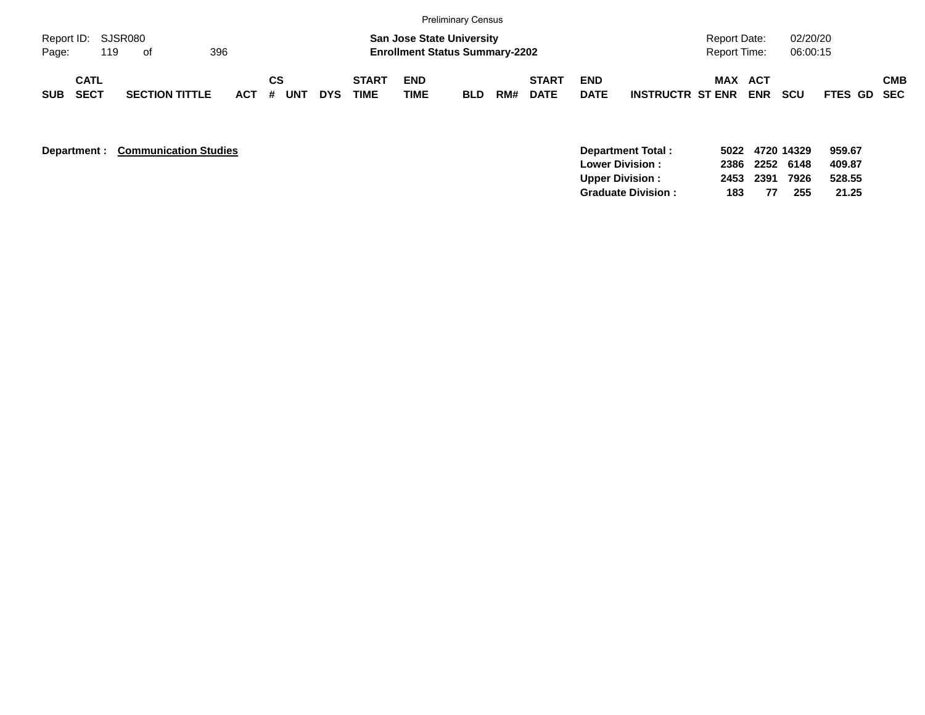|                             |                            |     |                       |     |           |    |            |                             |                    | <b>Preliminary Census</b>                                                 |     |                             |                           |                         |                                            |                       |                      |             |            |
|-----------------------------|----------------------------|-----|-----------------------|-----|-----------|----|------------|-----------------------------|--------------------|---------------------------------------------------------------------------|-----|-----------------------------|---------------------------|-------------------------|--------------------------------------------|-----------------------|----------------------|-------------|------------|
| Report ID: SJSR080<br>Page: |                            | 119 | of                    | 396 |           |    |            |                             |                    | <b>San Jose State University</b><br><b>Enrollment Status Summary-2202</b> |     |                             |                           |                         | <b>Report Date:</b><br><b>Report Time:</b> |                       | 02/20/20<br>06:00:15 |             |            |
| <b>SUB</b>                  | <b>CATL</b><br><b>SECT</b> |     | <b>SECTION TITTLE</b> |     | ACT # UNT | СS | <b>DYS</b> | <b>START</b><br><b>TIME</b> | <b>END</b><br>TIME | <b>BLD</b>                                                                | RM# | <b>START</b><br><b>DATE</b> | <b>END</b><br><b>DATE</b> | <b>INSTRUCTR ST ENR</b> |                                            | MAX ACT<br><b>ENR</b> | <b>SCU</b>           | FTES GD SEC | <b>CMB</b> |

**Department : Communication Studies** 

|     |    |      | 959.67                                              |
|-----|----|------|-----------------------------------------------------|
|     |    |      | 409.87                                              |
|     |    |      | 528.55                                              |
| 183 | 77 | -255 | 21.25                                               |
|     |    |      | 5022 4720 14329<br>2386 2252 6148<br>2453 2391 7926 |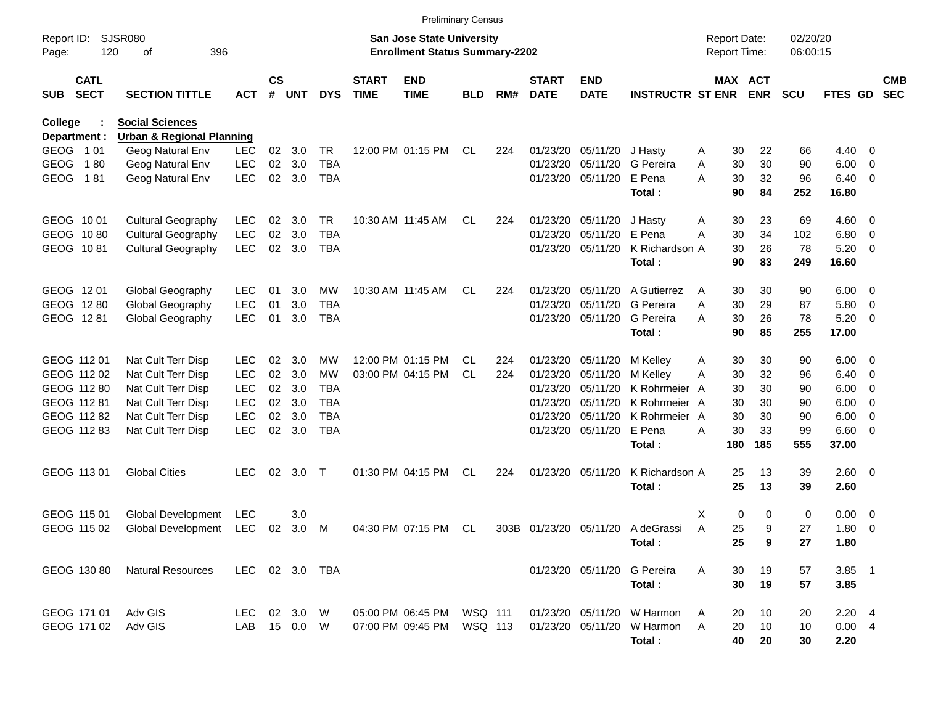|                                                    |                            |                                                 |                   |               |              |                  |                             | <b>Preliminary Census</b>                                                 |            |     |                             |                           |                                   |                                            |          |            |                      |                |                                                    |                          |
|----------------------------------------------------|----------------------------|-------------------------------------------------|-------------------|---------------|--------------|------------------|-----------------------------|---------------------------------------------------------------------------|------------|-----|-----------------------------|---------------------------|-----------------------------------|--------------------------------------------|----------|------------|----------------------|----------------|----------------------------------------------------|--------------------------|
| SJSR080<br>Report ID:<br>120<br>οf<br>396<br>Page: |                            |                                                 |                   |               |              |                  |                             | <b>San Jose State University</b><br><b>Enrollment Status Summary-2202</b> |            |     |                             |                           |                                   | <b>Report Date:</b><br><b>Report Time:</b> |          |            | 02/20/20<br>06:00:15 |                |                                                    |                          |
| <b>SUB</b>                                         | <b>CATL</b><br><b>SECT</b> | <b>SECTION TITTLE</b>                           | <b>ACT</b>        | $\mathsf{cs}$ | # UNT        | <b>DYS</b>       | <b>START</b><br><b>TIME</b> | <b>END</b><br><b>TIME</b>                                                 | <b>BLD</b> | RM# | <b>START</b><br><b>DATE</b> | <b>END</b><br><b>DATE</b> | <b>INSTRUCTR ST ENR</b>           |                                            | MAX ACT  | <b>ENR</b> | <b>SCU</b>           | <b>FTES GD</b> |                                                    | <b>CMB</b><br><b>SEC</b> |
| <b>College</b>                                     |                            | <b>Social Sciences</b>                          |                   |               |              |                  |                             |                                                                           |            |     |                             |                           |                                   |                                            |          |            |                      |                |                                                    |                          |
| Department :                                       |                            | <b>Urban &amp; Regional Planning</b>            |                   |               |              |                  |                             | 12:00 PM 01:15 PM                                                         |            |     |                             |                           |                                   |                                            |          |            |                      |                |                                                    |                          |
| <b>GEOG</b><br><b>GEOG</b>                         | 1 0 1<br>180               | Geog Natural Env                                | LEC<br><b>LEC</b> | 02<br>02      | 3.0<br>3.0   | TR<br><b>TBA</b> |                             |                                                                           | CL         | 224 | 01/23/20<br>01/23/20        | 05/11/20<br>05/11/20      | J Hasty<br>G Pereira              | A<br>A                                     | 30<br>30 | 22<br>30   | 66<br>90             | 4.40<br>6.00   | $\overline{0}$                                     |                          |
| <b>GEOG</b>                                        | 181                        | Geog Natural Env                                | <b>LEC</b>        | 02            | 3.0          | <b>TBA</b>       |                             |                                                                           |            |     | 01/23/20                    | 05/11/20                  | E Pena                            | A                                          | 30       | 32         | 96                   | 6.40           | $\overline{\mathbf{0}}$<br>$\overline{\mathbf{0}}$ |                          |
|                                                    |                            | Geog Natural Env                                |                   |               |              |                  |                             |                                                                           |            |     |                             |                           | Total:                            |                                            | 90       | 84         | 252                  | 16.80          |                                                    |                          |
|                                                    |                            |                                                 |                   |               |              |                  |                             |                                                                           |            |     |                             |                           |                                   |                                            |          |            |                      |                |                                                    |                          |
| GEOG 1001                                          |                            | <b>Cultural Geography</b>                       | <b>LEC</b>        | 02            | 3.0          | TR               |                             | 10:30 AM 11:45 AM                                                         | CL         | 224 | 01/23/20                    | 05/11/20                  | J Hasty                           | A                                          | 30       | 23         | 69                   | 4.60           | $\overline{\phantom{0}}$                           |                          |
| GEOG 1080                                          |                            | <b>Cultural Geography</b>                       | LEC               | 02            | 3.0          | <b>TBA</b>       |                             |                                                                           |            |     | 01/23/20                    | 05/11/20                  | E Pena                            | А                                          | 30       | 34         | 102                  | 6.80           | $\overline{\mathbf{0}}$                            |                          |
| GEOG 1081                                          |                            | <b>Cultural Geography</b>                       | <b>LEC</b>        | 02            | 3.0          | <b>TBA</b>       |                             |                                                                           |            |     | 01/23/20                    | 05/11/20                  | K Richardson A                    |                                            | 30       | 26         | 78                   | 5.20           | - 0                                                |                          |
|                                                    |                            |                                                 |                   |               |              |                  |                             |                                                                           |            |     |                             |                           | Total:                            |                                            | 90       | 83         | 249                  | 16.60          |                                                    |                          |
|                                                    |                            |                                                 |                   |               |              |                  |                             |                                                                           |            |     |                             |                           |                                   |                                            |          |            |                      |                |                                                    |                          |
| GEOG 1201                                          |                            | Global Geography                                | <b>LEC</b>        | 01            | 3.0          | MW               |                             | 10:30 AM 11:45 AM                                                         | CL         | 224 | 01/23/20                    | 05/11/20                  | A Gutierrez                       | A                                          | 30       | 30         | 90                   | 6.00           | $\overline{\mathbf{0}}$                            |                          |
| GEOG 1280                                          |                            | Global Geography                                | <b>LEC</b>        | 01            | 3.0          | TBA              |                             |                                                                           |            |     | 01/23/20                    | 05/11/20                  | G Pereira                         | A                                          | 30       | 29         | 87                   | 5.80           | $\overline{\mathbf{0}}$                            |                          |
| GEOG 1281                                          |                            | Global Geography                                | <b>LEC</b>        | 01            | 3.0          | <b>TBA</b>       |                             |                                                                           |            |     | 01/23/20                    | 05/11/20                  | G Pereira                         | A                                          | 30       | 26         | 78                   | 5.20           | - 0                                                |                          |
|                                                    |                            |                                                 |                   |               |              |                  |                             |                                                                           |            |     |                             |                           | Total:                            |                                            | 90       | 85         | 255                  | 17.00          |                                                    |                          |
|                                                    |                            |                                                 |                   |               |              |                  |                             |                                                                           |            |     |                             |                           |                                   |                                            |          |            |                      |                |                                                    |                          |
| GEOG 112 01                                        |                            | Nat Cult Terr Disp                              | LEC.              | 02            | 3.0          | <b>MW</b>        |                             | 12:00 PM 01:15 PM                                                         | CL.        | 224 | 01/23/20                    | 05/11/20                  | M Kelley                          | A                                          | 30       | 30         | 90                   | 6.00           | $\overline{\phantom{0}}$                           |                          |
| GEOG 112 02                                        |                            | Nat Cult Terr Disp                              | <b>LEC</b>        | 02            | 3.0          | <b>MW</b>        |                             | 03:00 PM 04:15 PM                                                         | CL         | 224 | 01/23/20                    | 05/11/20                  | M Kelley                          | Α                                          | 30       | 32         | 96                   | 6.40           | $\overline{0}$                                     |                          |
| GEOG 112 80                                        |                            | Nat Cult Terr Disp                              | <b>LEC</b>        | 02            | 3.0          | TBA              |                             |                                                                           |            |     | 01/23/20                    | 05/11/20                  | K Rohrmeier A                     |                                            | 30       | 30         | 90                   | 6.00           | 0                                                  |                          |
| GEOG 112 81                                        |                            | Nat Cult Terr Disp                              | <b>LEC</b>        | 02            | 3.0          | TBA              |                             |                                                                           |            |     | 01/23/20                    | 05/11/20                  | K Rohrmeier A                     |                                            | 30       | 30         | 90                   | 6.00           | 0                                                  |                          |
| GEOG 112 82                                        |                            | Nat Cult Terr Disp                              | <b>LEC</b>        | 02            | 3.0          | TBA              |                             |                                                                           |            |     | 01/23/20                    | 05/11/20                  | K Rohrmeier A                     |                                            | 30       | 30         | 90                   | 6.00           | 0                                                  |                          |
| GEOG 112 83                                        |                            | Nat Cult Terr Disp                              | <b>LEC</b>        | 02            | 3.0          | <b>TBA</b>       |                             |                                                                           |            |     | 01/23/20                    | 05/11/20                  | E Pena                            | Α                                          | 30       | 33         | 99                   | 6.60           | $\overline{\mathbf{0}}$                            |                          |
|                                                    |                            |                                                 |                   |               |              |                  |                             |                                                                           |            |     |                             |                           | Total:                            |                                            | 180      | 185        | 555                  | 37.00          |                                                    |                          |
| GEOG 113 01                                        |                            | <b>Global Cities</b>                            | LEC.              | 02            | 3.0          | $\mathsf{T}$     |                             | 01:30 PM 04:15 PM                                                         | CL.        | 224 | 01/23/20                    | 05/11/20                  | K Richardson A                    |                                            | 25       | 13         | 39                   | $2.60 \t 0$    |                                                    |                          |
|                                                    |                            |                                                 |                   |               |              |                  |                             |                                                                           |            |     |                             |                           | Total:                            |                                            | 25       | 13         | 39                   | 2.60           |                                                    |                          |
| GEOG 115 01                                        |                            |                                                 | LEC               |               | 3.0          |                  |                             |                                                                           |            |     |                             |                           |                                   | Х                                          | 0        | 0          | 0                    | 0.00           | $\overline{\phantom{0}}$                           |                          |
| GEOG 115 02                                        |                            | Global Development<br><b>Global Development</b> | <b>LEC</b>        | 02            | 3.0          | M                |                             | 04:30 PM 07:15 PM                                                         | CL         |     |                             |                           | 303B 01/23/20 05/11/20 A deGrassi | A                                          | 25       | 9          | 27                   | 1.80           | $\overline{\mathbf{0}}$                            |                          |
|                                                    |                            |                                                 |                   |               |              |                  |                             |                                                                           |            |     |                             |                           | Total:                            |                                            | 25       | 9          | 27                   | 1.80           |                                                    |                          |
|                                                    |                            |                                                 |                   |               |              |                  |                             |                                                                           |            |     |                             |                           |                                   |                                            |          |            |                      |                |                                                    |                          |
| GEOG 130 80                                        |                            | <b>Natural Resources</b>                        | LEC 02 3.0 TBA    |               |              |                  |                             |                                                                           |            |     |                             | 01/23/20 05/11/20         | G Pereira                         | A                                          | 30       | 19         | 57                   | $3.85$ 1       |                                                    |                          |
|                                                    |                            |                                                 |                   |               |              |                  |                             |                                                                           |            |     |                             |                           | Total:                            |                                            | 30       | 19         | 57                   | 3.85           |                                                    |                          |
|                                                    |                            |                                                 |                   |               |              |                  |                             |                                                                           |            |     |                             |                           |                                   |                                            |          |            |                      |                |                                                    |                          |
| GEOG 171 01                                        |                            | Adv GIS                                         |                   |               | LEC 02 3.0 W |                  |                             | 05:00 PM 06:45 PM                                                         | WSQ 111    |     |                             | 01/23/20 05/11/20         | W Harmon                          | A                                          | 20       | 10         | 20                   | $2.20$ 4       |                                                    |                          |
| GEOG 171 02                                        |                            | Adv GIS                                         | LAB               |               | 15  0.0  W   |                  |                             | 07:00 PM 09:45 PM                                                         | WSQ 113    |     |                             | 01/23/20 05/11/20         | W Harmon                          | A                                          | 20       | 10         | 10                   | 0.004          |                                                    |                          |
|                                                    |                            |                                                 |                   |               |              |                  |                             |                                                                           |            |     |                             |                           | Total:                            |                                            | 40       | 20         | 30                   | 2.20           |                                                    |                          |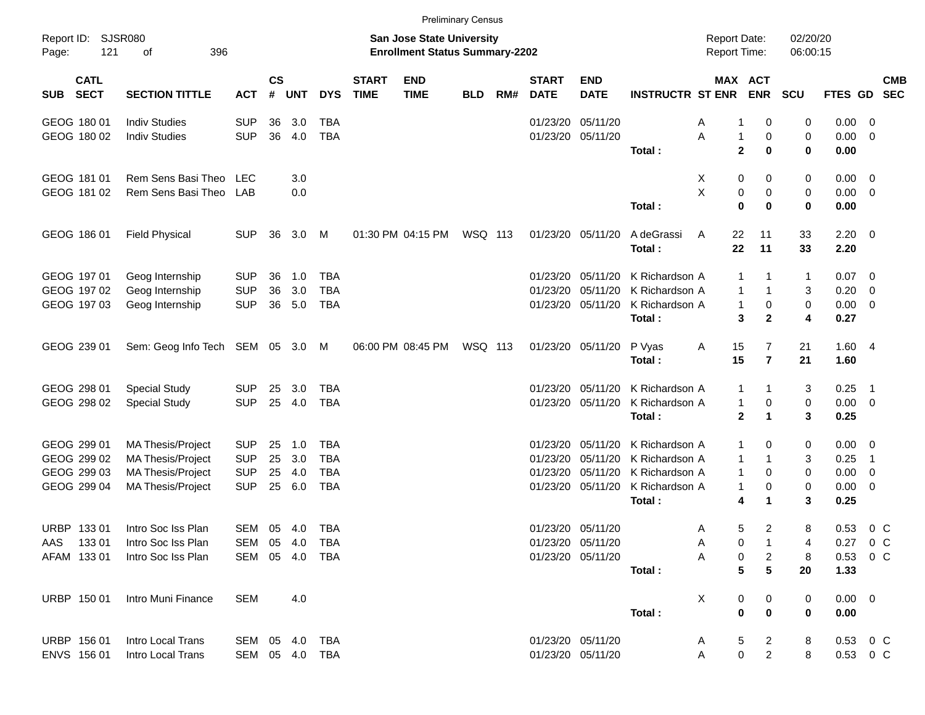|                                   |                                |            |                |            |                |                             |                                                                           | <b>Preliminary Census</b> |     |                                     |                           |                         |                      |                                      |            |                     |                          |  |
|-----------------------------------|--------------------------------|------------|----------------|------------|----------------|-----------------------------|---------------------------------------------------------------------------|---------------------------|-----|-------------------------------------|---------------------------|-------------------------|----------------------|--------------------------------------|------------|---------------------|--------------------------|--|
| Report ID: SJSR080<br>Page:       | 121<br>396<br>οf               |            |                |            |                |                             | <b>San Jose State University</b><br><b>Enrollment Status Summary-2202</b> |                           |     | <b>Report Date:</b><br>Report Time: |                           |                         | 02/20/20<br>06:00:15 |                                      |            |                     |                          |  |
| <b>CATL</b><br><b>SECT</b><br>SUB | <b>SECTION TITTLE</b>          | <b>ACT</b> | <b>CS</b><br># | <b>UNT</b> | <b>DYS</b>     | <b>START</b><br><b>TIME</b> | <b>END</b><br><b>TIME</b>                                                 | <b>BLD</b>                | RM# | <b>START</b><br><b>DATE</b>         | <b>END</b><br><b>DATE</b> | <b>INSTRUCTR ST ENR</b> |                      | MAX ACT<br><b>ENR</b>                | <b>SCU</b> | FTES GD SEC         | <b>CMB</b>               |  |
| GEOG 180 01                       | <b>Indiv Studies</b>           | <b>SUP</b> | 36             | 3.0        | TBA            |                             |                                                                           |                           |     |                                     | 01/23/20 05/11/20         |                         | A                    | 0                                    | 0          | 0.00                | - 0                      |  |
| GEOG 180 02                       | <b>Indiv Studies</b>           | <b>SUP</b> | 36             | 4.0        | <b>TBA</b>     |                             |                                                                           |                           |     |                                     | 01/23/20 05/11/20         |                         | A<br>$\mathbf{1}$    | 0                                    | 0          | 0.00                | $\overline{\mathbf{0}}$  |  |
|                                   |                                |            |                |            |                |                             |                                                                           |                           |     |                                     |                           | Total:                  |                      | $\mathbf{2}$<br>$\bf{0}$             | 0          | 0.00                |                          |  |
| GEOG 181 01                       | Rem Sens Basi Theo             | LEC        |                | 3.0        |                |                             |                                                                           |                           |     |                                     |                           |                         | Х                    | 0<br>0                               | 0          | $0.00 \t 0$         |                          |  |
| GEOG 181 02                       | Rem Sens Basi Theo             | LAB        |                | 0.0        |                |                             |                                                                           |                           |     |                                     |                           |                         | X                    | 0<br>0                               | 0          | 0.00                | $\overline{\phantom{0}}$ |  |
|                                   |                                |            |                |            |                |                             |                                                                           |                           |     |                                     |                           | Total:                  |                      | $\mathbf 0$<br>$\bf{0}$              | 0          | 0.00                |                          |  |
| GEOG 186 01                       | <b>Field Physical</b>          | <b>SUP</b> | 36             | 3.0        | M              |                             | 01:30 PM 04:15 PM                                                         | WSQ 113                   |     |                                     | 01/23/20 05/11/20         | A deGrassi<br>Total:    | A<br>22<br>22        | 11<br>11                             | 33<br>33   | $2.20 \t 0$<br>2.20 |                          |  |
| GEOG 197 01                       | Geog Internship                | <b>SUP</b> | 36             | 1.0        | <b>TBA</b>     |                             |                                                                           |                           |     | 01/23/20                            | 05/11/20                  | K Richardson A          | $\mathbf{1}$         | 1                                    | 1          | $0.07 \quad 0$      |                          |  |
| GEOG 197 02                       | Geog Internship                | <b>SUP</b> | 36             | 3.0        | <b>TBA</b>     |                             |                                                                           |                           |     | 01/23/20                            | 05/11/20                  | K Richardson A          | $\mathbf{1}$         | $\mathbf{1}$                         | 3          | 0.20                | $\overline{\mathbf{0}}$  |  |
| GEOG 197 03                       | Geog Internship                | <b>SUP</b> | 36             | 5.0        | <b>TBA</b>     |                             |                                                                           |                           |     |                                     | 01/23/20 05/11/20         | K Richardson A          | $\mathbf{1}$         | 0                                    | 0          | 0.00                | $\overline{\phantom{0}}$ |  |
|                                   |                                |            |                |            |                |                             |                                                                           |                           |     |                                     |                           | Total:                  |                      | 3<br>$\mathbf{2}$                    | 4          | 0.27                |                          |  |
| GEOG 239 01                       | Sem: Geog Info Tech SEM 05 3.0 |            |                |            | M              |                             | 06:00 PM 08:45 PM                                                         | WSQ 113                   |     |                                     | 01/23/20 05/11/20         | P Vyas<br>Total:        | 15<br>A<br>15        | 7<br>$\overline{7}$                  | 21<br>21   | 1.604<br>1.60       |                          |  |
| GEOG 298 01                       | <b>Special Study</b>           | <b>SUP</b> | 25             | 3.0        | TBA            |                             |                                                                           |                           |     | 01/23/20                            | 05/11/20                  | K Richardson A          | $\mathbf{1}$         | 1                                    | 3          | 0.25                | $\overline{\phantom{1}}$ |  |
| GEOG 298 02                       | <b>Special Study</b>           | <b>SUP</b> |                | 25 4.0     | TBA            |                             |                                                                           |                           |     |                                     | 01/23/20 05/11/20         | K Richardson A          |                      | $\mathbf{1}$<br>0                    | 0          | $0.00 \t 0$         |                          |  |
|                                   |                                |            |                |            |                |                             |                                                                           |                           |     |                                     |                           | Total:                  |                      | $\mathbf{2}$<br>$\blacktriangleleft$ | 3          | 0.25                |                          |  |
| GEOG 299 01                       | MA Thesis/Project              | <b>SUP</b> | 25             | 1.0        | TBA            |                             |                                                                           |                           |     | 01/23/20                            | 05/11/20                  | K Richardson A          | 1                    | 0                                    | 0          | $0.00 \t 0$         |                          |  |
| GEOG 299 02                       | <b>MA Thesis/Project</b>       | <b>SUP</b> | 25             | 3.0        | <b>TBA</b>     |                             |                                                                           |                           |     | 01/23/20                            | 05/11/20                  | K Richardson A          | $\mathbf{1}$         | 1                                    | 3          | 0.25                | $\overline{1}$           |  |
| GEOG 299 03                       | <b>MA Thesis/Project</b>       | <b>SUP</b> | 25             | 4.0        | <b>TBA</b>     |                             |                                                                           |                           |     | 01/23/20                            | 05/11/20                  | K Richardson A          | $\mathbf{1}$         | 0                                    | 0          | 0.00                | $\overline{\mathbf{0}}$  |  |
| GEOG 299 04                       | <b>MA Thesis/Project</b>       | <b>SUP</b> | 25             | 6.0        | TBA            |                             |                                                                           |                           |     |                                     | 01/23/20 05/11/20         | K Richardson A          | 1                    | 0                                    | 0          | 0.00                | $\overline{\mathbf{0}}$  |  |
|                                   |                                |            |                |            |                |                             |                                                                           |                           |     |                                     |                           | Total:                  |                      | 4<br>1                               | 3          | 0.25                |                          |  |
| URBP 133 01                       | Intro Soc Iss Plan             | SEM        |                | 05 4.0     | TBA            |                             |                                                                           |                           |     |                                     | 01/23/20 05/11/20         |                         | A                    | 5<br>$\overline{2}$                  | 8          | 0.53                | 0 <sup>o</sup>           |  |
| AAS 133 01                        | Intro Soc Iss Plan             |            |                |            | SEM 05 4.0 TBA |                             |                                                                           |                           |     |                                     | 01/23/20 05/11/20         |                         | A                    | 0                                    | 4          |                     | $0.27 \t 0 C$            |  |
| AFAM 133 01                       | Intro Soc Iss Plan             |            |                |            | SEM 05 4.0 TBA |                             |                                                                           |                           |     |                                     | 01/23/20 05/11/20         |                         | Α                    | 0<br>$\overline{\mathbf{c}}$         | 8          |                     | $0.53$ 0 C               |  |
|                                   |                                |            |                |            |                |                             |                                                                           |                           |     |                                     |                           | Total:                  |                      | $5\phantom{.0}$<br>$5\phantom{.0}$   | 20         | 1.33                |                          |  |
| URBP 150 01                       | Intro Muni Finance             | <b>SEM</b> |                | 4.0        |                |                             |                                                                           |                           |     |                                     |                           |                         | X                    | 0<br>0                               | 0          | $0.00 \t 0$         |                          |  |
|                                   |                                |            |                |            |                |                             |                                                                           |                           |     |                                     |                           | Total:                  |                      | $\bf{0}$<br>$\bf{0}$                 | 0          | 0.00                |                          |  |
| URBP 156 01                       | Intro Local Trans              |            |                |            | SEM 05 4.0 TBA |                             |                                                                           |                           |     |                                     | 01/23/20 05/11/20         |                         | A                    | 5<br>$\overline{a}$                  | 8          |                     | $0.53$ 0 C               |  |
| ENVS 156 01                       | Intro Local Trans              |            |                |            | SEM 05 4.0 TBA |                             |                                                                           |                           |     |                                     | 01/23/20 05/11/20         |                         | Α                    | $\pmb{0}$<br>$\overline{2}$          | 8          |                     | 0.53 0 C                 |  |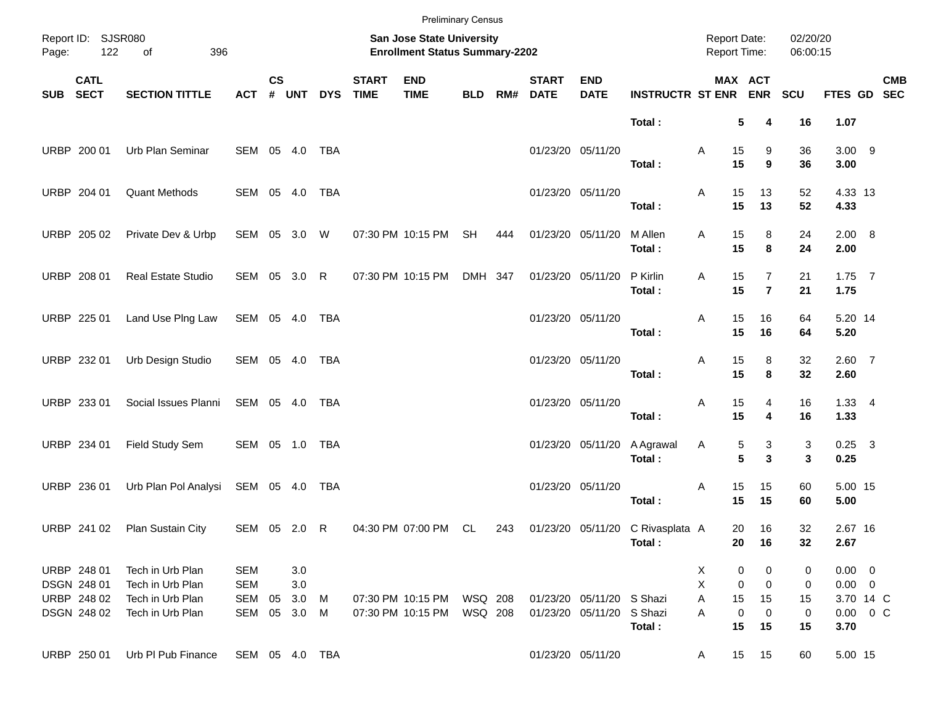|       |                                                          |                                                                              |                                        |                                                                           |                               |              |                             |                                        | <b>Preliminary Census</b> |     |                             |                                                |                                            |                                       |                                  |                           |                                                          |  |            |
|-------|----------------------------------------------------------|------------------------------------------------------------------------------|----------------------------------------|---------------------------------------------------------------------------|-------------------------------|--------------|-----------------------------|----------------------------------------|---------------------------|-----|-----------------------------|------------------------------------------------|--------------------------------------------|---------------------------------------|----------------------------------|---------------------------|----------------------------------------------------------|--|------------|
| Page: | Report ID: SJSR080<br>122                                | 396<br>of                                                                    |                                        | <b>San Jose State University</b><br><b>Enrollment Status Summary-2202</b> |                               |              |                             |                                        |                           |     |                             |                                                | <b>Report Date:</b><br><b>Report Time:</b> |                                       |                                  |                           | 02/20/20<br>06:00:15                                     |  |            |
|       | <b>CATL</b><br>SUB SECT                                  | <b>SECTION TITTLE</b>                                                        | <b>ACT</b>                             | $\mathsf{cs}$<br>#                                                        | <b>UNT</b>                    | <b>DYS</b>   | <b>START</b><br><b>TIME</b> | <b>END</b><br><b>TIME</b>              | <b>BLD</b>                | RM# | <b>START</b><br><b>DATE</b> | <b>END</b><br><b>DATE</b>                      | <b>INSTRUCTR ST ENR ENR</b>                |                                       | MAX ACT                          | SCU                       | FTES GD SEC                                              |  | <b>CMB</b> |
|       |                                                          |                                                                              |                                        |                                                                           |                               |              |                             |                                        |                           |     |                             |                                                | Total:                                     | 5                                     | 4                                | 16                        | 1.07                                                     |  |            |
|       | URBP 200 01                                              | Urb Plan Seminar                                                             | SEM 05 4.0                             |                                                                           |                               | TBA          |                             |                                        |                           |     |                             | 01/23/20 05/11/20                              | Total:                                     | 15<br>Α<br>15                         | 9<br>9                           | 36<br>36                  | $3.00$ 9<br>3.00                                         |  |            |
|       | URBP 204 01                                              | <b>Quant Methods</b>                                                         | SEM 05 4.0                             |                                                                           |                               | TBA          |                             |                                        |                           |     |                             | 01/23/20 05/11/20                              | Total:                                     | 15<br>Α<br>15                         | 13<br>13                         | 52<br>52                  | 4.33 13<br>4.33                                          |  |            |
|       | URBP 205 02                                              | Private Dev & Urbp                                                           | SEM 05 3.0 W                           |                                                                           |                               |              |                             | 07:30 PM 10:15 PM                      | <b>SH</b>                 | 444 |                             | 01/23/20 05/11/20                              | M Allen<br>Total:                          | 15<br>Α<br>15                         | 8<br>8                           | 24<br>24                  | 2.00 8<br>2.00                                           |  |            |
|       | URBP 208 01                                              | <b>Real Estate Studio</b>                                                    | SEM 05 3.0                             |                                                                           |                               | R            |                             | 07:30 PM 10:15 PM                      | DMH 347                   |     |                             | 01/23/20 05/11/20                              | P Kirlin<br>Total:                         | 15<br>Α<br>15                         | $\overline{7}$<br>$\overline{7}$ | 21<br>21                  | $1.75$ 7<br>1.75                                         |  |            |
|       | URBP 225 01                                              | Land Use PIng Law                                                            | SEM 05 4.0                             |                                                                           |                               | TBA          |                             |                                        |                           |     |                             | 01/23/20 05/11/20                              | Total:                                     | 15<br>Α<br>15                         | 16<br>16                         | 64<br>64                  | 5.20 14<br>5.20                                          |  |            |
|       | URBP 232 01                                              | Urb Design Studio                                                            | SEM 05 4.0                             |                                                                           |                               | TBA          |                             |                                        |                           |     |                             | 01/23/20 05/11/20                              | Total:                                     | 15<br>Α<br>15                         | 8<br>8                           | 32<br>32                  | $2.60$ 7<br>2.60                                         |  |            |
|       | URBP 233 01                                              | Social Issues Planni                                                         | SEM 05 4.0                             |                                                                           |                               | TBA          |                             |                                        |                           |     |                             | 01/23/20 05/11/20                              | Total:                                     | 15<br>Α<br>15                         | 4<br>4                           | 16<br>16                  | $1.33 \quad 4$<br>1.33                                   |  |            |
|       | URBP 234 01                                              | Field Study Sem                                                              | SEM 05 1.0 TBA                         |                                                                           |                               |              |                             |                                        |                           |     |                             | 01/23/20 05/11/20                              | A Agrawal<br>Total:                        | Α<br>5<br>5                           | 3<br>3                           | 3<br>3                    | $0.25$ 3<br>0.25                                         |  |            |
|       | URBP 236 01                                              | Urb Plan Pol Analysi                                                         | SEM 05 4.0                             |                                                                           |                               | TBA          |                             |                                        |                           |     |                             | 01/23/20 05/11/20                              | Total:                                     | 15<br>Α<br>15                         | 15<br>15                         | 60<br>60                  | 5.00 15<br>5.00                                          |  |            |
|       | URBP 241 02                                              | Plan Sustain City                                                            | SEM 05 2.0                             |                                                                           |                               | $\mathsf{R}$ |                             | 04:30 PM 07:00 PM                      | CL                        | 243 |                             |                                                | 01/23/20 05/11/20 C Rivasplata A<br>Total: | 20<br>20                              | 16<br>16                         | 32<br>32                  | 2.67 16<br>2.67                                          |  |            |
|       | URBP 248 01<br>DSGN 248 01<br>URBP 248 02<br>DSGN 248 02 | Tech in Urb Plan<br>Tech in Urb Plan<br>Tech in Urb Plan<br>Tech in Urb Plan | <b>SEM</b><br><b>SEM</b><br>SEM<br>SEM | 05                                                                        | 3.0<br>3.0<br>3.0<br>05 3.0 M | M            |                             | 07:30 PM 10:15 PM<br>07:30 PM 10:15 PM | WSQ 208<br>WSQ 208        |     |                             | 01/23/20 05/11/20 S Shazi<br>01/23/20 05/11/20 | S Shazi                                    | 0<br>X<br>Χ<br>0<br>Α<br>15<br>0<br>A | 0<br>0<br>15<br>0                | 0<br>0<br>15<br>$\pmb{0}$ | $0.00 \t 0$<br>$0.00 \t 0$<br>3.70 14 C<br>$0.00 \t 0 C$ |  |            |
|       | URBP 250 01                                              | Urb PI Pub Finance                                                           | SEM 05 4.0 TBA                         |                                                                           |                               |              |                             |                                        |                           |     |                             | 01/23/20 05/11/20                              | Total:                                     | 15<br>15<br>A                         | 15<br>15                         | 15<br>60                  | 3.70<br>5.00 15                                          |  |            |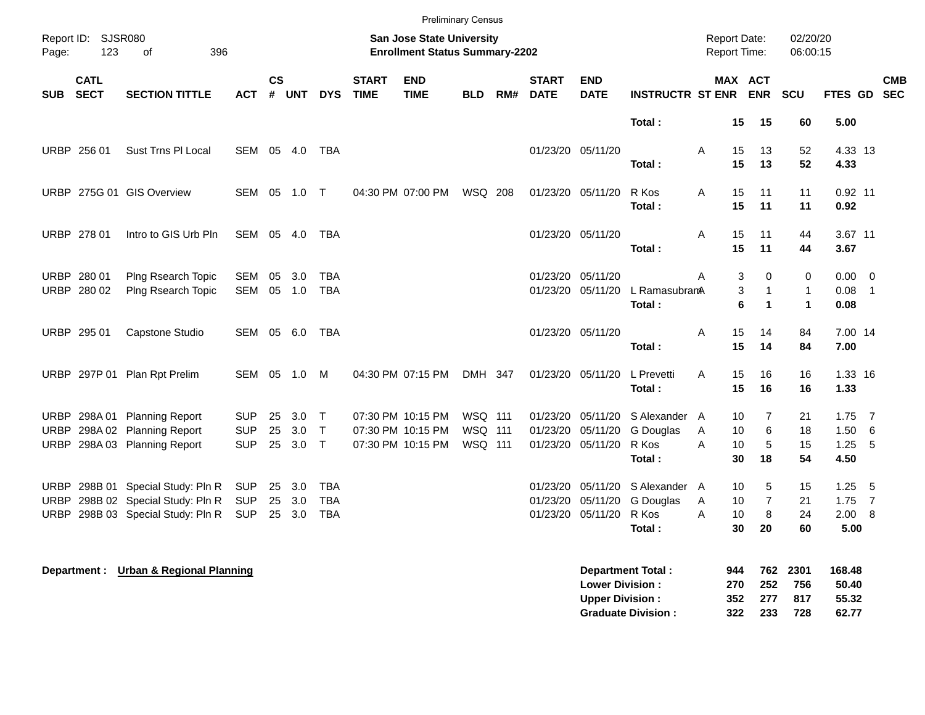|                                                                                                                              |                            |                                                                                                   |                                        |                         |                         |                                        |                             | <b>Preliminary Census</b>                                   |                               |     |                             |                                                             |                                             |                   |                                                                 |                                   |                                    |                                                      |            |
|------------------------------------------------------------------------------------------------------------------------------|----------------------------|---------------------------------------------------------------------------------------------------|----------------------------------------|-------------------------|-------------------------|----------------------------------------|-----------------------------|-------------------------------------------------------------|-------------------------------|-----|-----------------------------|-------------------------------------------------------------|---------------------------------------------|-------------------|-----------------------------------------------------------------|-----------------------------------|------------------------------------|------------------------------------------------------|------------|
| Report ID: SJSR080<br><b>San Jose State University</b><br><b>Enrollment Status Summary-2202</b><br>123<br>396<br>Page:<br>0f |                            |                                                                                                   |                                        |                         |                         |                                        |                             |                                                             |                               |     | <b>Report Date:</b>         | Report Time:                                                | 02/20/20<br>06:00:15                        |                   |                                                                 |                                   |                                    |                                                      |            |
| <b>SUB</b>                                                                                                                   | <b>CATL</b><br><b>SECT</b> | <b>SECTION TITTLE</b>                                                                             | <b>ACT</b>                             | <b>CS</b><br>$\pmb{\#}$ | <b>UNT</b>              | <b>DYS</b>                             | <b>START</b><br><b>TIME</b> | <b>END</b><br><b>TIME</b>                                   | <b>BLD</b>                    | RM# | <b>START</b><br><b>DATE</b> | <b>END</b><br><b>DATE</b>                                   | <b>INSTRUCTR ST ENR</b>                     |                   | MAX ACT<br><b>ENR</b>                                           | <b>SCU</b>                        | FTES GD SEC                        |                                                      | <b>CMB</b> |
|                                                                                                                              |                            |                                                                                                   |                                        |                         |                         |                                        |                             |                                                             |                               |     |                             |                                                             | Total:                                      |                   | 15<br>15                                                        | 60                                | 5.00                               |                                                      |            |
|                                                                                                                              | URBP 256 01                | Sust Trns PI Local                                                                                | SEM 05 4.0                             |                         |                         | TBA                                    |                             |                                                             |                               |     |                             | 01/23/20 05/11/20                                           | Total:                                      | Α                 | 15<br>13<br>15<br>13                                            | 52<br>52                          | 4.33 13<br>4.33                    |                                                      |            |
|                                                                                                                              |                            | URBP 275G 01 GIS Overview                                                                         | SEM                                    | 05                      | 1.0                     | $\top$                                 |                             | 04:30 PM 07:00 PM                                           | WSQ 208                       |     |                             | 01/23/20 05/11/20                                           | R Kos<br>Total:                             | A                 | 15<br>11<br>15<br>11                                            | 11<br>11                          | $0.92$ 11<br>0.92                  |                                                      |            |
|                                                                                                                              | URBP 278 01                | Intro to GIS Urb Pln                                                                              | SEM 05 4.0                             |                         |                         | TBA                                    |                             |                                                             |                               |     |                             | 01/23/20 05/11/20                                           | Total:                                      | A                 | 15<br>11<br>15<br>11                                            | 44<br>44                          | 3.67 11<br>3.67                    |                                                      |            |
|                                                                                                                              | URBP 280 01<br>URBP 280 02 | Plng Rsearch Topic<br>Plng Rsearch Topic                                                          | SEM<br>SEM                             | 05                      | 3.0<br>05 1.0           | <b>TBA</b><br><b>TBA</b>               |                             |                                                             |                               |     | 01/23/20                    | 05/11/20<br>01/23/20 05/11/20                               | L RamasubramA<br>Total:                     | A                 | 3<br>$\Omega$<br>3<br>$\mathbf{1}$<br>6<br>$\blacktriangleleft$ | 0<br>$\mathbf{1}$<br>$\mathbf{1}$ | 0.00<br>0.08<br>0.08               | $\overline{\phantom{0}}$<br>$\overline{\phantom{1}}$ |            |
|                                                                                                                              | URBP 295 01                | Capstone Studio                                                                                   | SEM                                    |                         | 05 6.0                  | TBA                                    |                             |                                                             |                               |     |                             | 01/23/20 05/11/20                                           | Total:                                      | A                 | 15<br>14<br>15<br>14                                            | 84<br>84                          | 7.00 14<br>7.00                    |                                                      |            |
|                                                                                                                              |                            | URBP 297P 01 Plan Rpt Prelim                                                                      | SEM 05                                 |                         | 1.0                     | M                                      |                             | 04:30 PM 07:15 PM                                           | DMH 347                       |     |                             | 01/23/20 05/11/20                                           | L Prevetti<br>Total:                        | A                 | 15<br>16<br>15<br>16                                            | 16<br>16                          | 1.33 16<br>1.33                    |                                                      |            |
| <b>URBP</b>                                                                                                                  |                            | URBP 298A 01 Planning Report<br>298A 02 Planning Report<br>URBP 298A 03 Planning Report           | <b>SUP</b><br><b>SUP</b><br><b>SUP</b> | 25<br>25                | 3.0<br>3.0<br>25 3.0    | $\top$<br>$\mathsf{T}$<br>$\top$       |                             | 07:30 PM 10:15 PM<br>07:30 PM 10:15 PM<br>07:30 PM 10:15 PM | WSQ 111<br>WSQ 111<br>WSQ 111 |     |                             | 01/23/20 05/11/20<br>01/23/20 05/11/20<br>01/23/20 05/11/20 | S Alexander<br>G Douglas<br>R Kos<br>Total: | A<br>A<br>Α       | 10<br>7<br>6<br>10<br>10<br>5<br>30<br>18                       | 21<br>18<br>15<br>54              | 1.75<br>1.50<br>$1.25 - 5$<br>4.50 | $\overline{7}$<br>$6\overline{6}$                    |            |
| <b>URBP</b><br><b>URBP</b>                                                                                                   |                            | URBP 298B 01 Special Study: Pln R<br>298B 02 Special Study: Pln R<br>298B 03 Special Study: Pln R | <b>SUP</b><br><b>SUP</b><br><b>SUP</b> | 25                      | 3.0<br>25 3.0<br>25 3.0 | <b>TBA</b><br><b>TBA</b><br><b>TBA</b> |                             |                                                             |                               |     | 01/23/20                    | 01/23/20 05/11/20<br>05/11/20<br>01/23/20 05/11/20          | S Alexander<br>G Douglas<br>R Kos<br>Total: | A<br>Α<br>A       | 10<br>5<br>$\overline{7}$<br>10<br>8<br>10<br>30<br>20          | 15<br>21<br>24<br>60              | 1.25<br>1.75<br>2.00 8<br>5.00     | - 5<br>$\overline{7}$                                |            |
|                                                                                                                              |                            | Department : Urban & Regional Planning                                                            |                                        |                         |                         |                                        |                             |                                                             |                               |     |                             | <b>Lower Division:</b><br><b>Upper Division:</b>            | <b>Department Total:</b>                    | 944<br>270<br>352 | 762<br>252<br>277                                               | 2301<br>756<br>817                | 168.48<br>50.40<br>55.32           |                                                      |            |

**Graduate Division : 322 233 728 62.77**